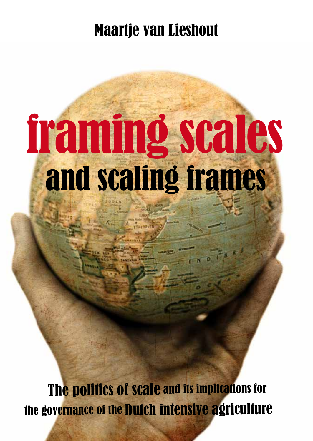# Maartje van Lieshout

# framing scales and scaling frames

 The politics of scale and its implications for the governance of the Dutch intensive agriculture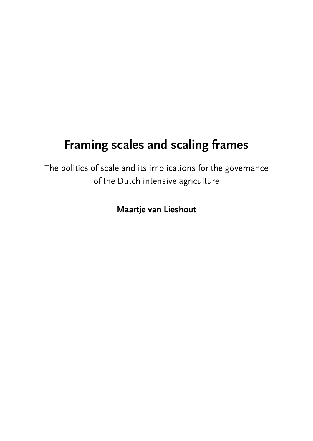## **Framing scales and scaling frames**

The politics of scale and its implications for the governance of the Dutch intensive agriculture

**Maartje van Lieshout**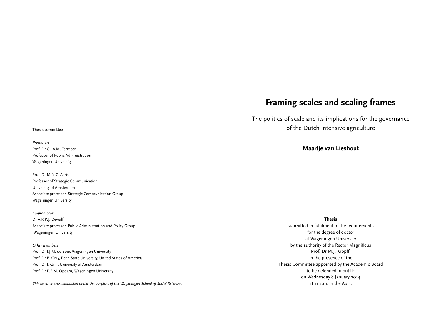### **Framing scales and scaling frames**

The politics of scale and its implications for the governance of the Dutch intensive agriculture

**Maartje van Lieshout**

**Thesis** submitted in fulfilment of the requirements for the degree of doctor at Wageningen University by the authority of the Rector Magnificus Prof. Dr M.J. Kropff, in the presence of the Thesis Committee appointed by the Academic Board to be defended in public on Wednesday 8 January 2014 at 11 a.m. in the Aula.

#### **Thesis committee**

*Promotors* Prof. Dr C.J.A.M. Termeer Professor of Public Administration Wageningen University

Prof. Dr M.N.C. Aarts Professor of Strategic Communication University of Amsterdam Associate professor, Strategic Communication Group Wageningen University

*Co-promotor*  Dr A.R.P.J. Dewulf Associate professor, Public Administration and Policy Group Wageningen University

#### *Other members*

Prof. Dr I.J.M. de Boer, Wageningen University Prof. Dr B. Gray, Penn State University, United States of America Prof. Dr J. Grin, University of Amsterdam Prof. Dr P.F.M. Opdam, Wageningen University

*This research was conducted under the auspices of the Wageningen School of Social Sciences.*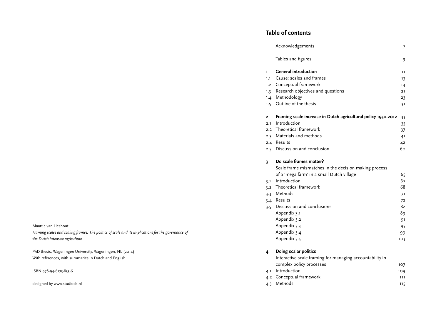#### **Table of contents**

|                         | Acknowledgements                                              | 7              |
|-------------------------|---------------------------------------------------------------|----------------|
|                         | Tables and figures                                            | 9              |
| ı.                      | <b>General introduction</b>                                   | 11             |
| 1.1                     | Cause: scales and frames                                      | 13             |
| 1.2                     | Conceptual framework                                          | 14             |
| 1.3                     | Research objectives and questions                             | 21             |
| 1.4                     | Methodology                                                   | 23             |
| $1.5 -$                 | Outline of the thesis                                         | 3 <sub>1</sub> |
| $\mathbf{2}$            | Framing scale increase in Dutch agricultural policy 1950-2012 | 33             |
| 2.1                     | Introduction                                                  | 35             |
| 2.2                     | Theoretical framework                                         | 37             |
| 2.3                     | Materials and methods                                         | 41             |
|                         | 2.4 Results                                                   | 4 <sup>2</sup> |
| 2.5                     | Discussion and conclusion                                     | 60             |
| $\overline{\mathbf{3}}$ | Do scale frames matter?                                       |                |
|                         | Scale frame mismatches in the decision making process         |                |
|                         | of a 'mega farm' in a small Dutch village                     | 65             |
| 3.1                     | Introduction                                                  | 67             |
| 3.2                     | Theoretical framework                                         | 68             |
| 3.3                     | Methods                                                       | 71             |
| 3.4                     | Results                                                       | 72             |
| 3.5                     | Discussion and conclusions                                    | 82             |
|                         | Appendix 3.1                                                  | 89             |
|                         | Appendix 3.2                                                  | 91             |
|                         | Appendix 3.3                                                  | 95             |
|                         | Appendix 3.4                                                  | 99             |
|                         | Appendix 3.5                                                  | 103            |
| 4                       | Doing scalar politics                                         |                |
|                         | Interactive scale framing for managing accountability in      |                |
|                         | complex policy processes                                      | 107            |
| 4.1                     | Introduction                                                  | 109            |
| 4.2                     | Conceptual framework                                          | 111            |
| 4.3                     | Methods                                                       | 115            |

Maartje van Lieshout

*Framing scales and scaling frames. The politics of scale and its implications for the governance of the Dutch intensive agriculture*

PhD thesis, Wageningen University, Wageningen, NL (2014) With references, with summaries in Dutch and English

ISBN 978-94-6173-835-6

designed by www.studiods.nl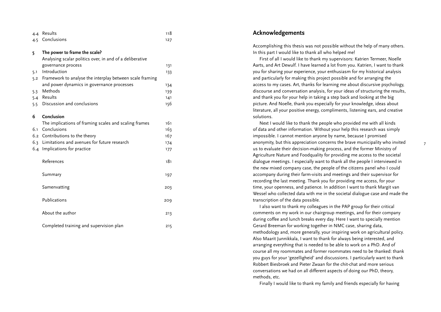| 4.4 | Results                                                                                                         | 118        |  |  |  |  |  |
|-----|-----------------------------------------------------------------------------------------------------------------|------------|--|--|--|--|--|
| 4.5 | Conclusions                                                                                                     | 127        |  |  |  |  |  |
| 5   | The power to frame the scale?<br>Analysing scalar politics over, in and of a deliberative<br>governance process | 131        |  |  |  |  |  |
| 5.1 | Introduction                                                                                                    | 133        |  |  |  |  |  |
| 5.2 | Framework to analyse the interplay between scale framing                                                        |            |  |  |  |  |  |
|     | and power dynamics in governance processes<br>Methods                                                           | 134        |  |  |  |  |  |
| 5.3 | Results                                                                                                         | 139        |  |  |  |  |  |
| 5.4 |                                                                                                                 | 141<br>156 |  |  |  |  |  |
| 5.5 | Discussion and conclusions                                                                                      |            |  |  |  |  |  |
| 6   | Conclusion                                                                                                      |            |  |  |  |  |  |
|     | The implications of framing scales and scaling frames                                                           | 161        |  |  |  |  |  |
| 6.1 | Conclusions                                                                                                     | 163        |  |  |  |  |  |
|     | 6.2 Contributions to the theory                                                                                 | 167        |  |  |  |  |  |
|     | 6.3 Limitations and avenues for future research                                                                 | 174        |  |  |  |  |  |
|     | 6.4 Implications for practice                                                                                   | 177        |  |  |  |  |  |
|     | References                                                                                                      | 181        |  |  |  |  |  |
|     | Summary                                                                                                         | 197        |  |  |  |  |  |
|     | Samenvatting                                                                                                    | 203        |  |  |  |  |  |
|     | Publications                                                                                                    | 209        |  |  |  |  |  |
|     | About the author                                                                                                | 213        |  |  |  |  |  |
|     | Completed training and supervision plan                                                                         | 215        |  |  |  |  |  |

#### **Acknowledgements**

Accomplishing this thesis was not possible without the help of many others. In this part I would like to thank all who helped me!

First of all I would like to thank my supervisors: Katrien Termeer, Noelle Aarts, and Art Dewulf. I have learned a lot from you. Katrien, I want to thank you for sharing your experience, your enthusiasm for my historical analysis and particularly for making this project possible and for arranging the access to my cases. Art, thanks for learning me about discursive psychology, discourse and conversation analysis, for your ideas of structuring the results, and thank you for your help in taking a step back and looking at the big picture. And Noelle, thank you especially for your knowledge, ideas about literature, all your positive energy, compliments, listening ears, and creative solutions.

Next I would like to thank the people who provided me with all kinds of data and other information. Without your help this research was simply impossible. I cannot mention anyone by name, because I promised anonymity, but this appreciation concerns the brave municipality who invited us to evaluate their decision-making process, and the former Ministry of Agriculture Nature and Foodquality for providing me access to the societal dialogue meetings. I especially want to thank all the people I interviewed in the new mixed company case, the people of the citizens panel who I could accompany during their farm-visits and meetings and their supervisor for recording the last meeting. Thank you for providing me access, for your time, your openness, and patience. In addition I want to thank Margit van Wessel who collected data with me in the societal dialogue case and made the transcription of the data possible.

I also want to thank my colleagues in the PAP group for their critical comments on my work in our chairgroup meetings, and for their company during coffee and lunch breaks every day. Here I want to specially mention Gerard Breeman for working together in NMC case, sharing data, methodology and, more generally, your inspiring work on agricultural policy. Also Maarit Junnikkala, I want to thank for always being interested, and arranging everything that is needed to be able to work on a PhD. And of course all my roommates and former roommates need to be thanked: thank you guys for your 'gezelligheid' and discussions. I particularly want to thank Robbert Biesbroek and Pieter Zwaan for the chit-chat and more serious conversations we had on all different aspects of doing our PhD, theory, methods, etc.

Finally I would like to thank my family and friends especially for having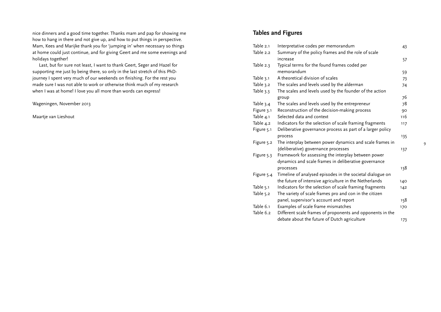nice dinners and a good time together. Thanks mam and pap for showing me how to hang in there and not give up, and how to put things in perspective. Mam, Kees and Marijke thank you for 'jumping in' when necessary so things at home could just continue, and for giving Geert and me some evenings and holidays together!

Last, but for sure not least, I want to thank Geert, Seger and Hazel for supporting me just by being there, so only in the last stretch of this PhDjourney I spent very much of our weekends on finishing. For the rest you made sure I was not able to work or otherwise think much of my research when I was at home! I love you all more than words can express!

Wageningen, November 2013

Maartje van Lieshout

#### **Tables and Figures**

| Table 2.1  | Interpretative codes per memorandum                        | 43  |
|------------|------------------------------------------------------------|-----|
| Table 2.2  | Summary of the policy frames and the role of scale         |     |
|            | increase                                                   | 57  |
| Table 2.3  | Typical terms for the found frames coded per               |     |
|            | memorandum                                                 | 59  |
| Table 3.1  | A theoretical division of scales                           | 73  |
| Table 3.2  | The scales and levels used by the alderman                 | 74  |
| Table 3.3  | The scales and levels used by the founder of the action    |     |
|            | group                                                      | 76  |
| Table 3.4  | The scales and levels used by the entrepreneur             | 78  |
| Figure 3.1 | Reconstruction of the decision-making process              | 90  |
| Table 4.1  | Selected data and context                                  | 116 |
| Table 4.2  | Indicators for the selection of scale framing fragments    | 117 |
| Figure 5.1 | Deliberative governance process as part of a larger policy |     |
|            | process                                                    | 135 |
| Figure 5.2 | The interplay between power dynamics and scale frames in   |     |
|            | (deliberative) governance processes                        | 137 |
| Figure 5.3 | Framework for assessing the interplay between power        |     |
|            | dynamics and scale frames in deliberative governance       |     |
|            | processes                                                  | 138 |
| Figure 5.4 | Timeline of analysed episodes in the societal dialogue on  |     |
|            | the future of intensive agriculture in the Netherlands     | 140 |
| Table 5.1  | Indicators for the selection of scale framing fragments    | 142 |
| Table 5.2  | The variety of scale frames pro and con in the citizen     |     |
|            | panel, supervisor's account and report                     | 158 |
| Table 6.1  | Examples of scale frame mismatches                         | 170 |
| Table 6.2  | Different scale frames of proponents and opponents in the  |     |
|            | debate about the future of Dutch agriculture               | 173 |

9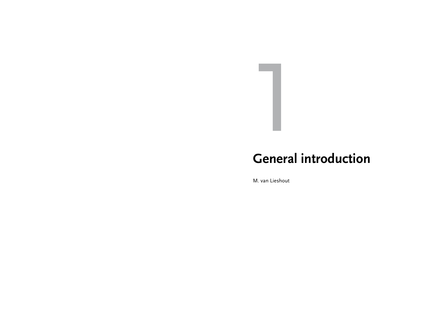# 1 **General introduction**

M. van Lieshout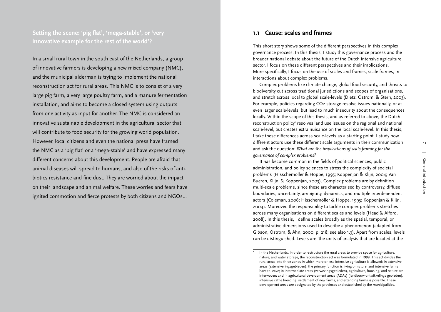**Setting the scene: 'pig flat', 'mega-stable', or 'very innovative example for the rest of the world'?**

In a small rural town in the south east of the Netherlands, a group of innovative farmers is developing a new mixed company (NMC), and the municipal alderman is trying to implement the national reconstruction act for rural areas. This NMC is to consist of a very large pig farm, a very large poultry farm, and a manure fermentation installation, and aims to become a closed system using outputs from one activity as input for another. The NMC is considered an innovative sustainable development in the agricultural sector that will contribute to food security for the growing world population. However, local citizens and even the national press have framed the NMC as a 'pig flat' or a 'mega-stable' and have expressed many different concerns about this development. People are afraid that animal diseases will spread to humans, and also of the risks of anti biotics resistance and fine dust. They are worried about the impact on their landscape and animal welfare. These worries and fears have ignited commotion and fierce protests by both citizens and NGOs...

#### **1.1 Cause: scales and frames**

This short story shows some of the different perspectives in this complex governance process. In this thesis, I study this governance process and the broader national debate about the future of the Dutch intensive agriculture sector. I focus on these different perspectives and their implications. More specifically, I focus on the use of scales and frames, scale frames, in interactions about complex problems.

Complex problems like climate change, global food security, and threats to biodiversity cut across traditional jurisdictions and scopes of organisations, and stretch across local to global scale-levels (Dietz, Ostrom, & Stern, 2003). For example, policies regarding CO2 storage resolve issues nationally, or at even larger scale-levels, but lead to much insecurity about the consequences locally. Within the scope of this thesis, and as referred to above, the Dutch reconstruction policy' resolves land use issues on the regional and national scale-level, but creates extra nuisance on the local scale-level. In this thesis, I take these differences across scale-levels as a starting point. I study how different actors use these different scale arguments in their communication and ask the question: *What are the implications of scale framing for the governance of complex problems?*

It has become common in the fields of political sciences, public administration, and policy sciences to stress the complexity of societal problems (Hisschemöller & Hoppe, 1995; Koppenjan & Klijn, 2004; Van Bueren, Klijn, & Koppenjan, 2003). Complex problems are by definition multi-scale problems, since these are characterised by controversy, diffuse boundaries, uncertainty, ambiguity, dynamics, and multiple interdependent actors (Coleman, 2006; Hisschemöller & Hoppe, 1995; Koppenjan & Klijn, 2004). Moreover, the responsibility to tackle complex problems stretches across many organisations on different scales and levels (Head & Alford, 2008). In this thesis, I define scales broadly as the spatial, temporal, or administrative dimensions used to describe a phenomenon (adapted from Gibson, Ostrom, & Ahn, 2000, p. 218; see also 1.3). Apart from scales, levels can be distinguished. Levels are 'the units of analysis that are located at the

<sup>1</sup> In the Netherlands, in order to restructure the rural areas to provide space for agriculture, nature, and water storage, the reconstruction act was formulated in 1999. This act divides the rural areas into three zones in which more or less intensive agriculture is allowed: in extensive areas (extensiveringsgebieden), the primary function is living or nature, and intensive farms have to leave; in intermediate areas (verwevingsgebieden), agriculture, housing, and nature are interwoven; and in agricultural development areas (ADAs) (landbouw ontwikkelings gebieden), intensive cattle breeding, settlement of new farms, and extending farms is possible. These development areas are designated by the provinces and established by the municipalities.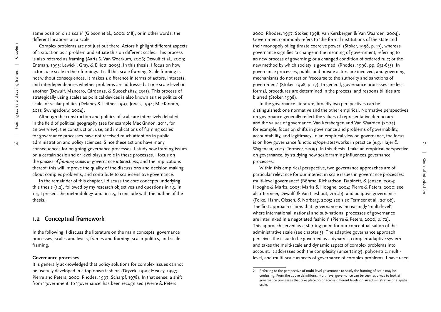same position on a scale' (Gibson et al., 2000: 218), or in other words: the different locations on a scale.

Complex problems are not just out there. Actors highlight different aspects of a situation as a problem and situate this on different scales. This process is also referred as framing (Aarts & Van Woerkum, 2006; Dewulf et al., 2009; Entman, 1993; Lewicki, Gray, & Elliott, 2003). In this thesis, I focus on how actors use scale in their framings. I call this scale framing. Scale framing is not without consequences. It makes a difference in terms of actors, interests, and interdependencies whether problems are addressed at one scale-level or another (Dewulf, Mancero, Cárdenas, & Sucozhañay, 2011). This process of strategically using scales as political devices is also known as the politics of scale, or scalar politics (Delaney & Leitner, 1997; Jonas, 1994; MacKinnon, 2011; Swyngedouw, 2004).

Although the construction and politics of scale are intensively debated in the field of political geography (see for example MacKinnon, 2011, for an overview), the construction, use, and implications of framing scales for governance processes have not received much attention in public administration and policy sciences. Since these actions have many consequences for on-going governance processes, I study how framing issues on a certain scale and or level plays a role in these processes. I focus on the *process of framing scales in* governance *interactions*, and the implications thereof; this will improve the quality of the discussions and decision making about complex problems, and contribute to scale-sensitive governance.

In the remainder of this chapter, I discuss the core concepts underlying this thesis (1.2), followed by my research objectives and questions in 1.3. In 1.4, I present the methodology, and, in 1.5, I conclude with the outline of the thesis.

#### **1.2 Conceptual framework**

In the following, I discuss the literature on the main concepts: governance processes, scales and levels, frames and framing, scalar politics, and scale framing.

#### **Governance processes**

It is generally acknowledged that policy solutions for complex issues cannot be usefully developed in a top-down fashion (Dryzek, 1990; Healey, 1997; Pierre and Peters, 2000; Rhodes, 1997; Scharpf, 1978). In that sense, a shift from 'government' to 'governance' has been recognised (Pierre & Peters,

2000; Rhodes, 1997; Stoker, 1998; Van Kersbergen & Van Waarden, 2004). Government commonly refers to 'the formal institutions of the state and their monopoly of legitimate coercive power' (Stoker, 1998, p. 17), whereas governance signifies 'a change in the meaning of government, referring to an new process of governing; or a changed condition of ordered rule; or the new method by which society is governed' (Rhodes, 1996, pp. 652-653). In governance processes, public and private actors are involved, and governing mechanisms do not rest on 'recourse to the authority and sanctions of government' (Stoker, 1998, p. 17). In general, governance processes are less formal, procedures are determined in the process, and responsibilities are blurred (Stoker, 1998).

 $_{14}$  administration and policy sciences. Since these actions have many  $_{15}$  and  $_{15}$  is on how governance functions/operates/works in practice (e.g. Hajer &  $_{15}$ In the governance literature, broadly two perspectives can be distinguished: one normative and the other empirical. Normative perspectives on governance generally reflect the values of representative democracy and the values of governance. Van Kersbergen and Van Waarden (2004), for example, focus on shifts in governance and problems of governability, accountability, and legitimacy. In an empirical view on governance, the focus Wagenaar, 2003; Termeer, 2009). In this thesis, I take an empirical perspective on governance, by studying how scale framing influences governance processes.

> Within this empirical perspective, two governance approaches are of particular relevance for our interest in scale issues in governance processes: multi-level governance 2 (Böhme, Richardson, Dabinett, & Jensen, 2004; Hooghe & Marks, 2003; Marks & Hooghe, 2004; Pierre & Peters, 2000; see also Termeer, Dewulf, & Van Lieshout, 2010b), and adaptive governance (Folke, Hahn, Olssen, & Norberg, 2005; see also Termeer et al., 2010b). The first approach claims that 'governance is increasingly 'multi-level', where international, national and sub-national processes of governance are interlinked in a negotiated fashion' (Pierre & Peters, 2000, p. 72). This approach served as a starting point for our conceptualisation of the administrative scale (see chapter 3). The adaptive governance approach perceives the issue to be governed as a dynamic, complex adaptive system and takes the multi-scale and dynamic aspect of complex problems into account. It addresses both the complexity (uncertainty), polycentric, multilevel, and multi-scale aspects of governance of complex problems. I have used

<sup>2</sup> Referring to the perspective of multi-level governance to study the framing of scale may be confusing. From the above definitions, multi-level governance can be seen as a way to look at governance processes that take place on or across different levels on an administrative or a spatial scale.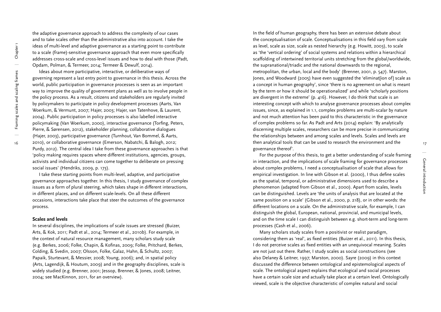the adaptive governance approach to address the complexity of our cases and to take scales other than the administrative also into account. I take the ideas of multi-level and adaptive governance as a starting point to contribute to a scale (frame)-sensitive governance approach that even more specifically addresses cross-scale and cross-level issues and how to deal with those (Padt, Opdam, Polman, & Termeer, 2014; Termeer & Dewulf, 2014).

Ideas about more participative, interactive, or deliberative ways of governing represent a last entry point to governance in this thesis. Across the world, public participation in governance processes is seen as an important way to improve the quality of government plans as well as to involve people in the policy process. As a result, citizens and stakeholders are regularly invited by policymakers to participate in policy development processes (Aarts, Van Woerkum, & Vermunt, 2007; Hajer, 2003; Hajer, van Tatenhove, & Laurent, 2004). Public participation in policy processes is also labelled interactive policymaking (Van Woerkum, 2000), interactive governance (Torfing, Peters, Pierre, & Sørensen, 2012), stakeholder planning, collaborative dialogues (Hajer, 2003), participative governance (Turnhout, Van Bommel, & Aarts, Purdy, 2012). The central idea I take from these governance approaches is that 'policy making requires spaces where different institutions, agencies, groups, activists and individual citizens can come together to deliberate on pressing social issues' (Hendriks, 2009, p. 173).

I take these starting points from multi-level, adaptive, and participative governance approaches together. In this thesis, I study governance of complex issues as a form of plural steering, which takes shape in different interactions, in different places, and on different scale-levels. On all these different occasions, interactions take place that steer the outcomes of the governance process.

#### **Scales and levels**

In several disciplines, the implications of scale issues are stressed (Buizer, Arts, & Kok, 2011; Padt et al., 2014; Termeer et al., 2010b). For example, in the context of natural resource management, many scholars study scale (e.g. Berkes, 2006; Folke, Chapin, & Kofinas, 2009; Folke, Pritchard, Berkes, Colding, & Svedin, 2007; Olsson, Folke, Galaz, Hahn, & Schultz, 2007; Papaik, Sturtevant, & Messier, 2008; Young, 2006); and, in spatial policy (Arts, Lagendijk, & Houtum, 2009) and in the geography disciplines, scale is widely studied (e.g. Brenner, 2001; Jessop, Brenner, & Jones, 2008; Leitner, 2004; see MacKinnon, 2011, for an overview).

 $_{16}$  2010), or collaborative governance (Emerson, Nabatchi, & Balogh, 2012;  $_{17}$  then analytical tools that can be used to research the environment and the  $_{17}$ In the field of human geography, there has been an extensive debate about the conceptualisation of scale. Conceptualisations in this field vary from scale as level, scale as size, scale as nested hierarchy (e.g. Howitt, 2003), to scale as 'the 'vertical ordering' of social systems and relations within a hierarchical scaffolding of intertwined territorial units stretching from the global/worldwide, the supranational/triadic and the national downwards to the regional, metropolitan, the urban, local and the body' (Brenner, 2001, p. 547). Marston, Jones, and Woodward (2005) have even suggested the 'eliminat[ion of] scale as a concept in human geography', since 'there is no agreement on what is meant by the term or how it should be operationalized' and while 'scholarly positions are divergent in the extreme' (p. 416). However, I do think that scale is an interesting concept with which to analyse governance processes about complex issues, since, as explained in 1.1, complex problems are multi-scalar by nature and not much attention has been paid to this characteristic in the governance of complex problems so far. As Padt and Arts (2014) explain: 'By analytically discerning multiple scales, researchers can be more precise in communicating the relationships between and among scales and levels. Scales and levels are then analytical tools that can be used to research the environment and the governance thereof'.

> For the purpose of this thesis, to get a better understanding of scale framing in interaction, and the implications of scale framing for governance processes about complex problems, I need a conceptualisation of scale that allows for empirical investigation. In line with Gibson et al. (2000), I thus define scales as the spatial, temporal, or administrative dimensions used to describe a phenomenon (adapted from Gibson et al., 2000). Apart from scales, levels can be distinguished. Levels are 'the units of analysis that are located at the same position on a scale' (Gibson et al., 2000, p. 218), or in other words: the different locations on a scale. On the administrative scale, for example, I can distinguish the global, European, national, provincial, and municipal levels, and on the time scale I can distinguish between e.g. short-term and long-term processes (Cash et al., 2006).

Many scholars study scales from a positivist or realist paradigm, considering them as 'real', as fixed entities (Buizer et al., 2011). In this thesis, I do not perceive scales as fixed entities with an unequivocal meaning. Scales are not just out there. Rather, I study scales as social constructions (see also Delaney & Leitner, 1997; Marston, 2000). Sayre (2009) in this context discussed the difference between ontological and epistemological aspects of scale. The ontological aspect explains that ecological and social processes have a certain scale size and actually take place at a certain level. Ontologically viewed, scale is the objective characteristic of complex natural and social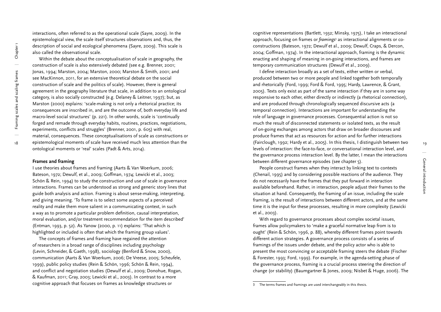interactions, often referred to as the operational scale (Sayre, 2009). In the epistemological view, the scale itself structures observations and, thus, the description of social and ecological phenomena (Sayre, 2009). This scale is also called the observational scale.

<sub>18</sub> 18 19 19 Power and the Sepistemological moments of scale have received much less attention than the the same the same the same (Fairclough, 1992; Hardy et al., 2005). In this thesis, I distinguish between two <sub>19</sub> 1<sub>9</sub> Within the debate about the conceptualisation of scale in geography, the construction of scale is also extensively debated (see e.g. Brenner, 2001; Jonas, 1994; Marston, 2004; Marston, 2000; Marston & Smith, 2001; and see MacKinnon, 2011, for an extensive theoretical debate on the social construction of scale and the politics of scale). However, there is general agreement in the geography literature that scale, in addition to an ontological category, is also socially constructed (e.g. Delaney & Leitner, 1997); but, as Marston (2000) explains: 'scale-making is not only a rhetorical practice; its consequences are inscribed in, and are the outcome of, both everyday life and macro-level social structures' (p. 221). In other words, scale is 'continually forged and remade through everyday habits, routines, practices, negotiations, experiments, conflicts and struggles' (Brenner, 2001, p. 605) with real, material, consequences. These conceptualisations of scale as constructions or epistemological moments of scale have received much less attention than the ontological moments or 'real' scales (Padt & Arts, 2014).

#### **Frames and framing**

I use theories about frames and framing (Aarts & Van Woerkum, 2006; Bateson, 1972; Dewulf, et al., 2009; Goffman, 1974; Lewicki et al., 2003; Schön & Rein, 1994) to study the construction and use of scale in governance interactions. Frames can be understood as strong and generic story lines that guide both analysis and action. Framing is about sense-making, interpreting, and giving meaning. 'To frame is to select some aspects of a perceived reality and make them more salient in a communicating context, in such a way as to promote a particular problem definition, causal interpretation, moral evaluation, and/or treatment recommendation for the item described' (Entman, 1993, p. 52). As Yanow (2000, p. 11) explains: 'That which is highlighted or included is often that which the framing group values'.

The concepts of frames and framing have regained the attention of researchers in a broad range of disciplines including psychology (Levin, Schneider, & Gaeth, 1998), sociology (Benford & Snow, 2000), communication (Aarts & Van Woerkum, 2006; De Vreese, 2005; Scheufele, 1999), public policy studies (Rein & Schön, 1996; Schön & Rein, 1994), and conflict and negotiation studies (Dewulf et al., 2009; Donohue, Rogan, & Kaufman, 2011; Gray, 2003; Lewicki et al., 2003). In contrast to a more cognitive approach that focuses on frames as knowledge structures or

cognitive representations (Bartlett, 1932; Minsky, 1975), I take an interactional approach, focusing on frames or *framings*<sup>3</sup> as interactional alignments or coconstructions (Bateson, 1972; Dewulf et al., 2009; Dewulf, Craps, & Dercon, 2004; Goffman, 1974). In the interactional approach, framing is the dynamic enacting and shaping of meaning in on-going interactions, and frames are temporary communication structures (Dewulf et al., 2009).

I define interaction broadly as a set of texts, either written or verbal, produced between two or more people and linked together both temporally and rhetorically (Ford, 1999; Ford & Ford, 1995; Hardy, Lawrence, & Grant, 2005). Texts only exist as part of the same interaction if they are in some way responsive to each other, either directly or indirectly (a rhetorical connection), and are produced through chronologically sequenced discursive acts (a temporal connection). Interactions are important for understanding the role of language in governance processes. Consequential action is not so much the result of disconnected statements or isolated texts, as the result of on-going exchanges among actors that draw on broader discourses and produce frames that act as resources for action and for further interactions levels of interaction: the face-to-face, or conversational interaction level, and the governance process interaction level. By the latter, I mean the interactions between different governance episodes (see chapter 5).

People construct frames when they interact by linking text to contexts (Chenail, 1995) and by considering possible reactions of the audience. They do not necessarily have the frames that they put forward in interaction available beforehand. Rather, in interaction, people adjust their frames to the situation at hand. Consequently, the framing of an issue, including the scale framing, is the result of interactions between different actors, and at the same time it is the input for these processes, resulting in more complexity (Lewicki et al., 2003).

With regard to governance processes about complex societal issues, frames allow policymakers to 'make a graceful normative leap from is to ought' (Rein & Schön, 1996, p. 88), whereby different frames point towards different action strategies. A governance process consists of a series of framings of the issues under debate, and the policy actor who is able to present the most convincing or acceptable framing steers the debate (Fischer & Forester, 1993; Ford, 1999). For example, in the agenda-setting phase of the governance process, framing is a crucial process steering the direction of change (or stability) (Baumgartner & Jones, 2009; Nisbet & Huge, 2006). The

<sup>3</sup> The terms frames and framings are used interchangeably in this thesis.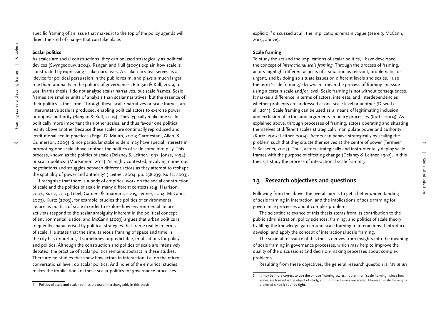specific framing of an issue that makes it to the top of the policy agenda will direct the kind of change that can take place.

#### **Scalar politics**

 $_{\rm 20}$  Gunnerson, 2009). Since particular stakeholders may have special interests in  $_{\rm 21}$  roblem such that they situate themselves at the centre of power (Termeer  $_{\rm 21}$ As scales are social constructions, they can be used strategically as political devices (Swyngedouw, 2004). Rangan and Kull (2009) explain how scale is constructed by expressing scalar narratives. A scalar narrative serves as a 'device for political persuasion in the public realm, and plays a much larger role than rationality in the politics of governance' (Rangan & Kull, 2009, p. 40). In this thesis, I do not analyse scalar narratives, but scale frames. Scale frames are smaller units of analysis than scalar narratives, but the essence of their politics is the same. Through these scalar narratives or scale frames, an interpretative scale is produced, enabling political actors to exercise power or oppose authority (Rangan & Kull, 2009). They typically make one scale politically more important than other scales, and thus favour one political reality above another because these scales are continually reproduced and institutionalised in practices (Engel-Di Mauro, 2009; Garmestani, Allen, & promoting one scale above another, the politics of scale come into play. This process, known as the politics of scale (Delaney & Leitner, 1997; Jonas, 1994), or scalar politics 4 (MacKinnon, 2011), 'is highly contested, involving numerous negotiations and struggles between different actors as they attempt to reshape the spatiality of power and authority' ( Leitner, 2004, pp. 238-239; Kurtz, 2003).

I recognise that there is a body of empirical work on the social construction of scale and the politics of scale in many different contexts (e.g. Harrison, 2006; Kurtz, 2003; Lebel, Garden, & Imamura, 2005; Leitner, 2004; McCann, 2003). Kurtz (2003), for example, studies the politics of environmental justice as politics of scale in order to explore how environmental justice activists respond to the scalar ambiguity inherent in the political concept of environmental justice; and McCann (2003) argues that urban politics is frequently characterised by political strategies that frame reality in terms of scale. He states that the simultaneous framing of space and time in the city has important, if sometimes unpredictable, implications for policy and politics. Although the construction and politics of scale are intensively debated, the practice of scalar politics remains abstract in these studies. There are no studies that show how actors in interaction, i.e. on the microconversational level, do scalar politics. And none of the empirical studies makes the implications of these scalar politics for governance processes

explicit; if discussed at all, the implications remain vague (see e.g. McCann, 2003, above).

#### **Scale framing**

To study the act and the implications of scalar politics, I have developed the concept of *interactional scale framing*. Through the process of framing, actors highlight different aspects of a situation as relevant, problematic, or urgent, and by doing so situate issues on different levels and scales. I use the term 'scale framing,' 5 by which I mean the process of framing an issue using a certain scale and/or level. Scale framing is not without consequences. It makes a difference in terms of actors, interests, and interdependencies whether problems are addressed at one scale-level or another (Dewulf et al., 2011). Scale framing can be used as a means of legitimating inclusion and exclusion of actors and arguments in policy processes (Kurtz, 2003). As explained above, through processes of framing, actors operating and situating themselves at different scales strategically manipulate power and authority (Kurtz, 2003; Leitner, 2004). Actors can behave strategically by scaling the problem such that they situate themselves at the centre of power (Termeer & Kessener, 2007). Thus, actors strategically and instrumentally deploy scale frames with the purpose of effecting change (Delaney & Leitner, 1997). In this thesis, I study the process of interactional scale framing.

#### **1.3 Research objectives and questions**

Following from the above, the overall aim is to get a better understanding of scale framing in interaction, and the implications of scale framing for governance processes about complex problems.

The scientific relevance of this thesis stems from its contribution to the public administration, policy sciences, framing, and politics of scale theory by filling the knowledge gap around scale framing in interactions. I introduce, develop, and apply the concept of interactional scale framing.

The societal relevance of this thesis derives from insights into the meaning of scale framing in governance processes, which may help to improve the quality of the discussions and decision-making processes about complex problems.

Resulting from these objectives, the general research question is: *What are* 

<sup>4</sup> Politics of scale and scalar politics are used interchangeably in this thesis.

<sup>5</sup> It may be more correct to use the phrase 'framing scales,' rather than 'scale framing,' since how scales are framed is the object of study, and not how frames are scaled. However, scale framing is preferred since it sounds right.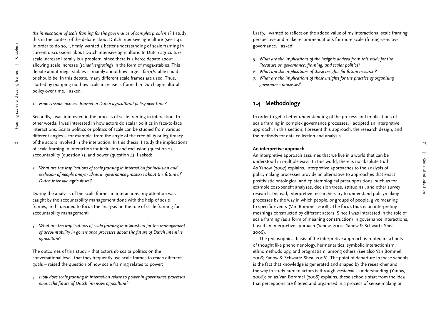*the implications of scale framing for the governance of complex problems?* I study this in the context of the debate about Dutch intensive agriculture (see 1.4). In order to do so, I, firstly, wanted a better understanding of scale framing in current discussions about Dutch intensive agriculture. In Dutch agriculture, scale increase literally is a problem, since there is a fierce debate about allowing scale increase (*schaalvergroting*) in the form of mega-stables. This debate about mega-stables is mainly about how large a farm/stable could or should be. In this debate, many different scale frames are used. Thus, I started by mapping out how scale increase is framed in Dutch agricultural policy over time. I asked:

*1. How is scale increase framed in Dutch agricultural policy over time?* 

 $_{\rm 22}$  of the actors involved in the interaction. In this thesis, I study the implications  $_{\rm 23}$ Secondly, I was interested in the process of scale framing in interaction. In other words, I was interested in how actors do scalar politics in face-to-face interactions. Scalar politics or politics of scale can be studied from various different angles – for example, from the angle of the credibility or legitimacy of scale framing in interaction for inclusion and exclusion (question 2), accountability (question 3), and power (question 4). I asked:

*2. What are the implications of scale framing in interaction for inclusion and exclusion of people and/or ideas in governance processes about the future of Dutch intensive agriculture?*

During the analysis of the scale frames in interactions, my attention was caught by the accountability management done with the help of scale frames, and I decided to focus the analysis on the role of scale framing for accountability management:

*3. What are the implications of scale framing in interaction for the management of accountability in governance processes about the future of Dutch intensive agriculture?*

The outcomes of this study – that actors *do* scalar politics on the conversational level, that they frequently use scale frames to reach different goals – raised the question of how scale framing relates to power:

*4. How does scale framing in interaction relate to power in governance processes about the future of Dutch intensive agriculture?*

Lastly, I wanted to reflect on the added value of my interactional scale framing perspective and make recommendations for more scale (frame)-sensitive governance. I asked:

- *5. What are the implications of the insights derived from this study for the literature on governance, framing, and scalar politics?*
- *6. What are the implications of these insights for future research?*
- *7. What are the implications of these insights for the practice of organising governance processes?*

#### **1.4 Methodology**

In order to get a better understanding of the process and implications of scale framing in complex governance processes, I adopted an interpretive approach. In this section, I present this approach, the research design, and the methods for data collection and analysis.

#### **An interpretive approach**

An interpretive approach assumes that we live in a world that can be understood in multiple ways. In this world, there is no absolute truth. As Yanow (2007) explains, interpretive approaches to the analysis of policymaking processes provide an alternative to approaches that enact positivistic ontological and epistemological presuppositions, such as for example cost-benefit analyses, decision trees, attitudinal, and other survey research. Instead, interpretive researchers try to understand policymaking processes by the way in which people, or groups of people, give meaning to specific events (Van Bommel, 2008). The focus thus is on interpreting meanings constructed by different actors. Since I was interested in the role of scale framing (as a form of meaning construction) in governance interactions, I used an interpretive approach (Yanow, 2000; Yanow & Schwartz-Shea, 2006).

The philosophical basis of the interpretive approach is rooted in schools of thought like phenomenology, hermeneutics, symbolic interactionism, ethnomethodology, and pragmatism, among others (see also Van Bommel, 2008; Yanow & Schwartz-Shea, 2006). The point of departure in these schools is the fact that knowledge is generated and shaped by the researcher and the way to study human actors is through *verstehen* – understanding (Yanow, 2006); or, as Van Bommel (2008) explains, these schools start from the idea that perceptions are filtered and organised in a process of sense-making or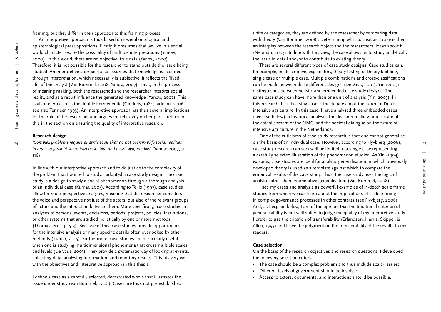framing, but they differ in their approach to this framing process.

An interpretive approach is thus based on several ontological and epistemological presuppositions. Firstly, it presumes that we live in a social world characterised by the possibility of multiple interpretations (Yanow, 2000). In this world, there are no objective, true data (Yanow, 2000). Therefore, it is not possible for the researcher to stand outside the issue being studied. An interpretive approach also assumes that knowledge is acquired through interpretation, which necessarily is subjective: it reflects the 'lived life' of the analyst (Van Bommel, 2008; Yanow, 2007). Thus, in the process of meaning making, both the researched and the researcher interpret social reality, and as a result influence the generated knowledge (Yanow, 2007). This is also referred to as the double hermeneutic (Giddens, 1984; Jackson, 2006; see also Termeer, 1993). An interpretive approach has thus several implications for the role of the researcher and argues for reflexivity on her part. I return to this in the section on ensuring the quality of interpretive research.

#### **Research design**

*'Complex problems require analytic tools that do not oversimplify social realities in order to force-fit them into restricted, and restrictive, models'* (Yanow, 2007, p. 118).

In line with our interpretive approach and to do justice to the complexity of the problem that I wanted to study, I adopted a case study design. The case study is a design to study a social phenomenon through a thorough analysis of an individual case (Kumar, 2005). According to Tellis (1997), case studies allow for multi-perspective analyses, meaning that the researcher considers the voice and perspective not just of the actors, but also of the relevant groups of actors and the interaction between them. More specifically, 'case studies are analyses of persons, events, decisions, periods, projects, policies, institutions, or other systems that are studied holistically by one or more methods' (Thomas, 2011, p. 513). Because of this, case studies provide opportunities for the intensive analysis of many specific details often overlooked by other methods (Kumar, 2005). Furthermore, case studies are particularly useful when one is studying multidimensional phenomena that cross multiple scales and levels (De Vaus, 2001). They provide a systematic way of looking at events, collecting data, analysing information, and reporting results. This fits very well with the objectives and interpretive approach in this thesis.

I define a case as a carefully selected, demarcated whole that illustrates the issue under study (Van Bommel, 2008). Cases are thus not pre-established

units or categories, they are defined by the researcher by comparing data with theory (Van Bommel, 2008). Determining what to treat as a case is then an interplay between the research object and the researchers' ideas about it (Neuman, 2003). In line with this view, the case allows us to study analytically the issue in detail and/or to contribute to existing theory.

There are several different types of case study designs. Case studies can, for example, be descriptive, explanatory, theory testing or theory building, single case or multiple case. Multiple combinations and cross-classifications can be made between these different designs (De Vaus, 2001). Yin (2003) distinguishes between holistic and embedded case study designs. The same case study can have more than one unit of analysis (Yin, 2003). In this research, I study a single case: the debate about the future of Dutch intensive agriculture. In this case, I have analysed three embedded cases (see also below): a historical analysis, the decision-making process about the establishment of the NMC, and the societal dialogue on the future of intensive agriculture in the Netherlands.

One of the criticisms of case study research is that one cannot generalise on the basis of an individual case. However, according to Flyvbjerg (2006), case study research can very well be limited to a single case representing a carefully selected illustration of the phenomenon studied. As Yin (1994) explains, case studies are ideal for analytic generalisation, in which previously developed theory is used as a template against which to compare the empirical results of the case study. Thus, the case study uses the logic of analytic rather than enumerative generalisation (Van Bommel, 2008).

I see my cases and analysis as powerful examples of in-depth scale frame studies from which we can learn about the implications of scale framing in complex governance processes in other contexts (see Flyvbjerg, 2006). And, as I explain below, I am of the opinion that the traditional criterion of generalisability is not well suited to judge the quality of my interpretive study. I prefer to use the criterion of transferability (Erlandson, Harris, Skipper, & Allen, 1993) and leave the judgment on the transferability of the results to my readers.

#### **Case selection**

On the basis of the research objectives and research questions, I developed the following selection criteria:<br>• The case should be a complex problem and thus include scalar issues;

- 
- Different levels of government should be involved;
- Access to actors, documents, and interactions should be possible.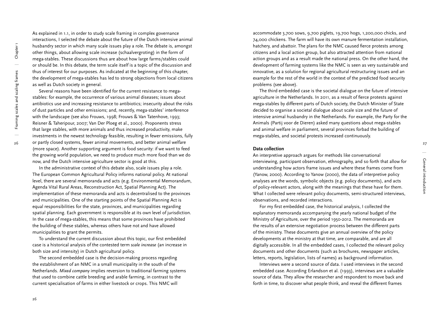Framing scales and scaling frames

As explained in 1.1, in order to study scale framing in complex governance interactions, I selected the debate about the future of the Dutch intensive animal husbandry sector in which many scale issues play a role. The debate is, amongst other things, about allowing scale increase (schaalvergroting) in the form of mega-stables. These discussions thus are about how large farms/stables could or should be. In this debate, the term scale itself is a topic of the discussion and thus of interest for our purposes. As indicated at the beginning of this chapter, the development of mega-stables has led to strong objections from local citizens as well as Dutch society in general.

 $_{\rm 26}$  or partly closed systems, fewer animal movements, and better animal welfare  $_{\rm 27}$ Several reasons have been identified for the current resistance to megastables: for example, the occurrence of various animal diseases; issues about antibiotics use and increasing resistance to antibiotics; insecurity about the risks of dust particles and other emissions; and, recently, mega-stables' interference with the landscape (see also Frouws, 1998; Frouws & Van Tatenhove, 1993; Reisner & Taheripour, 2007; Van Der Ploeg et al., 2000). Proponents stress that large stables, with more animals and thus increased productivity, make investments in the newest technology feasible, resulting in fewer emissions, fully (more space). Another supporting argument is food security: if we want to feed the growing world population, we need to produce much more food than we do now, and the Dutch intensive agriculture sector is good at this.

In the administrative context of this debate also, scale issues play a role. The European Common Agricultural Policy informs national policy. At national level, there are several memoranda and acts (e.g. Environmental Memorandum, Agenda Vital Rural Areas, Reconstruction Act, Spatial Planning Act). The implementation of these memoranda and acts is decentralised to the provinces and municipalities. One of the starting points of the Spatial Planning Act is equal responsibilities for the state, provinces, and municipalities regarding spatial planning. Each government is responsible at its own level of jurisdiction. In the case of mega-stables, this means that some provinces have prohibited the building of these stables, whereas others have not and have allowed municipalities to grant the permits.

To understand the current discussion about this topic, our first embedded case is a historical analysis of the contested term *scale increase* (an increase in both size and intensity) in Dutch agricultural policy.

The second embedded case is the decision-making process regarding the establishment of an NMC in a small municipality in the south of the Netherlands. *Mixed company* implies reversion to traditional farming systems that used to combine cattle breeding and arable farming, in contrast to the current specialisation of farms in either livestock or crops. This NMC will

accommodate 3,700 sows, 9,700 piglets, 19,700 hogs, 1,200,000 chicks, and 74,000 chickens. The farm will have its own manure fermentation installation, hatchery, and abattoir. The plans for the NMC caused fierce protests among citizens and a local action group, but also attracted attention from national action groups and as a result made the national press. On the other hand, the development of farming systems like the NMC is seen as very sustainable and innovative, as a solution for regional agricultural restructuring issues and an example for the rest of the world in the context of the predicted food security problems (see above).

The third embedded case is the societal dialogue on the future of intensive agriculture in the Netherlands. In 2011, as a result of fierce protests against mega-stables by different parts of Dutch society, the Dutch Minister of State decided to organise a societal dialogue about scale size and the future of intensive animal husbandry in the Netherlands. For example, the Party for the Animals (Partij voor de Dieren) asked many questions about mega-stables and animal welfare in parliament, several provinces forbad the building of mega-stables, and societal protests increased continuously.

#### **Data collection**

An interpretive approach argues for methods like conversational interviewing, participant observation, ethnography, and so forth that allow for understanding how actors frame issues and where these frames come from (Yanow, 2000). According to Yanow (2000), the data of interpretive policy analyses are the words, symbolic objects (e.g. policy documents), and acts of policy-relevant actors, along with the meanings that these have for them. What I collected were relevant policy documents, semi-structured interviews, observations, and recorded interactions.

For my first embedded case, the historical analysis, I collected the explanatory memoranda accompanying the yearly national budget of the Ministry of Agriculture, over the period 1950-2012. The memoranda are the results of an extensive negotiation process between the different parts of the ministry. These documents give an annual overview of the policy developments at the ministry at that time, are comparable, and are all digitally accessible. In all the embedded cases, I collected the relevant policy documents and other documents (such as brochures, newspaper articles, letters, reports, legislation, lists of names) as background information.

Interviews were a second source of data. I used interviews in the second embedded case. According Erlandson et al. (1993), interviews are a valuable source of data. They allow the researcher and respondent to move back and forth in time, to discover what people think, and reveal the different frames

| General introduction

General introduction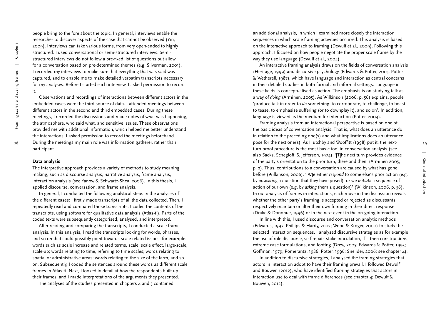people bring to the fore about the topic. In general, interviews enable the researcher to discover aspects of the case that cannot be observed (Yin, 2009). Interviews can take various forms, from very open-ended to highly structured. I used conversational or semi-structured interviews. Semistructured interviews do not follow a pre-fixed list of questions but allow for a conversation based on pre-determined themes (e.g. Silverman, 2001). I recorded my interviews to make sure that everything that was said was captured, and to enable me to make detailed verbatim transcripts necessary for my analyses. Before I started each interview, I asked permission to record it.

 $_{\rm 28}$  During the meetings my main role was information gatherer, rather than  $_{\rm 29}$ Observations and recordings of interactions between different actors in the embedded cases were the third source of data. I attended meetings between different actors in the second and third embedded cases. During these meetings, I recorded the discussions and made notes of what was happening, the atmosphere, who said what, and sensitive issues. These observations provided me with additional information, which helped me better understand the interactions. I asked permission to record the meetings beforehand. During the meetings my main role was information gatherer, rather than participant.

#### **Data analysis**

The interpretive approach provides a variety of methods to study meaning making, such as discourse analysis, narrative analysis, frame analysis, interaction analysis (see Yanow & Schwartz-Shea, 2006). In this thesis, I applied discourse, conversation, and frame analysis.

In general, I conducted the following analytical steps in the analyses of the different cases: I firstly made transcripts of all the data collected. Then, I repeatedly read and compared those transcripts. I coded the contents of the transcripts, using software for qualitative data analysis (Atlas-ti). Parts of the coded texts were subsequently categorised, analysed, and interpreted.

After reading and comparing the transcripts, I conducted a scale frame analysis. In this analysis, I read the transcripts looking for words, phrases, and so on that could possibly point towards scale-related issues; for example: words such as scale increase and related terms, scale, scale effect, large-scale, scale-up; words relating to time, referring to time scales; words relating to spatial or administrative areas; words relating to the size of the farm, and so on. Subsequently, I coded the sentences around these words as different scale frames in Atlas-ti. Next, I looked in detail at how the respondents built up their frames, and I made interpretations of the arguments they presented.

The analyses of the studies presented in chapters  $4$  and  $5$  contained

an additional analysis, in which I examined more closely the interaction sequences in which scale framing activities occurred. This analysis is based on the interactive approach to framing (Dewulf et al., 2009). Following this approach, I focused on how people negotiate the proper scale frame by the way they use language (Dewulf et al., 2004).

An interactive framing analysis draws on the fields of conversation analysis (Heritage, 1999) and discursive psychology (Edwards & Potter, 2005; Potter & Wetherell, 1987), which have language and interaction as central concerns in their detailed studies in both formal and informal settings. Language in these fields is conceptualised as action. The emphasis is on studying talk as a way of *doing* (Arminen, 2005). As Wilkinson (2006, p. 56) explains, people 'produce talk in order to *do* something: to corroborate, to challenge, to boast, to tease, to emphasise suffering (or to downplay it), and so on'. In addition, language is viewed as the medium for interaction (Potter, 2004).

Framing analysis from an interactional perspective is based on one of the basic ideas of conversation analysis. That is, what does an utterance do in relation to the preceding one(s) and what implications does an utterance turn proof procedure is the most basic tool in conversation analysis (see also Sacks, Schegloff, & Jefferson, 1974). '[T]he next turn provides evidence of the party's orientation to the prior turn, there and then' (Arminen 2005, p. 2). Thus, contributions to a conversation are caused by what has gone before (Wilkinson, 2006). '[W]e either *respond* to some else's prior action (e.g. by *answering* a question that they have posed), or we *initiate* a sequence of action of our own (e.g. by *asking* them a question)' (Wilkinson, 2006, p. 56). In our analysis of frames in interactions, each move in the discussion reveals whether the other party's framing is accepted or rejected as discussants respectively maintain or alter their own framing in their direct response (Drake & Donohue, 1996) or in the next event in the on-going interaction.

In line with this, I used discourse and conversation analytic methods (Edwards, 1997; Phillips & Hardy, 2002; Wood & Kroger, 2000) to study the selected interaction sequences. I analysed discursive strategies as for example the use of role discourse, self-repair, stake inoculation, if – then constructions, extreme case formulations, and footing (Drew, 2005; Edwards & Potter, 1993; Goffman, 1979; Pomerantz, 1986; Potter, 1996; Sneijder, 2006; see chapter 4).

In addition to discursive strategies, I analysed the framing strategies that actors in interaction adopt to have their framing prevail. I followed Dewulf and Bouwen (2012), who have identified framing strategies that actors in interaction use to deal with frame differences (see chapter 4; Dewulf & Bouwen, 2012).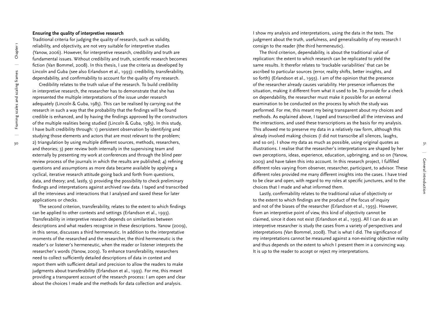#### **Ensuring the quality of interpretive research**

Traditional criteria for judging the quality of research, such as validity, reliability, and objectivity, are not very suitable for interpretive studies (Yanow, 2006). However, for interpretive research, credibility and truth are fundamental issues. Without credibility and truth, scientific research becomes fiction (Van Bommel, 2008). In this thesis, I use the criteria as developed by Lincoln and Guba (see also Erlandson et al., 1993): credibility, transferability, dependability, and confirmability to account for the quality of my research.

30 31 2) triangulation by using multiple different sources, methods, researchers, Credibility relates to the truth value of the research. To build credibility in interpretive research, the researcher has to demonstrate that she has represented the multiple interpretations of the issue under research adequately (Lincoln & Guba, 1985). This can be realised by carrying out the research in such a way that the probability that the findings will be found credible is enhanced, and by having the findings approved by the constructors of the multiple realities being studied (Lincoln & Guba, 1985). In this study, I have built credibility through: 1) persistent observation by identifying and studying those elements and actors that are most relevant to the problem; and theories; 3) peer review both internally in the supervising team and externally by presenting my work at conferences and through the blind peer review process of the journals in which the results are published; 4) refining questions and assumptions as more data became available by applying a cyclical, iterative research attitude going back and forth from questions, data, and theory; and, lastly, 5) providing the possibility to check preliminary findings and interpretations against archived raw data. I taped and transcribed all the interviews and interactions that I analysed and saved these for later applications or checks.

The second criterion, transferability, relates to the extent to which findings can be applied to other contexts and settings (Erlandson et al., 1993). Transferability in interpretive research depends on similarities between descriptions and what readers recognise in these descriptions. Yanow (2009), in this sense, discusses a third hermeneutic. In addition to the interpretative moments of the researched and the researcher, the third hermeneutic is the reader's or listener's hermeneutic, when the reader or listener interprets the researcher's words (Yanow, 2009). To enhance transferability, researchers need to collect sufficiently detailed descriptions of data in context and report them with sufficient detail and precision to allow the readers to make judgments about transferability (Erlandson et al., 1993). For me, this meant providing a transparent account of the research process: I am open and clear about the choices I made and the methods for data collection and analysis.

I show my analysis and interpretations, using the data in the texts. The judgment about the truth, usefulness, and generalisability of my research I consign to the reader (the third hermeneutic).

The third criterion, dependability, is about the traditional value of replication: the extent to which research can be replicated to yield the same results. It therefor relates to 'trackable variabilities' that can be ascribed to particular sources (error, reality shifts, better insights, and so forth) (Erlandson et al., 1993). I am of the opinion that the presence of the researcher already causes variability. Her presence influences the situation, making it different from what it used to be. To provide for a check on dependability, the researcher must make it possible for an external examination to be conducted on the process by which the study was performed. For me, this meant my being transparent about my choices and methods. As explained above, I taped and transcribed all the interviews and the interactions, and used these transcriptions as the basis for my analysis. This allowed me to preserve my data in a relatively raw form, although this already involved making choices (I did not transcribe all silences, laughs, and so on). I show my data as much as possible, using original quotes as illustrations. I realise that the researcher's interpretations are shaped by her own perceptions, ideas, experience, education, upbringing, and so on (Yanow, 2009) and have taken this into account. In this research project, I fulfilled different roles varying from observer, researcher, participant, to advisor. These different roles provided me many different insights into the cases. I have tried to be clear and open, with regard to my roles at specific junctures, and to the choices that I made and what informed them.

Lastly, confirmability relates to the traditional value of objectivity or to the extent to which findings are the product of the focus of inquiry and not of the biases of the researcher (Erlandson et al., 1993). However, from an interpretive point of view, this kind of objectivity cannot be claimed, since it does not exist (Erlandson et al., 1993). All I can do as an interpretive researcher is study the cases from a variety of perspectives and interpretations (Van Bommel, 2008). That is what I did. The significance of my interpretations cannot be measured against a non-existing objective reality and thus depends on the extent to which I present them in a convincing way. It is up to the reader to accept or reject my interpretations.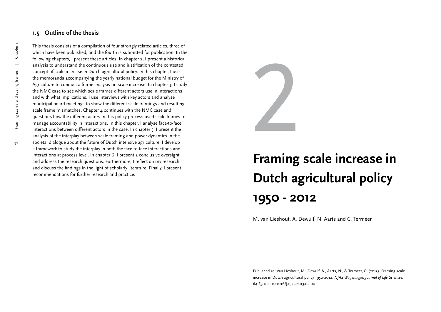#### **1.5 Outline of the thesis**

This thesis consists of a compilation of four strongly related articles, three of which have been published, and the fourth is submitted for publication. In the following chapters, I present these articles. In chapter 2, I present a historical analysis to understand the continuous use and justification of the contested concept of scale increase in Dutch agricultural policy. In this chapter, I use the memoranda accompanying the yearly national budget for the Ministry of Agriculture to conduct a frame analysis on scale increase. In chapter 3, I study the NMC case to see which scale frames different actors use in interactions and with what implications. I use interviews with key actors and analyse municipal board meetings to show the different scale framings and resulting scale frame mismatches. Chapter 4 continues with the NMC case and questions how the different actors in this policy process used scale frames to manage accountability in interactions. In this chapter, I analyse face-to-face interactions between different actors in the case. In chapter 5, I present the analysis of the interplay between scale framing and power dynamics in the societal dialogue about the future of Dutch intensive agriculture. I develop a framework to study the interplay in both the face-to-face interactions and interactions at process level. In chapter 6, I present a conclusive oversight and address the research questions. Furthermore, I reflect on my research and discuss the findings in the light of scholarly literature. Finally, I present recommendations for further research and practice.



# **Framing scale increase in Dutch agricultural policy 1950 - 2012**

M. van Lieshout, A. Dewulf, N. Aarts and C. Termeer

Published as: Van Lieshout, M., Dewulf, A., Aarts, N., & Termeer, C. (2013). Framing scale increase in Dutch agricultural policy 1950-2012. *NJAS Wageningen Journal of Life Sciences, 64-65*. doi: 10.1016/j.njas.2013.02.001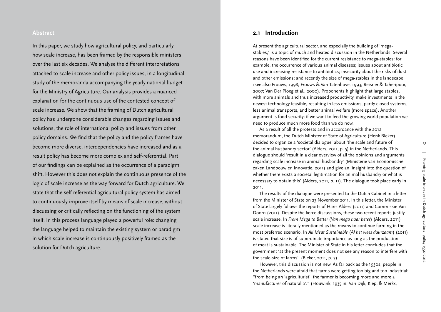#### **Abstract**

In this paper, we study how agricultural policy, and particularly how scale increase, has been framed by the responsible ministers over the last six decades. We analyse the different interpretations attached to scale increase and other policy issues, in a longitudinal study of the memoranda accompanying the yearly national budget for the Ministry of Agriculture. Our analysis provides a nuanced explanation for the continuous use of the contested concept of scale increase. We show that the framing of Dutch agricultural policy has undergone considerable changes regarding issues and solutions, the role of international policy and issues from other policy domains. We find that the policy and the policy frames have become more diverse, interdependencies have increased and as a result policy has become more complex and self-referential. Part of our findings can be explained as the occurrence of a paradigm shift. However this does not explain the continuous presence of the logic of scale increase as the way forward for Dutch agriculture. We state that the self-referential agricultural policy system has aimed to continuously improve itself by means of scale increase, without discussing or critically reflecting on the functioning of the system itself. In this process language played a powerful role: changing the language helped to maintain the existing system or paradigm in which scale increase is continuously positively framed as the solution for Dutch agriculture.

#### **2.1 Introduction**

At present the agricultural sector, and especially the building of 'megastables,' is a topic of much and heated discussion in the Netherlands. Several reasons have been identified for the current resistance to mega-stables: for example, the occurrence of various animal diseases; issues about antibiotic use and increasing resistance to antibiotics; insecurity about the risks of dust and other emissions; and recently the size of mega-stables in the landscape (see also Frouws, 1998; Frouws & Van Tatenhove, 1993; Reisner & Taheripour, 2007; Van Der Ploeg et al., 2000). Proponents highlight that large stables, with more animals and thus increased productivity, make investments in the newest technology feasible, resulting in less emissions, partly closed systems, less animal transports, and better animal welfare (more space). Another argument is food security: if we want to feed the growing world population we need to produce much more food than we do now.

As a result of all the protests and in accordance with the 2012 memorandum, the Dutch Minister of State of Agriculture (Henk Bleker) decided to organize a 'societal dialogue' about 'the scale and future of the animal husbandry sector' (Alders, 2011, p. 5) in the Netherlands. This dialogue should 'result in a clear overview of all the opinions and arguments regarding scale increase in animal husbandry' (Ministerie van Economische zaken Landbouw en Innovatie, 2011) and give an 'insight into the question of whether there exists a societal legitimation for animal husbandry or what is necessary to obtain this' (Alders, 2011, p. 11). The dialogue took place early in 2011.

The results of the dialogue were presented to the Dutch Cabinet in a letter from the Minister of State on 23 November 2011. In this letter, the Minister of State largely follows the reports of Hans Alders (2011) and Commissie Van Doorn (2011). Despite the fierce discussions, these two recent reports justify scale increase. In *From Mega to Better* (*Van mega naar beter*) (Alders, 2011) scale increase is literally mentioned as the means to continue farming in the most preferred scenario. In *All Meat Sustainable*  (*Al het vlees duurzaam*) (2011) is stated that size is of subordinate importance as long as the production of meat is sustainable. The Minister of State in his letter concludes that the government 'at the present moment does not see any reason to interfere with the scale-size of farms'. (Bleker, 2011, p. 7)

However, this discussion is not new. As far back as the 1930s, people in the Netherlands were afraid that farms were getting too big and too industrial: "from being an 'agriculturist', the farmer is becoming more and more a 'manufacturer of naturalia'." (Houwink, 1935 in: Van Dijk, Klep, & Merkx,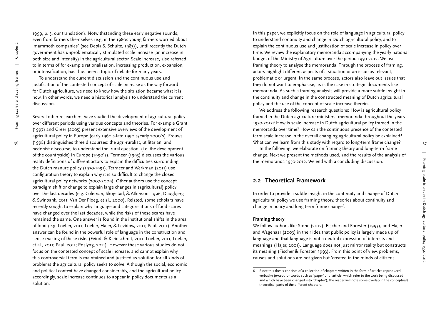1999, p. 3, our translation). Notwithstanding these early negative sounds, even from farmers themselves (e.g. in the 1980s young farmers worried about 'mammoth companies' (see Depla & Schulte, 1983)), until recently the Dutch government has unproblematically stimulated scale increase (an increase in both size and intensity) in the agricultural sector. Scale increase, also referred to in terms of for example rationalisation, increasing production, expansion, or intensification, has thus been a topic of debate for many years.

To understand the current discussion and the continuous use and justification of the contested concept of scale increase as the way forward for Dutch agriculture, we need to know how the situation became what it is now. In other words, we need a historical analysis to understand the current discussion.

 $_{36}$  (1998) distinguishes three discourses: the agri-ruralist, utilitarian, and  $_{37}$ Several other researchers have studied the development of agricultural policy over different periods using various concepts and theories. For example Grant (1997) and Greer (2005) present extensive overviews of the development of agricultural policy in Europe (early 1960's-late 1990's/early 2000's). Frouws (1998) distinguishes three discourses: the agri-ruralist, utilitarian, and hedonist discourse, to understand the 'rural question' (i.e. the development of the countryside) in Europe (1990's). Termeer (1993) discusses the various reality definitions of different actors to explain the difficulties surrounding the Dutch manure policy (1970-1991). Termeer and Werkman (2011) use configuration theory to explain why it is so difficult to change the closed agricultural policy networks (2007-2009). Other authors use the concept paradigm shift or change to explain large changes in (agricultural) policy over the last decades (e.g. Coleman, Skogstad, & Atkinson, 1996; Daugbjerg & Swinbank, 2011; Van Der Ploeg, et al., 2000). Related, some scholars have recently sought to explain why language and categorisations of food scares have changed over the last decades, while the risks of these scares have remained the same. One answer is found in the institutional shifts in the area of food (e.g. Loeber, 2011; Loeber, Hajer, & Levidow, 2011; Paul, 2011). Another answer can be found in the powerful role of language in the construction and sense-making of these risks (Feindt & Kleinschmit, 2011; Loeber, 2011; Loeber, et al., 2011; Paul, 2011; Roslyng, 2011). However these various studies do not focus on the contested concept of scale increase, and cannot explain why this controversial term is maintained and justified as solution for all kinds of problems the agricultural policy seeks to solve. Although the social, economic and political context have changed considerably, and the agricultural policy accordingly, scale increase continues to appear in policy documents as a solution.

In this paper, we explicitly focus on the role of language in agricultural policy to understand continuity and change in Dutch agricultural policy, and to explain the continuous use and justification of scale increase in policy over time. We review the explanatory memoranda accompanying the yearly national budget of the Ministry of Agriculture over the period 1950-2012. We use framing theory to analyse the memoranda. Through the process of framing, actors highlight different aspects of a situation or an issue as relevant, problematic or urgent. In the same process, actors also leave out issues that they do not want to emphasise, as is the case in strategic documents like memoranda. As such a framing analysis will provide a more subtle insight in the continuity and change in the constructed meaning of Dutch agricultural policy and the use of the concept of scale increase therein.

We address the following research questions: How is agricultural policy framed in the Dutch agriculture ministers' memoranda throughout the years 1950-2012? How is scale increase in Dutch agricultural policy framed in the memoranda over time? How can the continuous presence of the contested term scale increase in the overall changing agricultural policy be explained?

In the following, we elaborate on framing theory and long-term frame change. Next we present the methods used, and the results of the analysis of the memoranda 1950-2012. We end with a concluding discussion.

#### **2.2 Theoretical Framework**

In order to provide a subtle insight in the continuity and change of Dutch agricultural policy we use framing theory, theories about continuity and change in policy and long term frame change 6 .

#### **Framing theory**

We follow authors like Stone (2012), Fischer and Forester (1993), and Hajer and Wagenaar (2003) in their idea that public policy is largely made up of language and that language is not a neutral expression of interests and meanings (Hajer, 2001). Language does not just mirror reality but constructs its meaning (Fischer & Forester, 1993). From this point of view, problems, causes and solutions are not given but 'created in the minds of citizens

<sup>6</sup> Since this thesis consists of a collection of chapters written in the form of articles reproduced verbatim (except for words such as 'paper' and 'article' which refer to the work being discussed and which have been changed into 'chapter'), the reader will note some overlap in the conceptual/ theoretical parts of the different chapters.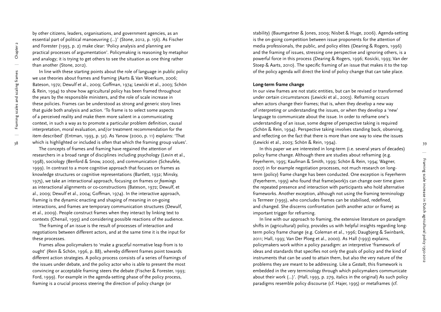by other citizens, leaders, organisations, and government agencies, as an essential part of political manoeuvring (...)' (Stone, 2012, p. 156). As Fischer and Forester (1993, p. 2) make clear: 'Policy analysis and planning are practical processes of argumentation'. Policymaking is reasoning by metaphor and analogy; it is trying to get others to see the situation as one thing rather than another (Stone, 2012).

38 39 which is highlighted or included is often that which the framing group values'. In line with these starting points about the role of language in public policy we use theories about frames and framing (Aarts & Van Woerkum, 2006; Bateson, 1972; Dewulf et al., 2009; Goffman, 1974; Lewicki et al., 2003; Schön & Rein, 1994) to show how agricultural policy has been framed throughout the years by the responsible ministers, and the role of scale increase in these policies. Frames can be understood as strong and generic story lines that guide both analysis and action. 'To frame is to select some aspects of a perceived reality and make them more salient in a communicating context, in such a way as to promote a particular problem definition, causal interpretation, moral evaluation, and/or treatment recommendation for the item described' (Entman, 1993, p. 52). As Yanow (2000, p. 11) explains: 'That

The concepts of frames and framing have regained the attention of researchers in a broad range of disciplines including psychology (Levin et al., 1998), sociology (Benford & Snow, 2000), and communication (Scheufele, 1999). In contrast to a more cognitive approach that focuses on frames as knowledge structures or cognitive representations (Bartlett, 1932; Minsky, 1975), we take an interactional approach, focusing on frames or *framings* as interactional alignments or co-constructions (Bateson, 1972; Dewulf, et al., 2009; Dewulf et al., 2004; Goffman, 1974). In the interactive approach, framing is the dynamic enacting and shaping of meaning in on-going interactions, and frames are temporary communication structures (Dewulf, et al., 2009). People construct frames when they interact by linking text to contexts (Chenail, 1995) and considering possible reactions of the audience.

The framing of an issue is the result of processes of interaction and negotiations between different actors, and at the same time it is the input for these processes.

Frames allow policymakers to 'make a graceful normative leap from is to ought' (Rein & Schön, 1996, p. 88), whereby different frames point towards different action strategies. A policy process consists of a series of framings of the issues under debate, and the policy actor who is able to present the most convincing or acceptable framing steers the debate (Fischer & Forester, 1993; Ford, 1999). For example in the agenda-setting phase of the policy process, framing is a crucial process steering the direction of policy change (or

stability) (Baumgartner & Jones, 2009; Nisbet & Huge, 2006). Agenda-setting is the on-going competition between issue proponents for the attention of media professionals, the public, and policy elites (Dearing & Rogers, 1996) and the framing of issues, stressing one perspective and ignoring others, is a powerful force in this process (Dearing & Rogers, 1996; Kosicki, 1993; Van der Stoep & Aarts, 2010). The specific framing of an issue that makes it to the top of the policy agenda will direct the kind of policy change that can take place.

#### **Long-term frame change**

In our view frames are not static entities, but can be revised or transformed under certain circumstances (Lewicki et al., 2003). Reframing occurs when actors change their frames; that is, when they develop a new way of interpreting or understanding the issues, or when they develop a 'new' language to communicate about the issue. In order to reframe one's understanding of an issue, some degree of perspective taking is required (Schön & Rein, 1994). Perspective taking involves standing back, observing, and reflecting on the fact that there is more than one way to view the issues (Lewicki et al., 2003; Schön & Rein, 1994).

In this paper we are interested in long-term (i.e. several years of decades) policy frame change. Although there are studies about reframing (e.g. Feyerherm, 1995; Kaufman & Smith, 1999; Schön & Rein, 1994; Wagner, 2007) in for example negotiation processes, not much research on longterm (policy) frame change has been conducted. One exception is Feyerherm (Feyerherm, 1995) who found that frame(work)s can change over time given the repeated presence and interaction with participants who hold alternative frameworks. Another exception, although not using the framing terminology is Termeer (1993), who concludes frames can be stabilised, redefined, and changed. She discerns confrontation (with another actor or frame) as important trigger for reframing.

In line with our approach to framing, the extensive literature on paradigm shifts in (agricultural) policy, provides us with helpful insights regarding longterm policy frame change (e.g. Coleman et al., 1996; Daugbjerg & Swinbank, 2011; Hall, 1993; Van Der Ploeg et al., 2000). As Hall (1993) explains, policymakers work within a policy paradigm: an interpretive 'framework of ideas and standards that specifies not only the goals of policy and the kind of instruments that can be used to attain them, but also the very nature of the problems they are meant to be addressing. Like a *Gestalt*, this framework is embedded in the very terminology through which policymakers communicate about their work (...)'. (Hall, 1993, p. 279, italics in the original) As such policy paradigms resemble policy discourse (cf. Hajer, 1995) or metaframes (cf.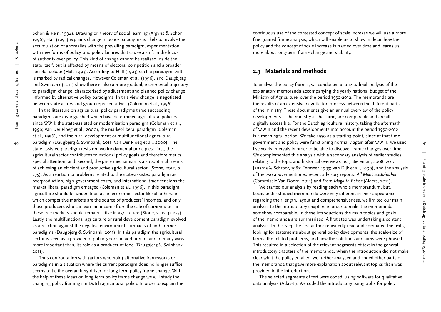Schön & Rein, 1994). Drawing on theory of social learning (Argyris & Schön, 1996), Hall (1993) explains change in policy paradigms is likely to involve the accumulation of anomalies with the prevailing paradigm, experimentation with new forms of policy, and policy failures that cause a shift in the locus of authority over policy. This kind of change cannot be realised inside the state itself, but is effected by means of electoral competition and a broader societal debate (Hall, 1993). According to Hall (1993) such a paradigm shift is marked by radical changes. However Coleman et al. (1996), and Daugbjerg and Swinbank (2011) show there is also a more gradual, incremental trajectory to paradigm change, characterised by adjustment and planned policy change informed by alternative policy paradigms. In this view change is negotiated between state actors and group representatives (Coleman et al., 1996).

<sub>40</sub> paradigm (Daugbjerg & Swinbank, 2011; Van Der Ploeg et al., 2000). The same the second the second of the second to the second of the second of the second of the second of the second of the second of the second of the In the literature on agricultural policy paradigms three succeeding paradigms are distinguished which have determined agricultural policies since WWII: the state-assisted or modernisation paradigm (Coleman et al., 1996; Van Der Ploeg et al., 2000), the market-liberal paradigm (Coleman et al., 1996), and the rural development or multifunctional agricultural paradigm (Daugbjerg & Swinbank, 2011; Van Der Ploeg et al., 2000). The state-assisted paradigm rests on two fundamental principles: 'first, the agricultural sector contributes to national policy goals and therefore merits special attention; and, second, the price mechanism is a suboptimal means of achieving an efficient and productive agricultural sector' (Stone, 2012, p. 275). As a reaction to problems related to the state-assisted paradigm as overproduction, high government costs, and international trade tensions the market liberal paradigm emerged (Coleman et al., 1996). In this paradigm, agriculture should be understood as an economic sector like all others, in which competitive markets are the source of producers' incomes, and only those producers who can earn an income from the sale of commodities in these free markets should remain active in agriculture (Stone, 2012, p. 275). Lastly, the multifunctional agriculture or rural development paradigm evolved as a reaction against the negative environmental impacts of both former paradigms (Daugbjerg & Swinbank, 2011). In this paradigm the agricultural sector is seen as a provider of public goods in addition to, and in many ways more important than, its role as a producer of food (Daugbjerg & Swinbank, 2011).

Thus confrontation with (actors who hold) alternative frameworks or paradigms in a situation where the current paradigm does no longer suffice, seems to be the overarching driver for long term policy frame change. With the help of these ideas on long term policy frame change we will study the changing policy framings in Dutch agricultural policy. In order to explain the

continuous use of the contested concept of scale increase we will use a more fine grained frame analysis, which will enable us to show in detail how the policy and the concept of scale increase is framed over time and learns us more about long-term frame change and stability.

#### **2.3 Materials and methods**

To analyse the policy frames, we conducted a longitudinal analysis of the explanatory memoranda accompanying the yearly national budget of the Ministry of Agriculture, over the period 1950-2012. The memoranda are the results of an extensive negotiation process between the different parts of the ministry. These documents give an annual overview of the policy developments at the ministry at that time, are comparable and are all digitally accessible. For the Dutch agricultural history, taking the aftermath of WW II and the recent developments into account the period 1950-2012 is a meaningful period. We take 1950 as a starting point, since at that time five-yearly intervals in order to be able to discover frame changes over time. We complemented this analysis with a secondary analysis of earlier studies relating to the topic and historical overviews (e.g. Bieleman, 2008, 2010; Jansma & Schroor, 1987; Termeer, 1993; Van Dijk et al., 1999), and the analysis of the two abovementioned recent advisory reports: *All Meat Sustainable* (Commissie Van Doorn, 2011) and *From Mega to Better* (Alders, 2011).

We started our analysis by reading each whole memorandum, but, because the studied memoranda were very different in their appearance regarding their length, layout and comprehensiveness, we limited our main analysis to the introductory chapters in order to make the memoranda somehow comparable. In these introductions the main topics and goals of the memoranda are summarised. A first step was undertaking a content analysis. In this step the first author repeatedly read and compared the texts, looking for statements about general policy developments, the scale-size of farms, the related problems, and how the solutions and aims were phrased. This resulted in a selection of the relevant segments of text in the general introductory chapters of the memoranda. When the introduction did not make clear what the policy entailed, we further analysed and coded other parts of the memoranda that gave more explanation about relevant topics than was provided in the introduction.

The selected segments of text were coded, using software for qualitative data analysis (Atlas-ti). We coded the introductory paragraphs for policy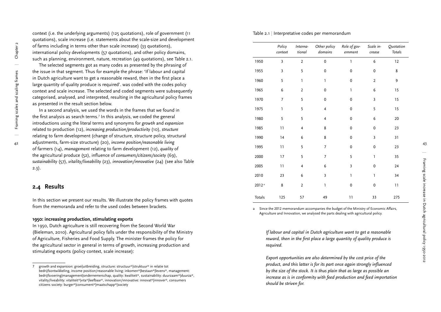context (i.e. the underlying arguments) (125 quotations), role of government (11 quotations), scale increase (i.e. statements about the scale-size and development of farms including in terms other than scale increase) (33 quotations), international policy developments (57 quotations), and other policy domains, such as planning, environment, nature, recreation (49 quotations), see Table 2.1.

The selected segments got as many codes as presented by the phrasing of the issue in that segment. Thus for example the phrase: 'If labour and capital in Dutch agriculture want to get a reasonable reward, then in the first place a large quantity of quality produce is required'. was coded with the codes policy context and scale increase. The selected and coded segments were subsequently categorised, analysed, and interpreted, resulting in the agricultural policy frames as presented in the result section below.

42 43 adjustments, farm-size structure) (20), *income position/reasonable living* In a second analysis, we used the words in the frames that we found in the first analysis as search terms. 7 In this analysis, we coded the general introductions using the literal terms and synonyms for *growth* and *expansion* related to production (12), *increasing production/productivity* (10), *structure* relating to farm development (change of structure, structure policy, structural of farmers (14), *management* relating to farm development (12), *quality* of the agricultural produce (52), influence of *consumers/citizens/society* (69), *sustainability* (57), *vitality/liveability* (23), *innovation/innovative* (24) (see also Table 2.3).

#### **2.4 Results**

In this section we present our results. We illustrate the policy frames with quotes from the memoranda and refer to the used codes between brackets.

#### **1950: increasing production, stimulating exports**

In 1950, Dutch agriculture is still recovering from the Second World War (Bieleman, 2010). Agricultural policy falls under the responsibility of the Ministry of Agriculture, Fisheries and Food Supply. The minister frames the policy for the agricultural sector in general in terms of growth, increasing production and stimulating exports (policy context, scale increase):

#### Table 2.1 | Interpretative codes per memorandum

|                   | Policy<br>context       | Interna-<br>tional                    | Other policy<br>domains | Role of gov-<br>ernment | Scale in-<br>crease     | Quotation<br>Totals |
|-------------------|-------------------------|---------------------------------------|-------------------------|-------------------------|-------------------------|---------------------|
| 1950              | $\overline{\mathbf{3}}$ | $\sqrt{2}$                            | $\pmb{0}$               | 1                       | 6                       | 12                  |
| 1955              | 3                       | 5                                     | $\pmb{0}$               | $\pmb{0}$               | $\pmb{0}$               | 8                   |
| 1960              | 5                       | $\begin{array}{c} \hline \end{array}$ | $\mathbf{I}$            | $\pmb{0}$               | $\boldsymbol{2}$        | 9                   |
| 1965              | 6                       | $\boldsymbol{2}$                      | 0                       | $\mathbf{I}$            | 6                       | 15                  |
| 1970              | 7                       | 5                                     | 0                       | 0                       | $\overline{\mathbf{3}}$ | 15                  |
| 1975              | 1                       | 5                                     | 4                       | $\pmb{0}$               | 5                       | 15                  |
| 1980              | 5                       | 5                                     | 4                       | $\pmb{0}$               | 6                       | 20                  |
| 1985              | 11                      | 4                                     | 8                       | 0                       | 0                       | 23                  |
| 1990              | 14                      | 6                                     | 8                       | $\pmb{0}$               | $\overline{\mathbf{3}}$ | 31                  |
| 1995              | 11                      | 5                                     | $\overline{7}$          | $\pmb{0}$               | $\pmb{0}$               | 23                  |
| 2000              | 17                      | 5                                     | $\overline{7}$          | 5                       | 1                       | 35                  |
| 2005              | 11                      | 4                                     | 6                       | $\overline{\mathbf{3}}$ | 0                       | 24                  |
| 2010              | 23                      | 6                                     | $\overline{\mathbf{3}}$ | 1                       | 1                       | 34                  |
| 2012 <sup>a</sup> | 8                       | $\overline{2}$                        | $\mathbf{I}$            | 0                       | $\pmb{0}$               | 11                  |
| Totals            | 125                     | 57                                    | 49                      | 11                      | 33                      | 275                 |

a Since the 2012 memorandum accompanies the budget of the Ministry of Economic Affairs, Agriculture and Innovation, we analysed the parts dealing with agricultural policy.

*If labour and capital in Dutch agriculture want to get a reasonable reward, then in the first place a large quantity of quality produce is required.*

*Export opportunities are also determined by the cost price of the product, and this latter is for its part once again strongly influenced by the size of the stock. It is thus plain that as large as possible an increase as is in conformity with feed production and feed importation should be striven for.*

<sup>7</sup> growth and expansion: groei|uitbreiding, structure: structuur\*|struktuur\* in relatie tot bedrijfsontwikkeling, income position/reasonable living: inkomen\*|bestaan\*|levens\*, management: bedrijfsvoering|management|ondernemerschap, quality: kwaliteit\*, sustainability: duurzaam\*|duurza\*, vitality/liveability: vitaliteit\*|vita\*|leefbaar\*, innovation/innovative: innovat\*|innover\*, consumers citizens society: burger\*|consument\*|maatschapp\*|society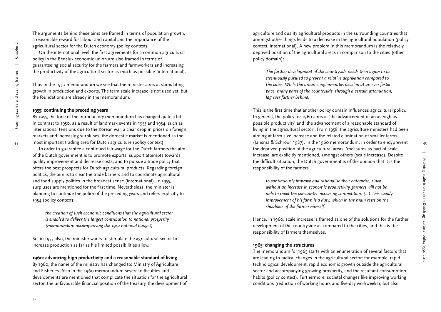44

The arguments behind these aims are framed in terms of population growth, a reasonable reward for labour and capital and the importance of the agricultural sector for the Dutch economy (policy context).

On the international level, the first agreements for a common agricultural policy in the Benelux economic union are also framed in terms of guaranteeing social security for the farmers and farmworkers and increasing the productivity of the agricultural sector as much as possible (international).

Thus in the 1950 memorandum we see that the minister aims at stimulating growth in production and exports. The term scale increase is not used yet, but the foundations are already in the memorandum.

#### **1955: continuing the preceding years**

By 1955, the tone of the introductory memorandum has changed quite a bit. In contrast to 1950, as a result of landmark events in 1953 and 1954, such as international tensions due to the Korean war, a clear drop in prices on foreign markets and increasing surpluses, the domestic market is mentioned as the most important trading area for Dutch agriculture (policy context).

In order to guarantee a continued fair wage for the Dutch farmers the aim of the Dutch government is to promote exports, support attempts towards quality improvement and decrease costs, and to pursue a trade policy that offers the best prospects for Dutch agricultural products. Regarding foreign politics, the aim is to clear the trade barriers and to coordinate agricultural and food supply politics in the broadest sense (international). In 1955, surpluses are mentioned for the first time. Nevertheless, the minister is planning to continue the policy of the preceding years and refers explicitly to 1954 (policy context):

*the creation of such economic conditions that the agricultural sector is enabled to deliver the largest contribution to national prosperity. (memorandum accompanying the 1954 national budget)* 

So, in 1955 also, the minister wants to stimulate the agricultural sector to increase production as far as his limited possibilities allow.

#### **1960: advancing high productivity and a reasonable standard of living**

By 1960, the name of the ministry has changed to: Ministry of Agriculture and Fisheries. Also in the 1960 memorandum several difficulties and developments are mentioned that complicate the situation for the agricultural sector: the unfavourable financial position of the treasury, the development of

agriculture and quality agricultural products in the surrounding countries that amongst other things leads to a decrease in the agricultural population (policy context, international). A new problem in this memorandum is the relatively deprived position of the agricultural areas in comparison to the cities (other policy domain):

*The further development of the countryside needs then again to be strenuously pursued to prevent a relative deprivation compared to the cities. While the urban conglomerates develop at an ever faster pace, many parts of the countryside, through a certain attenuation, lag ever further behind.* 

This is the first time that another policy domain influences agricultural policy. In general, the policy for 1960 aims at 'the advancement of an as high as possible productivity' and 'the advancement of a reasonable standard of living in the agricultural sector'. From 1958, the agriculture ministers had been aiming at farm size increase and the related elimination of smaller farms (Jansma & Schroor, 1987). In the 1960 memorandum, in order to end/prevent the deprived position of the agricultural areas, 'measures as part of scale increase' are explicitly mentioned, amongst others (scale increase). Despite the difficult situation, the Dutch government is of the opinion that it is the responsibility of the farmers and the Butch economy (policy context). Context, international). A new problem in this memorandum is the relatively<br>
⇒ On the international level, the first agreements for a common agricultural<br>
policy domain);<br>
and the p

> *to continuously improve and rationalise their enterprise, since without an increase in economic productivity, farmers will not be able to meet the constantly increasing competition. (...) This steady improvement of his farm is a duty, which in the main rests on the shoulders of the farmer himself.*

Hence, in 1960, scale increase is framed as one of the solutions for the further development of the countryside as compared to the cities, and this is the responsibility of farmers themselves.

#### **1965: changing the structures**

The memorandum for 1965 starts with an enumeration of several factors that are leading to radical changes in the agricultural sector: for example, rapid technological development, rapid economic growth outside the agricultural sector and accompanying growing prosperity, and the resultant consumption habits (policy context). Furthermore, societal changes like improving working conditions (reduction of working hours and five-day workweeks), but also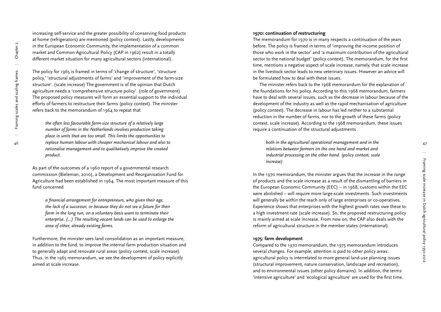increasing self-service and the greater possibility of conserving food products at home (refrigerators) are mentioned (policy context). Lastly, developments in the European Economic Community, the implementation of a common market and Common Agricultural Policy (CAP in 1962) result in a totally different market situation for many agricultural sectors (international).

The policy for 1965 is framed in terms of 'change of structure', 'structure policy,' 'structural adjustments of farms' and 'improvement of the farm-size structure'. (scale increase) The government is of the opinion that Dutch agriculture needs a 'comprehensive structure policy'. (role of government) The proposed policy measures will form an essential support to the individual efforts of farmers to restructure their farms (policy context). The minister refers back to the memorandum of 1964 to repeat that

46 47 *both in the agricultural operational management and in the the often less favourable farm-size structure of a relatively large number of farms in the Netherlands involves production taking place in units that are too small. This limits the opportunities to replace human labour with cheaper mechanical labour and also to rationalise management and to qualitatively improve the created product.*

As part of the outcomes of a 1960 report of a governmental research commission (Bieleman, 2010), a Development and Reorganisation Fund for Agriculture had been established in 1964. The most important measure of this fund concerned

*a financial arrangement for entrepreneurs, who given their age, the lack of a successor, or because they do not see a future for their farm in the long run, on a voluntary basis want to terminate their enterprise. (...) The resulting vacant lands can be used to enlarge the area of other, already existing farms.*

Furthermore, the minister sees land consolidation as an important measure, in addition to the fund, to improve the internal farm production situation and to generally adapt and renovate rural areas (policy context, scale increase). Thus, in the 1965 memorandum, we see the development of policy explicitly aimed at scale increase.

#### **1970: continuation of restructuring**

The memorandum for 1970 is in many respects a continuation of the years before. The policy is framed in terms of 'improving the income position of those who work in the sector' and 'a maximum contribution of the agricultural sector to the national budget' (policy context). The memorandum, for the first time, mentions a negative aspect of scale increase, namely, that scale increase in the livestock sector leads to new veterinary issues. However an advice will be formulated how to deal with these issues.

The minister refers back to the 1968 memorandum for the explanation of the foundations for his policy. According to this 1968 memorandum, farmers have to deal with several issues, such as the decrease in labour because of the development of the industry as well as the rapid mechanisation of agriculture (policy context). The decrease in labour has led neither to a substantial reduction in the number of farms, nor to the growth of these farms (policy context, scale increase). According to the 1968 memorandum, these issues require a continuation of the structural adjustments

*relations between farmers on the one hand and market and industrial processing on the other hand. (policy context, scale increase)*

In the 1970 memorandum, the minister argues that the increase in the range of products and the scale increase as a result of the dismantling of barriers in the European Economic Community (EEC) – in 1968, customs within the EEC were abolished – will require more large-scale investments. Such investments will generally be within the reach only of large enterprises or co-operatives. Experience shows that enterprises with the highest growth rates owe these to a high investment rate (scale increase). So, the proposed restructuring policy is mainly aimed at scale increase. From now on, the CAP also deals with the reform of agricultural structure in the member states (international).

#### **1975: farm development**

Compared to the 1970 memorandum, the 1975 memorandum introduces several changes. For example, attention is paid to other policy areas: agricultural policy is interrelated to more general land-use planning issues (structural improvement, nature conservation, landscape and recreation), and to environmental issues (other policy domains). In addition, the terms 'intensive agriculture' and 'ecological agriculture' are used for the first time.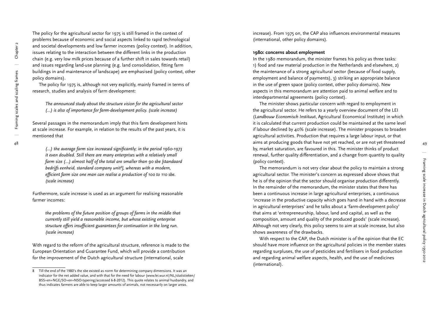The policy for the agricultural sector for 1975 is still framed in the context of problems because of economic and social aspects linked to rapid technological and societal developments and low farmer incomes (policy context). In addition, issues relating to the interaction between the different links in the production chain (e.g. very low milk prices because of a further shift in sales towards retail) and issues regarding land-use planning (e.g. land consolidation, fitting farm buildings in and maintenance of landscape) are emphasised (policy context, other policy domains).

The policy for 1975 is, although not very explicitly, mainly framed in terms of research, studies and analysis of farm development:

*The announced study about the structure vision for the agricultural sector (...) is also of importance for farm-development policy. (scale increase)*

Several passages in the memorandum imply that this farm development hints at scale increase. For example, in relation to the results of the past years, it is mentioned that

*(...) the average farm size increased significantly; in the period 1960-1973 it even doubled. Still there are many enterprises with a relatively small farm size (...) almost half of the total are smaller than 90 sbe [standaard bedrijfs eenheid, standard company unit 8 ], whereas with a modern, efficient farm size one man can realise a production of 100 to 110 sbe. (scale increase)*

Furthermore, scale increase is used as an argument for realising reasonable farmer incomes:

*the problems of the future position of groups of farms in the middle that currently still yield a reasonable income, but whose existing enterprise structure offers insufficient guarantees for continuation in the long run. (scale increase)*

With regard to the reform of the agricultural structure, reference is made to the European Orientation and Guarantee Fund, which will provide a contribution for the improvement of the Dutch agricultural structure (international, scale

increase). From 1975 on, the CAP also influences environmental measures (international, other policy domains).

#### **1980: concerns about employment**

In the 1980 memorandum, the minister frames his policy as three tasks: 1) food and raw material production in the Netherlands and elsewhere, 2) the maintenance of a strong agricultural sector (because of food supply, employment and balance of payments), 3) striking an appropriate balance in the use of green space (policy context, other policy domains). New aspects in this memorandum are attention paid to animal welfare and to interdepartmental agreements (policy context).

 $_{48}$  aims at producing goods that have not yet reached, or are not yet threatened  $_{49}$ The minister shows particular concern with regard to employment in the agricultural sector. He refers to a yearly overview document of the LEI (*Landbouw Economisch Instituut*, Agricultural Economical Institute) in which it is calculated that current production could be maintained at the same level if labour declined by 40% (scale increase). The minister proposes to broaden agricultural activities. Production that requires a large labour input, or that by, market saturation, are favoured in this. The minister thinks of product renewal, further quality differentiation, and a change from quantity to quality (policy context).

> The memorandum is not very clear about the policy to maintain a strong agricultural sector. The minister's concern as expressed above shows that he is of the opinion that the sector should organise production differently. In the remainder of the memorandum, the minister states that there has been a continuous increase in large agricultural enterprises, a continuous 'increase in the productive capacity which goes hand in hand with a decrease in agricultural enterprises' and he talks about a 'farm-development policy' that aims at 'entrepreneurship, labour, land and capital, as well as the composition, amount and quality of the produced goods' (scale increase). Although not very clearly, this policy seems to aim at scale increase, but also shows awareness of the drawbacks.

> With respect to the CAP, the Dutch minister is of the opinion that the EC should have more influence on the agricultural policies in the member states regarding surpluses, the use of pesticides and fertilisers in food production and regarding animal welfare aspects, health, and the use of medicines (international).

<sup>8</sup> Till the end of the 1980's the sbe existed as norm for determining company dimensions. It was an indicator for the net added value, and with that for the need for labour (www.lei.wur.nl/NL/statistieken/ BSS+en+NGE/SO+en+NSO-typering/accessed 6-8-2012). This quote relates to animal husbandry, and thus indicates farmers are able to keep larger amounts of animals, not necessarily on larger areas.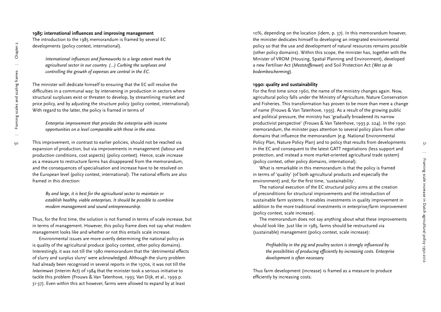The introduction to the 1985 memorandum is framed by several EC developments (policy context, international).

*International influences and frameworks to a large extent mark the agricultural sector in our country. (...) Curbing the surpluses and controlling the growth of expenses are central in the EC.* 

The minister will dedicate himself to ensuring that the EC will resolve the difficulties in a communal way: by intervening in production in sectors where structural surpluses exist or threaten to develop, by streamlining market and price policy, and by adjusting the structure policy (policy context, international). With regard to the latter, the policy is framed in terms of

*Enterprise improvement that provides the enterprise with income opportunities on a level comparable with those in the area.* 

50 51 Policy Plan, Nature Policy Plan) and to policy that results from developments This improvement, in contrast to earlier policies, should not be reached via expansion of production, but via improvements in management (labour and production conditions, cost aspects) (policy context). Hence, scale increase as a measure to restructure farms has disappeared from the memorandum, and the consequences of specialisation and increase have to be resolved on the European level (policy context, international). The national efforts are also framed in this direction:

*By and large, it is best for the agricultural sector to maintain or establish healthy, viable enterprises. It should be possible to combine modern management and sound entrepreneurship.* 

Thus, for the first time, the solution is not framed in terms of scale increase, but in terms of management. However, this policy frame does not say what modern management looks like and whether or not this entails scale increase.

Environmental issues are more overtly determining the national policy as is quality of the agricultural produce (policy context, other policy domains). Interestingly, it was not till the 1980 memorandum that the 'detrimental effects of slurry and surplus slurry' were acknowledged. Although the slurry problem had already been recognised in several reports in the 1970s, it was not till the *Interimwet* (Interim Act) of 1984 that the minister took a serious initiative to tackle this problem (Frouws & Van Tatenhove, 1993; Van Dijk, et al., 1999 p. 31-37). Even within this act however, farms were allowed to expand by at least

10%, depending on the location (idem, p. 37). In this memorandum however, the minister dedicates himself to developing an integrated environmental policy so that the use and development of natural resources remains possible (other policy domains). Within this scope, the minister has, together with the Minister of VROM (Housing, Spatial Planning and Environment), developed a new Fertiliser Act (*Meststoffenwet*) and Soil Protection Act (*Wet op de bodembescherming*).

#### **1990: quality and sustainability**

For the first time since 1960, the name of the ministry changes again. Now, agricultural policy falls under the Ministry of Agriculture, Nature Conservation and Fisheries. This transformation has proven to be more than mere a change of name (Frouws & Van Tatenhove, 1993). As a result of the growing public and political pressure, the ministry has 'gradually broadened its narrow productivist perspective' (Frouws & Van Tatenhove, 1993 p. 224). In the 1990 memorandum, the minister pays attention to several policy plans from other domains that influence the memorandum (e.g. National Environmental in the EC and consequent to the latest GATT negotiations (less support and protection, and instead a more market-oriented agricultural trade system) (policy context, other policy domains, international).

What is remarkable in this memorandum is that the policy is framed in terms of 'quality' (of both agricultural products and especially the environment) and, for the first time, 'sustainability'.

The national execution of the EC structural policy aims at the creation of preconditions for structural improvements and the introduction of sustainable farm systems. It enables investments in quality improvement in addition to the more traditional investments in enterprise/farm improvement (policy context, scale increase).

The memorandum does not say anything about what these improvements should look like. Just like in 1985, farms should be restructured via (sustainable) management (policy context, scale increase):

*Profitability in the pig and poultry sectors is strongly influenced by the possibilities of producing efficiently by increasing costs. Enterprise development is often necessary.* 

Thus farm development (increase) is framed as a measure to produce efficiently by increasing costs.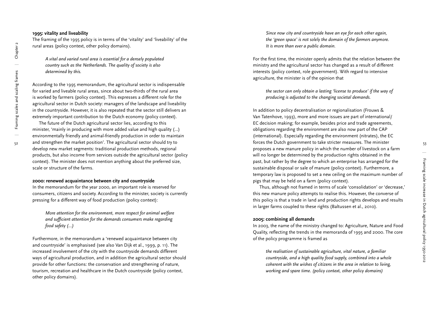#### **1995: vitality and liveability**

The framing of the 1995 policy is in terms of the 'vitality' and 'liveability' of the rural areas (policy context, other policy domains).

*A vital and varied rural area is essential for a densely populated country such as the Netherlands. The quality of society is also determined by this.* 

According to the 1995 memorandum, the agricultural sector is indispensable for varied and liveable rural areas, since about two-thirds of the rural area is worked by farmers (policy context). This expresses a different role for the agricultural sector in Dutch society: managers of the landscape and liveability in the countryside. However, it is also repeated that the sector still delivers an extremely important contribution to the Dutch economy (policy context).

 $_{52}$  and strengthen the market position'. The agricultural sector should try to  $_{53}$ The future of the Dutch agricultural sector lies, according to this minister, 'mainly in producing with more added value and high quality (…) environmentally friendly and animal-friendly production in order to maintain develop new market segments: traditional production methods, regional products, but also income from services outside the agricultural sector (policy context). The minister does not mention anything about the preferred size, scale or structure of the farms.

#### **2000: renewed acquaintance between city and countryside**

In the memorandum for the year 2000, an important role is reserved for consumers, citizens and society. According to the minister, society is currently pressing for a different way of food production (policy context):

*More attention for the environment, more respect for animal welfare and sufficient attention for the demands consumers make regarding food safety (...)*

Furthermore, in the memorandum a 'renewed acquaintance between city and countryside' is emphasised (see also Van Dijk et al., 1999, p. 11). The increased involvement of the city with the countryside demands different ways of agricultural production, and in addition the agricultural sector should provide for other functions: the conservation and strengthening of nature, tourism, recreation and healthcare in the Dutch countryside (policy context, other policy domains).

*Since now city and countryside have an eye for each other again, the 'green space' is not solely the domain of the farmers anymore. It is more than ever a public domain.*

For the first time, the minister openly admits that the relation between the ministry and the agricultural sector has changed as a result of different interests (policy context, role government). With regard to intensive agriculture, the minister is of the opinion that

*the sector can only obtain a lasting 'license to produce' if the way of producing is adjusted to the changing societal demands.*

In addition to policy decentralisation or regionalisation (Frouws & Van Tatenhove, 1993), more and more issues are part of international/ EC decision making; for example, besides price and trade agreements, obligations regarding the environment are also now part of the CAP (international). Especially regarding the environment (nitrates), the EC forces the Dutch government to take stricter measures. The minister proposes a new manure policy in which the number of livestock on a farm will no longer be determined by the production rights obtained in the past, but rather by the degree to which an enterprise has arranged for the sustainable disposal or sale of manure (policy context). Furthermore, a temporary law is proposed to set a new ceiling on the maximum number of pigs that may be held on a farm (policy context).

Thus, although not framed in terms of scale 'consolidation' or 'decrease,' this new manure policy attempts to realise this. However, the converse of this policy is that a trade in land and production rights develops and results in larger farms coupled to these rights (Baltussen et al., 2010).

#### **2005: combining all demands**

In 2003, the name of the ministry changed to: Agriculture, Nature and Food Quality, reflecting the trends in the memoranda of 1995 and 2000. The core of the policy programme is framed as

*the realisation of sustainable agriculture, vital nature, a familiar countryside, and a high quality food supply, combined into a whole coherent with the wishes of citizens in the area in relation to living, working and spare time. (policy context, other policy domains)*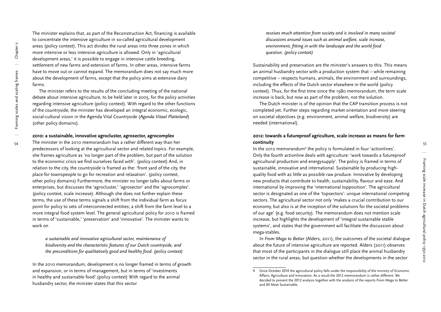Chapter 2 | Framing scales and scaling frames | Chapter 2 $\overline{\phantom{0}}$ Framing scales and scaling frames  $\overline{\phantom{0}}$ 

The minister explains that, as part of the Reconstruction Act, financing is available to concentrate the intensive agriculture in so-called agricultural development areas (policy context). This act divides the rural areas into three zones in which more intensive or less intensive agriculture is allowed. Only in 'agricultural development areas,' it is possible to engage in intensive cattle breeding, settlement of new farms and extension of farms. In other areas, intensive farms have to move out or cannot expand. The memorandum does not say much more about the development of farms, except that the policy aims at extensive dairy farms.

The minister refers to the results of the concluding meeting of the national debate about intensive agriculture, to be held later in 2005, for the policy activities regarding intensive agriculture (policy context). With regard to the other functions of the countryside, the minister has developed an integral economic, ecologic, social-cultural vision in the Agenda Vital Countryside (*Agenda Vitaal Platteland*) (other policy domains).

**2010: a sustainable, innovative agrocluster, agrosector, agrocomplex** 

54 55 The minister in the 2010 memorandum has a rather different way than her predecessors of looking at the agricultural sector and related topics. For example, she frames agriculture as 'no longer part of the problem, but part of the solution to the economic crisis we find ourselves faced with'. (policy context) And, in relation to the city, the countryside is framed as the: 'front yard of the city, the place for townspeople to go for recreation and relaxation'. (policy context, other policy domains) Furthermore, the minister no longer talks about farms or enterprises, but discusses the 'agrocluster,' 'agrosector' and the 'agrocomplex'. (policy context, scale increase). Although she does not further explain these terms, the use of these terms signals a shift from the individual farm as focus point for policy to sets of interconnected entities; a shift from the farm level to a more integral food system level. The general agricultural policy for 2010 is framed in terms of 'sustainable,' 'preservation' and 'innovative'. The minister wants to work on

*a sustainable and innovative agricultural sector, maintenance of biodiversity and the characteristic features of our Dutch countryside, and the preconditions for qualitatively good and healthy food. (policy context)*

In the 2010 memorandum, development is no longer framed in terms of growth and expansion, or in terms of management, but in terms of 'investments in healthy and sustainable food'.(policy context) With regard to the animal husbandry sector, the minister states that this sector

*receives much attention from society and is involved in many societal discussions around issues such as animal welfare, scale increase, environment, fitting in with the landscape and the world food question. (policy context)*

Sustainability and preservation are the minister's answers to this. This means an animal husbandry sector with a production system that – while remaining competitive – respects humans, animals, the environment and surroundings, including the effects of the Dutch sector elsewhere in the world (policy context). Thus, for the first time since the 1980 memorandum, the term scale increase is back, but now as part of the problem, not the solution.

The Dutch minister is of the opinion that the CAP transition process is not completed yet. Further steps regarding market orientation and more steering on societal objectives (e.g. environment, animal welfare, biodiversity) are needed (international).

#### **2012: towards a futureproof agriculture, scale increase as means for farm continuity**

In the 2012 memorandum<sup>9</sup> the policy is formulated in four 'actionlines'. Only the fourth actionline deals with agriculture: 'work towards a futureproof agricultural production and energysupply'. The policy is framed in terms of sustainable, innovative and international. Sustainable by producing highquality food with as little as possible raw produce. Innovative by developing new products that contribute to health, sustainability, flavour and ease. And international by improving the 'international topposition'. The agricultural sector is designated as one of the 'topsectors': unique international competing sectors. The agricultural sector not only 'makes a crucial contribution to our economy, but also is at the inception of the solutions for the societal problems of our age' (e.g. food security). The memorandum does not mention scale increase, but highlights the development of 'integral sustainable stable systems', and states that the government will facilitate the discussion about mega-stables.

In *From Mega to Better* (Alders, 2011), the outcomes of the societal dialogue about the future of intensive agriculture are reported. Alders (2011) observes that most of the participants in the dialogue still place the animal husbandry sector in the rural areas, but question whether the developments in the sector

<sup>9</sup> Since October 2010 the agricultural policy falls under the responsibility of the ministry of Economic Affairs, Agriculture and Innovation. As a result the 2012 memorandum is rather different. We decided to present the 2012 analysis together with the analysis of the reports From Mega to Better and All Meat Sustainable.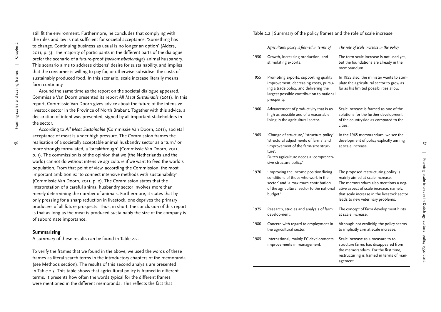still fit the environment. Furthermore, he concludes that complying with the rules and law is not sufficient for societal acceptance: 'Something has to change. Continuing business as usual is no longer an option' (Alders, 2011, p. 5). The majority of participants in the different parts of the dialogue prefer the scenario of a future-proof (*toekomstbestendige*) animal husbandry. This scenario aims to address citizens' desire for sustainability, and implies that the consumer is willing to pay for, or otherwise subsidise, the costs of sustainably produced food. In this scenario, scale increase literally means farm continuity.

#### **Summarising**

To verify the frames that we found in the above, we used the words of these frames as literal search terms in the introductory chapters of the memoranda (see Methods section). The results of this second analysis are presented in Table 2.3. This table shows that agricultural policy is framed in different terms. It presents how often the words typical for the different frames were mentioned in the different memoranda. This reflects the fact that

Table 2.2 | Summary of the policy frames and the role of scale increase

| to change. Continuing business as usual is no longer an option' (Alders,                                                                                                                                                                                                                                                                                                                                                                                                 |      | Agricultural policy is framed in terms of                                                                                                                                                                | The role of scale increase in the policy                                                                                                                                                                                                      |
|--------------------------------------------------------------------------------------------------------------------------------------------------------------------------------------------------------------------------------------------------------------------------------------------------------------------------------------------------------------------------------------------------------------------------------------------------------------------------|------|----------------------------------------------------------------------------------------------------------------------------------------------------------------------------------------------------------|-----------------------------------------------------------------------------------------------------------------------------------------------------------------------------------------------------------------------------------------------|
| Chapter 2<br>2011, p. 5). The majority of participants in the different parts of the dialogue<br>prefer the scenario of a future-proof (toekomstbestendige) animal husbandry.<br>This scenario aims to address citizens' desire for sustainability, and implies<br>that the consumer is willing to pay for, or otherwise subsidise, the costs of                                                                                                                         | 1950 | Growth, increasing production, and<br>stimulating exports.                                                                                                                                               | The term scale increase is not used yet,<br>but the foundations are already in the<br>memorandum.                                                                                                                                             |
| Framing scales and scaling frames<br>sustainably produced food. In this scenario, scale increase literally means<br>farm continuity.<br>Around the same time as the report on the societal dialogue appeared,<br>Commissie Van Doorn presented its report All Meat Sustainable (2011). In this<br>report, Commissie Van Doorn gives advice about the future of the intensive                                                                                             | 1955 | Promoting exports, supporting quality<br>improvement, decreasing costs, pursu-<br>ing a trade policy, and delivering the<br>largest possible contribution to national<br>prosperity.                     | In 1955 also, the minister wants to stim-<br>ulate the agricultural sector to grow as<br>far as his limited possibilities allow.                                                                                                              |
| livestock sector in the Province of North Brabant. Together with this advice, a<br>declaration of intent was presented, signed by all important stakeholders in<br>the sector.<br>According to All Meat Sustainable (Commissie Van Doorn, 2011), societal                                                                                                                                                                                                                | 1960 | Advancement of productivity that is as<br>high as possible and of a reasonable<br>living in the agricultural sector.                                                                                     | Scale increase is framed as one of the<br>solutions for the further development<br>of the countryside as compared to the<br>cities.                                                                                                           |
| acceptance of meat is under high pressure. The Commission frames the<br>realisation of a societally acceptable animal husbandry sector as a 'turn,' or<br>more strongly formulated, a 'breakthrough' (Commissie Van Doorn, 2011,<br>p. 1). The commission is of the opinion that we (the Netherlands and the<br>world) cannot do without intensive agriculture if we want to feed the world's<br>population. From that point of view, according the Commission, the most | 1965 | 'Change of structure,' 'structure policy'<br>'structural adjustments of farms' and<br>'improvement of the farm-size struc-<br>ture'.<br>Dutch agriculture needs a 'comprehen-<br>sive structure policy.' | In the 1965 memorandum, we see the<br>development of policy explicitly aiming<br>at scale increase.                                                                                                                                           |
| important ambition is: 'to connect intensive methods with sustainability'<br>(Commissie Van Doorn, 2011, p. 2). The Commission states that the<br>interpretation of a careful animal husbandry sector involves more than<br>merely determining the number of animals. Furthermore, it states that by<br>only pressing for a sharp reduction in livestock, one deprives the primary                                                                                       | 1970 | 'Improving the income position/living<br>conditions of those who work in the<br>sector' and 'a maximum contribution<br>of the agricultural sector to the national<br>budget.'                            | The proposed restructuring policy is<br>mainly aimed at scale increase.<br>The memorandum also mentions a neg-<br>ative aspect of scale increase, namely,<br>that scale increase in the livestock sector<br>leads to new veterinary problems. |
| producers of all future prospects. Thus, in short, the conclusion of this report<br>is that as long as the meat is produced sustainably the size of the company is<br>of subordinate importance.                                                                                                                                                                                                                                                                         | 1975 | Research, studies and analysis of farm<br>development.                                                                                                                                                   | The concept of farm development hints<br>at scale increase.                                                                                                                                                                                   |
| <b>Summarising</b>                                                                                                                                                                                                                                                                                                                                                                                                                                                       | 1980 | Concern with regard to employment in<br>the agricultural sector.                                                                                                                                         | Although not explicitly, the policy seems<br>to implicitly aim at scale increase.                                                                                                                                                             |
| A summary of these results can be found in Table 2.2.                                                                                                                                                                                                                                                                                                                                                                                                                    | 1985 | International, mainly EC developments,<br>improvements in management.                                                                                                                                    | Scale increase as a measure to re-<br>structure farms has disappeared from                                                                                                                                                                    |
| To verify the frames that we found in the above, we used the words of these<br>frames as literal search terms in the introductory chapters of the memoranda                                                                                                                                                                                                                                                                                                              |      |                                                                                                                                                                                                          | the memorandum. For the first time,<br>restructuring is framed in terms of man-<br>agement.                                                                                                                                                   |
| <b>March 1 and 1 and 1 and 1 and 1 and 1 and 1 and 1 and 1 and 1 and 1 and 1 and 1 and 1 and 1 and 1 and 1 and 1</b>                                                                                                                                                                                                                                                                                                                                                     |      |                                                                                                                                                                                                          |                                                                                                                                                                                                                                               |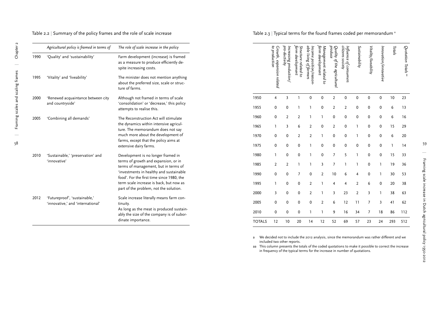#### Table 2.2 | Summary of the policy frames and the role of scale increase

|      | Agricultural policy is framed in terms of                          | The role of scale increase in the policy                                                                    |               |                                            |                                            | parm                                  | able<br>Income                          |                                    | Quality<br>roduc | citizens                             |                |                      |                       | Totals |                     |
|------|--------------------------------------------------------------------|-------------------------------------------------------------------------------------------------------------|---------------|--------------------------------------------|--------------------------------------------|---------------------------------------|-----------------------------------------|------------------------------------|------------------|--------------------------------------|----------------|----------------------|-----------------------|--------|---------------------|
| 1990 | 'Quality' and 'sustainability'                                     | Farm development (increase) is framed<br>as a measure to produce efficiently de-<br>spite increasing costs. |               | rowth,<br>:n, expansion related<br>duction | pro-ductivity<br>Increasing<br>production/ | Structure<br>developmen<br>related to | living<br>position/reason<br>of farmers | Management<br>arm developn<br>udoj | of the           | Influence<br>society<br>of consumers | Sustainability | Vitality/liveability | Innovation/innovative |        | Quotation<br>lotals |
| 1995 | 'Vitality' and 'liveability'                                       | The minister does not mention anything<br>about the preferred size, scale or struc-<br>ture of farms.       |               |                                            |                                            |                                       |                                         | related<br>$\overline{c}$          | agricultural     |                                      |                |                      |                       |        |                     |
| 2000 | 'Renewed acquaintance between city<br>and countryside'             | Although not framed in terms of scale<br>'consolidation' or 'decrease,' this policy                         | 1950          |                                            |                                            |                                       |                                         |                                    |                  |                                      |                |                      |                       | 10     | 23                  |
|      |                                                                    | attempts to realise this.                                                                                   | 1955          | $\Omega$                                   |                                            |                                       |                                         |                                    |                  |                                      |                |                      |                       |        | 13                  |
| 2005 | 'Combining all demands'                                            | The Reconstruction Act will stimulate                                                                       | 1960          | $\mathbf{0}$                               |                                            |                                       |                                         |                                    |                  |                                      |                |                      |                       |        | 16                  |
|      |                                                                    | the dynamics within intensive agricul-<br>ture. The memorandum does not say                                 | 1965          |                                            |                                            |                                       |                                         |                                    |                  |                                      |                |                      |                       | 15     | 29                  |
|      |                                                                    | much more about the development of<br>farms, except that the policy aims at                                 | 1970          | $\Omega$                                   |                                            |                                       |                                         |                                    |                  |                                      |                |                      |                       |        | 20                  |
|      |                                                                    | extensive dairy farms.                                                                                      | 1975          | $\Omega$                                   |                                            |                                       |                                         |                                    |                  |                                      |                |                      |                       |        | 14                  |
| 2010 | 'Sustainable,' 'preservation' and<br>'innovative'                  | Development is no longer framed in<br>terms of growth and expansion, or in                                  | 1980          |                                            |                                            |                                       |                                         |                                    |                  |                                      |                |                      |                       | 15     | 33                  |
|      |                                                                    | terms of management, but in terms of                                                                        | 1985          | $\overline{2}$                             |                                            |                                       |                                         |                                    |                  |                                      |                |                      |                       | 19     | 36                  |
|      |                                                                    | 'investments in healthy and sustainable<br>food'. For the first time since 1980, the                        | 1990          | ∩                                          |                                            |                                       |                                         |                                    | ٦Λ               |                                      |                |                      |                       | 30     | 53                  |
|      |                                                                    | term scale increase is back, but now as<br>part of the problem, not the solution.                           | 1995          |                                            |                                            |                                       |                                         |                                    |                  |                                      |                |                      |                       | 20     | 38                  |
|      |                                                                    |                                                                                                             | 2000          |                                            |                                            |                                       |                                         |                                    |                  | 23                                   |                |                      |                       | 38     | 63                  |
| 2012 | 'Futureproof', 'sustainable,'<br>'innovative,' and 'international' | Scale increase literally means farm con-<br>tinuity.                                                        | 2005          |                                            |                                            |                                       |                                         |                                    |                  |                                      |                |                      |                       |        | 62                  |
|      |                                                                    | As long as the meat is produced sustain-<br>ably the size of the company is of subor-                       | 2010          |                                            |                                            |                                       |                                         |                                    |                  | 16                                   | 34             |                      | 18                    | 86     | 112                 |
|      |                                                                    | dinate importance.                                                                                          | <b>TOTALS</b> | 12                                         | <b>10</b>                                  | $20^{\circ}$                          | 14                                      | 12                                 | 52.              | 69                                   | 57             | 23                   | 24                    | 293    | 512                 |

#### Table 2.3  $\mid$  Typical terms for the found frames coded per memorandum  $^{\text{\tiny a}}$

|               | to production<br>Growth, expansion related | pro-ductivity<br>Increasing production/ | farm development<br>Structure related to | able living of farmers<br>Income position/reason- | farm development<br>Management related to | produce<br>Quality of the agricultural | citizens society<br>Influence of consumers | Sustainability          | Vitality/liveability | Innovation/innovative   | Totals       | Quotation Totals <sup>aa</sup> |
|---------------|--------------------------------------------|-----------------------------------------|------------------------------------------|---------------------------------------------------|-------------------------------------------|----------------------------------------|--------------------------------------------|-------------------------|----------------------|-------------------------|--------------|--------------------------------|
| 1950          | 4                                          | $\overline{\mathbf{3}}$                 | 1                                        | 0                                                 | 0                                         | $\overline{\mathbf{c}}$                | 0                                          | 0                       | 0                    | $\mathbf 0$             | 10           | 23                             |
| 1955          | 0                                          | $\mathbf 0$                             | 1                                        | 1                                                 | $\mathbf 0$                               | $\overline{c}$                         | $\overline{c}$                             | $\mathbf 0$             | 0                    | 0                       | 6            | 13                             |
| 1960          | 0                                          | $\overline{c}$                          | $\overline{\mathbf{c}}$                  | ı                                                 | 1                                         | $\mathbf 0$                            | 0                                          | $\mathbf 0$             | 0                    | 0                       | 6            | 16                             |
| 1965          | 1                                          | 3                                       | 6                                        | $\overline{\mathbf{c}}$                           | $\mathbf 0$                               | $\overline{c}$                         | $\mathbf 0$                                | 1                       | 0                    | 0                       | 15           | 29                             |
| 1970          | 0                                          | $\mathbf 0$                             | $\overline{\mathbf{c}}$                  | $\overline{c}$                                    | 1                                         | $\mathbf 0$                            | 0                                          | 1                       | 0                    | 0                       | 6            | 20                             |
| 1975          | 0                                          | 0                                       | 0                                        | 1                                                 | $\mathbf 0$                               | $\mathbf 0$                            | 0                                          | $\mathbf 0$             | 0                    | 0                       | $\mathbf{I}$ | 14                             |
| 1980          | 1                                          | $\mathbf 0$                             | $\mathbf 0$                              | 1                                                 | $\mathbf 0$                               | 7                                      | 5                                          | 1                       | $\mathbf 0$          | 0                       | 15           | 33                             |
| 1985          | $\overline{\mathbf{c}}$                    | $\overline{2}$                          | 1                                        | $\begin{array}{c} \hline \end{array}$             | 3                                         | 7                                      | 1                                          | 1                       | $\mathbf 0$          | 1                       | 19           | 36                             |
| 1990          | 0                                          | $\mathbf 0$                             | 7                                        | 0                                                 | $\overline{c}$                            | 10                                     | 6                                          | 4                       | $\mathbf 0$          | 1                       | 30           | 53                             |
| 1995          | $\mathsf{I}$                               | $\mathbf 0$                             | 0                                        | $\overline{\mathbf{c}}$                           | 1                                         | 4                                      | 4                                          | $\overline{\mathbf{c}}$ | 6                    | 0                       | 20           | 38                             |
| 2000          | $\overline{\mathbf{3}}$                    | $\mathbf 0$                             | $\mathbf 0$                              | $\overline{\mathbf{c}}$                           | 1                                         | $\overline{\mathbf{3}}$                | 23                                         | $\overline{\mathbf{c}}$ | 3                    | 1                       | 38           | 63                             |
| 2005          | 0                                          | $\mathbf 0$                             | 0                                        | $\pmb{0}$                                         | $\overline{c}$                            | 6                                      | 12                                         | $\overline{11}$         | 7                    | $\overline{\mathbf{3}}$ | 41           | 62                             |
| 2010          | 0                                          | $\mathbf 0$                             | $\mathbf 0$                              | $\mathbf{I}$                                      | 1                                         | 9                                      | 16                                         | 34                      | 7                    | 18                      | 86           | 112                            |
| <b>TOTALS</b> | 12                                         | 10                                      | 20                                       | $\overline{14}$                                   | 12                                        | 52                                     | 69                                         | 57                      | 23                   | 24                      | 293          | 512                            |

a We decided not to include the 2012 analysis, since the memorandum was rather different and we included two other reports.

aa This column presents the totals of the coded quotations to make it possible to correct the increase in frequency of the typical terms for the increase in number of quotations.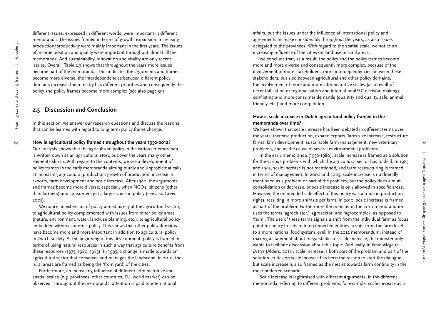different issues, expressed in different words, were important in different memoranda. The issues framed in terms of growth, expansion, increasing production/productivity were mainly important in the first years. The issues of income position and quality were important throughout almost all the memoranda. And sustainability, innovation and vitality are only recent issues. Overall, Table 2.3 shows that throughout the years more issues become part of the memoranda. This indicates the arguments and frames become more diverse, the interdependencies between different policy domains increase, the ministry has different priorities and consequently the policy and policy frames become more complex (see also page 59).

#### **2.5 Discussion and Conclusion**

In this section, we answer our research questions and discuss the lessons that can be learned with regard to long term policy frame change.

**How is agricultural policy framed throughout the years 1950-2012?**  Our analysis shows that the agricultural policy in the various memoranda is written down as an agricultural story, but over the years many other elements slip in. With regard to the contents, we see a development of policy frames in the early memoranda aiming purely and unproblematically at increasing agricultural production: growth of production, increase in exports, farm development and scale increase. After 1980, the arguments and frames become more diverse, especially when NGOs, citizens (other than farmers) and consumers get a larger voice in policy (see also Greer, 2005).

We notice an extension of policy aimed purely at the agricultural sector, to agricultural policy complemented with issues from other policy areas (nature, environment, water, land-use planning, etc.), to agricultural policy embedded within economic policy. This shows that other policy domains have become more and more important in addition to agricultural policy in Dutch society. At the beginning of this development, policy is framed in terms of using natural resources in such a way that agriculture benefits from these resources (1975, 1980, 1985). In 1995, a change is made towards an agricultural sector that conserves and manages the landscape. In 2010, the rural areas are framed as being the 'front yard' of the cities.

Furthermore, an increasing influence of different administrative and spatial scales (e.g. provinces, other countries, EU, world market) can be observed. Throughout the memoranda, attention is paid to international affairs, but the issues under the influence of international policy and agreements increase considerably throughout the years, as also issues delegated to the provinces. With regard to the spatial scale, we notice an increasing influence of the cities on land use in rural areas.

We conclude that, as a result, the policy and the policy frames become more and more diverse and consequently more complex, because of the involvement of more stakeholders, more interdependencies between these stakeholders, but also between agricultural and other policy domains, the involvement of more and more administrative scales (as a result of decentralisation or regionalisation and international/EC decision making), conflicting and more consumer demands (quantity and quality, safe, animal friendly, etc.) and more competition.

#### **How is scale increase in Dutch agricultural policy framed in the memoranda over time?**

 $_{\rm 60}$  Mow is agricultural policy framed throughout the years 1950-2012? The state of the same of the same farms, farm development, sustainable farm management, new veterinary  $_{\rm 61}$ We have shown that scale increase has been debated in different terms over the years: increase production, expand exports, farm size increase, restructure problems, and as the cause of several environmental problems.

In the early memoranda (1950-1980), scale increase is framed as a solution for the various problems with which the agricultural sector has to deal. In 1985 and 1995, scale increase is not mentioned, and farm restructuring is framed in terms of management. In 2000 and 2005, scale increase is not literally mentioned as a problem or part of the problem, but the policy does aim at consolidation or decrease, or scale increase is only allowed in specific areas. However, the unintended side effect of this policy was a trade in production rights, resulting in more animals per farm. In 2010, scale increase is framed as part of the problem. Furthermore the minister in the 2010 memorandum uses the terms 'agrocluster,' 'agrosector' and 'agrocomplex' as opposed to 'farm'. The use of these terms signals a shift from the individual farm as focus point for policy to sets of interconnected entities; a shift from the farm level to a more national food system level. In the 2012 memorandum, instead of making a statement about mega-stables or scale increase, the minister only wants to facilitate discussion about this topic. And lastly, in *From Mega to Better* (Alders, 2011), scale increase is both part of the problem and part of the solution: critics on scale increase has been the reason to start the dialogue, but scale increase is also framed as the means towards farm continuity in the most preferred scenario.

Scale increase is legitimised with different arguments, in the different memoranda, referring to different problems: for example, scale increase as a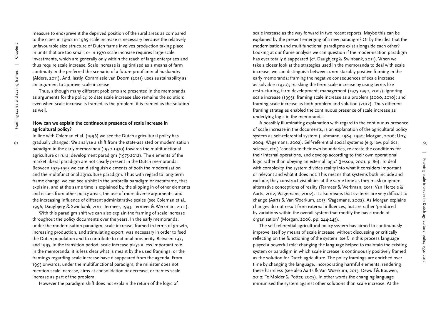measure to end/prevent the deprived position of the rural areas as compared to the cities in 1960; in 1965 scale increase is necessary because the relatively unfavourable size structure of Dutch farms involves production taking place in units that are too small; or in 1970 scale increase requires large-scale investments, which are generally only within the reach of large enterprises and thus require scale increase. Scale increase is legitimised as a means of farm continuity in the preferred the scenario of a future-proof animal husbandry (Alders, 2011). And, lastly, Commissie van Doorn (2011) uses sustainability as an argument to approve scale increase.

Thus, although many different problems are presented in the memoranda as arguments for the policy, to date scale increase also remains the solution: even when scale increase is framed as the problem, it is framed as the solution as well.

#### **How can we explain the continuous presence of scale increase in agricultural policy?**

 $_{\rm 62}$  gradually changed. We analyse a shift from the state-assisted or modernisation  $_{\rm 63}$  and the state-assisted or modernisation  $_{\rm 63}$ In line with Coleman et al. (1996) we see the Dutch agricultural policy has paradigm in the early memoranda (1950-1970) towards the multifunctional agriculture or rural development paradigm (1975-2012). The elements of the market liberal paradigm are not clearly present in the Dutch memoranda. Between 1975-1995 we can distinguish elements of both the modernisation and the multifunctional agriculture paradigm. Thus with regard to long-term frame change, we can see a shift in the umbrella paradigm or metaframe, that explains, and at the same time is explained by, the slipping in of other elements and issues from other policy areas, the use of more diverse arguments, and the increasing influence of different administrative scales (see Coleman et al., 1996; Daugbjerg & Swinbank, 2011; Termeer, 1993; Termeer & Werkman, 2011).

With this paradigm shift we can also explain the framing of scale increase throughout the policy documents over the years. In the early memoranda, under the modernisation paradigm, scale increase, framed in terms of growth, increasing production, and stimulating export, was necessary in order to feed the Dutch population and to contribute to national prosperity. Between 1975 and 1995, in the transition period, scale increase plays a less important role in the memoranda: it is less clear what is meant by the used framings, or the framings regarding scale increase have disappeared from the agenda. From 1995 onwards, under the multifunctional paradigm, the minister does not mention scale increase, aims at consolidation or decrease, or frames scale increase as part of the problem.

However the paradigm shift does not explain the return of the logic of

scale increase as the way forward in two recent reports. Maybe this can be explained by the present emerging of a new paradigm? Or by the idea that the modernisation and multifunctional paradigms exist alongside each other? Looking at our frame analysis we can question if the modernisation paradigm has ever totally disappeared (cf. Daugbjerg & Swinbank, 2011). When we take a closer look at the strategies used in the memoranda to deal with scale increase, we can distinguish between: unmistakably positive framing in the early memoranda; framing the negative consequences of scale increase as solvable (1970); masking the term scale increase by using terms like restructuring, farm development, management (1975-1990, 2005); ignoring scale increase (1995); framing scale increase as a problem (2000, 2010); and framing scale increase as both problem and solution (2012). Thus different framing strategies enabled the continuous presence of scale increase as underlying logic in the memoranda.

A possibly illuminating explanation with regard to the continuous presence of scale increase in the documents, is an explanation of the agricultural policy system as self-referential system (Luhmann, 1984, 1990; Morgan, 2006; Urry, 2004; Wagemans, 2002). Self-referential social systems (e.g. law, politics, science, etc.) 'constitute their own boundaries, re-create the conditions for their internal operations, and develop according to their own operational logic rather than obeying an external logic' (Jessop, 2001, p. 86). To deal with complexity, the system divides reality into what it considers important or relevant and what it does not. This means that systems both include and exclude, they construct visibilities at the same time as they mask or ignore alternative conceptions of reality (Termeer & Werkman, 2011; Van Herzele & Aarts, 2012; Wagemans, 2002). It also means that systems are very difficult to change (Aarts & Van Woerkum, 2013; Wagemans, 2002). As Morgan explains changes do not result from external influences, but are rather 'produced by variations within the overall system that modify the basic mode of organisation' (Morgan, 2006, pp. 244-245).

The self-referential agricultural policy system has aimed to continuously improve itself by means of scale increase, without discussing or critically reflecting on the functioning of the system itself. In this process language played a powerful role: changing the language helped to maintain the existing system or paradigm in which scale increase is continuously positively framed as the solution for Dutch agriculture. The policy framings are enriched over time by changing the language, incorporating harmful elements, rendering these harmless (see also Aarts & Van Woerkum, 2013; Dewulf & Bouwen, 2012; Te Molder & Potter, 2005). In other words the changing language immunised the system against other solutions than scale increase. At the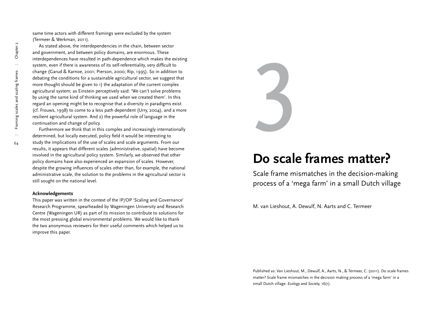same time actors with different framings were excluded by the system (Termeer & Werkman, 2011).

As stated above, the interdependencies in the chain, between sector and government, and between policy domains, are enormous. These interdependences have resulted in path-dependence which makes the existing system, even if there is awareness of its self-referentiality, very difficult to change (Garud & Karnoe, 2001; Pierson, 2000; Rip, 1995). So in addition to debating the conditions for a sustainable agricultural sector, we suggest that more thought should be given to 1) the adaptation of the current complex agricultural system; as Einstein perceptively said: 'We can't solve problems by using the same kind of thinking we used when we created them'. In this regard an opening might be to recognise that a diversity in paradigms exist (cf. Frouws, 1998) to come to a less path dependent (Urry, 2004), and a more resilient agricultural system. And 2) the powerful role of language in the continuation and change of policy.

Furthermore we think that in this complex and increasingly internationally determined, but locally executed, policy field it would be interesting to study the implications of the use of scales and scale arguments. From our results, it appears that different scales (administrative, spatial) have become involved in the agricultural policy system. Similarly, we observed that other policy domains have also experienced an expansion of scales. However, despite the growing influences of scales other than, for example, the national administrative scale, the solution to the problems in the agricultural sector is still sought on the national level.

#### **Acknowledgements**

This paper was written in the context of the IP/OP 'Scaling and Governance' Research Programme, spearheaded by Wageningen University and Research Centre (Wageningen UR) as part of its mission to contribute to solutions for the most pressing global environmental problems. We would like to thank the two anonymous reviewers for their useful comments which helped us to improve this paper.



# **Do scale frames matter?**

Scale frame mismatches in the decision-making process of a 'mega farm' in a small Dutch village

M. van Lieshout, A. Dewulf, N. Aarts and C. Termeer

Published as: Van Lieshout, M., Dewulf, A., Aarts, N., & Termeer, C. (2011). Do scale frames matter? Scale frame mismatches in the decision making process of a 'mega farm' in a small Dutch village. *Ecology and Society, 16*(1).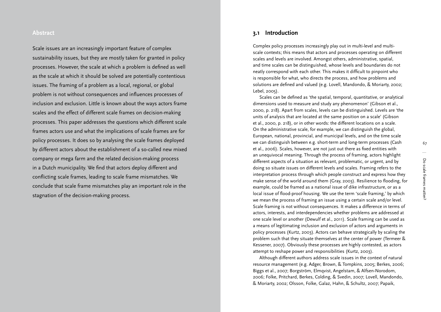#### **Abstract**

Scale issues are an increasingly important feature of complex sustainability issues, but they are mostly taken for granted in policy processes. However, the scale at which a problem is defined as well as the scale at which it should be solved are potentially contentious issues. The framing of a problem as a local, regional, or global problem is not without consequences and influences processes of inclusion and exclusion. Little is known about the ways actors frame scales and the effect of different scale frames on decision-making processes. This paper addresses the questions which different scale frames actors use and what the implications of scale frames are for policy processes. It does so by analysing the scale frames deployed by different actors about the establishment of a so-called new mixed company or mega farm and the related decision-making process in a Dutch municipality. We find that actors deploy different and conflicting scale frames, leading to scale frame mismatches. We conclude that scale frame mismatches play an important role in the stagnation of the decision-making process.

#### **3.1 Introduction**

Complex policy processes increasingly play out in multi-level and multiscale contexts; this means that actors and processes operating on different scales and levels are involved. Amongst others, administrative, spatial, and time scales can be distinguished, whose levels and boundaries do not neatly correspond with each other. This makes it difficult to pinpoint who is responsible for what, who directs the process, and how problems and solutions are defined and valued (e.g. Lovell, Mandondo, & Moriarty, 2002; Lebel, 2005).

Scales can be defined as 'the spatial, temporal, quantitative, or analytical dimensions used to measure and study any phenomenon' (Gibson et al., 2000, p. 218). Apart from scales, levels can be distinguished. Levels are 'the units of analysis that are located at the same position on a scale' (Gibson et al., 2000, p. 218), or in other words: the different locations on a scale. On the administrative scale, for example, we can distinguish the global, European, national, provincial, and municipal levels, and on the time scale we can distinguish between e.g. short-term and long-term processes (Cash et al., 2006). Scales, however, are not just out there as fixed entities with an unequivocal meaning. Through the process of framing, actors highlight different aspects of a situation as relevant, problematic, or urgent, and by doing so situate issues on different levels and scales. Framing refers to the interpretation process through which people construct and express how they make sense of the world around them (Gray, 2003). Resilience to flooding, for example, could be framed as a national issue of dike infrastructure, or as a local issue of flood-proof housing. We use the term 'scale framing,' by which we mean the process of framing an issue using a certain scale and/or level. Scale framing is not without consequences. It makes a difference in terms of actors, interests, and interdependencies whether problems are addressed at one scale level or another (Dewulf et al., 2011). Scale framing can be used as a means of legitimating inclusion and exclusion of actors and arguments in policy processes (Kurtz, 2003). Actors can behave strategically by scaling the problem such that they situate themselves at the center of power (Termeer & Kessener, 2007). Obviously these processes are highly contested, as actors attempt to reshape power and responsibilities (Kurtz, 2003).

Although different authors address scale issues in the context of natural resource management (e.g. Adger, Brown, & Tompkins, 2005; Berkes, 2006; Biggs et al., 2007; Borgström, Elmqvist, Angelstam, & Alfsen-Norodom, 2006; Folke, Pritchard, Berkes, Colding, & Svedin, 2007; Lovell, Mandondo, & Moriarty, 2002; Olsson, Folke, Galaz, Hahn, & Schultz, 2007; Papaik,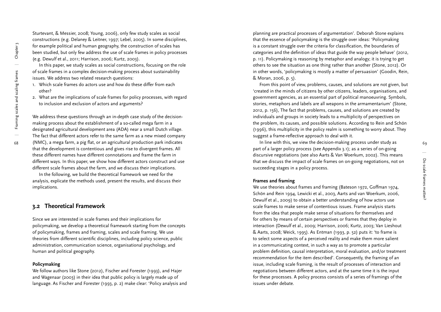Sturtevant, & Messier, 2008; Young, 2006), only few study scales as social constructions (e.g. Delaney & Leitner, 1997; Lebel, 2005). In some disciplines, for example political and human geography, the construction of scales has been studied, but only few address the use of scale frames in policy processes (e.g. Dewulf et al., 2011; Harrison, 2006; Kurtz, 2003).

In this paper, we study scales as social constructions, focusing on the role of scale frames in a complex decision-making process about sustainability issues. We address two related research questions:

- 1. Which scale frames do actors use and how do these differ from each other?
- 2. What are the implications of scale frames for policy processes, with regard to inclusion and exclusion of actors and arguments?

 $_{68}$  (NMC), a mega farm, a pig flat, or an agricultural production park indicates  $_{\rm 69}$ We address these questions through an in-depth case study of the decisionmaking process about the establishment of a so-called mega farm in a designated agricultural development area (ADA) near a small Dutch village. The fact that different actors refer to the same farm as a new mixed company that the development is contentious and gives rise to divergent frames. All these different names have different connotations and frame the farm in different ways. In this paper, we show how different actors construct and use different scale frames about the farm, and we discuss their implications.

In the following, we build the theoretical framework we need for the analysis, explicate the methods used, present the results, and discuss their implications.

#### **3.2 Theoretical Framework**

Since we are interested in scale frames and their implications for policymaking, we develop a theoretical framework starting from the concepts of policymaking, frames and framing, scales and scale framing. We use theories from different scientific disciplines, including policy science, public administration, communication science, organisational psychology, and human and political geography.

#### **Policymaking**

We follow authors like Stone (2012), Fischer and Forester (1993), and Hajer and Wagenaar (2003) in their idea that public policy is largely made up of language. As Fischer and Forester (1993, p. 2) make clear: 'Policy analysis and

planning are practical processes of argumentation'. Deborah Stone explains that the essence of policymaking is the struggle over ideas: 'Policymaking is a constant struggle over the criteria for classification, the boundaries of categories and the definition of ideas that guide the way people behave' (2012, p. 11). Policymaking is reasoning by metaphor and analogy; it is trying to get others to see the situation as one thing rather than another (Stone, 2012). Or in other words, 'policymaking is mostly a matter of persuasion' (Goodin, Rein, & Moran, 2006, p. 5).

From this point of view, problems, causes, and solutions are not given, but 'created in the minds of citizens by other citizens, leaders, organisations, and government agencies, as an essential part of political manoeuvring. Symbols, stories, metaphors and labels are all weapons in the armamentarium' (Stone, 2012, p. 156), The fact that problems, causes, and solutions are created by individuals and groups in society leads to a multiplicity of perspectives on the problem, its causes, and possible solutions. According to Rein and Schön (1996), this multiplicity in the policy realm is something to worry about. They suggest a frame-reflective approach to deal with it.

In line with this, we view the decision-making process under study as part of a larger policy process (see Appendix 3.1); as a series of on-going discursive negotiations (see also Aarts & Van Woerkum, 2002). This means that we discuss the impact of scale frames on on-going negotiations, not on succeeding stages in a policy process.

#### **Frames and framing**

We use theories about frames and framing (Bateson 1972, Goffman 1974, Schön and Rein 1994, Lewicki et al., 2003, Aarts and van Woerkum, 2006, Dewulf et al., 2009) to obtain a better understanding of how actors use scale frames to make sense of contentious issues. Frame analysis starts from the idea that people make sense of situations for themselves and for others by means of certain perspectives or frames that they deploy in interaction (Dewulf et al., 2009; Harrison, 2006; Kurtz, 2003; Van Lieshout & Aarts, 2008; Weick, 1995). As Entman (1993, p. 52) puts it: 'to frame is to select some aspects of a perceived reality and make them more salient in a communicating context, in such a way as to promote a particular problem definition, causal interpretation, moral evaluation, and/or treatment recommendation for the item described'. Consequently, the framing of an issue, including scale framing, is the result of processes of interaction and negotiations between different actors, and at the same time it is the input for these processes. A policy process consists of a series of framings of the issues under debate.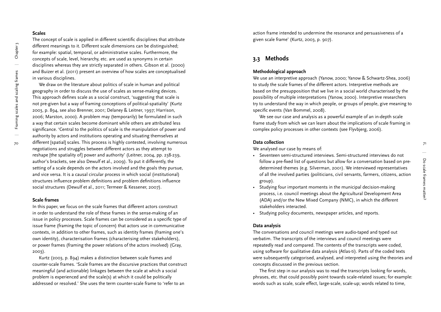#### **Scales**

The concept of scale is applied in different scientific disciplines that attribute different meanings to it. Different scale dimensions can be distinguished; for example: spatial, temporal, or administrative scales. Furthermore, the concepts of scale, level, hierarchy, etc. are used as synonyms in certain disciplines whereas they are strictly separated in others. Gibson et al. (2000) and Buizer et al. (2011) present an overview of how scales are conceptualised in various disciplines.

<sub>70</sub> different [spatial] scales. This process is highly contested, involving numerous **Data collection** Description We draw on the literature about politics of scale in human and political geography in order to discuss the use of scales as sense-making devices. This approach defines scale as a social construct, 'suggesting that scale is not pre-given but a way of framing conceptions of political-spatiality' (Kurtz 2003, p. 894, see also Brenner, 2001; Delaney & Leitner, 1997; Harrison, 2006; Marston, 2000). A problem may (temporarily) be formulated in such a way that certain scales become dominant while others are attributed less significance. 'Central to the politics of scale is the manipulation of power and authority by actors and institutions operating and situating themselves at negotiations and struggles between different actors as they attempt to reshape [the spatiality of] power and authority' (Leitner, 2004, pp. 238-239, author's brackets, see also Dewulf et al., 2009). To put it differently, the setting of a scale depends on the actors involved and the goals they pursue, and vice versa. It is a causal circular process in which social (institutional) structures influence problem definitions and problem definitions influence social structures (Dewulf et al., 2011; Termeer & Kessener, 2007).

#### **Scale frames**

In this paper, we focus on the scale frames that different actors construct in order to understand the role of these frames in the sense-making of an issue in policy processes. Scale frames can be considered as a specific type of issue frame (framing the topic of concern) that actors use in communicative contexts, in addition to other frames, such as identity frames (framing one's own identity), characterisation frames (characterising other stakeholders), or power frames (framing the power relations of the actors involved) (Gray, 2003).

Kurtz (2003, p. 894) makes a distinction between scale frames and counter-scale frames. 'Scale frames are the discursive practices that construct meaningful (and actionable) linkages between the scale at which a social problem is experienced and the scale(s) at which it could be politically addressed or resolved.' She uses the term counter-scale frame to 'refer to an

action frame intended to undermine the resonance and persuasiveness of a given scale frame' (Kurtz, 2003, p. 907).

# **3.3 Methods**

#### **Methodological approach**

We use an interpretive approach (Yanow, 2000; Yanow & Schwartz-Shea, 2006) to study the scale frames of the different actors. Interpretive methods are based on the presupposition that we live in a social world characterised by the possibility of multiple interpretations (Yanow, 2000). Interpretive researchers try to understand the way in which people, or groups of people, give meaning to specific events (Van Bommel, 2008).

We see our case and analysis as a powerful example of an in-depth scale frame study from which we can learn about the implications of scale framing in complex policy processes in other contexts (see Flyvbjerg, 2006).

#### **Data collection**

We analysed our case by means of:

• Seventeen semi-structured interviews. Semi-structured interviews do not follow a pre-fixed list of questions but allow for a conversation based on predetermined themes (e.g. Silverman, 2001). We interviewed representatives of all the involved parties (politicians, civil servants, farmers, citizens, action group).

- Studying four important moments in the municipal decision-making process, i.e. council meetings about the Agricultural Development Area (ADA) and/or the New Mixed Company (NMC), in which the different stakeholders interacted.
- Studying policy documents, newspaper articles, and reports.

#### **Data analysis**

The conversations and council meetings were audio-taped and typed out verbatim. The transcripts of the interviews and council meetings were repeatedly read and compared. The contents of the transcripts were coded, using software for qualitative data analysis (Atlas-ti). Parts of the coded texts were subsequently categorised, analysed, and interpreted using the theories and concepts discussed in the previous section.

The first step in our analysis was to read the transcripts looking for words, phrases, etc. that could possibly point towards scale-related issues; for example: words such as scale, scale effect, large-scale, scale-up; words related to time,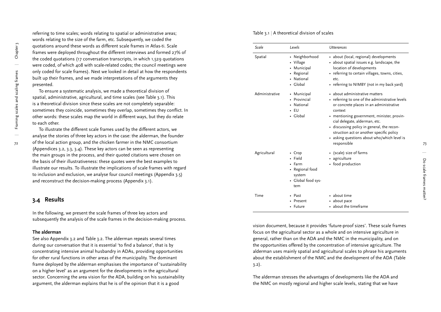referring to time scales; words relating to spatial or administrative areas; words relating to the size of the farm, etc. Subsequently, we coded the quotations around these words as different scale frames in Atlas-ti. Scale frames were deployed throughout the different interviews and formed 27% of the coded quotations (17 conversation transcripts, in which 1,529 quotations were coded, of which 408 with scale-related codes; the council meetings were only coded for scale frames). Next we looked in detail at how the respondents built up their frames, and we made interpretations of the arguments they presented.

# **3.4 Results**

In the following, we present the scale frames of three key actors and subsequently the analysis of the scale frames in the decision-making process.

#### **The alderman**

See also Appendix 3.2 and Table 3.2. The alderman repeats several times during our conversation that it is essential 'to find a balance', that is by concentrating intensive animal husbandry in ADAs, providing opportunities for other rural functions in other areas of the municipality. The dominant frame deployed by the alderman emphasises the importance of 'sustainability on a higher level' as an argument for the developments in the agricultural sector*.* Concerning the area vision for the ADA, building on his sustainability argument, the alderman explains that he is of the opinion that it is a good

#### Table 3.1 | A theoretical division of scales

|                                                | words relating to the size of the larm, etc. subsequently, we essed the                                                                                                                                                                                                                                                                                                                                                                                                                                                                                                                                                                                                                                                                                                                                                                      |                           |                                                                                                                                                           |                                                                                                                                                                                                                                                                                                                                                                                                                                                     |
|------------------------------------------------|----------------------------------------------------------------------------------------------------------------------------------------------------------------------------------------------------------------------------------------------------------------------------------------------------------------------------------------------------------------------------------------------------------------------------------------------------------------------------------------------------------------------------------------------------------------------------------------------------------------------------------------------------------------------------------------------------------------------------------------------------------------------------------------------------------------------------------------------|---------------------------|-----------------------------------------------------------------------------------------------------------------------------------------------------------|-----------------------------------------------------------------------------------------------------------------------------------------------------------------------------------------------------------------------------------------------------------------------------------------------------------------------------------------------------------------------------------------------------------------------------------------------------|
|                                                | quotations around these words as different scale frames in Atlas-ti. Scale                                                                                                                                                                                                                                                                                                                                                                                                                                                                                                                                                                                                                                                                                                                                                                   | Scale                     | Levels                                                                                                                                                    | <b>Utterances</b>                                                                                                                                                                                                                                                                                                                                                                                                                                   |
| Chapter 3<br>Framing scales and scaling frames | frames were deployed throughout the different interviews and formed 27% of<br>the coded quotations (17 conversation transcripts, in which 1,529 quotations<br>were coded, of which 408 with scale-related codes; the council meetings were<br>only coded for scale frames). Next we looked in detail at how the respondents<br>built up their frames, and we made interpretations of the arguments they<br>presented.<br>To ensure a systematic analysis, we made a theoretical division of<br>spatial, administrative, agricultural, and time scales (see Table 3.1). This<br>is a theoretical division since these scales are not completely separable:<br>sometimes they coincide, sometimes they overlap, sometimes they conflict. In<br>other words: these scales map the world in different ways, but they do relate<br>to each other. | Spatial<br>Administrative | • Neighborhood<br>• Village<br>• Municipal<br>• Regional<br>• National<br>• Global<br>• Municipal<br>• Provincial<br>• National<br>$\cdot$ EU<br>• Global | • about (local, regional) developments<br>• about spatial issues e.g. landscape, the<br>location of developments<br>• referring to certain villages, towns, cities,<br>etc.<br>• referring to NIMBY (not in my back yard)<br>• about administrative matters<br>• referring to one of the administrative levels<br>or concrete places in an administrative<br>context<br>• mentioning government, minister, provin-<br>cial delegate, alderman, etc. |
| 72                                             | To illustrate the different scale frames used by the different actors, we<br>analyse the stories of three key actors in the case: the alderman, the founder<br>of the local action group, and the chicken farmer in the NMC consortium<br>(Appendices 3.2, 3.3, 3.4). These key actors can be seen as representing<br>the main groups in the process, and their quoted citations were chosen on<br>the basis of their illustrativeness: these quotes were the best examples to<br>illustrate our results. To illustrate the implications of scale frames with regard                                                                                                                                                                                                                                                                         | Agricultural              | $\cdot$ Crop<br>• Field<br>• Farm<br>• Regional food                                                                                                      | • discussing policy in general, the recon-<br>struction act or another specific policy<br>• asking questions about who/which level is<br>responsible<br>• (scale) size of farms<br>• agriculture<br>• food production                                                                                                                                                                                                                               |
|                                                | to inclusion and exclusion, we analyse four council meetings (Appendix 3.5)<br>and reconstruct the decision-making process (Appendix 3.1).                                                                                                                                                                                                                                                                                                                                                                                                                                                                                                                                                                                                                                                                                                   | Time                      | system<br>• Global food sys-<br>tem<br>$\cdot$ Past                                                                                                       | • about time                                                                                                                                                                                                                                                                                                                                                                                                                                        |
|                                                | 3.4 Results                                                                                                                                                                                                                                                                                                                                                                                                                                                                                                                                                                                                                                                                                                                                                                                                                                  |                           | • Present<br>• Future                                                                                                                                     | • about pace<br>• about the timeframe                                                                                                                                                                                                                                                                                                                                                                                                               |

vision document, because it provides 'future-proof sizes'. These scale frames focus on the agricultural sector as a whole and on intensive agriculture in general, rather than on the ADA and the NMC in the municipality, and on the opportunities offered by the concentration of intensive agriculture. The alderman uses mainly spatial and agricultural scales to phrase his arguments about the establishment of the NMC and the development of the ADA (Table 3.2).

The alderman stresses the advantages of developments like the ADA and the NMC on mostly regional and higher scale levels, stating that we have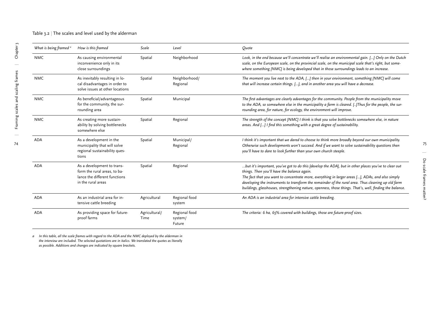# Table 3.2 | The scales and level used by the alderman

| What is being framed a | How is this framed                                                                                                | Scale                 | Level                              | Quote                                                                                                                                                                                                                                                                                                                                                                                                                                                                     |
|------------------------|-------------------------------------------------------------------------------------------------------------------|-----------------------|------------------------------------|---------------------------------------------------------------------------------------------------------------------------------------------------------------------------------------------------------------------------------------------------------------------------------------------------------------------------------------------------------------------------------------------------------------------------------------------------------------------------|
| <b>NMC</b>             | As causing environmental<br>inconvenience only in its<br>close surroundings                                       | Spatial               | Neighborhood                       | Look, in the end because we'll concentrate we'll realise an environmental gain. [] Only on the Dutch<br>scale, on the European scale, on the provincial scale, on the municipal scale that's right, but some-<br>where something [NMC] is being developed that in those surroundings leads to an increase.                                                                                                                                                                |
| <b>NMC</b>             | As inevitably resulting in lo-<br>cal disadvantages in order to<br>solve issues at other locations                | Spatial               | Neighborhood/<br>Regional          | The moment you live next to the ADA, [] then in your environment, something [NMC] will come<br>that will increase certain things. [], and in another area you will have a decrease.                                                                                                                                                                                                                                                                                       |
| <b>NMC</b>             | As beneficial/advantageous<br>for the community, the sur-<br>rounding area                                        | Spatial               | Municipal                          | The first advantages are clearly advantages for the community. People from the municipality move<br>to the ADA, so somewhere else in the municipality a farm is cleared. []Thus for the people, the sur-<br>rounding area, for nature, for ecology, the environment will improve.                                                                                                                                                                                         |
| <b>NMC</b>             | As creating more sustain-<br>ability by solving bottlenecks<br>somewhere else                                     | Spatial               | Regional                           | The strength of the concept [NMC] I think is that you solve bottlenecks somewhere else, in nature<br>areas. And [] I find this something with a great degree of sustainability.                                                                                                                                                                                                                                                                                           |
| <b>ADA</b>             | As a development in the<br>municipality that will solve<br>regional sustainability ques-<br>tions                 | Spatial               | Municipal/<br>Regional             | I think it's important that we dared to choose to think more broadly beyond our own municipality.<br>Otherwise such developments won't succeed. And if we want to solve sustainability questions then<br>you'll have to dare to look further than your own church steeple.                                                                                                                                                                                                |
| <b>ADA</b>             | As a development to trans-<br>form the rural areas, to ba-<br>lance the different functions<br>in the rural areas | Spatial               | Regional                           | but it's important, you've got to do this [develop the ADA], but in other places you've to clear out<br>things. Then you'll have the balance again.<br>The fact that you want to concentrate more, everything in larger areas [], ADAs, and also simply<br>developing the instruments to transform the remainder of the rural area. Thus cleaning up old farm<br>buildings, glasshouses, strengthening nature, openness, those things. That's, well, finding the balance. |
| <b>ADA</b>             | As an industrial area for in-<br>tensive cattle breeding                                                          | Agricultural          | Regional food<br>system            | An ADA is an industrial area for intensive cattle breeding.                                                                                                                                                                                                                                                                                                                                                                                                               |
| <b>ADA</b>             | As providing space for future-<br>proof farms                                                                     | Agricultural/<br>Time | Regional food<br>system/<br>Future | The criteria: 6 ha, 65% covered with buildings, those are future-proof sizes.                                                                                                                                                                                                                                                                                                                                                                                             |

*a In this table, all the scale frames with regard to the ADA and the NMC deployed by the alderman in the interview are included. The selected quotations are in italics. We translated the quotes as literally as possible. Additions and changes are indicated by square brackets.*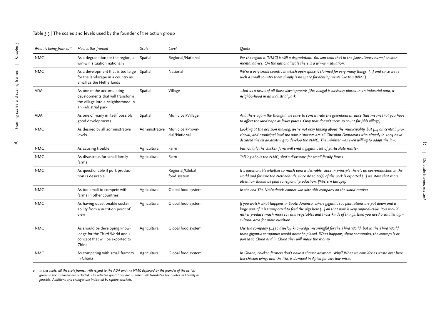# Table 3.3 | The scales and levels used by the founder of the action group

| What is being framed a | How is this framed                                                                                                         | Scale        | Level                                             | Quote                                                                                                                                                                                                                                                                                                                                                 |
|------------------------|----------------------------------------------------------------------------------------------------------------------------|--------------|---------------------------------------------------|-------------------------------------------------------------------------------------------------------------------------------------------------------------------------------------------------------------------------------------------------------------------------------------------------------------------------------------------------------|
| <b>NMC</b>             | As a degradation for the region, a<br>win-win situation nationally                                                         | Spatial      | Regional/National                                 | For the region it [NMC] is still a degradation. You can read that in the [consultancy name] environ-<br>mental advice. On the national scale there is a win-win situation.                                                                                                                                                                            |
| <b>NMC</b>             | As a development that is too large Spatial<br>for the landscape in a country as<br>small as the Netherlands                |              | National                                          | We're a very small country in which open space is claimed for very many things, [] and since we're<br>such a small country there simply is no space for developments like this [NMC].                                                                                                                                                                 |
| ADA                    | As one of the accumulating<br>developments that will transform<br>the village into a neighborhood in<br>an industrial park | Spatial      | Village                                           | but as a result of all those developments [the village] is basically placed in an industrial park, a<br>neighborhood in an industrial park.                                                                                                                                                                                                           |
| <b>ADA</b>             | As one of many in itself possibly<br>good developments                                                                     | Spatial      | Municipal/Village                                 | And there again the thought: we have to concentrate the greenhouses, since that means that you have<br>to affect the landscape at fewer places. Only that doesn't seem to count for [this village].                                                                                                                                                   |
| <b>NMC</b>             | As desired by all administrative<br>levels                                                                                 |              | Administrative Municipal/Provin-<br>cial/National | Looking at the decision making, we're not only talking about the municipality, but [] on central, pro-<br>vincial, and municipal level the administrators are all Christian Democrats who already in 2003 have<br>declared they'll do anything to develop the NMC. The minister was even willing to adapt the law.                                    |
| <b>NMC</b>             | As causing trouble                                                                                                         | Agricultural | Farm                                              | Particularly the chicken farm will emit a gigantic lot of particulate matter.                                                                                                                                                                                                                                                                         |
| NMC                    | As disastrous for small family<br>farms                                                                                    | Agricultural | Farm                                              | Talking about the NMC, that's disastrous for small family farms.                                                                                                                                                                                                                                                                                      |
| <b>NMC</b>             | As questionable if pork produc-<br>tion is desirable                                                                       |              | Regional/Global<br>food system                    | It's questionable whether so much pork is desirable, since in principle there's an overproduction in the<br>world and for sure the Netherlands, since 80 to 90% of the pork is exported [] we state that more<br>attention should be paid to regional production. [Western Europe].                                                                   |
| <b>NMC</b>             | As too small to compete with<br>farms in other countries                                                                   | Agricultural | Global food system                                | In the end The Netherlands cannot win with this company on the world market.                                                                                                                                                                                                                                                                          |
| <b>NMC</b>             | As having questionable sustain-<br>ability from a nutrition point of<br>view                                               | Agricultural | Global food system                                | If you watch what happens in South America, where gigantic soy plantations are put down and a<br>large part of it is transported to feed the pigs here [] all that pork is very unproductive. You should<br>rather produce much more soy and vegetables and those kinds of things, then you need a smaller agri-<br>cultural area for more nutrition. |
| <b>NMC</b>             | As should be developing know-<br>ledge for the Third World and a<br>concept that will be exported to<br>China              | Agricultural | Global food system                                | Use the company [] to develop knowledge meaningful for the Third World, but in the Third World<br>these gigantic companies would never be placed. What happens, these companies, the concept is ex-<br>ported to China and in China they will make the money.                                                                                         |
| <b>NMC</b>             | As competing with small farmers<br>in Ghana                                                                                | Agricultural | Global food system                                | In Ghana, chicken farmers don't have a chance anymore. Why? What we consider as waste over here,<br>the chicken wings and the like, is dumped in Africa for very low prices.                                                                                                                                                                          |

*a In this table, all the scale frames with regard to the ADA and the NMC deployed by the founder of the action group in the interview are included. The selected quotations are in italics. We translated the quotes as literally as possible. Additions and changes are indicated by square brackets.*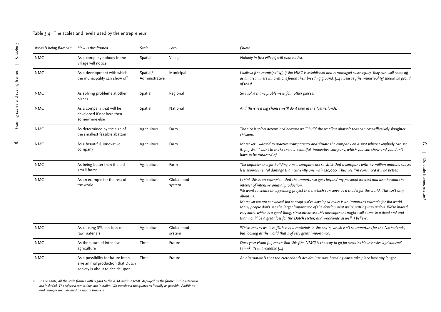# Table 3.4 | The scales and levels used by the entrepreneur

| What is being framed a | How is this framed                                                                                         | Scale                      | Level                 | Quote                                                                                                                                                                                                                                                                                                                                                                                                                                                                                                                                                                                                                                                                                   |
|------------------------|------------------------------------------------------------------------------------------------------------|----------------------------|-----------------------|-----------------------------------------------------------------------------------------------------------------------------------------------------------------------------------------------------------------------------------------------------------------------------------------------------------------------------------------------------------------------------------------------------------------------------------------------------------------------------------------------------------------------------------------------------------------------------------------------------------------------------------------------------------------------------------------|
| <b>NMC</b>             | As a company nobody in the<br>village will notice                                                          | Spatial                    | Village               | Nobody in [the village] will even notice.                                                                                                                                                                                                                                                                                                                                                                                                                                                                                                                                                                                                                                               |
| <b>NMC</b>             | As a development with which<br>the municipality can show off                                               | Spatial/<br>Administrative | Municipal             | I believe [the municipality], if the NMC is established and is managed successfully, they can well show off<br>as an area where innovations found their breeding ground, [] I believe [the municipality] should be proud<br>of that!                                                                                                                                                                                                                                                                                                                                                                                                                                                    |
| <b>NMC</b>             | As solving problems at other<br>places                                                                     | Spatial                    | Regional              | So I solve many problems in four other places.                                                                                                                                                                                                                                                                                                                                                                                                                                                                                                                                                                                                                                          |
| NMC                    | As a company that will be<br>developed if not here then<br>somewhere else                                  | Spatial                    | National              | And there is a big chance we'll do it here in the Netherlands.                                                                                                                                                                                                                                                                                                                                                                                                                                                                                                                                                                                                                          |
| <b>NMC</b>             | As determined by the size of<br>the smallest feasible abattoir                                             | Agricultural               | Farm                  | The size is solely determined because we'll build the smallest abattoir that can cost-effectively slaughter<br>chickens.                                                                                                                                                                                                                                                                                                                                                                                                                                                                                                                                                                |
| <b>NMC</b>             | As a beautiful, innovative<br>company                                                                      | Agricultural               | Farm                  | Moreover I wanted to practice transparency and situate the company on a spot where everybody can see<br>it. [] Well I want to make there a beautiful, innovative company, which you can show and you don't<br>have to be ashamed of.                                                                                                                                                                                                                                                                                                                                                                                                                                                    |
| <b>NMC</b>             | As being better than the old<br>small farms                                                                | Agricultural               | Farm                  | The requirements for building a new company are so strict that a company with 1.2 million animals causes<br>less environmental damage than currently one with 120,000. Thus yes I'm convinced it'll be better.                                                                                                                                                                                                                                                                                                                                                                                                                                                                          |
| <b>NMC</b>             | As an example for the rest of<br>the world                                                                 | Agricultural               | Global food<br>system | I think this is an example that the importance goes beyond my personal interest and also beyond the<br>interest of intensive animal production.<br>We want to create an appealing project there, which can serve as a model for the world. This isn't only<br>about us.<br>Moreover we are convinced the concept we've developed really is an important example for the world.<br>Many people don't see the larger importance of the development we're putting into action. We're indeed<br>very early, which is a good thing, since otherwise this development might well come to a dead end and<br>that would be a great loss for the Dutch sector, and worldwide as well, I believe. |
| <b>NMC</b>             | As causing 5% less loss of<br>raw materials                                                                | Agricultural               | Global food<br>system | Which means we lose 5% less raw materials in the chain, which isn't so important for the Netherlands,<br>but looking at the world that's of very great importance.                                                                                                                                                                                                                                                                                                                                                                                                                                                                                                                      |
| <b>NMC</b>             | As the future of intensive<br>agriculture                                                                  | Time                       | Future                | Does your vision [] mean that this [the NMC] is the way to go for sustainable intensive agriculture?<br>I think it's unavoidable $[]$                                                                                                                                                                                                                                                                                                                                                                                                                                                                                                                                                   |
| <b>NMC</b>             | As a possibility for future inten-<br>sive animal production that Dutch<br>society is about to decide upon | Time                       | Future                | An alternative is that the Netherlands decides intensive breeding can't take place here any longer.                                                                                                                                                                                                                                                                                                                                                                                                                                                                                                                                                                                     |

*a In this table, all the scale frames with regard to the ADA and the NMC deployed by the farmer in the interview are included. The selected quotations are in italics. We translated the quotes as literally as possible. Additions and changes are indicated by square brackets.*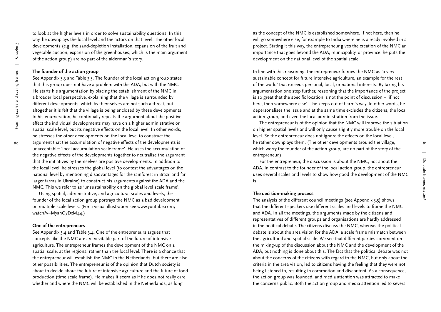to look at the higher levels in order to solve sustainability questions. In this way, he downplays the local level and the actors on that level. The other local developments (e.g. the sand-depletion installation, expansion of the fruit and vegetable auction, expansion of the greenhouses, which is the main argument of the action group) are no part of the alderman's story.

#### **The founder of the action group**

 $_{8{\rm o}}$  argument that the accumulation of negative effects of the developments is  $_{8{\rm 1}}$  he rather downplays them. (The other developments around the village,  $_{8{\rm 1}}$ See Appendix 3.3 and Table 3.3. The founder of the local action group states that this group does not have a problem with the ADA, but with the NMC. He starts his argumentation by placing the establishment of the NMC in a broader local perspective, explaining that the village is surrounded by different developments, which by themselves are not such a threat, but altogether it is felt that the village is being enclosed by these developments. In his enumeration, he continually repeats the argument about the positive effect the individual developments may have on a higher administrative or spatial scale level, but its negative effects on the local level. In other words, he stresses the other developments on the local level to construct the unacceptable: 'local accumulation scale frame'. He uses the accumulation of the negative effects of the developments together to neutralise the argument that the initiatives by themselves are positive developments. In addition to the local level, he stresses the global level (to contest the advantages on the national level by mentioning disadvantages for the rainforest in Brazil and far larger farms in Ukraine) to construct his arguments against the ADA and the NMC. This we refer to as 'unsustainability on the global level scale frame'.

Using spatial, administrative, and agricultural scales and levels, the founder of the local action group portrays the NMC as a bad development on multiple scale levels. (For a visual illustration see www.youtube.com/ watch?v=MyahOyDxM44.)

#### **One of the entrepreneurs**

See Appendix 3.4 and Table 3.4. One of the entrepreneurs argues that concepts like the NMC are an inevitable part of the future of intensive agriculture. The entrepreneur frames the development of the NMC on a spatial scale, at the regional rather than the local level. There is a chance that the entrepreneur will establish the NMC in the Netherlands, but there are also other possibilities. The entrepreneur is of the opinion that Dutch society is about to decide about the future of intensive agriculture and the future of food production (time scale frame). He makes it seem as if he does not really care whether and where the NMC will be established in the Netherlands, as long

as the concept of the NMC is established somewhere. If not here, then he will go somewhere else, for example to India where he is already involved in a project. Stating it this way, the entrepreneur gives the creation of the NMC an importance that goes beyond the ADA, municipality, or province: he puts the development on the national level of the spatial scale.

In line with this reasoning, the entrepreneur frames the NMC as 'a very sustainable concept for future intensive agriculture, an example for the rest of the world' that exceeds personal, local, or national interests. By taking his argumentation one step further, reasoning that the importance of the project is so great that the specific location is not the point of discussion – 'if not here, then somewhere else' – he keeps out of harm's way. In other words, he depersonalises the issue and at the same time excludes the citizens, the local action group, and even the local administration from the issue.

The entrepreneur is of the opinion that the NMC will improve the situation on higher spatial levels and will only cause slightly more trouble on the local level. So the entrepreneur does not ignore the effects on the local level, he rather downplays them. (The other developments around the village, which worry the founder of the action group, are no part of the story of the entrepreneur.)

For the entrepreneur, the discussion is about the NMC, not about the ADA. In contrast to the founder of the local action group, the entrepreneur uses several scales and levels to show how good the development of the NMC is.

#### **The decision-making process**

The analysis of the different council meetings (see Appendix 3.5) shows that the different speakers use different scales and levels to frame the NMC and ADA. In all the meetings, the arguments made by the citizens and representatives of different groups and organisations are hardly addressed in the political debate. The citizens discuss the NMC, whereas the political debate is about the area vision for the ADA: a scale frame mismatch between the agricultural and spatial scale. We see that different parties comment on the mixing-up of the discussion about the NMC and the development of the ADA, but nothing is done about this. The fact that the political debate was not about the concerns of the citizens with regard to the NMC, but only about the criteria in the area vision, led to citizens having the feeling that they were not being listened to, resulting in commotion and discontent. As a consequence, the action group was founded, and media attention was attracted to make the concerns public. Both the action group and media attention led to several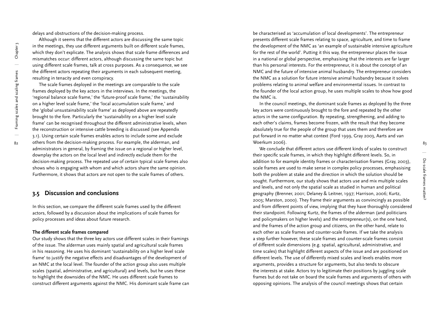delays and obstructions of the decision-making process.

Although it seems that the different actors are discussing the same topic in the meetings, they use different arguments built on different scale frames, which they don't explicate. The analysis shows that scale frame differences and mismatches occur: different actors, although discussing the same topic but using different scale frames, talk at cross purposes. As a consequence, we see the different actors repeating their arguments in each subsequent meeting, resulting in tenacity and even conspiracy.

 $_{82}$  others from the decision-making process. For example, the alderman, and  $_{83}$ The scale frames deployed in the meetings are comparable to the scale frames deployed by the key actors in the interviews. In the meetings, the 'regional balance scale frame,' the 'future-proof scale frame,' the 'sustainability on a higher level scale frame,' the 'local accumulation scale frame,' and the 'global unsustainability scale frame' as deployed above are repeatedly brought to the fore. Particularly the 'sustainability on a higher level scale frame' can be recognised throughout the different administrative levels, when the reconstruction or intensive cattle breeding is discussed (see Appendix 3.1). Using certain scale frames enables actors to include some and exclude administrators in general, by framing the issue on a regional or higher level, downplay the actors on the local level and indirectly exclude them for the decision-making process. The repeated use of certain typical scale frames also shows who is engaging with whom and which actors share the same opinion. Furthermore, it shows that actors are not open to the scale frames of others.

# **3.5 Discussion and conclusions**

In this section, we compare the different scale frames used by the different actors, followed by a discussion about the implications of scale frames for policy processes and ideas about future research.

#### **The different scale frames compared**

Our study shows that the three key actors use different scales in their framings of the issue. The alderman uses mainly spatial and agricultural scale frames in his reasoning. He uses his dominant 'sustainability on a higher level scale frame' to justify the negative effects and disadvantages of the development of an NMC at the local level. The founder of the action group also uses multiple scales (spatial, administrative, and agricultural) and levels, but he uses these to highlight the downsides of the NMC. He uses different scale frames to construct different arguments against the NMC. His dominant scale frame can

be characterised as 'accumulation of local developments'. The entrepreneur presents different scale frames relating to space, agriculture, and time to frame the development of the NMC as 'an example of sustainable intensive agriculture for the rest of the world'. Putting it this way, the entrepreneur places the issue in a national or global perspective, emphasising that the interests are far larger than his personal interests. For the entrepreneur, it is about the concept of an NMC and the future of intensive animal husbandry. The entrepreneur considers the NMC as a solution for future intensive animal husbandry because it solves problems relating to animal welfare and environmental issues. In contrast to the founder of the local action group, he uses multiple scales to show how good the NMC is.

In the council meetings, the dominant scale frames as deployed by the three key actors were continuously brought to the fore and repeated by the other actors in the same configuration. By repeating, strengthening, and adding to each other's claims, frames become frozen, with the result that they become absolutely true for the people of the group that uses them and therefore are put forward in no matter what context (Ford 1999, Gray 2003, Aarts and van Woerkum 2006).

We conclude that different actors use different kinds of scales to construct their specific scale frames, in which they highlight different levels. So, in addition to for example identity frames or characterisation frames (Gray, 2003), scale frames are used to make sense in complex policy processes, emphasising both the problem at stake and the direction in which the solution should be sought. Furthermore, our study shows that actors use and mix multiple scales and levels, and not only the spatial scale as studied in human and political geography (Brenner, 2001; Delaney & Leitner, 1997; Harrison, 2006; Kurtz, 2003; Marston, 2000). They frame their arguments as convincingly as possible and from different points of view, implying that they have thoroughly considered their standpoint. Following Kurtz, the frames of the alderman (and politicians and policymakers on higher levels) and the entrepreneur(s), on the one hand, and the frames of the action group and citizens, on the other hand, relate to each other as scale frames and counter-scale frames. If we take the analysis a step further however, these scale frames and counter-scale frames consist of different scale dimensions (e.g. spatial, agricultural, administrative, and time scales) that highlight different aspects of the issue and are positioned on different levels. The use of differently mixed scales and levels enables more arguments, provides a structure for arguments, but also tends to obscure the interests at stake. Actors try to legitimate their positions by juggling scale frames but do not take on board the scale frames and arguments of others with opposing opinions. The analysis of the council meetings shows that certain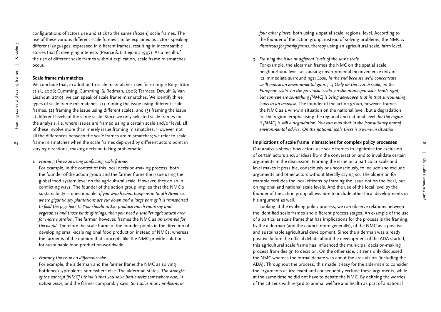configurations of actors use and stick to the same (frozen) scale frames. The use of these various different scale frames can be explained as actors speaking different languages, expressed in different frames, resulting in incompatible stories that fit diverging interests (Pearce & Littlejohn, 1997). As a result of the use of different scale frames without explication, scale frame mismatches occur.

#### **Scale frame mismatches**

 $_{84}$  frame mismatches when the scale frames deployed by different actors point in  $_{85}$ We conclude that, in addition to scale mismatches (see for example Borgström et al., 2006; Cumming, Cumming, & Redman, 2006; Termeer, Dewulf, & Van Lieshout, 2010), we can speak of scale frame mismatches. We identify three types of scale frame mismatches: (1) framing the issue using different scale frames, (2) framing the issue using different scales, and (3) framing the issue at different levels of the same scale. Since we only selected scale frames for the analysis, i.e. where issues are framed using a certain scale and/or level, all of these involve more than merely issue framing mismatches. However, not all the differences between the scale frames are mismatches; we refer to scale frame mismatches when the scale frames deployed by different actors point in varying directions, making decision taking problematic.

#### *1. Framing the issue using conflicting scale frames*

For example, in the context of this local decision-making process, both the founder of the action group and the farmer frame the issue using the global food system level on the agricultural scale. However, they do so in conflicting ways. The founder of the action group implies that the NMC's sustainability is questionable: *If you watch what happens in South America, where gigantic soy plantations are cut down and a large part of it is transported to feed the pigs here […]You should rather produce much more soy and vegetables and those kinds of things, then you need a smaller agricultural area for more nutrition*. The farmer, however, frames the NMC as *an example for the world*. Therefore the scale frame of the founder points in the direction of developing small-scale regional food production instead of NMCs, whereas the farmer is of the opinion that concepts like the NMC provide solutions for sustainable food production worldwide.

#### *2. Framing the issue on different scales*

For example, the alderman and the farmer frame the NMC as solving bottlenecks/problems somewhere else. The alderman states: *The strength of the concept [NMC] I think is that you solve bottlenecks somewhere else, in nature areas,* and the farmer comparably says: *So I solve many problems in* 

*four other places,* both using a spatial scale, regional level. According to the founder of the action group, instead of solving problems, the NMC *is disastrous for family farms,* thereby using an agricultural scale, farm level.

*3. Framing the issue at different levels of the same scale* 

For example, the alderman frames the NMC on the spatial scale, neighborhood level, as causing environmental inconvenience only in its immediate surroundings: *Look, in the end because we'll concentrate we'll realise an environmental gain. […] Only on the Dutch scale, on the European scale, on the provincial scale, on the municipal scale that's right, but somewhere something [NMC] is being developed that in that surrounding leads to an increase.* The founder of the action group, however, frames the NMC as a win-win situation on the national level, but a degradation for the region, emphasising the regional and national level: *for the region it [NMC] is still a degradation. You can read that in the [consultancy name] environmental advice. On the national scale there is a win-win situation.*

Our analysis shows how actors use scale frames to legitimise the exclusion of certain actors and/or ideas from the conversation and to invalidate certain arguments in the discussion. Framing the issue on a particular scale and level makes it possible, consciously or unconsciously, to include and exclude arguments and other actors without literally saying so. The alderman for example excludes the local citizens by framing the issue not on the local, but on regional and national scale levels. And the use of the local level by the founder of the action group allows him to include other local developments in his argument as well.

Looking at the evolving policy process, we can observe relations between the identified scale frames and different process stages. An example of the use of a particular scale frame that has implications for the process is the framing, by the alderman (and the council more generally), of the NMC as a positive and sustainable agricultural development. Since the alderman was already positive before the official debate about the development of the ADA started, this agricultural scale frame has influenced the municipal decision-making process from design to decision. On the other side, citizens only discussed the NMC whereas the formal debate was about the area vision (including the ADA). Throughout the process, this made it easy for the alderman to consider the arguments as irrelevant and consequently exclude these arguments, while at the same time he did not have to debate the NMC. By defining the worries of the citizens with regard to animal welfare and health as part of a national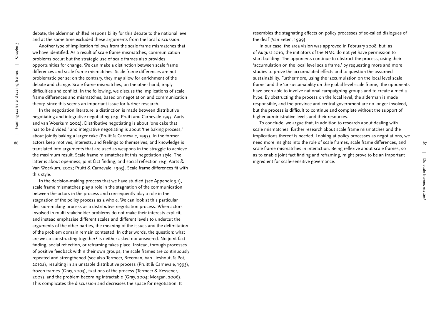debate, the alderman shifted responsibility for this debate to the national level and at the same time excluded these arguments from the local discussion.

Another type of implication follows from the scale frame mismatches that we have identified. As a result of scale frame mismatches, communication problems occur; but the strategic use of scale frames also provides opportunities for change. We can make a distinction between scale frame differences and scale frame mismatches. Scale frame differences are not problematic per se; on the contrary, they may allow for enrichment of the debate and change. Scale frame mismatches, on the other hand, imply difficulties and conflict. In the following, we discuss the implications of scale frame differences and mismatches, based on negotiation and communication theory, since this seems an important issue for further research.

 $_{86}$  actors keep motives, interests, and feelings to themselves, and knowledge is  $_{87}$  reed more insights into the role of scale frames, scale frame differences, and  $_{87}$ In the negotiation literature, a distinction is made between distributive negotiating and integrative negotiating (e.g. Pruitt and Carnevale 1993, Aarts and van Woerkum 2002). Distributive negotiating is about 'one cake that has to be divided,' and integrative negotiating is about 'the baking process,' about jointly baking a larger cake (Pruitt & Carnevale, 1993). In the former, actors keep motives, interests, and feelings to themselves, and knowledge is translated into arguments that are used as weapons in the struggle to achieve the maximum result. Scale frame mismatches fit this negotiation style. The latter is about openness, joint fact finding, and social reflection (e.g. Aarts & Van Woerkum, 2002; Pruitt & Carnevale, 1993). Scale frame differences fit with this style.

In the decision-making process that we have studied (see Appendix 3.1), scale frame mismatches play a role in the stagnation of the communication between the actors in the process and consequently play a role in the stagnation of the policy process as a whole. We can look at this particular decision-making process as a distributive negotiation process. When actors involved in multi-stakeholder problems do not make their interests explicit, and instead emphasise different scales and different levels to undercut the arguments of the other parties, the meaning of the issues and the delimitation of the problem domain remain contested. In other words, the question: what are we co-constructing together? is neither asked nor answered. No joint fact finding, social reflection, or reframing takes place. Instead, through processes of positive feedback within their own groups, the scale frames are continuously repeated and strengthened (see also Termeer, Breeman, Van Lieshout, & Pot, 2010a), resulting in an unstable distributive process (Pruitt & Carnevale, 1993), frozen frames (Gray, 2003), fixations of the process (Termeer & Kessener, 2007), and the problem becoming intractable (Gray, 2004; Morgan, 2006). This complicates the discussion and decreases the space for negotiation. It

resembles the stagnating effects on policy processes of so-called dialogues of the deaf (Van Eeten, 1999).

In our case, the area vision was approved in February 2008, but, as of August 2010, the initiators of the NMC do not yet have permission to start building. The opponents continue to obstruct the process, using their 'accumulation on the local level scale frame,' by requesting more and more studies to prove the accumulated effects and to question the assumed sustainability. Furthermore, using the 'accumulation on the local level scale frame' and the 'unsustainability on the global level scale frame,' the opponents have been able to involve national campaigning groups and to create a media hype. By obstructing the process on the local level, the alderman is made responsible, and the province and central government are no longer involved, but the process is difficult to continue and complete without the support of higher administrative levels and their resources.

To conclude, we argue that, in addition to research about dealing with scale mismatches, further research about scale frame mismatches and the implications thereof is needed. Looking at policy processes as negotiations, we scale frame mismatches in interaction. Being reflexive about scale frames, so as to enable joint fact finding and reframing, might prove to be an important ingredient for scale-sensitive governance.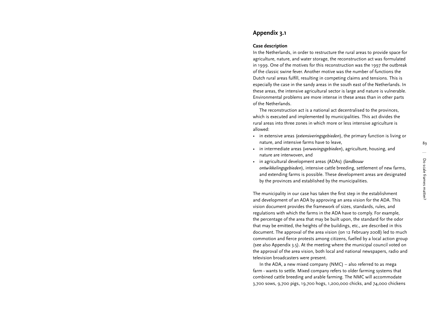# **Appendix 3.1**

#### **Case description**

In the Netherlands, in order to restructure the rural areas to provide space for agriculture, nature, and water storage, the reconstruction act was formulated in 1999. One of the motives for this reconstruction was the 1997 the outbreak of the classic swine fever. Another motive was the number of functions the Dutch rural areas fulfill, resulting in competing claims and tensions. This is especially the case in the sandy areas in the south east of the Netherlands. In these areas, the intensive agricultural sector is large and nature is vulnerable. Environmental problems are more intense in these areas than in other parts of the Netherlands.

The reconstruction act is a national act decentralised to the provinces, which is executed and implemented by municipalities. This act divides the rural areas into three zones in which more or less intensive agriculture is allowed:

- in extensive areas (*extensiveringsgebieden*), the primary function is living or nature, and intensive farms have to leave,
- in intermediate areas (*verwevingsgebieden*), agriculture, housing, and nature are interwoven, and
- in agricultural development areas (ADAs) (*landbouw ontwikkelingsgebieden*), intensive cattle breeding, settlement of new farms, and extending farms is possible. These development areas are designated by the provinces and established by the municipalities.

The municipality in our case has taken the first step in the establishment and development of an ADA by approving an area vision for the ADA. This vision document provides the framework of sizes, standards, rules, and regulations with which the farms in the ADA have to comply. For example, the percentage of the area that may be built upon, the standard for the odor that may be emitted, the heights of the buildings, etc., are described in this document. The approval of the area vision (on 12 February 2008) led to much commotion and fierce protests among citizens, fuelled by a local action group (see also Appendix 3.5). At the meeting where the municipal council voted on the approval of the area vision, both local and national newspapers, radio and television broadcasters were present.

In the ADA, a new mixed company (NMC) – also referred to as mega farm - wants to settle. Mixed company refers to older farming systems that combined cattle breeding and arable farming. The NMC will accommodate 3,700 sows, 9,700 pigs, 19,700 hogs, 1,200,000 chicks, and 74,000 chickens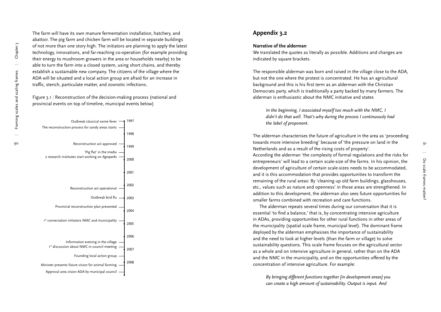The farm will have its own manure fermentation installation, hatchery, and abattoir. The pig farm and chicken farm will be located in separate buildings of not more than one story high. The initiators are planning to apply the latest technology, innovations, and far-reaching co-operation (for example providing their energy to mushroom growers in the area or households nearby) to be able to turn the farm into a closed system, using short chains, and thereby establish a sustainable new company. The citizens of the village where the ADA will be situated and a local action group are afraid for an increase in traffic, stench, particulate matter, and zoonotic infections.

Figure 3.1 | Reconstruction of the decision-making process (national and provincial events on top of timeline, municipal events below)



# **Appendix 3.2**

#### **Narrative of the alderman**

We translated the quotes as literally as possible. Additions and changes are indicated by square brackets.

The responsible alderman was born and raised in the village close to the ADA, but not the one where the protest is concentrated. He has an agricultural background and this is his first term as an alderman with the Christian Democrats party, which is traditionally a party backed by many farmers. The alderman is enthusiastic about the NMC initiative and states

*In the beginning, I associated myself too much with the NMC, I didn't do that well. That's why during the process I continuously had the label of proponent.* 

go and the pressure on land in the seconstruction act approved  $-$  . The seconstruction act approved  $-$  . The seconstruction act approved  $-$  . The seconstruction act approved  $-$  . The seconstruction act approved  $-$  . T The alderman characterises the future of agriculture in the area as 'proceeding Netherlands and as a result of the rising costs of property'.

> According the alderman 'the complexity of formal regulations and the risks for entrepreneurs' will lead to a certain scale-size of the farms. In his opinion, the development of agriculture of certain scale-sizes needs to be accommodated, and it is this accommodation that provides opportunities to transform the remaining of the rural areas: By 'cleaning up old farm buildings, glasshouses, etc., values such as nature and openness' in those areas are strengthened. In addition to this development, the alderman also sees future opportunities for smaller farms combined with recreation and care functions.

The alderman repeats several times during our conversation that it is essential 'to find a balance,' that is, by concentrating intensive agriculture in ADAs, providing opportunities for other rural functions in other areas of the municipality (spatial scale frame, municipal level). The dominant frame deployed by the alderman emphasises the importance of sustainability and the need to look at higher levels (than the farm or village) to solve sustainability questions. This scale frame focuses on the agricultural sector as a whole and on intensive agriculture in general, rather than on the ADA and the NMC in the municipality, and on the opportunities offered by the concentration of intensive agriculture. For example:

*By bringing different functions together [in development areas] you can create a high amount of sustainability. Output is input. And*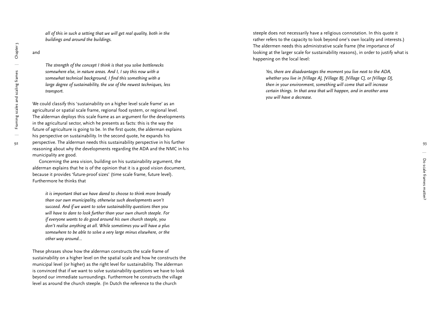*all of this in such a setting that we will get real quality, both in the buildings and around the buildings.*

and

*The strength of the concept I think is that you solve bottlenecks somewhere else, in nature areas. And I, I say this now with a somewhat technical background, I find this something with a large degree of sustainability, the use of the newest techniques, less transport.* 

 $_{\rm 92}$  perspective. The alderman needs this sustainability perspective in his further  $_{\rm 93}$ We could classify this 'sustainability on a higher level scale frame' as an agricultural or spatial scale frame, regional food system, or regional level. The alderman deploys this scale frame as an argument for the developments in the agricultural sector, which he presents as facts: this is the way the future of agriculture is going to be. In the first quote, the alderman explains his perspective on sustainability. In the second quote, he expands his reasoning about why the developments regarding the ADA and the NMC in his municipality are good.

Concerning the area vision, building on his sustainability argument, the alderman explains that he is of the opinion that it is a good vision document, because it provides 'future-proof sizes' (time scale frame, future level). Furthermore he thinks that

*it is important that we have dared to choose to think more broadly than our own municipality, otherwise such developments won't succeed. And if we want to solve sustainability questions then you will have to dare to look further than your own church steeple. For if everyone wants to do good around his own church steeple, you don't realise anything at all. While sometimes you will have a plus somewhere to be able to solve a very large minus elsewhere, or the other way around…*

These phrases show how the alderman constructs the scale frame of sustainability on a higher level on the spatial scale and how he constructs the municipal level (or higher) as the right level for sustainability. The alderman is convinced that if we want to solve sustainability questions we have to look beyond our immediate surroundings. Furthermore he constructs the village level as around the church steeple. (In Dutch the reference to the church

steeple does not necessarily have a religious connotation. In this quote it rather refers to the capacity to look beyond one's own locality and interests.) The aldermen needs this administrative scale frame (the importance of looking at the larger scale for sustainability reasons), in order to justify what is happening on the local level:

*Yes, there are disadvantages the moment you live next to the ADA, whether you live in [Village A], [Village B], [Village C], or [Village D], then in your environment, something will come that will increase certain things. In that area that will happen, and in another area you will have a decrease.*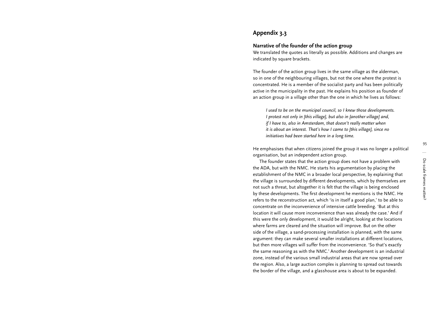# **Appendix 3.3**

#### **Narrative of the founder of the action group**

We translated the quotes as literally as possible. Additions and changes are indicated by square brackets.

The founder of the action group lives in the same village as the alderman, so in one of the neighbouring villages, but not the one where the protest is concentrated. He is a member of the socialist party and has been politically active in the municipality in the past. He explains his position as founder of an action group in a village other than the one in which he lives as follows:

*I used to be on the municipal council, so I knew those developments. I protest not only in [this village], but also in [another village] and, if I have to, also in Amsterdam, that doesn't really matter when it is about an interest. That's how I came to [this village], since no initiatives had been started here in a long time.*

He emphasises that when citizens joined the group it was no longer a political organisation, but an independent action group.

The founder states that the action group does not have a problem with the ADA, but with the NMC. He starts his argumentation by placing the establishment of the NMC in a broader local perspective, by explaining that the village is surrounded by different developments, which by themselves are not such a threat, but altogether it is felt that the village is being enclosed by these developments. The first development he mentions is the NMC. He refers to the reconstruction act, which 'is in itself a good plan,' to be able to concentrate on the inconvenience of intensive cattle breeding. 'But at this location it will cause more inconvenience than was already the case.' And if this were the only development, it would be alright, looking at the locations where farms are cleared and the situation will improve. But on the other side of the village, a sand-processing installation is planned, with the same argument: they can make several smaller installations at different locations, but then more villages will suffer from the inconvenience. 'So that's exactly the same reasoning as with the NMC.' Another development is an industrial zone, instead of the various small industrial areas that are now spread over the region. Also, a large auction complex is planning to spread out towards the border of the village, and a glasshouse area is about to be expanded.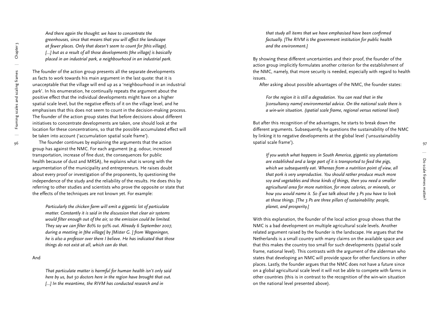*And there again the thought: we have to concentrate the greenhouses, since that means that you will affect the landscape at fewer places. Only that doesn't seem to count for [this village]. […] but as a result of all those developments [the village] is basically placed in an industrial park, a neighbourhood in an industrial park.*

The founder of the action group presents all the separate developments as facts to work towards his main argument in the last quote: that it is unacceptable that the village will end up as a 'neighbourhood in an industrial park'. In his enumeration, he continually repeats the argument about the positive effect that the individual developments might have on a higher spatial scale level, but the negative effects of it on the village level, and he emphasises that this does not seem to count in the decision-making process. The founder of the action group states that before decisions about different initiatives to concentrate developments are taken, one should look at the location for these concentrations, so that the possible accumulated effect will be taken into account ('accumulation spatial scale frame').

 $_{96}$  The founder continues by explaining the arguments that the action  $_{97}$ group has against the NMC. For each argument (e.g. odour, increased transportation, increase of fine dust, the consequences for public health because of dust and MRSA), he explains what is wrong with the argumentation of the municipality and entrepreneurs. He raises doubt about every proof or investigation of the proponents, by questioning the independence of the study and the reliability of the results. He does this by referring to other studies and scientists who prove the opposite or state that the effects of the techniques are not known yet. For example:

*Particularly the chicken farm will emit a gigantic lot of particulate matter. Constantly it is said in the discussion that clear air systems would filter enough out of the air, so the emission could be limited. They say we can filter 80% to 90% out. Already 6 September 2007, during a meeting in [the village] by [Mister G. ] from Wageningen, he is also a professor over there I believe. He has indicated that those things do not exist at all, which can do that.*

And

*That particulate matter is harmful for human health isn't only said here by us, but 50 doctors here in the region have brought that out. […] In the meantime, the RIVM has conducted research and in* 

*that study all items that we have emphasised have been confirmed factually. [The RIVM is the government institution for public health and the environment.]*

By showing these different uncertainties and their proof, the founder of the action group implicitly formulates another criterion for the establishment of the NMC, namely, that more security is needed, especially with regard to health issues.

After asking about possible advantages of the NMC, the founder states:

*For the region it is still a degradation. You can read that in the [consultancy name] environmental advice. On the national scale there is a win-win situation. (spatial scale frame, regional versus national level)* 

But after this recognition of the advantages, he starts to break down the different arguments. Subsequently, he questions the sustainability of the NMC by linking it to negative developments at the global level ('unsustainability spatial scale frame')*.* 

*If you watch what happens in South America, gigantic soy plantations are established and a large part of it is transported to feed the pigs, which we subsequently eat. Whereas from a nutrition point of view, all that pork is very unproductive. You should rather produce much more soy and vegetables and those kinds of things, then you need a smaller agricultural area for more nutrition, for more calories, or minerals, or how you would name it. So if we talk about the 3 Ps you have to look at those things. [The 3 Ps are three pillars of sustainability: people, planet, and prosperity.]*

With this explanation, the founder of the local action group shows that the NMC is a bad development on multiple agricultural scale levels. Another related argument raised by the founder is the landscape. He argues that the Netherlands is a small country with many claims on the available space and that this makes the country too small for such developments (spatial scale frame, national level). This contrasts with the argument of the alderman who states that developing an NMC will provide space for other functions in other places. Lastly, the founder argues that the NMC does not have a future since on a global agricultural scale level it will not be able to compete with farms in other countries (this is in contrast to the recognition of the win-win situation on the national level presented above).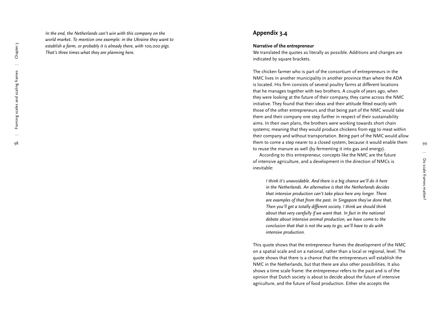*In the end, the Netherlands can't win with this company on the world market. To mention one example: in the Ukraine they want to establish a farm, or probably it is already there, with 100,000 pigs. That's three times what they are planning here.* 

# **Appendix 3.4**

#### **Narrative of the entrepreneur**

We translated the quotes as literally as possible. Additions and changes are indicated by square brackets.

98 99 them to come a step nearer to a closed system, because it would enable them The chicken farmer who is part of the consortium of entrepreneurs in the NMC lives in another municipality in another province than where the ADA is located. His firm consists of several poultry farms at different locations that he manages together with two brothers. A couple of years ago, when they were looking at the future of their company, they came across the NMC initiative. They found that their ideas and their attitude fitted exactly with those of the other entrepreneurs and that being part of the NMC would take them and their company one step further in respect of their sustainability aims. In their own plans, the brothers were working towards short chain systems; meaning that they would produce chickens from egg to meat within their company and without transportation. Being part of the NMC would allow to reuse the manure as well (by fermenting it into gas and energy).

> According to this entrepreneur, concepts like the NMC are the future of intensive agriculture, and a development in the direction of NMCs is inevitable:

*I think it's unavoidable. And there is a big chance we'll do it here in the Netherlands. An alternative is that the Netherlands decides that intensive production can't take place here any longer. There are examples of that from the past. In Singapore they've done that. Then you'll get a totally different society. I think we should think about that very carefully if we want that. In fact in the national debate about intensive animal production, we have come to the conclusion that that is not the way to go, we'll have to do with intensive production.*

This quote shows that the entrepreneur frames the development of the NMC on a spatial scale and on a national, rather than a local or regional, level. The quote shows that there is a chance that the entrepreneurs will establish the NMC in the Netherlands, but that there are also other possibilities. It also shows a time scale frame: the entrepreneur refers to the past and is of the opinion that Dutch society is about to decide about the future of intensive agriculture, and the future of food production. Either she accepts the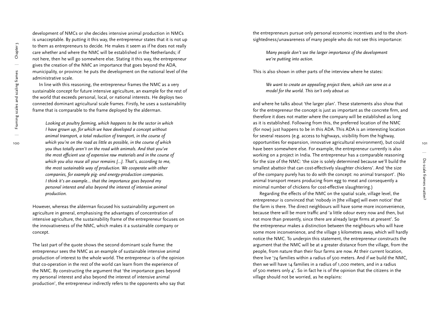development of NMCs or she decides intensive animal production in NMCs is unacceptable. By putting it this way, the entrepreneur states that it is not up to them as entrepreneurs to decide. He makes it seem as if he does not really care whether and where the NMC will be established in the Netherlands; if not here, then he will go somewhere else. Stating it this way, the entrepreneur gives the creation of the NMC an importance that goes beyond the ADA, municipality, or province: he puts the development on the national level of the administrative scale.

In line with this reasoning, the entrepreneur frames the NMC as a very sustainable concept for future intensive agriculture, an example for the rest of the world that exceeds personal, local, or national interests. He deploys two connected dominant agricultural scale frames. Firstly, he uses a sustainability frame that is comparable to the frame deployed by the alderman.

*Looking at poultry farming, which happens to be the sector in which I have grown up, for which we have developed a concept without animal transport, a total reduction of transport, in the course of which you're on the road as little as possible, in the course of which you thus totally aren't on the road with animals. And that you've the most efficient use of expensive raw materials and in the course of which you also reuse all your remains […]. That's, according to me, the most sustainable way of production. We cooperate with other companies, for example pig- and energy-production companies. I think it's an example… that the importance goes beyond my personal interest and also beyond the interest of intensive animal production.*

However, whereas the alderman focused his sustainability argument on agriculture in general, emphasising the advantages of concentration of intensive agriculture, the sustainability frame of the entrepreneur focuses on the innovativeness of the NMC, which makes it a sustainable company or concept.

The last part of the quote shows the second dominant scale frame: the entrepreneur sees the NMC as an example of sustainable intensive animal production of interest to the whole world. The entrepreneur is of the opinion that co-operation in the rest of the world can learn from the experience of the NMC. By constructing the argument that 'the importance goes beyond my personal interest and also beyond the interest of intensive animal production', the entrepreneur indirectly refers to the opponents who say that the entrepreneurs pursue only personal economic incentives and to the shortsightedness/unawareness of many people who do not see this importance:

*Many people don't see the larger importance of the development we're putting into action.*

This is also shown in other parts of the interview where he states:

*We want to create an appealing project there, which can serve as a model for the world. This isn't only about us*

100 101 opportunities for expansion, innovative agricultural environment), but could and where he talks about 'the larger plan'. These statements also show that for the entrepreneur the concept is just as important as the concrete firm, and therefore it does not matter where the company will be established as long as it is established. Following from this, the preferred location of the NMC (for now) just happens to be in this ADA. This ADA is an interesting location for several reasons (e.g. access to highways, visibility from the highway, have been somewhere else. For example, the entrepreneur currently is also working on a project in India. The entrepreneur has a comparable reasoning for the size of the NMC: 'the size is solely determined because we'll build the smallest abattoir that can cost-effectively slaughter chickens'. And 'the size of the company purely has to do with the concept: no animal transport'. (No animal transport means producing from egg to meat and consequently a minimal number of chickens for cost-effective slaughtering.)

> Regarding the effects of the NMC on the spatial scale, village level, the entrepreneur is convinced that 'nobody in [the village] will even notice' that the farm is there. The direct neighbours will have some more inconvenience, because there will be more traffic and 'a little odour every now and then, but not more than presently, since there are already large firms at present'. So the entrepreneur makes a distinction between the neighbours who will have some more inconvenience, and the village 3 kilometres away, which will hardly notice the NMC. To underpin this statement, the entrepreneur constructs the argument that the NMC will be at a greater distance from the village, from the people, from nature than their four farms are now. At their current location, there live '74 families within a radius of 500 meters. And if we build the NMC, then we will have 14 families in a radius of 1,000 meters, and in a radius of 500 meters only 4'. So in fact he is of the opinion that the citizens in the village should not be worried, as he explains: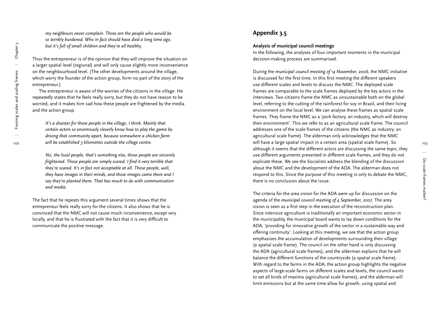*my neighbours never complain. Those are the people who would be so terribly burdened. Who in fact should have died a long time ago, but it's full of small children and they're all healthy.*

Thus the entrepreneur is of the opinion that they will improve the situation on a larger spatial level (regional) and will only cause slightly more inconvenience on the neighbourhood level. (The other developments around the village, which worry the founder of the action group, form no part of the story of the entrepreneur.)

The entrepreneur is aware of the worries of the citizens in the village. He repeatedly states that he feels really sorry, but they do not have reason to be worried, and it makes him sad how these people are frightened by the media and the action group.

*It's a disaster for those people in the village, I think. Mainly that certain actors so enormously cleverly know how to play the game by driving that community apart, because somewhere a chicken farm will be established 3 kilometres outside the village centre.*

*No, the local people, that's something else, those people are sincerely frightened. Those people are simply scared. I find it very terrible that they're scared. It's in fact not acceptable at all. Those people, well, they have images in their minds, and those images came there and I say they're planted there. That has much to do with communication and media.*

The fact that he repeats this argument several times shows that the entrepreneur feels really sorry for the citizens. It also shows that he is convinced that the NMC will not cause much inconvenience, except very locally, and that he is frustrated with the fact that it is very difficult to communicate the positive message.

# **Appendix 3.5**

#### **Analysis of municipal council meetings**

In the following, the analyses of four important moments in the municipal decision-making process are summarised.

102 103 will have a large spatial impact in a certain area (spatial scale frame). So During the *municipal council meeting of 14 November, 2006* , the NMC initiative is discussed for the first time. In this first meeting the different speakers use different scales and levels to discuss the NMC. The deployed scale frames are comparable to the scale frames deployed by the key actors in the interviews. Two citizens frame the NMC as unsustainable both on the global level, referring to the cutting of the rainforest for soy in Brazil, and their living environment on the local level. We can analyse these frames as spatial scale frames. They frame the NMC as a 'pork factory, an industry, which will destroy their environment'. This we refer to as an agricultural scale frame. The council addresses one of the scale frames of the citizens (the NMC as industry; an agricultural scale frame). The alderman only acknowledges that the NMC although it seems that the different actors are discussing the same topic, they use different arguments presented in different scale frames, and they do not explicate these. We see the Socialists address the blending of the discussion about the NMC and the development of the ADA. The alderman does not respond to this. Since the purpose of this meeting is only to debate the NMC, there is no conclusion about the issue.

> The criteria for the area vision for the ADA were up for discussion on the agenda of the *municipal council meeting of 4 September, 2007.* The area vision is seen as a first step in the execution of the reconstruction plan. Since intensive agriculture is traditionally an important economic sector in the municipality, the municipal board wants to lay down conditions for the ADA, 'providing for innovative growth of the sector in a sustainable way and offering continuity'. Looking at this meeting, we see that the action group emphasises the accumulation of developments surrounding their village (a spatial scale frame). The council on the other hand is only discussing the ADA (agricultural scale frames), and the alderman explains that he will balance the different functions of the countryside (a spatial scale frame). With regard to the farms in the ADA, the action group highlights the negative aspects of large-scale farms on different scales and levels, the council wants to set all kinds of maxima (agricultural scale frames), and the alderman will limit emissions but at the same time allow for growth, using spatial and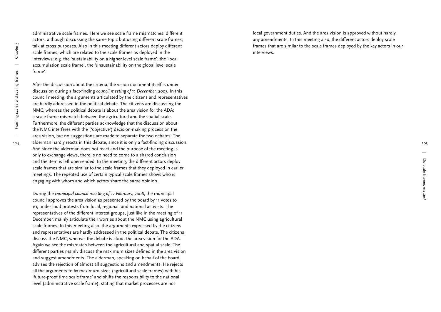administrative scale frames. Here we see scale frame mismatches: different actors, although discussing the same topic but using different scale frames, talk at cross purposes. Also in this meeting different actors deploy different scale frames, which are related to the scale frames as deployed in the interviews: e.g. the 'sustainability on a higher level scale frame', the 'local accumulation scale frame', the 'unsustainability on the global level scale frame'.

 $_{104}$  alderman hardly reacts in this debate, since it is only a fact-finding discussion.  $_{105}$ After the discussion about the criteria, the vision document itself is under discussion during a fact-finding *council meeting of 11 December, 2007.* In this council meeting, the arguments articulated by the citizens and representatives are hardly addressed in the political debate. The citizens are discussing the NMC, whereas the political debate is about the area vision for the ADA: a scale frame mismatch between the agricultural and the spatial scale. Furthermore, the different parties acknowledge that the discussion about the NMC interferes with the ('objective') decision-making process on the area vision, but no suggestions are made to separate the two debates. The And since the alderman does not react and the purpose of the meeting is only to exchange views, there is no need to come to a shared conclusion and the item is left open-ended. In the meeting, the different actors deploy scale frames that are similar to the scale frames that they deployed in earlier meetings. The repeated use of certain typical scale frames shows who is engaging with whom and which actors share the same opinion.

During the *municipal council meeting of 12 February, 2008* , the municipal council approves the area vision as presented by the board by 11 votes to 10, under loud protests from local, regional, and national activists. The representatives of the different interest groups, just like in the meeting of 11 December, mainly articulate their worries about the NMC using agricultural scale frames. In this meeting also, the arguments expressed by the citizens and representatives are hardly addressed in the political debate. The citizens discuss the NMC, whereas the debate is about the area vision for the ADA. Again we see the mismatch between the agricultural and spatial scale. The different parties mainly discuss the maximum sizes defined in the area vision and suggest amendments. The alderman, speaking on behalf of the board, advises the rejection of almost all suggestions and amendments. He rejects all the arguments to fix maximum sizes (agricultural scale frames) with his 'future-proof time scale frame' and shifts the responsibility to the national level (administrative scale frame), stating that market processes are not

local government duties. And the area vision is approved without hardly any amendments. In this meeting also, the different actors deploy scale frames that are similar to the scale frames deployed by the key actors in our interviews.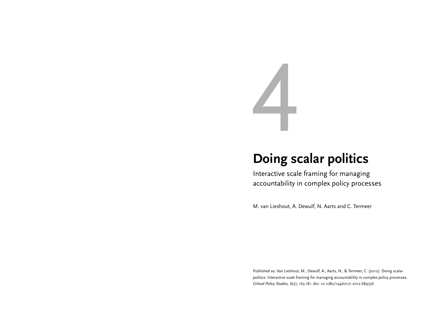# 4

# **Doing scalar politics**

Interactive scale framing for managing accountability in complex policy processes

M. van Lieshout, A. Dewulf, N. Aarts and C. Termeer

Published as: Van Lieshout, M., Dewulf, A., Aarts, N., & Termeer, C. (2012). Doing scalar politics: Interactive scale framing for managing accountability in complex policy processes. *Critical Policy Studies, 6*(2), 163-181. doi: 10.1080/19460171.2012.689736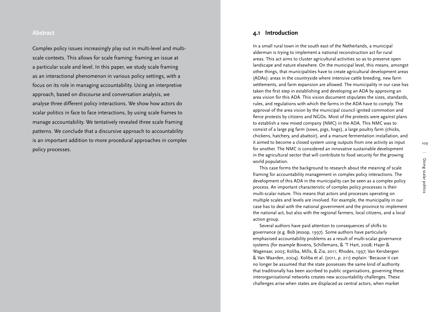# **Abstract**

Complex policy issues increasingly play out in multi-level and multiscale contexts. This allows for scale framing: framing an issue at a particular scale and level. In this paper, we study scale framing as an interactional phenomenon in various policy settings, with a focus on its role in managing accountability. Using an interpretive approach, based on discourse and conversation analysis, we analyse three different policy interactions. We show how actors do scalar politics in face to face interactions, by using scale frames to manage accountability. We tentatively revealed three scale framing patterns. We conclude that a discursive approach to accountability is an important addition to more procedural approaches in complex policy processes.

## **4.1 Introduction**

In a small rural town in the south east of the Netherlands, a municipal alderman is trying to implement a national reconstruction act for rural areas. This act aims to cluster agricultural activities so as to preserve open landscape and nature elsewhere. On the municipal level, this means, amongst other things, that municipalities have to create agricultural development areas (ADAs): areas in the countryside where intensive cattle breeding, new farm settlements, and farm expansion are allowed. The municipality in our case has taken the first step in establishing and developing an ADA by approving an area vision for this ADA. This vision document stipulates the sizes, standards, rules, and regulations with which the farms in the ADA have to comply. The approval of the area vision by the municipal council ignited commotion and fierce protests by citizens and NGOs. Most of the protests were against plans to establish a new mixed company (NMC) in the ADA. This NMC was to consist of a large pig farm (sows, pigs, hogs), a large poultry farm (chicks, chickens, hatchery, and abattoir), and a manure fermentation installation, and it aimed to become a closed system using outputs from one activity as input for another. The NMC is considered an innovative sustainable development in the agricultural sector that will contribute to food security for the growing world population.

This case forms the background to research about the meaning of scale framing for accountability management in complex policy interactions. The development of this ADA in the municipality can be seen as a complex policy process. An important characteristic of complex policy processes is their multi-scalar nature. This means that actors and processes operating on multiple scales and levels are involved. For example, the municipality in our case has to deal with the national government and the province to implement the national act, but also with the regional farmers, local citizens, and a local action group.

Several authors have paid attention to consequences of shifts to governance (e.g. Bob Jessop, 1997). Some authors have particularly emphasised accountability problems as a result of multi-scalar governance systems (for example Bovens, Schillemans, & 'T Hart, 2008; Hajer & Wagenaar, 2003; Koliba, Mills, & Zia, 2011; Rhodes, 1997; Van Kersbergen & Van Waarden, 2004). Koliba et al. (2011, p. 211) explain: 'Because it can no longer be assumed that the state possesses the same kind of authority that traditionally has been ascribed to public organisations, governing these interorganisational networks creates new accountability challenges. These challenges arise when states are displaced as central actors, when market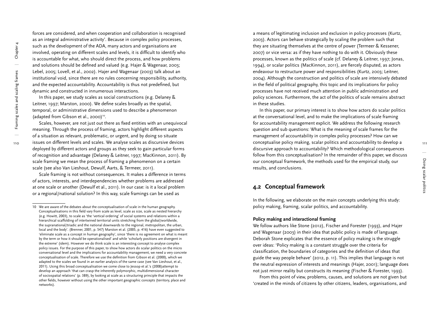forces are considered, and when cooperation and collaboration is recognised as an integral administrative activity'. Because in complex policy processes, such as the development of the ADA, many actors and organisations are involved, operating on different scales and levels, it is difficult to identify who is accountable for what, who should direct the process, and how problems and solutions should be defined and valued (e.g. Hajer & Wagenaar, 2003; Lebel, 2005; Lovell, et al., 2002). Hajer and Wagenaar (2003) talk about an institutional void, since there are no rules concerning responsibility, authority, and the expected accountability. Accountability is thus not predefined, but dynamic and constructed in innumerous interactions.

In this paper, we study scales as social constructions (e.g. Delaney & Leitner, 1997; Marston, 2000). We define scales broadly as the spatial, temporal, or administrative dimensions used to describe a phenomenon (adapted from Gibson et al., 2000)<sup>10</sup>.

 $_{\rm 110}$  issues on different levels and scales. We analyse scales as discursive devices  $_{\rm 111}$ Scales, however, are not just out there as fixed entities with an unequivocal meaning. Through the process of framing, actors highlight different aspects of a situation as relevant, problematic, or urgent, and by doing so situate deployed by different actors and groups as they seek to gain particular forms of recognition and advantage (Delaney & Leitner, 1997; MacKinnon, 2011). By scale framing we mean the process of framing a phenomenon on a certain scale (see also Van Lieshout, Dewulf, Aarts, & Termeer, 2011).

Scale framing is not without consequences. It makes a difference in terms of actors, interests, and interdependencies whether problems are addressed at one scale or another (Dewulf et al., 2011). In our case: is it a local problem or a regional/national solution? In this way, scale framings can be used as

a means of legitimating inclusion and exclusion in policy processes (Kurtz, 2003). Actors can behave strategically by scaling the problem such that they are situating themselves at the centre of power (Termeer & Kessener, 2007) or vice versa: as if they have nothing to do with it. Obviously these processes, known as the politics of scale (cf. Delaney & Leitner, 1997; Jonas, 1994), or scalar politics (MacKinnon, 2011), are fiercely disputed, as actors endeavour to restructure power and responsibilities (Kurtz, 2003; Leitner, 2004). Although the construction and politics of scale are intensively debated in the field of political geography, this topic and its implications for policy processes have not received much attention in public administration and policy sciences. Furthermore, the act of the politics of scale remains abstract in these studies.

In this paper, our primary interest is to show how actors do scalar politics at the conversational level, and to make the implications of scale framing for accountability management explicit. We address the following research question and sub questions: What is the meaning of scale frames for the management of accountability in complex policy processes? How can we conceptualise policy making, scalar politics and accountability to develop a discursive approach to accountability? Which methodological consequences follow from this conceptualisation? In the remainder of this paper, we discuss our conceptual framework, the methods used for the empirical study, our results, and conclusions.

# **4.2 Conceptual framework**

In the following, we elaborate on the main concepts underlying this study: policy making, framing, scalar politics, and accountability.

#### **Policy making and interactional framing**

We follow authors like Stone (2012), Fischer and Forester (1993), and Hajer and Wagenaar (2003) in their idea that public policy is made of language. Deborah Stone explicates that the essence of policy making is the struggle over ideas: 'Policy making is a constant struggle over the criteria for classification, the boundaries of categories and the definition of ideas that guide the way people behave' (2012, p. 11). This implies that language is not the neutral expression of interests and meanings (Hajer, 2001); language does not just mirror reality but constructs its meaning (Fischer & Forester, 1993).

From this point of view, problems, causes, and solutions are not given but 'created in the minds of citizens by other citizens, leaders, organisations, and

<sup>10</sup> We are aware of the debates about the conceptualisation of scale in the human geography. Conceptualisations in this field vary from scale as level, scale as size, scale as nested hierarchy (e.g. Howitt, 2003), to scale as 'the 'vertical ordering' of social systems and relations within a hierarchical scaffolding of intertwined territorial units stretching from the global/worldwide, the supranational/triadic and the national downwards to the regional, metropolitan, the urban, local and the body'. (Brenner, 2001, p. 547) Marston et al. (2005, p. 416) have even suggested to 'eliminate scale as a concept in human geography', since 'there is no agreement on what is meant by the term or how it should be operationalised' and while 'scholarly positions are divergent in the extreme' (idem). However we do think scale is an interesting concept to analyse complex policy issues. For the purpose of this paper, to show how actors do scalar politics on the micro conversational level and the implications for accountability management, we need a very concrete conceptualisation of scale. Therefore we use the definition from Gibson et al. (2000), which we adapted to the scales we found in an earlier analysis of the same case (see Van Lieshout, et al., 2011). Using this broad conceptualisation we come close to Jessop et al.'s (2008)attempt to develop an approach 'that can crasp the inherently polymorphic, multidimensional character of sociospatial relations' (p. 389), by looking at scale as a structuring principle that impacts the other fields, however without using the other important geographic concepts (territory, place and networks).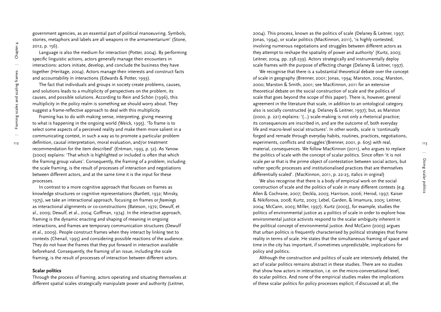government agencies, as an essential part of political manoeuvring. Symbols, stories, metaphors and labels are all weapons in the armamentarium' (Stone, 2012, p. 156).

Language is also the medium for interaction (Potter, 2004). By performing specific linguistic actions, actors generally manage their encounters in interactions: actors initiate, develop, and conclude the business they have together (Heritage, 2004). Actors manage their interests and construct facts and accountability in interactions (Edwards & Potter, 1993).

The fact that individuals and groups in society create problems, causes, and solutions leads to a multiplicity of perspectives on the problem, its causes, and possible solutions. According to Rein and Schön (1996), this multiplicity in the policy realm is something we should worry about. They suggest a frame-reflective approach to deal with this multiplicity.

Framing has to do with making sense, interpreting, giving meaning to what is happening in the ongoing world (Weick, 1995). 'To frame is to select some aspects of a perceived reality and make them more salient in a communicating context, in such a way as to promote a particular problem definition, causal interpretation, moral evaluation, and/or treatment recommendation for the item described' (Entman, 1993, p. 52). As Yanow (2000) explains: 'That which is highlighted or included is often that which the framing group values'. Consequently, the framing of a problem, including the scale framing, is the result of processes of interaction and negotiations between different actors, and at the same time it is the input for these processes.

In contrast to a more cognitive approach that focuses on frames as knowledge structures or cognitive representations (Bartlett, 1932; Minsky, 1975), we take an interactional approach, focusing on frames or *framings* as interactional alignments or co-constructions (Bateson, 1972; Dewulf, et al., 2009; Dewulf, et al., 2004; Goffman, 1974). In the interactive approach, framing is the dynamic enacting and shaping of meaning in ongoing interactions, and frames are temporary communication structures (Dewulf et al., 2009). People construct frames when they interact by linking text to contexts (Chenail, 1995) and considering possible reactions of the audience. They do not have the frames that they put forward in interaction available beforehand. Consequently, the framing of an issue, including the scale framing, is the result of processes of interaction between different actors.

#### **Scalar politics**

Through the process of framing, actors operating and situating themselves at different spatial scales strategically manipulate power and authority (Leitner,

2004). This process, known as the politics of scale (Delaney & Leitner, 1997; Jonas, 1994), or scalar politics (MacKinnon, 2011), 'is highly contested, involving numerous negotiations and struggles between different actors as they attempt to reshape the spatiality of power and authority' (Kurtz, 2003; Leitner, 2004, pp. 238-239). Actors strategically and instrumentally deploy scale frames with the purpose of effecting change (Delaney & Leitner, 1997).

<sub>112</sub> definition, causal interpretation, moral evaluation, and/or treatment the and the struggles' (Brenner, 2001, p. 605) with real, the struggles' (Brenner, 2001, p. 605) with real, the struggles' (Brenner, 2001, p. 605) We recognise that there is a substantial theoretical debate over the concept of scale in geography (Brenner, 2001; Jonas, 1994; Marston, 2004; Marston, 2000; Marston & Smith, 2001; see MacKinnon, 2011 for an extensive theoretical debate on the social construction of scale and the politics of scale that goes beyond the scope of this paper). There is, however, general agreement in the literature that scale, in addition to an ontological category, also is socially constructed (e.g. Delaney & Leitner, 1997); but, as Marston (2000, p. 221) explains: '(…) scale-making is not only a rhetorical practice; its consequences are inscribed in, and are the outcome of, both everyday life and macro-level social structures'. In other words, scale is 'continually forged and remade through everyday habits, routines, practices, negotiations, material, consequences. We follow MacKinnon (2011), who argues to replace the politics of scale with the concept of scalar politics. Since often 'it is not scale *per se* that is the prime object of contestation between social actors, but rather specific processes and institutionalised practices that are themselves differentially scaled'. (MacKinnon, 2011, p. 22-23, italics in orginal)

> We also recognise that there is a body of empirical work on the social construction of scale and the politics of scale in many different contexts (e.g. Allen & Cochrane, 2007; Deckla, 2003; Harrison, 2006; Herod, 1997; Kaiser & Nikiforova, 2008; Kurtz, 2003; Lebel, Garden, & Imamura, 2005; Leitner, 2004; McCann, 2003; Miller, 1997). Kurtz (2003), for example, studies the politics of environmental justice as a politics of scale in order to explore how environmental justice activists respond to the scalar ambiguity inherent in the political concept of environmental justice. And McCann (2003) argues that urban politics is frequently characterised by political strategies that frame reality in terms of scale. He states that the simultaneous framing of space and time in the city has important, if sometimes unpredictable, implications for policy and politics.

> Although the construction and politics of scale are intensively debated, the act of scalar politics remains abstract in these studies. There are no studies that show how actors in interaction, i.e. on the micro-conversational level, do scalar politics. And none of the empirical studies makes the implications of these scalar politics for policy processes explicit; if discussed at all, the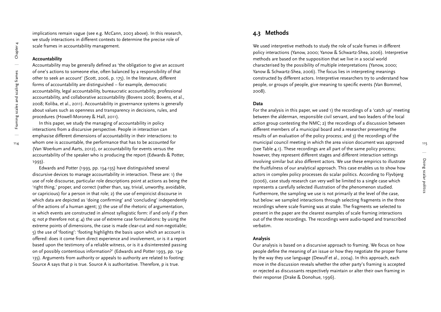implications remain vague (see e.g. McCann, 2003 above). In this research, we study interactions in different contexts to determine the precise role of scale frames in accountability management.

#### **Accountability**

Accountability may be generally defined as 'the obligation to give an account of one's actions to someone else, often balanced by a responsibility of that other to seek an account' (Scott, 2006, p. 175). In the literature, different forms of accountability are distinguished – for example, democratic accountability, legal accountability, bureaucratic accountability, professional accountability, and collaborative accountability (Bovens 2006; Bovens, et al., 2008; Koliba, et al., 2011). Accountability in governance systems is generally about values such as openness and transparency in decisions, rules, and procedures (Howell-Moroney & Hall, 2011).

In this paper, we study the managing of accountability in policy interactions from a discursive perspective. People in interaction can emphasise different dimensions of accountability in their interactions: to whom one is accountable, the performance that has to be accounted for (Van Woerkum and Aarts, 2012), or accountability for events versus the accountability of the speaker who is producing the report (Edwards & Potter, 1993).

Edwards and Potter (1993, pp. 134-135) have distinguished several discursive devices to manage accountability in interaction. These are: 1) the use of role discourse, particular role descriptions point at actions as being the 'right thing,' proper, and correct (rather than, say, trivial, unworthy, avoidable, or capricious) for a person in that role; 2) the use of empiricist discourse in which data are depicted as 'doing confirming' and 'concluding' independently of the actions of a human agent; 3) the use of the rhetoric of argumentation, in which events are constructed in almost syllogistic form: if and only if p then q; not *p* therefore not *q*; 4) the use of extreme case formulations: by using the extreme points of dimensions, the case is made clear-cut and non-negotiable; 5) the use of 'footing': 'footing highlights the basis upon which an account is offered: does it come from direct experience and involvement, or is it a report based upon the testimony of a reliable witness, or is it a disinterested passing on of possibly contentious information?' (Edwards and Potter 1993, pp. 134- 135). Arguments from authority or appeals to authority are related to footing: Source A says that p is true. Source A is authoritative. Therefore, p is true.

# **4.3 Methods**

We used interpretive methods to study the role of scale frames in different policy interactions (Yanow, 2000; Yanow & Schwartz-Shea, 2006). Interpretive methods are based on the supposition that we live in a social world characterised by the possibility of multiple interpretations (Yanow, 2000; Yanow & Schwartz-Shea, 2006). The focus lies in interpreting meanings constructed by different actors. Interpretive researchers try to understand how people, or groups of people, give meaning to specific events (Van Bommel, 2008).

#### **Data**

 $_{\rm 114}$  whom one is accountable, the performance that has to be accounted for  $_{\rm 115}$ For the analysis in this paper, we used 1) the recordings of a 'catch up' meeting between the alderman, responsible civil servant, and two leaders of the local action group contesting the NMC; 2) the recordings of a discussion between different members of a municipal board and a researcher presenting the results of an evaluation of the policy process; and 3) the recordings of the (see Table 4.1). These recordings are all part of the same policy process; however, they represent different stages and different interaction settings involving similar but also different actors. We use these empirics to illustrate the fruitfulness of our analytical approach. This case enables us to show how actors in complex policy processes do scalar politics. According to Flyvbjerg (2006), case study research can very well be limited to a single case which represents a carefully selected illustration of the phenomenon studied. Furthermore, the sampling we use is not primarily at the level of the case, but below: we sampled interactions through selecting fragments in the three recordings where scale framing was at stake. The fragments we selected to present in the paper are the clearest examples of scale framing interactions out of the three recordings. The recordings were audio-taped and transcribed verbatim.

#### **Analysis**

Our analysis is based on a discursive approach to framing. We focus on how people define the meaning of an issue or how they negotiate the proper frame by the way they use language (Dewulf et al., 2004). In this approach, each move in the discussion reveals whether the other party's framing is accepted or rejected as discussants respectively maintain or alter their own framing in their response (Drake & Donohue, 1996).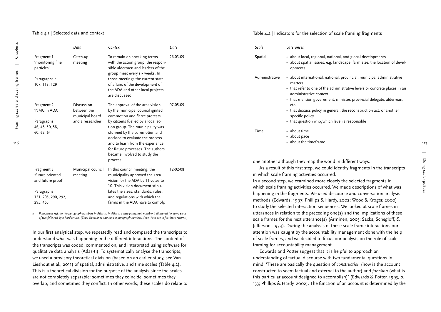#### Table 4.1 | Selected data and context

|                                                                                                      | Data                                                | Context                                                                                                                                                                                                                                            | Date     | Scale                                                                                                                                                                                                                                                                                                                                                                                                                                                                                                              | <b>Utterances</b>                                                                                                                                                                                                                                              |
|------------------------------------------------------------------------------------------------------|-----------------------------------------------------|----------------------------------------------------------------------------------------------------------------------------------------------------------------------------------------------------------------------------------------------------|----------|--------------------------------------------------------------------------------------------------------------------------------------------------------------------------------------------------------------------------------------------------------------------------------------------------------------------------------------------------------------------------------------------------------------------------------------------------------------------------------------------------------------------|----------------------------------------------------------------------------------------------------------------------------------------------------------------------------------------------------------------------------------------------------------------|
| Fragment 1<br>'monitoring fine<br>particles'                                                         | Catch-up<br>meeting                                 | To remain on speaking terms<br>with the action group, the respon-<br>sible aldermen and leaders of the                                                                                                                                             | 26-03-09 | Spatial                                                                                                                                                                                                                                                                                                                                                                                                                                                                                                            | • about local, regional, national, and global developments<br>• about spatial issues, e.g. landscape, farm size, the location of devel-<br>opments                                                                                                             |
| Paragraphs <sup>a</sup><br>107, 113, 129                                                             |                                                     | group meet every six weeks. In<br>those meetings the current state<br>of affairs of the development of<br>the ADA and other local projects<br>are discussed.                                                                                       |          | Administrative                                                                                                                                                                                                                                                                                                                                                                                                                                                                                                     | · about international, national, provincial, municipal administrative<br>matters<br>• that refer to one of the administrative levels or concrete places in an<br>administrative context<br>• that mention government, minister, provincial delegate, alderman, |
| Fragment 2<br>'NMC in ADA'                                                                           | <b>Discussion</b><br>between the<br>municipal board | The approval of the area vision<br>by the municipal council ignited<br>commotion and fierce protests                                                                                                                                               | 07-05-09 |                                                                                                                                                                                                                                                                                                                                                                                                                                                                                                                    | etc.<br>• that discuss policy in general, the reconstruction act, or another<br>specific policy                                                                                                                                                                |
| Paragraphs<br>46, 48, 50, 58,<br>60, 62, 64                                                          | and a researcher                                    | by citizens fuelled by a local ac-<br>tion group. The municipality was<br>stunned by the commotion and<br>decided to evaluate the process<br>and to learn from the experience                                                                      |          | Time                                                                                                                                                                                                                                                                                                                                                                                                                                                                                                               | • that question who/which level is responsible<br>• about time<br>• about pace<br>• about the timeframe                                                                                                                                                        |
|                                                                                                      |                                                     | for future processes. The authors<br>became involved to study the<br>process.                                                                                                                                                                      |          |                                                                                                                                                                                                                                                                                                                                                                                                                                                                                                                    | one another although they map the world in different ways.                                                                                                                                                                                                     |
| Fragment 3<br>'future oriented<br>and future proof'<br>Paragraphs<br>151, 205, 290, 292,<br>295, 465 | Municipal council<br>meeting                        | In this council meeting, the<br>municipality approved the area<br>vision for the ADA by 11 votes to<br>10. This vision document stipu-<br>lates the sizes, standards, rules,<br>and regulations with which the<br>farms in the ADA have to comply. | 12-02-08 | As a result of this first step, we could identify fragments in the transcripts<br>in which scale framing activities occurred.<br>In a second step, we examined more closely the selected fragments in<br>which scale framing activities occurred. We made descriptions of what was<br>happening in the fragments. We used discourse and conversation analysis<br>methods (Edwards, 1997; Phillips & Hardy, 2002; Wood & Kroger, 2000)<br>to study the selected interaction sequences. We looked at scale frames in |                                                                                                                                                                                                                                                                |

*a Paragraphs refer to the paragraph numbers in Atlas-ti. In Atlas-ti a new paragraph number is displayed for every piece of text followed by a hard return. (Thus blank lines also have a paragraph number, since these are in fact hard returns.)*

In our first analytical step, we repeatedly read and compared the transcripts to understand what was happening in the different interactions. The content of the transcripts was coded, commented on, and interpreted using software for qualitative data analysis (Atlas-ti). To systematically analyse the transcripts, we used a provisory theoretical division (based on an earlier study, see Van Lieshout et al., 2011) of spatial, administrative, and time scales (Table 4.2). This is a theoretical division for the purpose of the analysis since the scales are not completely separable: sometimes they coincide, sometimes they overlap, and sometimes they conflict. In other words, these scales do relate to

#### Table 4.2 | Indicators for the selection of scale framing fragments

| Scale          | <b>Utterances</b>                                                                                                                                                                                                                                                                                                                                                                                                   |
|----------------|---------------------------------------------------------------------------------------------------------------------------------------------------------------------------------------------------------------------------------------------------------------------------------------------------------------------------------------------------------------------------------------------------------------------|
| Spatial        | • about local, regional, national, and global developments<br>• about spatial issues, e.g. landscape, farm size, the location of devel-<br>opments                                                                                                                                                                                                                                                                  |
| Administrative | • about international, national, provincial, municipal administrative<br>matters<br>• that refer to one of the administrative levels or concrete places in an<br>administrative context<br>• that mention government, minister, provincial delegate, alderman,<br>etc.<br>• that discuss policy in general, the reconstruction act, or another<br>specific policy<br>• that question who/which level is responsible |
| Time           | • about time<br>• about pace<br>• about the timeframe                                                                                                                                                                                                                                                                                                                                                               |

In a second step, we examined more closely the selected fragments in which scale framing activities occurred. We made descriptions of what was happening in the fragments. We used discourse and conversation analysis methods (Edwards, 1997; Phillips & Hardy, 2002; Wood & Kroger, 2000) to study the selected interaction sequences. We looked at scale frames in utterances in relation to the preceding one(s) and the implications of these scale frames for the next utterance(s) (Arminen, 2005; Sacks, Schegloff, & Jefferson, 1974). During the analysis of these scale frame interactions our attention was caught by the accountability management done with the help of scale frames, and we decided to focus our analysis on the role of scale framing for accountability management.

Edwards and Potter suggest that it is helpful to approach an understanding of factual discourse with two fundamental questions in mind. 'These are basically the question of *construction* (how is the account constructed to seem factual and external to the author) and *function* (what is this particular account designed to accomplish)' (Edwards & Potter, 1993, p. 133; Phillips & Hardy, 2002). The function of an account is determined by the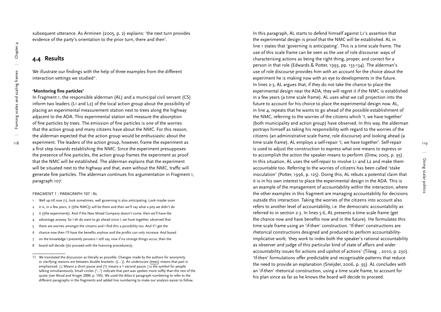subsequent utterance. As Arminen (2005, p. 2) explains: 'the next turn provides evidence of the party's orientation to the prior turn, there and then'.

## **4.4 Results**

We illustrate our findings with the help of three examples from the different interaction settings we studied".

#### **'Monitoring fine particles'**

<sub>118</sub> experiment. The leaders of the action group, however, frame the experiment as the state time scale frame). AL employs a self-repair 'I, we have together'. Self-repair the action group, however, frame the experiment a In Fragment 1, the responsible alderman (AL) and a municipal civil servant (CS) inform two leaders (L1 and L2) of the local action group about the possibility of placing an experimental measurement station next to trees along the highway adjacent to the ADA. This experimental station will measure the absorption of fine particles by trees. The emission of fine particles is one of the worries that the action group and many citizens have about the NMC. For this reason, the alderman expected that the action group would be enthusiastic about the a first step towards establishing the NMC. Since the experiment presupposes the presence of fine particles, the action group frames the experiment as proof that the NMC will be established. The alderman explains that the experiment will be situated next to the highway and that, even without the NMC, traffic will generate fine particles. The alderman continues his argumentation in Fragment 1, paragraph 107:

Fragment 1 | paragraph 107 | AL

- 1 Well up till now (1), look sometimes, well governing is also anticipating. Look maybe soon
- 2 it is, in a few years, it ((the NMC)) will be there and then we'll say what a pity we didn't do
- 3 it ((the experiment)). And if the New Mixed Company doesn't come, then we'll have the
- 4 advantage anyway. So I eh do want to go ahead since I, we have together, observed that
- 5 there are worries amongst the citizens and I find this a possibility too. And if I get the<br>6 chance now then I'll have the benefits anyhow and the profits can only increase. And based
- 
- 7 on the knowledge I presently possess I still say, now if no strange things occur, then the <br>8 board will decide ((to proceed with the licensing procedures)).
- 

In this paragraph, AL starts to defend himself against L1's assertion that the experimental design is proof that the NMC will be established. AL in line 1 states that 'governing is anticipating'. This is a time scale frame. The use of this scale frame can be seen as the use of role discourse: ways of characterising actions as being the right thing, proper, and correct for a person in that role (Edwards & Potter, 1993, pp. 133-134). The alderman's use of role discourse provides him with an account for the choice about the experiment he is making now with an eye to developments in the future. In lines 2-3, AL argues that, if they do not take the chance to place the experimental design near the ADA, they will regret it if the NMC is established in a few years (a time scale frame). AL uses what we call projection into the future to account for his choice to place the experimental design now. AL, in line 4, repeats that he wants to go ahead of the possible establishment of the NMC, referring to the worries of the citizens which 'I, we have together' (both municipality and action group) have observed. In this way, the alderman portrays himself as taking his responsibility with regard to the worries of the citizens (an administrative scale frame, role discourse) and looking ahead (a time scale frame). AL employs a self-repair 'I, we have together'. Self-repair is used to adjust the construction to express what one means to express or to accomplish the action the speaker means to perform (Drew, 2005, p. 95). In this situation, AL uses the self-repair to involve L1 and L2 and make them accountable too. Referring to the worries of citizens has been called 'stake inoculation' (Potter, 1996, p. 125). Doing this, AL rebuts a potential claim that it is in his own interest to place the experimental design in the ADA. This is an example of the management of accountability within the interaction, where the other examples in this fragment are managing accountability for decisions outside this interaction. Taking the worries of the citizens into account also refers to another level of accountability, i.e. the democratic accountability as referred to in section 2.3. In lines 5-6, AL presents a time scale frame (get the chance now and have benefits now and in the future). He formulates this time scale frame using an 'if-then' construction. 'If-then' constructions are rhetorical constructions designed and produced to perform accountabilityimplicative work; 'they work to index both the speaker's rational accountability as observer and judge of this particular kind of state of affairs and wider accountability issues for actions and upshot of actions' (Tileag, 2010, p. 230). 'If-then' formulations offer predictable and recognisable patterns that reduce the need to provide an explanation (Sneijder, 2006, p. 93). AL concludes with an 'if-then' rhetorical construction, using a time scale frame, to account for his plan since as far as he knows the board will decide to proceed.

<sup>11</sup> We translated the discussion as literally as possible. Changes made by the authors for anonymity or clarifying reasons are between double brackets: ((… )). An underscore (trees) means that part is emphasised. (.) Means a short pause and (1) means a 1 second pause. [ is the symbol for people talking simultaneously. Small circles (°…°) indicate that part was spoken more softly than the rest of the quote (see Wood and Kroger 2000, p. 193). We used the Atlas-ti paragraph numbering to refer to the different paragraphs in the fragments and added line numbering to make our analysis easier to follow.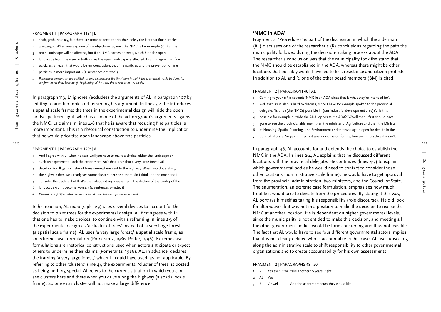#### FRAGMENT 1 | PARAGRAPH 113<sup>a</sup> | L1

- 1 Yeah, yeah, no okay, but there are more aspects to this than solely the fact that fine particles
- 2 are caught. When you say, one of my objections against the NMC is for example (1) that the<br>3 open landscape will be affected, but if an NMC comes or <u>trees</u>, which hide the open<br>4 landscape from the view, in both cases t
- 
- 
- particles, at least, that would be my conclusion, that fine particles and the prevention of fine
- 6 particles is more important. ((2 sentences omitted))
- *a Paragraphs 109 and 111 are omitted. In 109, L1 questions the timeframe in which the experiment would be done. AL confirms in 111 that, because of the planting of the trees, this would be in two weeks.*

120 FRAGINATILIP/RAGINATILIP/RAGINATILIP/RAGINATILIP/RAGINATILIP/RAGINATILIP/RAGINATILIP/RAGINATILIP/RAGINATILIP/RAGINATILIP/RAGINATILIP/RAGINATILIP/RAGINATILIP/RAGINATILIP/RAGINATILIP/RAGINATILIP/RAGINATILIP/RAGINATILIP In paragraph 113, L1 ignores (excludes) the arguments of AL in paragraph 107 by shifting to another topic and reframing his argument. In lines 3-4, he introduces a spatial scale frame: the trees in the experimental design will hide the open landscape from sight, which is also one of the action group's arguments against the NMC. L1 claims in lines 4-6 that he is aware that reducing fine particles is more important. This is a rhetorical construction to undermine the implication that he would prioritise open landscape above fine particles.

#### FRAGMENT 1 | PARAGRAPH 129ª | AL

- 1 And I agree with L1 when he says well you have to make a choice: either the landscape or
- 
- 2 such an experiment. Look the experiment isn't that large that a very large forest will<br>3 develop. You'll get a cluster of trees somewhere next to the highway. When you drive along
- 4 the highway then we already see some clusters here and there. So I think, on the one hand I
- 5 consider the decline, but that's then also just my assessment, the decline of the quality of the  $\frac{1}{2}$  landscape won't become worse. ((4 sentences omitted))
- 
- *a Paragraphs 115-127 omitted: discussion about other locations for the experiment.*

In his reaction, AL (paragraph 129) uses several devices to account for the decision to plant trees for the experimental design. AL first agrees with L1 that one has to make choices, to continue with a reframing in lines 2-3 of the experimental design as 'a cluster of trees' instead of 'a very large forest' (a spatial scale frame). AL uses 'a very large forest,' a spatial scale frame, as an extreme case formulation (Pomerantz, 1986; Potter, 1996). Extreme case formulations are rhetorical constructions used when actors anticipate or expect others to undermine their claims (Pomerantz, 1986). AL, in advance, declares the framing 'a very large forest,' which L1 could have used, as not applicable. By referring to other 'clusters' (line 4), the experimental 'cluster of trees' is posted as being nothing special. AL refers to the current situation in which you can see clusters here and there when you drive along the highway (a spatial scale frame). So one extra cluster will not make a large difference.

#### **'NMC in ADA'**

Fragment 2: 'Procedures' is part of the discussion in which the alderman (AL) discusses one of the researcher's (R) conclusions regarding the path the municipality followed during the decision-making process about the ADA. The researcher's conclusion was that the municipality took the stand that the NMC should be established in the ADA, whereas there might be other locations that possibly would have led to less resistance and citizen protests. In addition to AL and R, one of the other board members (BM) is cited.

#### Fragment 2 | paragraph 46 | AL

- 
- 1 Coming to your ((R)) second: 'NMC in an ADA since that is what they're intended for'.<br>2 Well that issue also is hard to discuss, since I have for example spoken to the provincial<br>3 delegate: 'Is this ((the NMC)) possible
- 
- 
- 5 gone to see the provincial aldermen, then the minister of Agriculture and then the Minister<br>6 of Housing, Spatial Planning, and Environment and that was again open for debate in the
- 
- 7 Council of State. So yes, in theory it was a discussion for me, however in practice it wasn't.

In paragraph 46, AL accounts for and defends the choice to establish the NMC in the ADA. In lines 2-4, AL explains that he discussed different locations with the provincial delegate. He continues (lines 4-7) to explain which governmental bodies he would need to contact to consider those other locations (administrative scale frame): he would have to get approval from the provincial administration, two ministers, and the Council of State. The enumeration, an extreme case formulation, emphasises how much trouble it would take to deviate from the procedures. By stating it this way, AL portrays himself as taking his responsibility (role discourse). He did look for alternatives but was not in a position to make the decision to realise the NMC at another location. He is dependent on higher governmental levels, since the municipality is not entitled to make this decision, and meeting all the other government bodies would be time consuming and thus not feasible. The fact that AL would have to see four different governmental actors implies that it is not clearly defined who is accountable in this case. AL uses upscaling along the administrative scale to shift responsibility to other governmental organisations and to create accountability for his own assessments.

#### Fragment 2 | paragraphs 48 | 50

- Yes then it will take another 10 years, right.<br>Yes
- 
- 3 R Or well [And those entrepreneurs they would like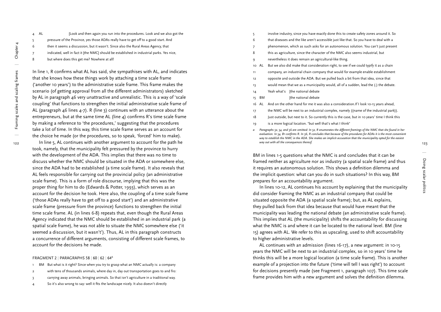In line 1, R confirms what AL has said, she sympathises with AL, and indicates that she knows how these things work by attaching a time scale frame

('another 10 years') to the administrative scale frame. This frame makes the scenario (of getting approval from all the different administrators) sketched by AL in paragraph 46 very unattractive and unrealistic. This is a way of 'scale coupling' that functions to strengthen the initial administrative scale frame of AL (paragraph  $46$  lines  $4-7$ ). R (line 3) continues with an utterance about the entrepreneurs, but at the same time AL (line 4) confirms R's time scale frame by making a reference to 'the procedures,' suggesting that the procedures take a lot of time. In this way, this time scale frame serves as an account for the choice he made (or the procedures, so to speak, 'forced' him to make).

In line 5, AL continues with another argument to account for the path he took, namely, that the municipality felt pressured by the province to hurry with the development of the ADA. This implies that there was no time to discuss whether the NMC should be situated in the ADA or somewhere else, since the ADA had to be established (a time scale frame). It also reveals that AL feels responsible for carrying out the provincial policy (an administrative scale frame). This is a form of role discourse, implying that this was the proper thing for him to do (Edwards & Potter, 1993), which serves as an account for the decision he took. Here also, the coupling of a time scale frame ('those ADAs really have to get off to a good start') and an administrative scale frame (pressure from the province) functions to strengthen the initial time scale frame. AL (in lines 6-8) repeats that, even though the Rural Areas Agency indicated that the NMC should be established in an industrial park (a spatial scale frame), he was not able to situate the NMC somewhere else ('it seemed a discussion, but it wasn't'). Thus, AL in this paragraph constructs a concurrence of different arguments, consisting of different scale frames, to account for the decisions he made.

#### Fragment 2 | paragraphs 58 | 60 | 62 | 64 a

- 
- 
- BM But what is it right? Since when you try to grasp what an NMC actually is: a company<br>
2 with tens of thousands animals, where day in, day out transportation goes to and fro:<br>
3 carrying away animals, bringing animals. S
- 
- From the monocyne the ARIS and the state of the particular and the state of the monocyne the ARIS and the company and the state of the town of the town of the Barbon and the state of the state of the state of the state of involve industry, since you have exactly done this to create safety zones around it. So<br>that diseases and the like aren't accessible just like that. So you have to deal with a<br>phenomenon, which as such asks for an autonomo 10 AL But we also did make that consideration right, to see if we could typify it as a chain 11 company, an industrial chain company that would for example enable establishment 12 opposite and outside the ADA. But we pulled back a bit from that idea, since that 13 would mean that we as a municipality would, all of a sudden, lead the (.) the debate. 14 Yeah what's [the national debate 15 BM [the national debate 16 AL And on the other hand for me it was also a consideration.If I look 10-15 years ahead, 17 the NMC will be next to an industrial complex, namely ((name of the industrial park)). 18 Just outside, but next to it. So currently this is the case, but in 10 years' time I think this
	- 19 is a more logical location. °but well that's what I think°

*a Paragraphs 52, 54, and 56 are omitted: In 52, R enumerates the different framings of the NMC that she found in her evaluation. In 54, B1 confirms R. In 56, R concludes that because of the procedures for ADAs it is the most convenient way to establish the NMC in the ADA. She makes an implicit accusation that the municipality opted for the easiest way out with all the consequences thereof.*

BM in lines 1-5 questions what the NMC is and concludes that it can be framed neither as agriculture nor as industry (a spatial scale frame) and thus it requires an autonomous solution. This shows a definition dilemma and the implicit question: what can you do in such situations? In this way, BM prepares for an accountability argument.

In lines 10-12, AL continues his account by explaining that the municipality did consider framing the NMC as an industrial company that could be situated opposite the ADA (a spatial scale frame); but, as AL explains, they pulled back from that idea because that would have meant that the municipality was leading the national debate (an administrative scale frame). This implies that AL (the municipality) shifts the accountability for discussing what the NMC is and where it can be located to the national level. BM (line 15) agrees with AL. We refer to this as upscaling, used to shift accountability to higher administrative levels.

AL continues with an admission (lines 16-17), a new argument: in 10-15 years the NMC will be next to an industrial complex, so in 10 years' time he thinks this will be a more logical location (a time scale frame). This is another example of a projection into the future ('time will tell I was right') to account for decisions presently made (see Fragment 1, paragraph 107). This time scale frame provides him with a new argument and solves the definition dilemma.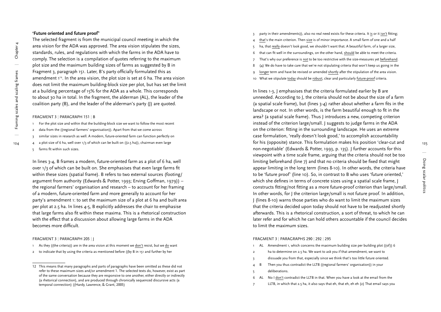#### **'Future oriented and future proof'**

The selected fragment is from the municipal council meeting in which the area vision for the ADA was approved. The area vision stipulates the sizes, standards, rules, and regulations with which the farms in the ADA have to comply. The selection is a compilation of quotes referring to the maximum plot size and the maximum building sizes of farms as suggested by B in Fragment 3, paragraph 151. Later, B's party officially formulated this as amendment  $1^{12}$ . In the area vision, the plot size is set at 6 ha. The area vision does not limit the maximum building-block size per plot, but has set the limit at a building percentage of 15% for the ADA as a whole. This corresponds to about 30 ha in total. In the fragment, the alderman (AL), the leader of the coalition party (B), and the leader of the alderman's party (J) are quoted.

#### Fragment 3 | paragraph 151 | B

- 1 For the plot size and within that the building-block size we want to follow the most recent
- 2 data from the ((regional farmers' organisation)). Apart from that we come across
- 3 similar sizes in research as well. A modern, future-oriented farm can function perfectly on 4 a plot size of 6 ha, well over 1/3 of which can be built on  $((2.5 \text{ ha}))$ , chairman even large
- 5 farms fit within such sizes.

In lines 3-4, B frames a modern, future-oriented farm as a plot of 6 ha, well over 1/3 of which can be built on. She emphasises that even large farms fit within these sizes (spatial frame). B refers to two external sources (footing/ argument from authority (Edwards & Potter, 1993; Erving Goffman, 1979)) – the regional farmers' organisation and research – to account for her framing of a modern, future-oriented farm and more generally to account for her party's amendment 1: to set the maximum size of a plot at 6 ha and built area per plot at 2.5 ha. In lines 4-5, B explicitly addresses the chair to emphasise that large farms also fit within these maxima. This is a rhetorical construction with the effect that a discussion about allowing large farms in the ADA becomes more difficult.

#### Fragment 3 | paragraph 205 | J

- 1 As they ((the criteria)) are in the area vision at this moment we don't resist, but we do want
- 2 to indicate that by using the criteria as mentioned before ((by B in 151 and further by her
- 3 party in their amendments)), also no real need exists for these criteria. It is or it isn't fitting;
- $\frac{4}{5}$  that's the main criterion. Then size is of minor importance. A small farm of one and a half<br>5 ha, that really doesn't look good, we shouldn't want that. A beautiful farm, of a larger size,
- 
- 6 that can fit well in the surroundings, on the other hand, should be able to meet the criteria.
- 7 That's why our preference is <u>not</u> to be too restrictive with the size-measures yet <u>beforehand</u>.
- 8 (4) We do have to take care that we're not stipulating criteria that won't keep us going in the
- 9 longer term and have be revised or amended shortly after the stipulation of the area vision.
- 10 What we stipulate today should be robust, clear and particularly future-proof criteria.

124 4 a plot size of 6 ha, well over 1/3 of which can be built on ((2.5 ha)), chairman even large for his (opposite) stance. This formulation makes his position 'clear-cut and <sub>125</sub> In lines 1-3, J emphasises that the criteria formulated earlier by B are unneeded. According to J, the criteria should not be about the size of a farm (a spatial scale frame), but (lines 3-4) rather about whether a farm fits in the landscape or not. In other words, is the farm beautiful enough to fit in the area? (a spatial scale frame). Thus J introduces a new, competing criterion instead of the criterion large/small. J suggests to judge farms in the ADA on the criterion: fitting in the surrounding landscape. He uses an extreme case formulation, 'really doesn't look good,' to accomplish accountability non-negotiable' (Edwards & Potter, 1993, p. 135). J further accounts for this viewpoint with a time scale frame, arguing that the criteria should not be too limiting beforehand (line 7) and that no criteria should be fixed that might appear limiting in the long term (lines 8-10). In other words, the criteria have to be 'future proof' (line 10). So, in contrast to B who uses 'future oriented,' which she defines in terms of concrete sizes using a spatial scale frame,  $| \cdot |$ constructs fitting/not fitting as a more future-proof criterion than large/small. In other words, for I the criterion large/small is not future proof. In addition, J (lines 8-10) warns those parties who do want to limit the maximum sizes that the criteria decided upon today should not have to be readjusted shortly afterwards. This is a rhetorical construction, a sort of threat, to which he can later refer and for which he can hold others accountable if the council decides to limit the maximum sizes.

#### Fragment 3 | paragraphs 290 | 292 | 295

- 
- 
- 
- 1 AL Amendment 1, which concerns the maximum building size per building plot ((of)) 6<br>2 ha to determine on 2.5 ha. We want to ask you if that amendment, we want to<br>3 dissuade you from that, especially since we think that's
- 
- 6 AL No I <u>don't</u> contradict the LLTB in that. When you have a look at the email from the  $7$  LLTB, in which that 2.5 ha, it also says that eh, that eh, eh eh (2) That email says you
- 

<sup>12</sup> This means that many paragraphs and parts of paragraphs have been omitted as these did not refer to these maximum sizes and/or amendment 1. The selected texts do, however, exist as part of the same conversation because they are responsive to one another, either directly or indirectly (a rhetorical connection), and are produced through chronically sequenced discursive acts (a temporal connection) ((Hardy, Lawrence, & Grant, 2005)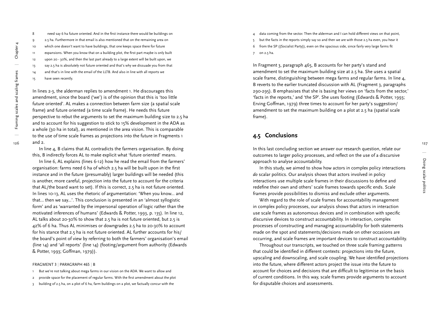10 which one doesn't want to have buildings, that one keeps space there for future 11 expansions. When you know that on a building plot, the first part maybe is only built 12 upon 20 - 30%, and then the last part already to a large extent will be built upon, we 13 say 2.5 ha is absolutely not future oriented and that's why we dissuade you from that 14 and that's in line with the email of the LLTB. And also in line with all reports we 15 have seen recently.

126 126 and the maximum building into the maximum building on the technology and the maximum and interest in the first in the first in the first in the first in the first in the first in the first interest in the technolo In lines 2-3, the alderman replies to amendment 1. He discourages this amendment, since the board ('we') is of the opinion that this is 'too little future oriented'. AL makes a connection between farm size (a spatial scale frame) and future oriented (a time scale frame). He needs this future perspective to rebut the arguments to set the maximum building size to 2.5 ha and to account for his suggestion to stick to 15% development in the ADA as a whole (30 ha in total), as mentioned in the area vision. This is comparable to the use of time scale frames as projections into the future in Fragments 1 and 2.

In line 4, B claims that AL contradicts the farmers organisation. By doing this, B indirectly forces AL to make explicit what 'future oriented' means.

In line 6, AL explains (lines 6-12) how he read the email from the farmers' organisation: farms need 6 ha of which 2.5 ha will be built upon in the first instance and in the future (presumably) larger buildings will be needed (this is another, more careful, projection into the future to account for the criteria that AL/the board want to set). If this is correct, 2.5 ha is not future oriented. In lines 10-13, AL uses the rhetoric of argumentation: 'When you know... and that... then we say...'. This conclusion is presented in an 'almost syllogistic form' and as 'warranted by the impersonal operation of logic rather than the motivated inferences of humans' (Edwards & Potter, 1993, p. 135). In line 12, AL talks about 20-30% to show that 2.5 ha is not future oriented, but 2.5 is 42% of 6 ha. Thus AL minimises or downgrades 2.5 ha to 20-30% to account for his stance that 2.5 ha is not future oriented. AL further accounts for his/ the board's point of view by referring to both the farmers' organisation's email (line 14) and 'all reports' (line 14) (footing/argument from authority (Edwards & Potter, 1993; Goffman, 1979)).

#### Fragment 3 | paragraph 465 | B

- 1 But we're not talking about mega farms in our vision on the ADA. We want to allow and<br>2 provide space for the placement of regular farms. With the first amendment about the plot
- 
- 3 building of 2.5 ha, on a plot of 6 ha, farm buildings on a plot, we factually concur with the
- 4 data coming from the sector. Then the alderman and I can hold different views on that point,
- 5 but the facts in the reports simply say so and then we are with those 2.5 ha even, you hear it
- 6 from the SP ((Socialist Party)), even on the spacious side, since fairly very large farms fit
- 7 on 2.5 ha.

In Fragment 3, paragraph 465, B accounts for her party's stand and amendment to set the maximum building size at 2.5 ha. She uses a spatial scale frame, distinguishing between mega farms and regular farms. In line 4, B reverts to the earlier truncated discussion with AL (Fragment 3, paragraphs 290-295). B emphasises that she is basing her views on 'facts from the sector,' 'facts in the reports,' and 'the SP'. She uses footing (Edwards & Potter, 1993; Erving Goffman, 1979) three times to account for her party's suggestion/ amendment to set the maximum building on a plot at 2.5 ha (spatial scale frame).

## **4.5 Conclusions**

In this last concluding section we answer our research question, relate our outcomes to larger policy processes, and reflect on the use of a discursive approach to analyse accountability.

In this study, we aimed to show how actors in complex policy interactions *do* scalar politics. Our analysis shows that actors involved in policy interactions use multiple scale frames in their discussions to define and redefine their own and others' scale frames towards specific ends. Scale frames provide possibilities to dismiss and exclude other arguments.

With regard to the role of scale frames for accountability management in complex policy processes, our analysis shows that actors in interaction use scale frames as autonomous devices and in combination with specific discursive devices to construct accountability. In interaction, complex processes of constructing and managing accountability for both statements made on the spot and statements/decisions made on other occasions are occurring, and scale frames are important devices to construct accountability.

Throughout our transcripts, we touched on three scale framing patterns that could be identified in different contexts: projections into the future, upscaling and downscaling, and scale coupling. We have identified projections into the future, where different actors project the issue into the future to account for choices and decisions that are difficult to legitimise on the basis of current conditions. In this way, scale frames provide arguments to account for disputable choices and assessments.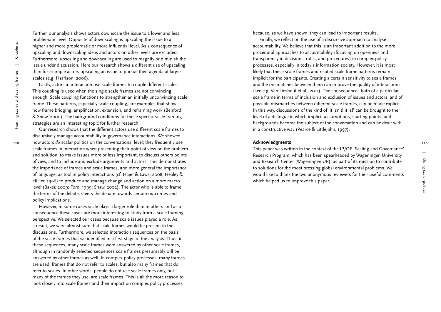Further, our analysis shows actors downscale the issue to a lower and less problematic level. Opposite of downscaling is upscaling the issue to a higher and more problematic or more influential level. As a consequence of upscaling and downscaling ideas and actors on other levels are excluded. Furthermore, upscaling and downscaling are used to magnify or diminish the issue under discussion. Here our research shows a different use of upscaling than for example actors upscaling an issue to pursue their agenda at larger scales (e.g. Harrison, 2006).

Lastly, actors in interaction use scale frames to couple different scales. This coupling is used when the single scale frames are not convincing enough. Scale coupling functions to strengthen an initially unconvincing scale frame. These patterns, especially scale coupling, are examples that show how frame bridging, amplification, extension, and reframing work (Benford & Snow, 2000). The background conditions for these specific scale framing strategies are an interesting topic for further research.

<sub>128</sub> how actors *do* scalar politics on the conversational level; they frequently use **Acknowledgments Acknowledgments** Our research shows that the different actors use different scale frames to discursively manage accountability in governance interactions. We showed scale frames in interaction when presenting their point of view on the problem and solution, to make issues more or less important, to discuss others points of view, and to include and exclude arguments and actors. This demonstrates the importance of frames and scale frames, and more general the importance of language, as tool in policy interactions (cf. Hajer & Laws, 2008; Healey & Hillier, 1996) to produce and manage change and action on a more macro level (Baker, 2009; Ford, 1999; Shaw, 2002). The actor who is able to frame the terms of the debate, steers the debate towards certain outcomes and policy implications.

However, in some cases scale plays a larger role than in others and as a consequence these cases are more interesting to study from a scale framing perspective. We selected our cases because scale issues played a role. As a result, we were almost sure that scale frames would be present in the discussions. Furthermore, we selected interaction sequences on the basis of the scale frames that we identified in a first stage of the analysis. Thus, in these sequences, many scale frames were answered by other scale frames, although in randomly selected sequences scale frames presumably will be answered by other frames as well. In complex policy processes, many frames are used, frames that do not refer to scales, but also many frames that do refer to scales. In other words, people do not use scale frames only, but many of the frames they use, are scale frames. This is all the more reason to look closely into scale frames and their impact on complex policy processes

because, as we have shown, they can lead to important results.

Finally, we reflect on the use of a discursive approach to analyse accountability. We believe that this is an important addition to the more procedural approaches to accountability (focusing on openness and transparency in decisions, rules, and procedures) in complex policy processes, especially in today's information society. However, it is most likely that these scale frames and related scale frame patterns remain implicit for the participants. Creating a certain sensitivity to scale frames and the mismatches between them can improve the quality of interactions (see e.g. Van Lieshout et al., 2011). The consequences both of a particular scale frame in terms of inclusion and exclusion of issues and actors, and of possible mismatches between different scale frames, can be made explicit. In this way, discussions of the kind of 'it isn't! it is!' can be brought to the level of a dialogue in which implicit assumptions, starting points, and backgrounds become the subject of the conversation and can be dealt with in a constructive way (Pearce & Littlejohn, 1997).

#### **Acknowledgments**

This paper was written in the context of the IP/OP 'Scaling and Governance' Research Program, which has been spearheaded by Wageningen University and Research Center (Wageningen UR), as part of its mission to contribute to solutions for the most pressing global environmental problems. We would like to thank the two anonymous reviewers for their useful comments which helped us to improve this paper.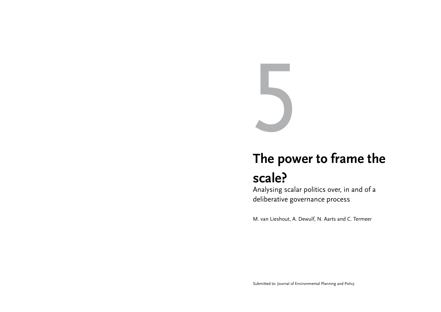# 5

# **The power to frame the**

# **scale?**

Analysing scalar politics over, in and of a deliberative governance process

M. van Lieshout, A. Dewulf, N. Aarts and C. Termeer

Submitted to: Journal of Environmental Planning and Policy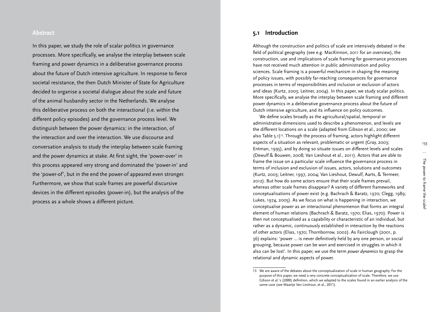### **Abstract**

aspects of a situation as relevant, problematic or urgent (Gray, 2003; 133 In this paper, we study the role of scalar politics in governance processes. More specifically, we analyse the interplay between scale framing and power dynamics in a deliberative governance process about the future of Dutch intensive agriculture. In response to fierce societal resistance, the then Dutch Minister of State for Agriculture decided to organise a societal dialogue about the scale and future of the animal husbandry sector in the Netherlands. We analyse this deliberative process on both the interactional (i.e. within the different policy episodes) and the governance process level. We distinguish between the power dynamics: in the interaction, of the interaction and over the interaction. We use discourse and conversation analysis to study the interplay between scale framing and the power dynamics at stake. At first sight, the 'power-over' in this process appeared very strong and dominated the 'power-in' and the 'power-of', but in the end the power-of appeared even stronger. Furthermore, we show that scale frames are powerful discursive devices in the different episodes (power-in), but the analysis of the process as a whole shows a different picture.

# **5.1 Introduction**

Although the construction and politics of scale are intensively debated in the field of political geography (see e.g. MacKinnon, 2011 for an overview), the construction, use and implications of scale framing for governance processes have not received much attention in public administration and policy sciences. Scale framing is a powerful mechanism in shaping the meaning of policy issues, with possibly far-reaching consequences for governance processes in terms of responsibilities and inclusion or exclusion of actors and ideas (Kurtz, 2003; Leitner, 2004). In this paper, we study scalar politics. More specifically, we analyse the interplay between scale framing and different power dynamics in a deliberative governance process about the future of Dutch intensive agriculture, and its influence on policy outcomes.

We define scales broadly as the agricultural/spatial, temporal or administrative dimensions used to describe a phenomenon, and levels are the different locations on a scale (adapted from Gibson et al., 2000; see also Table 5.1)<sup>13</sup>. Through the process of framing, actors highlight different Entman, 1995), and by doing so situate issues on different levels and scales (Dewulf & Bouwen, 2008; Van Lieshout et al., 2011). Actors that are able to frame the issue on a particular scale influence the governance process in terms of inclusion and exclusion of issues, actors, solutions and outcomes (Kurtz, 2003; Leitner, 1997, 2004; Van Lieshout, Dewulf, Aarts, & Termeer, 2012). But how do some actors ensure that their scale frames prevail, whereas other scale frames disappear? A variety of different frameworks and conceptualisations of power exist (e.g. Bachrach & Baratz, 1970; Clegg, 1989; Lukes, 1974, 2005). As we focus on what is happening in interaction, we conceptualise power as an interactional phenomenon that forms an integral element of human relations (Bachrach & Baratz, 1970; Elias, 1970). Power is then not conceptualised as a capability or characteristic of an individual, but rather as a dynamic, continuously established in interaction by the reactions of other actors (Elias, 1970; Thornborrow, 2002). As Fairclough (2001, p. 36) explains: 'power ... is never definitively held by any one person, or social grouping, because power can be won and exercised in struggles in which it also can be lost'. In this paper, we use the term *power dynamics* to grasp the relational and dynamic aspects of power.

<sup>13</sup> We are aware of the debates about the conceptualization of scale in human geography. For the purpose of this paper, we need a very concrete conceptualization of scale. Therefore, we use Gibson et al.'s (2000) definition, which we adapted to the scales found in an earlier analysis of the same case (see Maartje Van Lieshout, et al., 2011).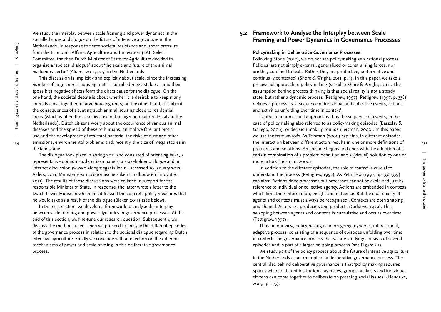We study the interplay between scale framing and power dynamics in the so-called societal dialogue on the future of intensive agriculture in the Netherlands. In response to fierce societal resistance and under pressure from the Economic Affairs, Agriculture and Innovation (EAI) Select Committee, the then Dutch Minister of State for Agriculture decided to organise a 'societal dialogue' about 'the scale and future of the animal husbandry sector' (Alders, 2011, p. 5) in the Netherlands.

 $_{\rm 134}$  emissions, environmental problems and, recently, the size of mega-stables in  $_{\rm 135}$  and the interaction between different actors results in one or more definitions of  $_{\rm 135}$ This discussion is implicitly and explicitly about scale, since the increasing number of large animal-housing units – so-called mega-stables – and their (possible) negative effects form the direct cause for the dialogue. On the one hand, the societal debate is about whether it is desirable to keep many animals close together in large housing units; on the other hand, it is about the consequences of situating such animal housing close to residential areas (which is often the case because of the high population density in the Netherlands). Dutch citizens worry about the occurrence of various animal diseases and the spread of these to humans, animal welfare, antibiotic use and the development of resistant bacteria, the risks of dust and other the landscape.

The dialogue took place in spring 2011 and consisted of orienting talks, a representative opinion study, citizen panels, a stakeholder dialogue and an internet discussion (www.dialoogmegastallen.nl, accessed 10 January 2012; Alders, 2011; Ministerie van Economische zaken Landbouw en Innovatie, 2011). The results of these discussions were collated in a report for the responsible Minister of State. In response, the latter wrote a letter to the Dutch Lower House in which he addressed the concrete policy measures that he would take as a result of the dialogue (Bleker, 2011) (see below).

In the next section, we develop a framework to analyse the interplay between scale framing and power dynamics in governance processes. At the end of this section, we fine-tune our research question. Subsequently, we discuss the methods used. Then we proceed to analyse the different episodes of the governance process in relation to the societal dialogue regarding Dutch intensive agriculture. Finally we conclude with a reflection on the different mechanisms of power and scale framing in this deliberative governance process.

# **5.2 Framework to Analyse the Interplay between Scale Framing and Power Dynamics in Governance Processes**

#### **Policymaking in Deliberative Governance Processes**

Following Stone (2012), we do not see policymaking as a rational process. Policies 'are not simply external, generalised or constraining forces, nor are they confined to texts. Rather, they are productive, performative and continually contested' (Shore & Wright, 2011, p. 1). In this paper, we take a processual approach to policymaking (see also Shore & Wright, 2011). The assumption behind process thinking is that social reality is not a steady state, but rather a dynamic process (Pettigrew, 1997). Pettigrew (1997, p. 338) defines a process as 'a sequence of individual and collective events, actions, and activities unfolding over time in context'.

Central in a processual approach is thus the sequence of events, in the case of policymaking also referred to as policymaking episodes (Barzelay & Gallego, 2006), or decision-making rounds (Teisman, 2000). In this paper, we use the term *episode*. As Teisman (2000) explains, in different episodes the interaction between different actors results in one or more definitions of problems and solutions. An episode begins and ends with the adoption of a certain combination of a problem definition and a (virtual) solution by one or more actors (Teisman, 2000).

In addition to the different episodes, the role of *context* is crucial to understand the process (Pettigrew, 1997). As Pettigrew (1997, pp. 338-339) explains: 'Actions drive processes but processes cannot be explained just by reference to individual or collective agency. Actions are embedded in contexts which limit their information, insight and influence. But the dual quality of agents and contexts must always be recognised'. Contexts are both shaping and shaped. Actors are producers and products (Giddens, 1979). This swapping between agents and contexts is cumulative and occurs over time (Pettigrew, 1997).

Thus, in our view, policymaking is an on-going, dynamic, interactional, adaptive process, consisting of a sequence of episodes unfolding over time in context. The governance process that we are studying consists of several episodes and is part of a larger on-going process (see Figure 5.1).

We study part of the policy process about the future of intensive agriculture in the Netherlands as an example of a deliberative governance process. The central idea behind deliberative governance is that 'policy making requires spaces where different institutions, agencies, groups, activists and individual citizens can come together to deliberate on pressing social issues' (Hendriks, 2009, p. 173).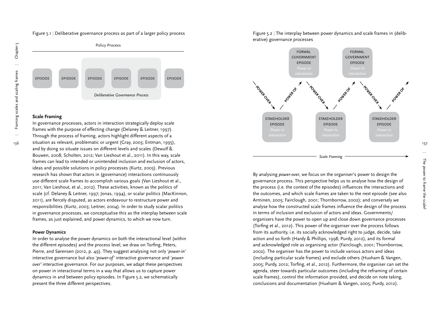#### Figure 5.1 | Deliberative governance process as part of a larger policy process



#### **Scale Framing**

136 131 situation as relevant, problematic or urgent (Gray, 2003; Entman, 1995), the contract of the contract of the contract or urgent (Gray, 2003; Entman, 1995), the contract of the contract of the contract of the contra In governance processes, actors in interaction strategically deploy scale frames with the purpose of effecting change (Delaney & Leitner, 1997). Through the process of framing, actors highlight different aspects of a and by doing so situate issues on different levels and scales (Dewulf & Bouwen, 2008; Scholten, 2012; Van Lieshout et al., 2011). In this way, scale frames can lead to intended or unintended inclusion and exclusion of actors, ideas and possible solutions in policy processes (Kurtz, 2003). Previous research has shown that actors in (governance) interactions continuously use different scale frames to accomplish various goals (Van Lieshout et al., 2011; Van Lieshout, et al., 2012). These activities, known as the politics of scale (cf. Delaney & Leitner, 1997; Jonas, 1994), or scalar politics (MacKinnon, 2011), are fiercely disputed, as actors endeavour to restructure power and responsibilities (Kurtz, 2003; Leitner, 2004). In order to study scalar politics in governance processes, we conceptualise this as the interplay between scale frames, as just explained, and power dynamics, to which we now turn.

#### **Power Dynamics**

In order to analyse the power dynamics on both the interactional level (within the different episodes) and the process level, we draw on Torfing, Peters, Pierre, and Sørensen (2012, p. 49). They suggest analysing not only '*power-in'* interactive governance but also '*power-of'* interactive governance and '*powerover'* interactive governance. For our purposes, we adapt these perspectives on power in interactional terms in a way that allows us to capture power dynamics in and between policy episodes. In Figure 5.2, we schematically present the three different perspectives.



Figure 5.2 | The interplay between power dynamics and scale frames in (delib erative) governance processes

governance process. This perspective helps us to analyse how the design of the process (i.e. the context of the episodes) influences the interactions and the outcomes, and which scale frames are taken to the next episode (see also Arminen, 2005; Fairclough, 2001; Thornborrow, 2002); and conversely we analyse how the constructed scale frames influence the design of the process in terms of inclusion and exclusion of actors and ideas. Governments/ organisers have the power to open up and close down governance processes (Torfing et al., 2012). This power of the organiser over the process follows from its authority, i.e. its socially acknowledged right to judge, decide, take action and so forth (Hardy & Phillips, 1998; Purdy, 2012), and its formal and acknowledged role as organising actor (Fairclough, 2001; Thornborrow, 2002). The organiser has the power to include various actors and ideas (including particular scale frames) and exclude others (Huxham & Vangen, 2005; Purdy, 2012; Torfing, et al., 2012). Furthermore, the organiser can set the agenda, steer towards particular outcomes (including the reframing of certain scale frames), control the information provided, and decide on note taking, conclusions and documentation (Huxham & Vangen, 2005; Purdy, 2012).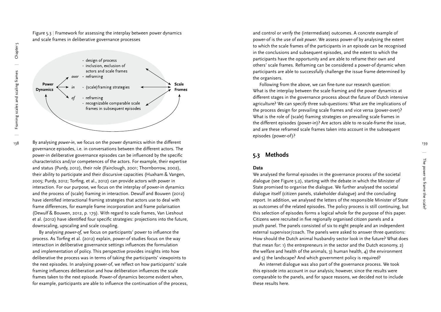

Figure 5.3 | Framework for assessing the interplay between power dynamics and scale frames in deliberative governance processes

138 By analysing *power-in*, we focus on the power dynamics within the different 139 governance episodes, i.e. in conversations between the different actors. The power-in deliberative governance episodes can be influenced by the specific characteristics and/or competences of the actors. For example, their expertise and status (Purdy, 2012), their role (Fairclough, 2001; Thornborrow, 2002), their ability to participate and their discursive capacities (Huxham & Vangen, 2005; Purdy, 2012; Torfing, et al., 2012) can provide actors with power in interaction. For our purpose, we focus on the interplay of power-in dynamics and the process of (scale) framing in interaction. Dewulf and Bouwen (2012) have identified interactional framing strategies that actors use to deal with frame differences, for example frame incorporation and frame polarisation (Dewulf & Bouwen, 2012, p. 179). With regard to scale frames, Van Lieshout et al. (2012) have identified four specific strategies: projections into the future, downscaling, upscaling and scale coupling.

By analysing *power-of*, we focus on participants' power to influence the process. As Torfing et al. (2012) explain, power-of studies focus on the way interaction in deliberative governance settings influences the formulation and implementation of policy. This perspective provides insights into how deliberative the process was in terms of taking the participants' viewpoints to the next episodes. In analysing power-of, we reflect on how participants' scale framing influences deliberation and how deliberation influences the scale frames taken to the next episode. Power-of dynamics become evident when, for example, participants are able to influence the continuation of the process,

and control or verify the (intermediate) outcomes. A concrete example of power-of is the use of *exit power*. We assess power-of by analysing the extent to which the scale frames of the participants in an episode can be recognised in the conclusions and subsequent episodes, and the extent to which the participants have the opportunity and are able to reframe their own and others' scale frames. Reframing can be considered a power-of dynamic when participants are able to successfully challenge the issue frame determined by the organisers.

Following from the above, we can fine-tune our research question: What is the interplay between the scale framing and the power dynamics at different stages in the governance process about the future of Dutch intensive agriculture? We can specify three sub-questions: What are the implications of the process design for prevailing scale frames and vice versa (power-over)? What is the role of (scale) framing strategies on prevailing scale frames in the different episodes (power-in)? Are actors able to re-scale-frame the issue, and are these reframed scale frames taken into account in the subsequent episodes (power-of)?

# **5.3 Methods**

#### **Data**

We analysed the formal episodes in the governance process of the societal dialogue (see Figure 5.2), starting with the debate in which the Minister of State promised to organise the dialogue. We further analysed the societal dialogue itself (citizen panels, stakeholder dialogue) and the concluding report. In addition, we analysed the letters of the responsible Minister of State as outcomes of the related episodes. The policy process is still continuing, but this selection of episodes forms a logical whole for the purpose of this paper. Citizens were recruited in five regionally organised citizen panels and a youth panel. The panels consisted of six to eight people and an independent external supervisor/coach. The panels were asked to answer three questions: How should the Dutch animal husbandry sector look in the future? What does that mean for: 1) the entrepreneurs in the sector and the Dutch economy, 2) the welfare and health of the animals, 3) human health, 4) the environment and 5) the landscape? And which government policy is required?

An internet dialogue was also part of the governance process. We took this episode into account in our analysis; however, since the results were comparable to the panels, and for space reasons, we decided not to include these results here.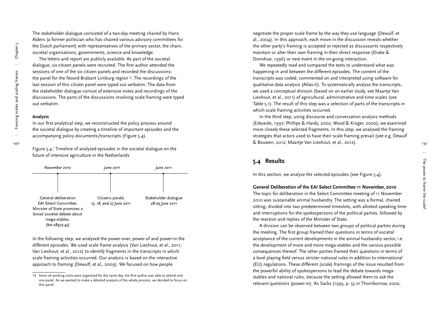The stakeholder dialogue consisted of a two-day meeting chaired by Hans Alders (a former politician who has chaired various advisory committees for the Dutch parliament) with representatives of the primary sector, the chain, societal organisations, governments, science and knowledge.

The letters and report are publicly available. As part of the societal dialogue, six citizen panels were recruited. The first author attended the sessions of one of the six citizen panels and recorded the discussions: the panel for the Noord-Brabant Limburg region 14. The recordings of the last session of this citizen panel were typed out verbatim. The data from the stakeholder dialogue consist of extensive notes and recordings of the discussions. The parts of the discussions involving scale framing were typed out verbatim.

#### **Analysis**

In our first analytical step, we reconstructed the policy process around the societal dialogue by creating a timeline of important episodes and the accompanying policy documents/transcripts (Figure 5.4).

Figure 5.4 | Timeline of analysed episodes in the societal dialogue on the future of intensive agriculture in the Netherlands



In the following step, we analysed the power-over, power-of and power-in the different episodes. We used scale frame analysis (Van Lieshout, et al., 2011; Van Lieshout, et al., 2012) to identify fragments in the transcripts in which scale framing activities occurred. Our analysis is based on the interactive approach to framing (Dewulf, et al., 2009). We focused on how people

negotiate the proper scale frame by the way they use language (Dewulf, et al., 2004). In this approach, each move in the discussion reveals whether the other party's framing is accepted or rejected as discussants respectively maintain or alter their own framing in their direct response (Drake & Donohue, 1996) or next event in the on-going interaction.

We repeatedly read and compared the texts to understand what was happening in and between the different episodes. The content of the transcripts was coded, commented on and interpreted using software for qualitative data analysis (Atlas-ti). To systematically analyse the transcripts, we used a conceptual division (based on an earlier study, see Maartje Van Lieshout, et al., 2011) of agricultural, administrative and time scales (see Table 5.1). The result of this step was a selection of parts of the transcripts in which scale framing activities occurred.

140 141 & Bouwen, 2012; Maartje Van Lieshout, et al., 2012). In the third step, using discourse and conversation analysis methods (Edwards, 1997; Phillips & Hardy, 2002; Wood & Kroger, 2000), we examined more closely these selected fragments. In this step, we analysed the framing strategies that actors used to have their scale framing prevail (see e.g. Dewulf

# **5.4 Results**

In this section, we analyse the selected episodes (see Figure 5.4).

**General Deliberation of the EAI Select Committee 11 November, 2010** The topic for deliberation in the Select Committee meeting of 11 November 2010 was sustainable animal husbandry. The setting was a formal, chaired sitting, divided into two predetermined timeslots, with allotted speaking time and interruptions for the spokespersons of the political parties, followed by the reaction and replies of the Minister of State.

A division can be observed between two groups of political parties during the meeting. The first group framed their questions in terms of societal acceptance of the current developments in the animal husbandry sector, i.e. the development of more and more mega-stables and the various possible consequences thereof. The other parties framed their questions in terms of a level playing field versus stricter national rules in addition to international (EU) regulations. These different (scale) framings of the issue resulted from the powerful ability of spokespersons to lead the debate towards megastables and national rules, because the setting allowed them to ask the relevant questions (power-in). As Sacks (1995, p. 55 in Thornborrow, 2002,

<sup>14</sup> Since all working visits were organized for the same day, the first author was able to attend only one panel. As we wanted to make a detailed analysis of the whole process, we decided to focus on this panel.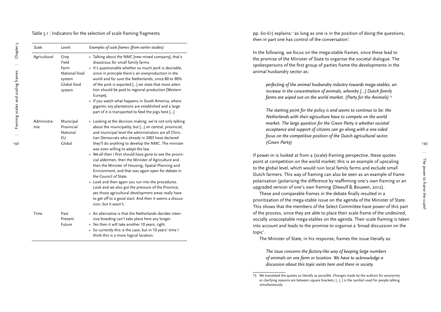| Table 5.1   Indicators for the selection of scale framing fragments |  |  |  |  |
|---------------------------------------------------------------------|--|--|--|--|
|                                                                     |  |  |  |  |

| Chapter <sub>5</sub>              | Scale               | Levels                                              | Examples of scale frames (from earlier studies)                                                                                                                                                                                                                                                                                                                                                                                                                                                              | In the following, we focus on the mega-stable frames, since these lead to                                                                                                                                                                                                                                                                                                                                                                                                                                                                                                                                                                                                                                                                       |
|-----------------------------------|---------------------|-----------------------------------------------------|--------------------------------------------------------------------------------------------------------------------------------------------------------------------------------------------------------------------------------------------------------------------------------------------------------------------------------------------------------------------------------------------------------------------------------------------------------------------------------------------------------------|-------------------------------------------------------------------------------------------------------------------------------------------------------------------------------------------------------------------------------------------------------------------------------------------------------------------------------------------------------------------------------------------------------------------------------------------------------------------------------------------------------------------------------------------------------------------------------------------------------------------------------------------------------------------------------------------------------------------------------------------------|
|                                   | Agricultural        | Crop<br>Field<br>Farm<br>National food              | • Talking about the NMC [new mixed company], that's<br>disastrous for small family farms.<br>• It's questionable whether so much pork is desirable,<br>since in principle there's an overproduction in the                                                                                                                                                                                                                                                                                                   | the promise of the Minister of State to organise the societal dialogue. The<br>spokespersons of the first group of parties frame the developments in the<br>animal husbandry sector as:                                                                                                                                                                                                                                                                                                                                                                                                                                                                                                                                                         |
| Framing scales and scaling frames |                     | system<br>Global food<br>system                     | world and for sure the Netherlands, since 80 to 90%<br>of the pork is exported [] we state that more atten-<br>tion should be paid to regional production [Western<br>Europe].<br>• If you watch what happens in South America, where<br>gigantic soy plantations are established and a large<br>part of it is transported to feed the pigs here []                                                                                                                                                          | perfecting of the animal husbandry industry towards mega-stables, an<br>increase in the concentration of animals, whereby [] Dutch family<br>farms are wiped out on the world market. (Party for the Animals) <sup>15</sup><br>The starting point for the policy is and seems to continue to be: the                                                                                                                                                                                                                                                                                                                                                                                                                                            |
| 142                               | Administra-<br>tive | Municipal<br>Provincial<br>National<br>EU<br>Global | • Looking at the decision making, we're not only talking<br>about the municipality, but [] on central, provincial,<br>and municipal level the administrators are all Chris-<br>tian Democrats who already in 2003 have declared<br>they'll do anything to develop the NMC. The minister<br>was even willing to adapt the law.                                                                                                                                                                                | Netherlands with their agriculture have to compete on the world<br>market. The large question for the Green Party is whether societal<br>acceptance and support of citizens can go along with a one-sided<br>focus on the competitive position of the Dutch agricultural sector.<br>(Green Party)<br>143                                                                                                                                                                                                                                                                                                                                                                                                                                        |
|                                   |                     |                                                     | • We-ell then I first should have gone to see the provin-<br>cial aldermen, then the Minister of Agriculture and<br>then the Minister of Housing, Spatial Planning and<br>Environment, and that was again open for debate in<br>the Council of State.<br>• Look and then again you run into the procedures.<br>Look and we also got the pressure of the Province,<br>yes those agricultural development areas really have<br>to get off to a good start. And then it seems a discus-<br>sion, but it wasn't. | If power-in is looked at from a (scale)-framing perspective, these quotes<br>The power to frame<br>point at competition on the world market; this is an example of upscaling<br>to the global level, which would ruin local family farms and exclude small<br>Dutch farmers. This way of framing can also be seen as an example of frame<br>polarisation (polarising the difference by reaffirming one's own framing or an<br>upgraded version of one's own framing (Dewulf & Bouwen, 2012).<br>These and comparable frames in the debate finally resulted in a<br>the scale.<br>prioritisation of the mega-stable issue on the agenda of the Minister of State.<br>This shows that the members of the Select Committee have power-of this part |
|                                   | Time                | Past<br>Present<br>Future                           | • An alternative is that the Netherlands decides inten-<br>sive breeding can't take place here any longer.<br>• Yes then it will take another 10 years, right.<br>• So currently this is the case, but in 10 years' time I                                                                                                                                                                                                                                                                                   | of the process, since they are able to place their scale frame of the undesired,<br>socially unacceptable mega-stables on the agenda. Their scale framing is taken<br>into account and leads to the promise to organise a 'broad discussion on the<br>tonic'                                                                                                                                                                                                                                                                                                                                                                                                                                                                                    |

think this is a more logical location.

pp. 60-61) explains: 'as long as one is in the position of doing the questions, then in part one has control of the conversation'.

The Minister of State, in his response, frames the issue literally as:

*The issue concerns the factory-like way of keeping large numbers of animals on one farm or location. We have to acknowledge a discussion about this topic exists here and there in society.*

<sup>15</sup> We translated the quotes as literally as possible. Changes made by the authors for anonymity or clarifying reasons are between square brackets: […]. [ is the symbol used for people talking simultaneously.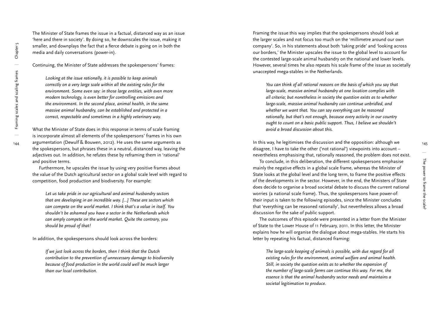$\overline{\phantom{0}}$ 

The Minister of State frames the issue in a factual, distanced way as an issue 'here and there in society'. By doing so, he downscales the issue, making it smaller, and downplays the fact that a fierce debate is going on in both the media and daily conversations (power-in).

Continuing, the Minister of State addresses the spokespersons' frames:

*Looking at the issue rationally, it is possible to keep animals correctly on a very large scale within all the existing rules for the environment. Some even say: in those large entities, with even more modern technology, is even better for controlling emissions and the environment. In the second place, animal health, in the same massive animal husbandry, can be established and protected in a correct, respectable and sometimes in a highly veterinary way.*

 $_{144}$  argumentation (Dewulf & Bouwen, 2012). He uses the same arguments as  $_{145}$  and this way, he legitimises the discussion and the opposition: although we  $_{145}$ What the Minister of State does in this response in terms of scale framing is incorporate almost all elements of the spokespersons' frames in his own argumentation (Dewulf & Bouwen, 2012). He uses the same arguments as the spokespersons, but phrases these in a neutral, distanced way, leaving the adjectives out. In addition, he refutes these by reframing them in 'rational' and positive terms.

Furthermore, he upscales the issue by using very positive frames about the value of the Dutch agricultural sector on a global scale level with regard to competition, food production and biodiversity. For example:

*Let us take pride in our agricultural and animal husbandry sectors that are developing in an incredible way. [...] These are sectors which can compete on the world market. I think that's a value in itself. You shouldn't be ashamed you have a sector in the Netherlands which can amply compete on the world market. Quite the contrary, you should be proud of that!*

In addition, the spokespersons should look across the borders:

*If we just look across the borders, then I think that the Dutch contribution to the prevention of unnecessary damage to biodiversity because of food production in the world could well be much larger than our local contribution.*

Framing the issue this way implies that the spokespersons should look at the larger scales and not focus too much on the 'millimetre around our own company'. So, in his statements about both 'taking pride' and 'looking across our borders,' the Minister upscales the issue to the global level to account for the contested large-scale animal husbandry on the national and lower levels. However, several times he also repeats his scale frame of the issue as societally unaccepted mega-stables in the Netherlands.

*You can think of all rational reasons on the basis of which you say that large-scale, massive animal husbandry at one location complies with all criteria; but nonetheless in society the question exists as to whether large-scale, massive animal husbandry can continue unbridled, and whether we want that. You can say everything can be reasoned rationally, but that's not enough, because every activity in our country ought to count on a basic public support. Thus, I believe we shouldn't avoid a broad discussion about this.*

disagree, I have to take the other ('not rational') viewpoints into account – nevertheless emphasising that, rationally reasoned, the problem does not exist.

To conclude, in this deliberation, the different spokespersons emphasise mainly the negative effects in a global scale frame, whereas the Minister of State looks at the global level and the long term, to frame the positive effects of the developments in the sector. However, in the end, the Ministers of State does decide to organise a broad societal debate to discuss the current national worries (a national scale frame). Thus, the spokespersons have power-of: their input is taken to the following episodes, since the Minister concludes that 'everything can be reasoned rationally', but nevertheless allows a broad discussion for the sake of public support.

The outcomes of this episode were presented in a letter from the Minister of State to the Lower House of 11 February, 2011. In this letter, the Minister explains how he will organise the dialogue about mega-stables. He starts his letter by repeating his factual, distanced framing:

*The large-scale keeping of animals is possible, with due regard for all existing rules for the environment, animal welfare and animal health. Still, in society the question exists as to whether the expansion of the number of large-scale farms can continue this way. For me, the essence is that the animal husbandry sector needs and maintains a societal legitimation to produce.*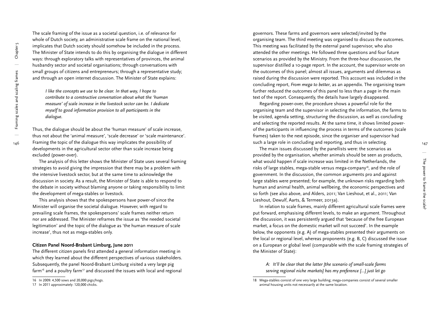The scale framing of the issue as a societal question, i.e. of relevance for whole of Dutch society, an administrative scale frame on the national level, implicates that Dutch society should somehow be included in the process. The Minister of State intends to do this by organising the dialogue in different ways: through exploratory talks with representatives of provinces, the animal husbandry sector and societal organisations; through conversations with small groups of citizens and entrepreneurs; through a representative study; and through an open internet discussion. The Minister of State explains:

*I like the concepts we use to be clear. In that way, I hope to contribute to a constructive conversation about what the 'human measure' of scale increase in the livestock sector can be. I dedicate myself to good information provision to all participants in the dialogue.*

 $_{146}$  Framing the topic of the dialogue this way implicates the possibility of  $_{147}$ Thus, the dialogue should be about the 'human measure' of scale increase, thus not about the 'animal measure', 'scale decrease' or 'scale maintenance'. developments in the agricultural sector other than scale increase being excluded (power-over).

The analysis of this letter shows the Minister of State uses several framing strategies to avoid giving the impression that there may be a problem with the intensive livestock sector, but at the same time to acknowledge the discussion in society. As a result, the Minister of State is able to respond to the debate in society without blaming anyone or taking responsibility to limit the development of mega-stables or livestock.

This analysis shows that the spokespersons have power-of since the Minister will organise the societal dialogue. However, with regard to prevailing scale frames, the spokespersons' scale frames neither return nor are addressed. The Minister reframes the issue as 'the needed societal legitimation' and the topic of the dialogue as 'the human measure of scale increase', thus not as mega-stables only.

#### **Citizen Panel Noord-Brabant Limburg, June 2011**

The different citizen panels first attended a general information meeting in which they learned about the different perspectives of various stakeholders. Subsequently, the panel Noord-Brabant Limburg visited a very large pig  $farm^{16}$  and a poultry farm<sup>17</sup> and discussed the issues with local and regional

governors. These farms and governors were selected/invited by the organising team. The third meeting was organised to discuss the outcomes. This meeting was facilitated by the external panel supervisor, who also attended the other meetings. He followed three questions and four future scenarios as provided by the Ministry. From the three-hour discussion, the supervisor distilled a 10-page report. In the account, the supervisor wrote on the outcomes of this panel; almost all issues, arguments and dilemmas as raised during the discussion were reported. This account was included in the concluding report, *From mega to better*, as an appendix. The organising team further reduced the outcomes of this panel to less than a page in the main text of the report. Consequently, the details have largely disappeared.

Regarding power-over, the procedure shows a powerful role for the organising team and the supervisor in selecting the information, the farms to be visited, agenda setting, structuring the discussion, as well as concluding and selecting the reported results. At the same time, it shows limited powerof the participants in influencing the process in terms of the outcomes (scale frames) taken to the next episode, since the organiser and supervisor had such a large role in concluding and reporting, and thus in selecting.

The main issues discussed by the panellists were: the scenarios as provided by the organisation, whether animals should be seen as products, what would happen if scale increase was limited in the Netherlands, the risks of large stables, mega-stable versus mega-company<sup>18</sup>, and the role of government. In the discussion, the common arguments pro and against large stables were presented; for example, the unknown risks regarding both human and animal health, animal wellbeing, the economic perspectives and so forth (see also above, and Alders, 2011; Van Lieshout, et al., 2011; Van Lieshout, Dewulf, Aarts, & Termeer, 2013a).

In relation to scale frames, mainly different agricultural scale frames were put forward, emphasising different levels, to make an argument. Throughout the discussion, it was persistently argued that 'because of the free European market, a focus on the domestic market will not succeed'. In the example below, the opponents (e.g. A) of mega-stables presented their arguments on the local or regional level, whereas proponents (e.g. B, C) discussed the issue on a European or global level (comparable with the scale framing strategies of the Minister of State):

*A: It'll be clear that the latter [the scenario of small-scale farms serving regional niche markets] has my preference [...] just let go* 

<sup>16</sup> In 2009: 4,500 sows and 20,000 pigs/hogs.

<sup>17</sup> In 2011 approximately: 120,000 chicks.

<sup>18</sup> Mega-stables consist of one very large building; mega-companies consist of several smaller animal housing units not necessarily at the same location.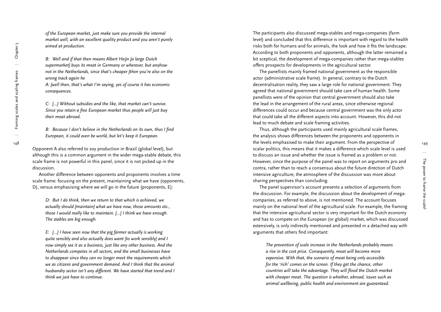*of the European market, just make sure you provide the internal market well, with an excellent quality product and you aren't purely aimed at production.*

*B: Well and if that then means Albert Heijn [a large Dutch supermarket] buys its meat in Germany or wherever, but anyhow not in the Netherlands, since that's cheaper [then you're also on the wrong track again he*

*A: [well then, that's what I'm saying, yes of course it has economic consequences.* 

*C: […] Without subsidies and the like, that market can't survive. Since you retain a free European market thus people will just buy their meat abroad.* 

*B: Because I don't believe in the Netherlands on its own, thus I find European, it could even be world, but let's keep it European.*

Opponent A also referred to soy production in Brazil (global level), but although this is a common argument in the wider mega-stable debate, this scale frame is not powerful in this panel, since it is not picked up in the discussion.

Another difference between opponents and proponents involves a time scale frame: focusing on the present, maintaining what we have (opponents, D), versus emphasising where we will go in the future (proponents, E):

*D: But I do think, then we return to that which is achieved, we actually should [maintain] what we have now, those amounts etc., those I would really like to maintain. [...] I think we have enough. The stables are big enough.*

*E: [...] I have seen now that the pig farmer actually is working quite sensibly and also actually does want [to work sensibly] and I now simply see it as a business, just like any other business. And the Netherlands competes in all sectors, and the small businesses have to disappear since they can no longer meet the requirements which we as citizens and government demand. And I think that the animal husbandry sector isn't any different. We have started that trend and I think we just have to continue.* 

The participants also discussed mega-stables and mega-companies (farm level) and concluded that this difference is important with regard to the health risks both for humans and for animals, the look and how it fits the landscape. According to both proponents and opponents, although the latter remained a bit sceptical, the development of mega-companies rather than mega-stables offers prospects for developments in the agricultural sector.

The panellists mainly framed national government as the responsible actor (administrative scale frame). In general, contrary to the Dutch decentralisation reality, they saw a large role for national government. They agreed that national government should take care of human health. Some panellists were of the opinion that central government should also take the lead in the arrangement of the rural areas, since otherwise regional differences could occur and because central government was the only actor that could take all the different aspects into account. However, this did not lead to much debate and scale framing activities.

 $_{148}$  the levels emphasised to make their argument. From the perspective of  $_{149}$ Thus, although the participants used mainly agricultural scale frames, the analysis shows differences between the proponents and opponents in scalar politics, this means that it makes a difference which scale level is used to discuss an issue and whether the issue is framed as a problem or not. However, since the purpose of the panel was to report on arguments pro and contra, rather than to reach a consensus about the future direction of Dutch intensive agriculture, the atmosphere of the discussion was more about sharing perspectives than concluding.

> The panel supervisor's account presents a selection of arguments from the discussion. For example, the discussion about the development of megacompanies, as referred to above, is not mentioned. The account focuses mainly on the national level of the agricultural scale. For example, the framing that the intensive agricultural sector is very important for the Dutch economy and has to compete on the European (or global) market, which was discussed extensively, is only indirectly mentioned and presented in a detached way with arguments that others find important:

*The prevention of scale increase in the Netherlands probably means a rise in the cost price. Consequently, meat will become more expensive. With that, the scenario of meat being only accessible for the 'rich' comes on the screen. If they get the chance, other countries will take the advantage. They will flood the Dutch market with cheaper meat. The question is whether, abroad, issues such as animal wellbeing, public health and environment are guaranteed.*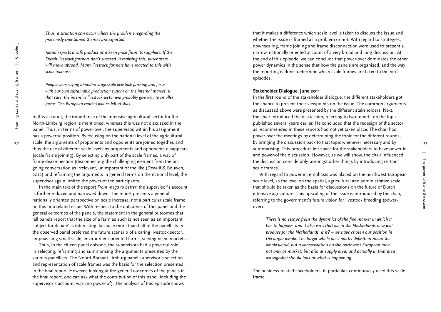*Thus, a situation can occur where the problems regarding the previously mentioned themes are exported.* 

*Retail expects a safe product at a keen price from its suppliers. If the Dutch livestock farmers don't succeed in realising this, purchasers will move abroad. Many livestock farmers have reacted to this with scale increase.*

*People were saying abandon large-scale livestock farming and focus with our own sustainable production system on the internal market. In that case, the intensive livestock sector will probably give way to smaller farms. The European market will be left at that.*

150 151 scale, the arguments of proponents and opponents are joined together, and In this account, the importance of the intensive agricultural sector for the North-Limburg region is mentioned, whereas this was not discussed in the panel. Thus, in terms of power-over, the supervisor, within his assignment, has a powerful position. By focusing on the national level of the agricultural thus the use of different scale levels by proponents and opponents disappears (scale frame joining). By selecting only part of the scale frames, a way of frame disconnection (disconnecting the challenging element from the ongoing conversation as irrelevant, unimportant or the like (Dewulf & Bouwen, 2012) and reframing the arguments in general terms on the national level, the supervisor again limited the power-of the participants.

In the main text of the report *From mega to better*, the supervisor's account is further reduced and narrowed down. The report presents a general, nationally oriented perspective on scale increase, not a particular scale frame on this or a related issue. With respect to the outcomes of this panel and the general outcomes of the panels, the statement in the general outcomes that 'all panels report that the size of a farm as such is not seen as an important subject for debate' is interesting, because more than half of the panellists in the observed panel preferred the future scenario of a caring livestock sector, emphasising small-scale, environment-oriented farms, serving niche markets.

Thus, in the citizen panel episode, the supervisors had a powerful role in selecting, reframing and summarising the arguments presented by the various panellists. The Noord-Brabant Limburg panel supervisor's selection and representation of scale frames was the basis for the selection presented in the final report. However, looking at the general outcomes of the panels in the final report, one can ask what the contribution of this panel, including the supervisor's account, was (no power-of). The analysis of this episode shows

that it makes a difference which scale level is taken to discuss the issue and whether the issue is framed as a problem or not. With regard to strategies, downscaling, frame joining and frame disconnection were used to present a narrow, nationally oriented account of a very broad and long discussion. At the end of this episode, we can conclude that power-over dominates the other power dynamics in the sense that how the panels are organised, and the way the reporting is done, determine which scale frames are taken to the next episodes.

#### **Stakeholder Dialogue, June 2011**

In the first round of the stakeholder dialogue, the different stakeholders got the chance to present their viewpoints on the issue. The common arguments as discussed above were presented by the different stakeholders. Next, the chair introduced the discussion, referring to two reports on the topic published several years earlier. He concluded that the redesign of the sector as recommended in these reports had not yet taken place. The chair had power-over the meetings by determining the topic for the different rounds, by bringing the discussion back to that topic whenever necessary and by summarising. This procedure left space for the stakeholders to have power-in and power-of the discussion. However, as we will show, the chair influenced the discussion considerably, amongst other things by introducing certain scale frames.

With regard to power-in, emphasis was placed on the northwest European scale level, as the level on the spatial, agricultural and administrative scale that should be taken as the basis for discussions on the future of Dutch intensive agriculture. This upscaling of the issue is introduced by the chair, referring to the government's future vision for livestock breeding (powerover):

*There is no escape from the dynamics of the free market in which it has to happen, and it also isn't that we in the Netherlands now will produce for the Netherlands, is it? – we have chosen our position in the larger whole. The larger whole does not by definition mean the whole world, but a concentration on the northwest European area, not only as market, but also as supply area, and actually in that area we together should look at what is happening.*

The business-related stakeholders, in particular, continuously used this scale frame.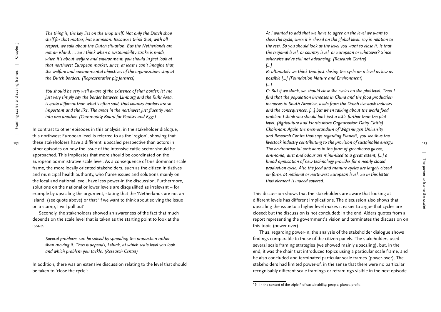*The thing is, the key lies on the shop shelf. Not only the Dutch shop shelf for that matter, but European. Because I think that, with all respect, we talk about the Dutch situation. But the Netherlands are not an island. … So I think when a sustainability stroke is made, when it's about welfare and environment, you should in fact look at that northwest European market, since, at least I can't imagine that, the welfare and environmental objectives of the organisations stop at the Dutch borders. (Representative pig farmers)*

*You should be very well aware of the existence of that border, let me just very simply say the border between Limburg and the Ruhr Area, is quite different than what's often said, that country borders are so important and the like. The areas in the northwest just fluently melt into one another. (Commodity Board for Poultry and Eggs)*

<sub>152</sub> these stakeholders have a different, upscaled perspective than actors in http://www.hisab.com/market/settindustry contributing to the provision of sustainable energy. This isample than  $_{153}$ In contrast to other episodes in this analysis, in the stakeholder dialogue, this northwest European level is referred to as the 'region', showing that other episodes on how the issue of the intensive cattle sector should be approached. This implicates that more should be coordinated on the European administrative scale level. As a consequence of this dominant scale frame, the more locally oriented stakeholders, such as the citizen initiatives and municipal health authority, who frame issues and solutions mainly on the local and national level, have less power-in the discussion. Furthermore, solutions on the national or lower levels are disqualified as irrelevant – for example by upscaling the argument, stating that the 'Netherlands are not an island' (see quote above) or that 'if we want to think about solving the issue on a stamp, I will pull out'.

Secondly, the stakeholders showed an awareness of the fact that much depends on the scale level that is taken as the starting point to look at the issue.

*Several problems can be solved by spreading the production rather than moving it. Thus it depends, I think, at which scale level you look and which problem you tackle. (Research Centre)*

In addition, there was an extensive discussion relating to the level that should be taken to 'close the cycle':

*A: I wanted to add that we have to agree on the level we want to close the cycle, since it is closed on the global level: soy in relation to the rest. So you should look at the level you want to close it. Is that the regional level, or country level, or European or whatever? Since otherwise we're still not advancing. (Research Centre)* 

#### *[...]*

*B: ultimately we think that just closing the cycle on a level as low as possible [...] (Foundation Nature and Environment)*

*[...]*

*C: But if we think, we should close the cycles on the plot level. Then I find that the population increases in China and the food production increases in South America, aside from the Dutch livestock industry and the consequences. [...] but when talking about the world food problem I think you should look just a little further than the plot level. (Agriculture and Horticulture Organisation Dairy Cattle) Chairman: Again the memorandum of Wageningen University and Research Centre that says regarding Planet19, you see thus the livestock industry contributing to the provision of sustainable energy. The environmental emissions in the form of greenhouse gasses, ammonia, dust and odour are minimised to a great extent; [...] a broad application of new technology provides for a nearly closed production cycle. Also the feed and manure cycles are largely closed on farm, at national or northwest European level. So in this letter that element is indeed covered.*

This discussion shows that the stakeholders are aware that looking at different levels has different implications. The discussion also shows that upscaling the issue to a higher level makes it easier to argue that cycles are closed; but the discussion is not concluded: in the end, Alders quotes from a report representing the government's vision and terminates the discussion on this topic (power-over).

Thus, regarding power-in, the analysis of the stakeholder dialogue shows findings comparable to those of the citizen panels. The stakeholders used several scale framing strategies (we showed mainly upscaling), but, in the end, it was the chair that introduced topics using a particular scale frame, and he also concluded and terminated particular scale frames (power-over). The stakeholders had limited power-of, in the sense that there were no particular recognisably different scale framings or reframings visible in the next episode

<sup>19</sup> In the context of the triple P of sustainability: people, planet, profit.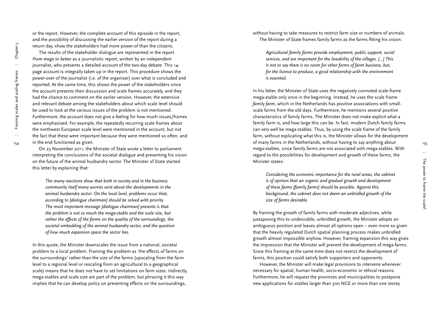Chapter<sub>5</sub>

or the report. However, the complete account of this episode in the report, and the possibility of discussing the earlier version of the report during a return day, show the stakeholders had more power-of than the citizens.

The results of the stakeholder dialogue are represented in the report *From mega to better* as a journalistic report, written by an independent journalist, who presents a detailed account of the two-day debate. This 14page account is integrally taken up in the report. This procedure shows the power-over of the journalist (i.e. of the organiser) over what is concluded and reported. At the same time, this shows the power of the stakeholders since the account presents their discussion and scale frames accurately, and they had the chance to comment on the earlier version. However, the extensive and relevant debate among the stakeholders about which scale level should be used to look at the various issues of the problem is not mentioned. Furthermore, the account does not give a feeling for how much issues/frames were emphasised. For example, the repeatedly recurring scale frames about the northwest European scale level were mentioned in the account, but not the fact that these were important because they were mentioned so often, and in the end functioned as given.

On 23 November 2011, the Minister of State wrote a letter to parliament interpreting the conclusions of the societal dialogue and presenting his vision on the future of the animal husbandry sector. The Minister of State started this letter by explaining that:

*The many reactions show that both in society and in the business community itself many worries exist about the developments in the animal husbandry sector. On the local level, problems occur that, according to [dialogue chairman] should be solved with priority. The most important message [dialogue chairman] presents is that the problem is not so much the mega-stable and the scale size, but rather the effects of the farms on the quality of the surroundings, the societal embedding of the animal husbandry sector, and the question of how much expansion space the sector has.* 

In this quote, the Minister downscales the issue from a national, societal problem to a local problem. Framing the problem as 'the effects of farms on the surroundings' rather than the size of the farms (upscaling from the farm level to a regional level or rescaling from an agricultural to a geographical scale) means that he does not have to set limitations on farm sizes. Indirectly, mega-stables and scale size are part of the problem, but phrasing it this way implies that he can develop policy on preventing effects on the surroundings,

without having to take measures to restrict farm size or numbers of animals. The Minister of State frames family farms as the farms fitting his vision:

*Agricultural family farms provide employment, public support, social services, and are important for the liveability of the villages. […] This is not to say there is no room for other forms of farm business, but, for the licence to produce, a good relationship with the environment is essential.*

 $_{154}$  in the end functioned as given.  $_{155}$ In his letter, the Minister of State uses the negatively connoted scale frame mega-stable only once in the beginning. Instead, he uses the scale frame *family farm*, which in the Netherlands has positive associations with smallscale farms from the old days. Furthermore, he mentions several positive characteristics of family farms. The Minister does not make explicit what a family farm is, and how large this can be. In fact, modern Dutch family farms can very well be mega-stables. Thus, by using the scale frame of the family farm, without explicating what this is, the Minister allows for the development mega-stables, since family farms are not associated with mega-stables. With regard to the possibilities for development and growth of these farms, the Minister states:

> *Considering the economic importance for the rural areas, the cabinet is of opinion that an organic and gradual growth and development of these farms [family farms] should be possible. Against this background, the cabinet does not deem an unbridled growth of the size of farms desirable.*

By framing the growth of family farms with moderate adjectives, while juxtaposing this to undesirable, unbridled growth, the Minister adopts an ambiguous position and leaves almost all options open – even more so given that the heavily regulated Dutch spatial planning process makes unbridled growth almost impossible anyhow. However, framing expansion this way gives the impression that the Minister will prevent the development of mega-farms. Since this framing at the same time does not restrict the development of farms, this position could satisfy both supporters and opponents.

However, the Minister will make legal provisions to intervene whenever necessary for spatial, human health, socio-economic or ethical reasons. Furthermore, he will request the provinces and municipalities to postpone new applications for stables larger than 300 NGE or more than one storey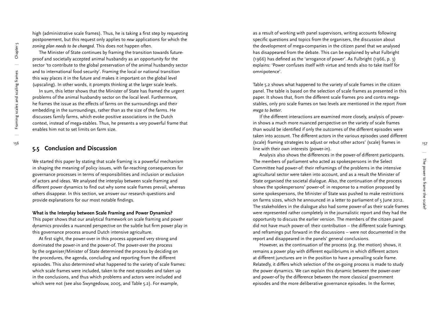high (administrative scale frames). Thus, he is taking a first step by requesting postponement, but this request only applies to *new* applications for which the *zoning plan needs to be changed*. This does not happen often.

The Minister of State continues by framing the transition towards futureproof and societally accepted animal husbandry as an opportunity for the sector 'to contribute to the global preservation of the animal husbandry sector and to international food security'. Framing the local or national transition this way places it in the future and makes it important on the global level (upscaling). In other words, it prompts thinking at the larger scale levels.

In sum, this letter shows that the Minister of State has framed the urgent problems of the animal husbandry sector on the local level. Furthermore, he frames the issue as the effects of farms on the surroundings and their embedding in the surroundings, rather than as the size of the farms. He discusses family farms, which evoke positive associations in the Dutch context, instead of mega-stables. Thus, he presents a very powerful frame that enables him not to set limits on farm size.

#### **5.5 Conclusion and Discussion**

We started this paper by stating that scale framing is a powerful mechanism in shaping the meaning of policy issues, with far-reaching consequences for governance processes in terms of responsibilities and inclusion or exclusion of actors and ideas. We analysed the interplay between scale framing and different power dynamics to find out why some scale frames prevail, whereas others disappear. In this section, we answer our research questions and provide explanations for our most notable findings.

#### **What is the Interplay between Scale Framing and Power Dynamics?**

This paper shows that our analytical framework on scale framing and power dynamics provides a nuanced perspective on the subtle but firm power play in this governance process around Dutch intensive agriculture.

At first sight, the power-over in this process appeared very strong and dominated the power-in and the power-of. The power-over the process by the organiser/Minister of State determined the process by deciding on the procedures, the agenda, concluding and reporting from the different episodes. This also determined what happened to the variety of scale frames: which scale frames were included, taken to the next episodes and taken up in the conclusions, and thus which problems and actors were included and which were not (see also Swyngedouw, 2005, and Table 5.2). For example,

as a result of working with panel supervisors, writing accounts following specific questions and topics from the organisers, the discussion about the development of mega-companies in the citizen panel that we analysed has disappeared from the debate. This can be explained by what Fulbright (1966) has defined as the 'arrogance of power'. As Fulbright (1966, p. 3) explains: 'Power confuses itself with virtue and tends also to take itself for omnipotence'.

Table 5.2 shows what happened to the variety of scale frames in the citizen panel. The table is based on the selection of scale frames as presented in this paper. It shows that, from the different scale frames pro and contra megastables, only pro scale frames on two levels are mentioned in the report *From mega to better*.

 $_{156}$  (scale) framing strategies to adjust or rebut other actors' (scale) frames in  $_{157}$ If the different interactions are examined more closely, analysis of powerin shows a much more nuanced perspective on the variety of scale frames than would be identified if only the outcomes of the different episodes were taken into account. The different actors in the various episodes used different line with their own interests (power-in).

> Analysis also shows the differences in the power-of different participants. The members of parliament who acted as spokespersons in the Select Committee had power-of: their reframings of the problems in the intensive agricultural sector were taken into account, and as a result the Minister of State organised the societal dialogue. Also, the continuation of the process shows the spokespersons' power-of: in response to a motion proposed by some spokespersons, the Minister of State was pushed to make restrictions on farms sizes, which he announced in a letter to parliament of 5 June 2012. The stakeholders in the dialogue also had some power-of as their scale frames were represented rather completely in the journalistic report and they had the opportunity to discuss the earlier version. The members of the citizen panel did not have much power-of: their contribution – the different scale framings and reframings put forward in the discussions – were not documented in the report and disappeared in the panels' general conclusions.

However, as the continuation of the process (e.g. the motion) shows, it remains a power play with different equilibriums in which different actors at different junctures are in the position to have a prevailing scale frame. Relatedly, it differs which selection of the on-going process is made to study the power dynamics. We can explain this dynamic between the power-over and power-of by the difference between the more classical government episodes and the more deliberative governance episodes. In the former,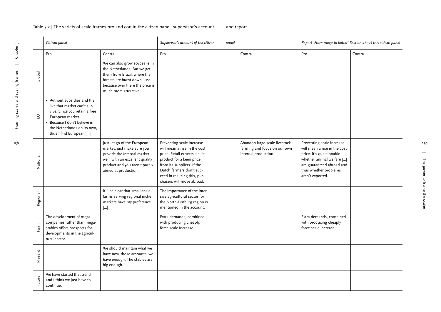#### Table 5.2 | The variety of scale frames pro and con in the citizen panel, supervisor's account and report

|          | Citizen panel                                                                                                                                                                                           |                                                                                                                                                                                        | Supervisor's account of the citizen                                                                                                                                                                                                          | panel                                                                                 |                                                                                                                                                                                              | Report 'From mega to better' Section about this citizen panel |
|----------|---------------------------------------------------------------------------------------------------------------------------------------------------------------------------------------------------------|----------------------------------------------------------------------------------------------------------------------------------------------------------------------------------------|----------------------------------------------------------------------------------------------------------------------------------------------------------------------------------------------------------------------------------------------|---------------------------------------------------------------------------------------|----------------------------------------------------------------------------------------------------------------------------------------------------------------------------------------------|---------------------------------------------------------------|
|          | Pro                                                                                                                                                                                                     | Contra                                                                                                                                                                                 | Pro                                                                                                                                                                                                                                          | Contra                                                                                | Pro                                                                                                                                                                                          | Contra                                                        |
| Global   |                                                                                                                                                                                                         | We can also grow soybeans in<br>the Netherlands. But we get<br>them from Brazil, where the<br>forests are burnt down, just<br>because over there the price is<br>much more attractive. |                                                                                                                                                                                                                                              |                                                                                       |                                                                                                                                                                                              |                                                               |
| 긊        | • Without subsidies and the<br>like that market can't sur-<br>vive. Since you retain a free<br>European market.<br>Because I don't believe in<br>the Netherlands on its own,<br>thus I find European [] |                                                                                                                                                                                        |                                                                                                                                                                                                                                              |                                                                                       |                                                                                                                                                                                              |                                                               |
| National |                                                                                                                                                                                                         | Just let go of the European<br>market, just make sure you<br>provide the internal market<br>well, with an excellent quality<br>product and you aren't purely<br>aimed at production.   | Preventing scale increase<br>will mean a rise in the cost<br>price. Retail expects a safe<br>product for a keen price<br>from its suppliers. If the<br>Dutch farmers don't suc-<br>ceed in realizing this, pur-<br>chasers will move abroad. | Abandon large-scale livestock<br>farming and focus on our own<br>internal production. | Preventing scale increase<br>will mean a rise in the cost<br>price. It's questionable<br>whether animal welfare []<br>are guaranteed abroad and<br>thus whether problems<br>aren't exported. |                                                               |
| Regional |                                                                                                                                                                                                         | It'll be clear that small-scale<br>farms serving regional niche<br>markets have my preference<br>$[\ldots]$                                                                            | The importance of the inten-<br>sive agricultural sector for<br>the North-Limburg region is<br>mentioned in the account.                                                                                                                     |                                                                                       |                                                                                                                                                                                              |                                                               |
| Farm     | The development of mega-<br>companies rather than mega-<br>stables offers prospects for<br>developments in the agricul-<br>tural sector.                                                                |                                                                                                                                                                                        | Extra demands, combined<br>with producing cheaply,<br>force scale increase.                                                                                                                                                                  |                                                                                       | Extra demands, combined<br>with producing cheaply,<br>force scale increase.                                                                                                                  |                                                               |
| Present  |                                                                                                                                                                                                         | We should maintain what we<br>have now, those amounts, we<br>have enough. The stables are<br>big enough.                                                                               |                                                                                                                                                                                                                                              |                                                                                       |                                                                                                                                                                                              |                                                               |
| Future   | We have started that trend<br>and I think we just have to<br>continue.                                                                                                                                  |                                                                                                                                                                                        |                                                                                                                                                                                                                                              |                                                                                       |                                                                                                                                                                                              |                                                               |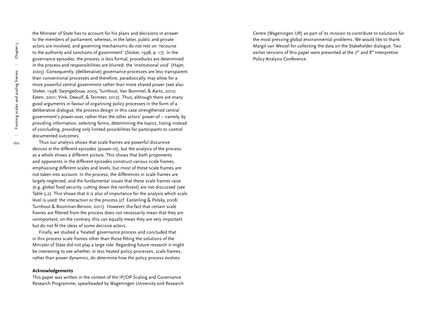the Minister of State has to account for his plans and decisions in answer to the members of parliament, whereas, in the latter, public and private actors are involved, and governing mechanisms do not rest on 'recourse to the authority and sanctions of government' (Stoker, 1998, p. 17). In the governance episodes, the process is less formal, procedures are determined in the process and responsibilities are blurred: the 'institutional void' (Hajer, 2003). Consequently, (deliberative) governance processes are less transparent than conventional processes and therefore, paradoxically, may allow for a more powerful central government rather than more shared power (see also Stoker, 1998; Swyngedouw, 2005; Turnhout, Van Bommel, & Aarts, 2010; Eeten, 2001; Vink, Dewulf, & Termeer, 2012). Thus, although there are many good arguments in favour of organising policy processes in the form of a deliberative dialogue, the process design in this case strengthened central government's power-over, rather than the other actors' power-of – namely, by providing information, selecting farms, determining the topics, listing instead of concluding, providing only limited possibilities for participants to control documented outcomes.

Thus our analysis shows that scale frames are powerful discursive devices *in* the different episodes (power-in), but the analysis of the process as a whole shows a different picture. This shows that both proponents and opponents in the different episodes construct various scale frames, emphasising different scales and levels, but most of these scale frames are not taken into account. In the process, the differences in scale frames are largely neglected, and the fundamental issues that these scale frames raise (e.g. global food security, cutting down the rainforest) are not discussed (see Table 5.2). This shows that it is also of importance for the analysis which scale level is used: the interaction or the process (cf. Easterling & Polsky, 2008; Turnhout & Boonman-Berson, 2011). However, the fact that certain scale frames are filtered from the process does not necessarily mean that they are unimportant; on the contrary, this can equally mean they are very important but do not fit the ideas of some decisive actors.

Finally, we studied a 'heated' governance process and concluded that in this process scale frames other than those fitting the solutions of the Minister of State did not play a large role. Regarding future research it might be interesting to see whether, in less heated policy processes, scale frames, rather than power dynamics, do determine how the policy process evolves.

#### **Acknowledgements**

This paper was written in the context of the IP/OP Scaling and Governance Research Programme, spearheaded by Wageningen University and Research

Centre (Wageningen UR) as part of its mission to contribute to solutions for the most pressing global environmental problems. We would like to thank Margit van Wessel for collecting the data on the Stakeholder dialogue. Two earlier versions of this paper were presented at the  $7<sup>th</sup>$  and  $8<sup>th</sup>$  Interpretive Policy Analysis Conference.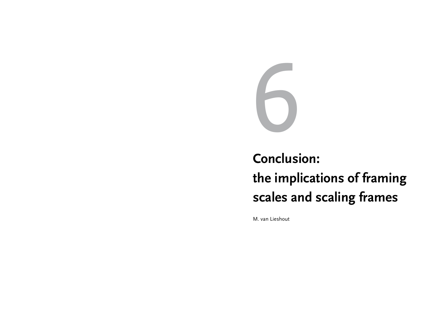# 6

# **Conclusion: the implications of framing scales and scaling frames**

M. van Lieshout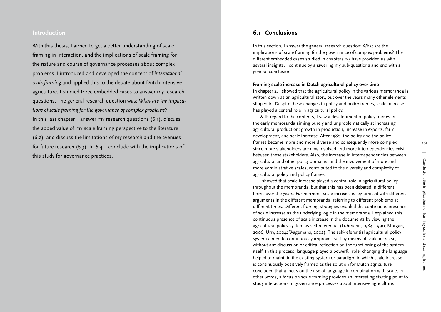#### **Introduction**

frames became more and more diverse and consequently more complex,  $\frac{1}{165}$ With this thesis, I aimed to get a better understanding of scale framing in interaction, and the implications of scale framing for the nature and course of governance processes about complex problems. I introduced and developed the concept of *interactional scale framing* and applied this to the debate about Dutch intensive agriculture. I studied three embedded cases to answer my research questions. The general research question was: *What are the implica tions of scale framing for the governance of complex problems?*  In this last chapter, I answer my research questions (6.1), discuss the added value of my scale framing perspective to the literature (6.2), and discuss the limitations of my research and the avenues for future research (6.3). In 6.4, I conclude with the implications of this study for governance practices.

#### **6.1 Conclusions**

In this section, I answer the general research question: What are the implications of scale framing for the governance of complex problems? The different embedded cases studied in chapters 2-5 have provided us with several insights. I continue by answering my sub-questions and end with a general conclusion.

#### **Framing scale increase in Dutch agricultural policy over time**

In chapter 2, I showed that the agricultural policy in the various memoranda is written down as an agricultural story, but over the years many other elements slipped in. Despite these changes in policy and policy frames, scale increase has played a central role in agricultural policy.

With regard to the contents, I saw a development of policy frames in the early memoranda aiming purely and unproblematically at increasing agricultural production: growth in production, increase in exports, farm development, and scale increase. After 1980, the policy and the policy since more stakeholders are now involved and more interdependencies exist between these stakeholders. Also, the increase in interdependencies between agricultural and other policy domains, and the involvement of more and more administrative scales, contributed to the diversity and complexity of agricultural policy and policy frames.

I showed that scale increase played a central role in agricultural policy throughout the memoranda, but that this has been debated in different terms over the years. Furthermore, scale increase is legitimised with different arguments in the different memoranda, referring to different problems at different times. Different framing strategies enabled the continuous presence of scale increase as the underlying logic in the memoranda. I explained this continuous presence of scale increase in the documents by viewing the agricultural policy system as self-referential (Luhmann, 1984, 1990; Morgan, 2006; Urry, 2004; Wagemans, 2002). The self-referential agricultural policy system aimed to continuously improve itself by means of scale increase, without any discussion or critical reflection on the functioning of the system itself. In this process, language played a powerful role: changing the language helped to maintain the existing system or paradigm in which scale increase is continuously positively framed as the solution for Dutch agriculture. I concluded that a focus on the use of language in combination with scale; in other words, a focus on scale framing provides an interesting starting point to study interactions in governance processes about intensive agriculture.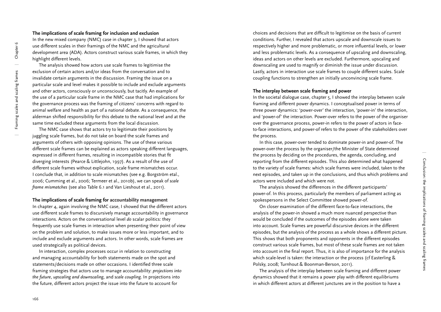#### **The implications of scale framing for inclusion and exclusion**

In the new mixed company (NMC) case in chapter 3, I showed that actors use different scales in their framings of the NMC and the agricultural development area (ADA). Actors construct various scale frames, in which they highlight different levels.

The analysis showed how actors use scale frames to legitimise the exclusion of certain actors and/or ideas from the conversation and to invalidate certain arguments in the discussion. Framing the issue on a particular scale and level makes it possible to include and exclude arguments and other actors, consciously or unconsciously, but tacitly. An example of the use of a particular scale frame in the NMC case that had implications for the governance process was the framing of citizens' concerns with regard to animal welfare and health as part of a national debate. As a consequence, the alderman shifted responsibility for this debate to the national level and at the same time excluded these arguments from the local discussion.

The NMC case shows that actors try to legitimate their positions by juggling scale frames, but do not take on board the scale frames and arguments of others with opposing opinions. The use of these various different scale frames can be explained as actors speaking different languages, expressed in different frames, resulting in incompatible stories that fit diverging interests (Pearce & Littlejohn, 1997). As a result of the use of different scale frames without explication, scale frame mismatches occur. I conclude that, in addition to scale mismatches (see e.g. Borgström etal., 2006; Cumming et al., 2006; Termeer et al., 2010b), we can speak of *scale frame mismatches* (see also Table 6.1 and Van Lieshout et al., 2011).

#### **The implications of scale framing for accountability management**

In chapter 4, again involving the NMC case, I showed that the different actors use different scale frames to discursively manage accountability in governance interactions. Actors on the conversational level *do* scalar politics: they frequently use scale frames in interaction when presenting their point of view on the problem and solution, to make issues more or less important, and to include and exclude arguments and actors. In other words, scale frames are used strategically as political devices.

In interaction, complex processes occur in relation to constructing and managing accountability for both statements made on the spot and statements/decisions made on other occasions. I identified three scale framing strategies that actors use to manage accountability: *projections into the future*, *upscaling and downscaling*, and *scale coupling*. In projections into the future, different actors project the issue into the future to account for

choices and decisions that are difficult to legitimise on the basis of current conditions. Further, I revealed that actors upscale and downscale issues to respectively higher and more problematic, or more influential levels, or lower and less problematic levels. As a consequence of upscaling and downscaling, ideas and actors on other levels are excluded. Furthermore, upscaling and downscaling are used to magnify or diminish the issue under discussion. Lastly, actors in interaction use scale frames to couple different scales. Scale coupling functions to strengthen an initially unconvincing scale frame.

#### **The interplay between scale framing and power**

In the societal dialogue case, chapter 5, I showed the interplay between scale framing and different power dynamics. I conceptualised power in terms of three power dynamics: 'power-over' the interaction, 'power-in' the interaction, and 'power-of' the interaction. Power-over refers to the power of the organiser over the governance process, power-in refers to the power of actors in faceto-face interactions, and power-of refers to the power of the stakeholders over the process.

In this case, power-over tended to dominate power-in and power-of. The power-over the process by the organiser/the Minister of State determined the process by deciding on the procedures, the agenda, concluding, and reporting from the different episodes. This also determined what happened to the variety of scale frames: which scale frames were included, taken to the next episodes, and taken up in the conclusions, and thus which problems and actors were included and which were not.

The analysis showed the differences in the different participants' power-of. In this process, particularly the members of parliament acting as spokespersons in the Select Committee showed power-of.

On closer examination of the different face-to-face interactions, the analysis of the power-in showed a much more nuanced perspective than would be concluded if the outcomes of the episodes alone were taken into account. Scale frames are powerful discursive devices *in* the different episodes, but the analysis of the process as a whole shows a different picture. This shows that both proponents and opponents in the different episodes construct various scale frames, but most of these scale frames are not taken into account in the final report. Thus, it is also of importance for the analysis which scale-level is taken: the interaction or the process (cf Easterling & Polsky, 2008; Turnhout & Boonman-Berson, 2011).

The analysis of the interplay between scale framing and different power dynamics showed that it remains a power play with different equilibriums in which different actors at different junctures are in the position to have a | Conclusion: the implications of framing scales and scaling frames

Conclusion: the implications of framing scales and scaling frames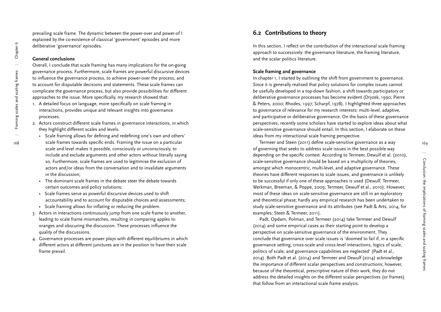**General conclusions**

prevailing scale frame. The dynamic between the power-over and power-of I explained by the co-existence of classical 'government' episodes and more deliberative 'governance' episodes.

Overall, I conclude that scale framing has many implications for the on-going governance process. Furthermore, scale frames are powerful discursive devices to influence the governance process, to achieve power-over the process, and to account for disputable decisions and statements. These scale frames can complicate the governance process, but also provide possibilities for different approaches to the issue. More specifically, my research showed that:

- 1. A detailed focus on language, more specifically on scale framing in interactions, provides unique and relevant insights into governance processes.
- 2. Actors construct different scale frames in governance interactions, in which they highlight different scales and levels.<br>• Scale framing allows for defining and redefining one's own and others'
	- scale frames towards specific ends. Framing the issue on a particular scale and level makes it possible, consciously or unconsciously, to include and exclude arguments and other actors without literally saying so. Furthermore, scale frames are used to legitimise the exclusion of actors and/or ideas from the conversation and to invalidate arguments in the discussion;
	- The dominant scale frames in the debate steer the debate towards certain outcomes and policy solutions;
	- Scale frames serve as powerful discursive devices used to shift accountability and to account for disputable choices and assessments;
	- Scale framing allows for inflating or reducing the problem.
- 3. Actors in interactions continuously jump from one scale frame to another, leading to scale frame mismatches, resulting in comparing apples to oranges and obscuring the discussion. These processes influence the quality of the discussions.
- 4. Governance processes are power plays with different equilibriums in which different actors at different junctures are in the position to have their scale frame prevail.

#### **6.2 Contributions to theory**

In this section, I reflect on the contribution of the interactional scale framing approach to successively: the governance literature, the framing literature, and the scalar politics literature.

**Scale framing and governance** 

In chapter 1, I started by outlining the shift from government to governance. Since it is generally realised that policy solutions for complex issues cannot be usefully developed in a top-down fashion, a shift towards participatory or deliberative governance processes has become evident (Dryzek, 1990; Pierre & Peters, 2000; Rhodes, 1997; Scharpf, 1978). I highlighted three approaches to governance of relevance for my research interests: multi-level, adaptive, and participative or deliberative governance. On the basis of these governance perspectives, recently some scholars have started to explore ideas about what scale-sensitive governance should entail. In this section, I elaborate on these ideas from my interactional scale framing perspective.

168 169 Termeer and Steen (2011) define scale-sensitive governance as a way of governing that seeks to address scale issues in the best possible way depending on the specific context. According to Termeer, Dewulf et al. (2010), scale-sensitive governance should be based on a multiplicity of theories, amongst which monocentric, multi-level, and adaptive governance. These theories have different responses to scale issues, and governance is unlikely to be successful if only one of these approaches is used (Dewulf, Termeer, Werkman, Breeman, & Poppe, 2009; Termeer, Dewulf et al., 2010). However, most of these ideas on scale-sensitive governance are still in an exploratory and theoretical phase; hardly any empirical research has been undertaken to study scale-sensitive governance and its attributes (see Padt & Arts, 2014, for examples; Steen & Termeer, 2011).

> Padt, Opdam, Polman, and Termeer (2014) take Termeer and Dewulf (2014) and some empirical cases as their starting point to develop a perspective on scale-sensitive governance of the environment. They conclude that governance over scale issues is 'doomed to fail if, in a specific governance setting, cross-scale and cross-level interactions, logics of scale, politics of scale, and governance capabilities are neglected' (Padt et al., 2014). Both Padt et al. (2014) and Termeer and Dewulf (2014) acknowledge the importance of different scalar perspectives and constructions; however, because of the theoretical, prescriptive nature of their work, they do not address the detailed insights on the different scalar perspectives (or frames) that follow from an interactional scale frame analysis.

Chapter 6

 $\overline{\phantom{0}}$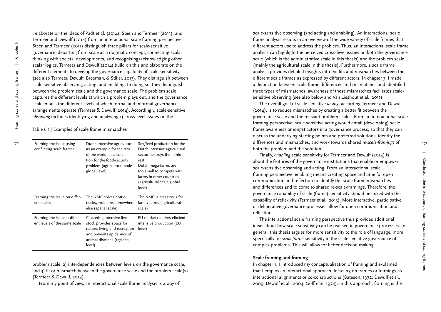I elaborate on the ideas of Padt et al. (2014), Steen and Termeer (2011), and Termeer and Dewulf (2014) from an interactional scale framing perspective. Steen and Termeer (2011) distinguish three pillars for scale-sensitive governance: departing from scale as a dogmatic concept, connecting scalar thinking with societal developments, and recognising/acknowledging other scalar logics. Termeer and Dewulf (2014) build on this and elaborate on the different elements to develop the governance capability of scale sensitivity (see also Termeer, Dewulf, Breeman, & Stiller, 2013). They distinguish between scale-sensitive observing, acting, and enabling. In doing so, they distinguish between the problem scale and the governance scale. The problem scale captures the different levels at which a problem plays out, and the governance scale entails the different levels at which formal and informal governance arrangements operate (Termeer & Dewulf, 2014). Accordingly, scale-sensitive *observing* includes identifying and analysing 1) cross-level issues on the

Table 6.1 | Examples of scale frame mismatches

| 170 | Framing the issue using<br>conflicting scale frames          | Dutch intensive agriculture<br>as an example for the rest<br>of the world, as a solu-<br>tion for the food-security<br>problem (agricultural scale<br>global level) | Soy/feed production for the<br>Dutch intensive agricultural<br>sector destroys the rainfo-<br>rest<br>Dutch mega-farms are<br>too small to compete with<br>farms in other countries<br>(agricultural scale global<br>level) | differences and mismatches, and work towards shared re-scale-framings of<br>both the problem and the solution.<br>Finally, enabling scale sensitivity for Termeer and Dewulf (2014) is<br>about the features of the governance institutions that enable or empower<br>scale-sensitive observing and acting. From an interactional scale<br>framing perspective, enabling means creating space and time for open<br>communication and reflection to identify the scale frame mismatches<br>and differences and to come to shared re-scale-framings. Therefore, the | 171<br>8 |
|-----|--------------------------------------------------------------|---------------------------------------------------------------------------------------------------------------------------------------------------------------------|-----------------------------------------------------------------------------------------------------------------------------------------------------------------------------------------------------------------------------|-------------------------------------------------------------------------------------------------------------------------------------------------------------------------------------------------------------------------------------------------------------------------------------------------------------------------------------------------------------------------------------------------------------------------------------------------------------------------------------------------------------------------------------------------------------------|----------|
|     | Framing the issue on differ-<br>ent scales                   | The NMC solves bottle-<br>necks/problems somewhere<br>else (spatial scale)                                                                                          | The NMC is disastrous for<br>family farms (agricultural<br>scale)                                                                                                                                                           | governance capability of scale (frame) sensitivity should be linked with the<br>capability of reflexivity (Termeer et al., 2013). More interactive, participative,<br>or deliberative governance processes allow for open communication and                                                                                                                                                                                                                                                                                                                       |          |
|     | Framing the issue at differ-<br>ent levels of the same scale | Clustering intensive live-<br>stock provides space for<br>nature, living and recreation level)<br>and prevents epidemics of<br>animal diseases (regional<br>level)  | EU market requires efficient<br>intensive production (EU                                                                                                                                                                    | reflection.<br>The interactional scale framing perspective thus provides additional<br>ideas about how scale sensitivity can be realised in governance processes. In<br>general, this thesis argues for more sensitivity to the role of language, more<br>specifically for scale frame sensitivity in the scale-sensitive governance of<br>complex problems. This will allow for better decision making.                                                                                                                                                          |          |

problem scale, 2) interdependencies between levels on the governance scale, and 3) fit or mismatch between the governance scale and the problem scale(s) (Termeer & Dewulf, 2014).

From my point of view, an interactional scale frame analysis is a way of

scale-sensitive observing (and acting and enabling). An interactional scale frame analysis results in an overview of the wide variety of scale frames that different actors use to address the problem. Thus, an interactional scale frame analysis can highlight the perceived cross-level issues on both the governance scale (which is the administrative scale in this thesis) and the problem scale (mainly the agricultural scale in this thesis). Furthermore, a scale frame analysis provides detailed insights into the fits and mismatches between the different scale frames as expressed by different actors. In chapter 3, I made a distinction between scale frame differences and mismatches and identified three types of mismatches; awareness of these mismatches facilitates scalesensitive observing (see also below and Van Lieshout et al., 2011).

The overall goal of scale-sensitive *acting*, according Termeer and Dewulf (2014), is to reduce mismatches by creating a better fit between the governance scale and the relevant problem scales. From an interactional scale framing perspective, scale-sensitive acting would entail (developing) scale frame awareness amongst actors in a governance process, so that they can discuss the underlying starting points and preferred solutions, identify the both the problem and the solution.

#### **Scale framing and framing**

In chapter 1, I introduced my conceptualisation of framing and explained that I employ an interactional approach, focusing on frames or framings as interactional alignments or co-constructions (Bateson, 1972; Dewulf et al., 2009; Dewulf et al., 2004; Goffman, 1974). In this approach, framing is the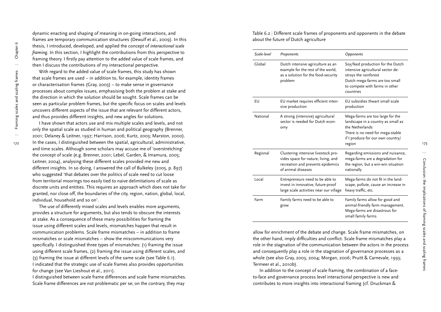dynamic enacting and shaping of meaning in on-going interactions, and frames are temporary communication structures (Dewulf et al., 2009). In this thesis, I introduced, developed, and applied the concept of *interactional scale framing*. In this section, I highlight the contributions from this perspective to framing theory. I firstly pay attention to the added value of scale frames, and then I discuss the contributions of my interactional perspective.

The use of differently mixed scales and levels enables more arguments, provides a structure for arguments, but also tends to obscure the interests at stake. As a consequence of these many possibilities for framing the issue using different scales and levels, mismatches happen that result in communication problems. Scale frame mismatches – in addition to frame mismatches or scale mismatches – show the miscommunications very specifically. I distinguished three types of mismatches: (1) framing the issue using different scale frames, (2) framing the issue using different scales, and (3) framing the issue at different levels of the same scale (see Table 6.1). I indicated that the strategic use of scale frames also provides opportunities for change (see Van Lieshout et al., 2011).

I distinguished between scale frame differences and scale frame mismatches. Scale frame differences are not problematic per se; on the contrary, they may

Table 6.2 | Different scale frames of proponents and opponents in the debate about the future of Dutch agriculture

| framing. In this section, I highlight the contributions from this perspective to                                                                                                                                                                                                                                                                                                                                                                                                | Scale-level | Proponents                                                                                                                            | Opponents                                                                                                                                                                        |
|---------------------------------------------------------------------------------------------------------------------------------------------------------------------------------------------------------------------------------------------------------------------------------------------------------------------------------------------------------------------------------------------------------------------------------------------------------------------------------|-------------|---------------------------------------------------------------------------------------------------------------------------------------|----------------------------------------------------------------------------------------------------------------------------------------------------------------------------------|
| framing theory. I firstly pay attention to the added value of scale frames, and<br>then I discuss the contributions of my interactional perspective.<br>With regard to the added value of scale frames, this study has shown<br>that scale frames are used - in addition to, for example, identity frames<br>or characterisation frames (Gray, 2003) - to make sense in governance<br>processes about complex issues, emphasising both the problem at stake and                 | Global      | Dutch intensive agriculture as an<br>example for the rest of the world,<br>as a solution for the food-security<br>problem             | Soy/feed production for the Dutch<br>intensive agricultural sector de-<br>stroys the rainforest<br>Dutch mega-farms are too small<br>to compete with farms in other<br>countries |
| the direction in which the solution should be sought. Scale frames can be<br>seen as particular problem frames, but the specific focus on scales and levels<br>uncovers different aspects of the issue that are relevant for different actors,                                                                                                                                                                                                                                  | EU          | EU market requires efficient inten-<br>sive production                                                                                | EU subsidies thwart small scale<br>production                                                                                                                                    |
| and thus provides different insights, and new angles for solutions.<br>I have shown that actors use and mix multiple scales and levels, and not<br>only the spatial scale as studied in human and political geography (Brenner,<br>2001; Delaney & Leitner, 1997; Harrison, 2006; Kurtz, 2003; Marston, 2000).<br>In the cases, I distinguished between the spatial, agricultural, administrative,<br>and time scales. Although some scholars may accuse me of 'overstretching' | National    | A strong (intensive) agricultural<br>sector is needed for Dutch econ-<br>omy                                                          | Mega-farms are too large for the<br>landscape in a country as small as<br>the Netherlands<br>There is no need for mega-stable<br>if I produce for our own country/<br>region     |
| the concept of scale (e.g. Brenner, 2001; Lebel, Garden, & Imamura, 2005;<br>Leitner, 2004), analysing these different scales provided me new and<br>different insights. In so doing, I answered the call of Bulkeley (2005, p. 897)<br>who suggested 'that debates over the politics of scale need to cut loose                                                                                                                                                                | Regional    | Clustering intensive livestock pro-<br>vides space for nature, living, and<br>recreation and prevents epidemics<br>of animal diseases | Regarding emissions and nuisance,<br>mega-farms are a degradation for<br>the region, but a win-win situation<br>nationally                                                       |
| from territorial moorings too easily tied to naive delimitations of scale as<br>discrete units and entities. This requires an approach which does not take for<br>granted, nor close off, the boundaries of the city, region, nation, global, local,                                                                                                                                                                                                                            | Local       | Entrepreneurs need to be able to<br>invest in innovative, future-proof<br>large scale activities near our village heavy traffic, etc. | Mega-farms do not fit in the land-<br>scape, pollute, cause an increase in                                                                                                       |
| individual, household and so on'.<br>The use of differently mixed scales and levels enables more arguments,<br>provides a structure for arguments, but also tends to obscure the interests<br>et etalen. An e nomen armenen ef tlenne monumentalitzian fau furmine tlen                                                                                                                                                                                                         | Farm        | Family farms need to be able to<br>grow                                                                                               | Family farms allow for good and<br>animal-friendly farm management.<br>Mega-farms are disastrous for<br>small family farms                                                       |

allow for enrichment of the debate and change. Scale frame mismatches, on the other hand, imply difficulties and conflict. Scale frame mismatches play a role in the stagnation of the communication between the actors in the process and consequently play a role in the stagnation of governance processes as a whole (see also Gray, 2003, 2004; Morgan, 2006; Pruitt & Carnevale, 1993; Termeer et al., 2010b).

In addition to the concept of scale framing, the combination of a faceto-face and governance process level interactional perspective is new and contributes to more insights into interactional framing (cf. Druckman &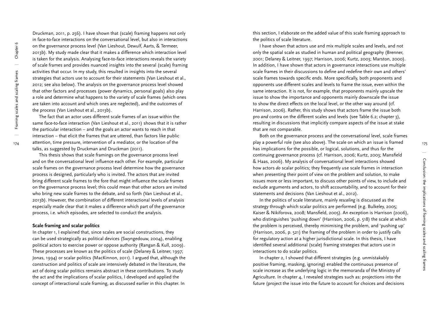Druckman, 2011, p. 256). I have shown that (scale) framing happens not only in face-to-face interactions on the conversational level, but also in interactions on the governance process level (Van Lieshout, Dewulf, Aarts, & Termeer, 2013b). My study made clear that it makes a difference which interaction level is taken for the analysis. Analysing face-to-face interactions reveals the variety of scale frames and provides nuanced insights into the several (scale) framing activities that occur. In my study, this resulted in insights into the several strategies that actors use to account for their statements (Van Lieshout et al., 2012; see also below). The analysis on the governance process level showed that other factors and processes (power dynamics, personal goals) also play a role and determine what happens to the variety of scale frames (which ones are taken into account and which ones are neglected), and the outcomes of the process (Van Lieshout et al., 2013b).

 $_{\rm 174}$  attention, time pressure, intervention of a mediator, or the location of the  $_{\rm 175}$ The fact that an actor uses different scale frames of an issue within the same face-to-face interaction (Van Lieshout et al., 2011) shows that it is rather the particular interaction – and the goals an actor wants to reach in that interaction – that elicit the frames that are uttered, than factors like public attention, time pressure, intervention of a mediator, or the location of the talks, as suggested by Druckman and Druckman (2011).

This thesis shows that scale framings on the governance process level and on the conversational level influence each other. For example, particular scale frames on the governance process level determine how the governance process is designed, particularly who is invited. The actors that are invited bring different scale frames to the fore that might influence the scale frames on the governance process level; this could mean that other actors are invited who bring new scale frames to the debate, and so forth (Van Lieshout et al., 2013b). However, the combination of different interactional levels of analysis especially made clear that it makes a difference which part of the governance process, i.e. which episodes, are selected to conduct the analysis.

#### **Scale framing and scalar politics**

In chapter 1, I explained that, since scales are social constructions, they can be used strategically as political devices (Swyngedouw, 2004), enabling political actors to exercise power or oppose authority (Rangan & Kull, 2009). These processes are known as the politics of scale (Delaney & Leitner, 1997; Jonas, 1994) or scalar politics (MacKinnon, 2011). I argued that, although the construction and politics of scale are intensively debated in the literature, the act of doing scalar politics remains abstract in these contributions. To study the act and the implications of scalar politics, I developed and applied the concept of interactional scale framing, as discussed earlier in this chapter. In

this section, I elaborate on the added value of this scale framing approach to the politics of scale literature.

I have shown that actors use and mix multiple scales and levels, and not only the spatial scale as studied in human and political geography (Brenner, 2001; Delaney & Leitner, 1997; Harrison, 2006; Kurtz, 2003; Marston, 2000). In addition, I have shown that actors in governance interactions use multiple scale frames in their discussions to define and redefine their own and others' scale frames towards specific ends. More specifically, both proponents and opponents use different scales and levels to frame the issue, even within the same interaction. It is not, for example, that proponents mainly upscale the issue to show the importance and opponents mainly downscale the issue to show the direct effects on the local level, or the other way around (cf. Harrison, 2006). Rather, this study shows that actors frame the issue both pro *and* contra on the different scales and levels (see Table 6.2; chapter 3), resulting in discussions that implicitly compare aspects of the issue at stake that are not comparable.

Both on the governance process and the conversational level, scale frames has implications for the possible, or logical, solutions, and thus for the continuing governance process (cf. Harrison, 2006; Kurtz, 2003; Mansfield & Haas, 2006). My analysis of conversational level interactions showed how actors *do* scalar politics; they frequently use scale frames in interaction when presenting their point of view on the problem and solution, to make issues more or less important, to discuss other points of view, to include and exclude arguments and actors, to shift accountability, and to account for their statements and decisions (Van Lieshout et al., 2012).

In the politics of scale literature, mainly *rescaling* is discussed as the strategy through which scalar politics are performed (e.g. Bulkeley, 2005; Kaiser & Nikiforova, 2008; Mansfield, 2005). An exception is Harrison (2006), who distinguishes 'pushing down' (Harrison, 2006, p. 518) the scale at which the problem is perceived, thereby minimising the problem, and 'pushing up' (Harrison, 2006, p. 521) the framing of the problem in order to justify calls for regulatory action at a higher jurisdictional scale. In this thesis, I have identified several additional (scale) framing strategies that actors use in interactions to do scalar politics.

In chapter 2, I showed that different strategies (e.g. unmistakably positive framing, masking, ignoring) enabled the continuous presence of scale increase as the underlying logic in the memoranda of the Ministry of Agriculture. In chapter 4, I revealed strategies such as: projections into the future (project the issue into the future to account for choices and decisions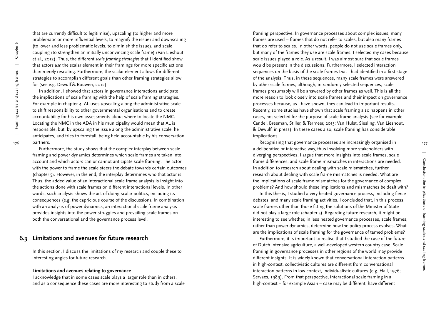that are currently difficult to legitimise), upscaling (to higher and more problematic or more influential levels, to magnify the issue) and downscaling (to lower and less problematic levels, to diminish the issue), and scale coupling (to strengthen an initially unconvincing scale frame) (Van Lieshout et al., 2012). Thus, the different *scale framing strategies* that I identified show that actors *use* the scalar element in their framings for more specific actions than merely rescaling. Furthermore, the scalar element allows for different strategies to accomplish different goals than other framing strategies allow for (see e.g. Dewulf & Bouwen, 2012).

In addition, I showed that actors in governance interactions anticipate the implications of scale framing with the help of scale framing strategies. For example in chapter 4, AL uses upscaling along the administrative scale to shift responsibility to other governmental organisations and to create accountability for his own assessments about where to locate the NMC. Locating the NMC in the ADA in his municipality would mean that AL is responsible, but, by upscaling the issue along the administrative scale, he anticipates, and tries to forestall, being held accountable by his conversation partners.

Furthermore, the study shows that the complex interplay between scale framing and power dynamics determines which scale frames are taken into account and which actors can or cannot anticipate scale framing. The actor with the power to frame the scale steers the debate towards certain outcomes (chapter 5). However, in the end, the interplay determines who that actor is. Thus, the added value of an interactional scale frame analysis is insight into the actions done with scale frames on different interactional levels. In other words, such analysis shows the act of doing scalar politics, including its consequences (e.g. the capricious course of the discussion). In combination with an analysis of power dynamics, an interactional scale frame analysis provides insights into the power struggles and prevailing scale frames on both the conversational and the governance process level.

#### **6.3 Limitations and avenues for future research**

In this section, I discuss the limitations of my research and couple these to interesting angles for future research.

#### **Limitations and avenues relating to governance**

I acknowledge that in some cases scale plays a larger role than in others, and as a consequence these cases are more interesting to study from a scale

framing perspective. In governance processes about complex issues, many frames are used – frames that do not refer to scales, but also many frames that do refer to scales. In other words, people do not use scale frames only, but many of the frames they use are scale frames. I selected my cases because scale issues played a role. As a result, I was almost sure that scale frames would be present in the discussions. Furthermore, I selected interaction sequences on the basis of the scale frames that I had identified in a first stage of the analysis. Thus, in these sequences, many scale frames were answered by other scale frames, although, in randomly selected sequences, scale frames presumably will be answered by other frames as well. This is all the more reason to look closely into scale frames and their impact on governance processes because, as I have shown, they can lead to important results. Recently, some studies have shown that scale framing also happens in other cases, not selected for the purpose of scale frame analysis (see for example Candel, Breeman, Stiller, & Termeer, 2013; Van Hulst, Siesling, Van Lieshout, & Dewulf, in press). In these cases also, scale framing has considerable implications.

176 177 Recognising that governance processes are increasingly organised in a deliberative or interactive way, thus involving more stakeholders with diverging perspectives, I argue that more insights into scale frames, scale frame differences, and scale frame mismatches in interactions are needed. In addition to research about dealing with scale mismatches, further research about dealing with scale frame mismatches is needed. What are the implications of scale frame mismatches for the governance of complex problems? And how should these implications and mismatches be dealt with?

In this thesis, I studied a very heated governance process, including fierce debates, and many scale framing activities. I concluded that, in this process, scale frames other than those fitting the solutions of the Minister of State did not play a large role (chapter 5). Regarding future research, it might be interesting to see whether, in less heated governance processes, scale frames, rather than power dynamics, determine how the policy process evolves. What are the implications of scale framing for the governance of tamed problems?

Furthermore, it is important to realise that I studied the case of the future of Dutch intensive agriculture, a well-developed western country case. Scale framing in governance processes in other regions of the world may provide different insights. It is widely known that conversational interaction patterns in high-context, collectivistic cultures are different from conversational interaction patterns in low-context, individualistic cultures (e.g. Hall, 1976; Servaes, 1989). From that perspective, interactional scale framing in a high-context – for example Asian – case may be different, have different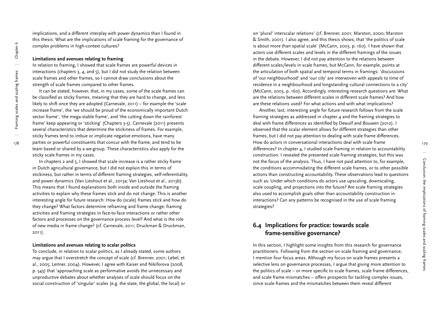implications, and a different interplay with power dynamics than I found in this thesis. What are the implications of scale framing for the governance of complex problems in high-context cultures?

#### **Limitations and avenues relating to framing**

In relation to framing, I showed that scale frames are powerful devices in interactions (chapters 3, 4, and 5), but I did not study the relation between scale frames and other frames, so I cannot draw conclusions about the strength of scale frames compared to other frames.

 $_{\rm 178}$  parties or powerful constituents that concur with the frame, and tend to be  $_{\rm 179}$ It can be stated, however, that, in my cases, some of the scale frames can be classified as sticky frames, meaning that they are hard to change, and less likely to shift once they are adopted (Carnevale, 2011) – for example the 'scale increase frame', the 'we should be proud of the economically important Dutch sector frame', 'the mega-stable frame', and 'the cutting down the rainforest frame' keep appearing or 'sticking' (Chapters 3-5). Carnevale (2011) presents several characteristics that determine the stickiness of frames. For example, sticky frames tend to imbue or implicate negative emotions, have many team based or shared by a we-group. These characteristics also apply for the sticky scale frames in my cases.

In chapters 2 and 5, I showed that scale increase is a rather sticky frame in Dutch agricultural governance, but I did not explain this in terms of stickiness, but rather in terms of different framing strategies, self-referentiality, and power dynamics (Van Lieshout et al., 2013a; Van Lieshout et al., 2013b). This means that I found explanations both inside and outside the framing activities to explain why these frames stick and do not change. This is another interesting angle for future research: How do (scale) frames stick and how do they change? What factors determine reframing and frame change: framing activities and framing strategies in face-to-face interactions or rather other factors and processes on the governance process level? And what is the role of new media in frame change? (cf. Carnevale, 2011; Druckman & Druckman, 2011).

#### **Limitations and avenues relating to scalar politics**

To conclude, in relation to scalar politics, as I already stated, some authors may argue that I overstretch the concept of scale (cf. Brenner, 2001; Lebel, et al., 2005; Leitner, 2004). However, I agree with Kaiser and Nikiforova (2008, p. 543) that 'approaching scale as performative avoids the unnecessary and unproductive debates about whether analyses of scale should focus on the social construction of 'singular' scales (e.g. the state, the global, the local) or

on 'plural' interscalar relations' (cf. Brenner, 2001; Marston, 2000; Marston & Smith, 2001). I also agree, and this thesis shows, that 'the politics of scale is about more than spatial scale' (McCann, 2003, p. 160). I have shown that actors use different scales and levels in the different framings of the issues in the debate. However, I did not pay attention to the relations between different scales/levels in scale frames, but McCann, for example, points at the articulation of both spatial and temporal terms in framings: 'discussions of 'our neighbourhood' and 'our city' are interwoven with appeals to time of residence in a neighbourhood and longstanding cultural connections to a city' (McCann, 2003, p. 160). Accordingly, interesting research questions are: What are the relations between different scales in different scale frames? And how are these relations used? For what actions and with what implications?

Another, last, interesting angle for future research follows from the scale framing strategies as addressed in chapter  $\Delta$  and the framing strategies to deal with frame differences as identified by Dewulf and Bouwen (2012). I observed that the scalar element allows for different strategies than other frames, but I did not pay attention to dealing with scale frame differences. How do actors in conversational interactions deal with scale frame differences? In chapter 4, I studied scale framing in relation to accountability construction. I revealed the presented scale framing strategies, but this was not the focus of the analysis. Thus, I have not paid attention to, for example, the conditions accommodating the different scale frames, or to other possible actions than constructing accountability. These observations lead to questions such as: Under which conditions do actors use upscaling, downscaling, scale coupling, and projections into the future? Are scale framing strategies also used to accomplish goals other than accountability construction in interactions? Can any patterns be recognised in the use of scale framing strategies?

#### **6.4 Implications for practice: towards scale frame-sensitive governance?**

In this section, I highlight some insights from this research for governance practitioners. Following from the section on scale framing and governance, I mention four focus areas. Although my focus on scale frames presents a selective lens on governance processes, I argue that giving more attention to the politics of scale – or more specific to scale frames, scale frame differences, and scale frame mismatches – offers prospects for tackling complex issues, since scale frames and the mismatches between them reveal different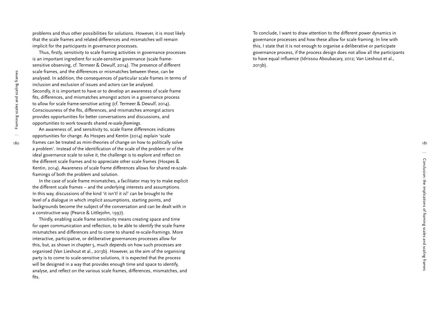181

 $\overline{\phantom{m}}$  $18<sub>O</sub>$  problems and thus other possibilities for solutions. However, it is most likely that the scale frames and related differences and mismatches will remain implicit for the participants in governance processes.

Thus, firstly, sensitivity to scale framing activities in governance processes is an important ingredient for scale-sensitive governance (scale framesensitive observing, cf. Termeer & Dewulf, 2014). The presence of different scale frames, and the differences or mismatches between these, can be analysed. In addition, the consequences of particular scale frames in terms of inclusion and exclusion of issues and actors can be analysed. Secondly, it is important to have or to develop an awareness of scale frame fits, differences, and mismatches amongst actors in a governance process to allow for scale frame-sensitive acting (cf. Termeer & Dewulf, 2014). Consciousness of the fits, differences, and mismatches amongst actors provides opportunities for better conversations and discussions, and opportunities to work towards shared *re-scale-framings*.

An awareness of, and sensitivity to, scale frame differences indicates opportunities for change. As Hospes and Kentin (2014) explain 'scale frames can be treated as mini-theories of change on how to politically solve a problem'. Instead of the identification of the scale of the problem or of the ideal governance scale to solve it, the challenge is to explore and reflect on the different scale frames and to appreciate other scale frames (Hospes & Kentin, 2014). Awareness of scale frame differences allows for shared re-scaleframings of both the problem and solution.

In the case of scale frame mismatches, a facilitator may try to make explicit the different scale frames – and the underlying interests and assumptions. In this way, discussions of the kind 'it isn't! it is!' can be brought to the level of a dialogue in which implicit assumptions, starting points, and backgrounds become the subject of the conversation and can be dealt with in a constructive way (Pearce & Littlejohn, 1997).

Thirdly, enabling scale frame sensitivity means creating space and time for open communication and reflection, to be able to identify the scale frame mismatches and differences and to come to shared re-scale-framings. More interactive, participative, or deliberative governances processes allow for this, but, as shown in chapter 5, much depends on how such processes are organised (Van Lieshout et al., 2013b). However, as the aim of the organising party is to come to scale-sensitive solutions, it is expected that the process will be designed in a way that provides enough time and space to identify, analyse, and reflect on the various scale frames, differences, mismatches, and fits.

To conclude, I want to draw attention to the different power dynamics in governance processes and how these allow for scale framing. In line with this, I state that it is not enough to organise a deliberative or participate governance process, if the process design does not allow all the participants to have equal influence (Idrissou Aboubacary, 2012; Van Lieshout et al., 2013b).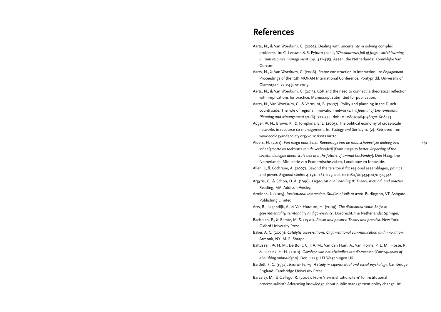# **References**

- Aarts, N., & Van Woerkum, C. (2002). Dealing with uncertainty in solving complex problems. In: C. Leeuwis & R. Pyburn (eds.), *Wheelbarrows full of frogs : social learning in rural resource management* (pp. 421-435). Assen, the Netherlands: Koninklijke Van Gorcum.
- Aarts, N., & Van Woerkum, C. (2006). Frame construction in interaction*.* In: *Engagement*. Proceedings of the 12th MOPAN International Conference, Pontypridd, University of Glamorgan, 22-24 June 2005.

Aarts, N., & Van Woerkum, C. (2013). CSR and the need to connect: a theoretical reflection with implications for practice. Manuscript submitted for publication.

- Aarts, N., Van Woerkum, C., & Vermunt, B. (2007). Policy and planning in the Dutch countryside: The role of regional innovation networks. In: *Journal of Environmental Planning and Management* 50 (6): 727-744. doi: 10.1080/09640560701608473
- Adger, W. N., Brown, K., & Tompkins, E. L. (2005). The political economy of cross-scale networks in resource co-management. In: *Ecology and Society* 10 (2). Retrieved from www.ecologyandsociety.org/vol10/iss12/art19
- Alders, H. (2011). *Van mega naar beter. Rapportage van de maatschappelijke dialoog over schaalgrootte en toekomst van de veehouderij* [*From mega to better. Reporting of the societal dialogue about scale size and the fututre of animal husbandry*]. Den Haag, the Netherlands: Ministerie van Economische zaken, Landbouw en Innovatie.
- Allen, J., & Cochrane, A. (2007). Beyond the territorial fix: regional assemblages, politics and power. *Regional studies* 41(9): 1161-1175. doi: 10.1080/00343400701543348

Argyris, C., & Schön, D. A. (1996). *Organizational learning II: Theory, method, and practice*. Reading, MA: Addison-Wesley.

Arminen, I. (2005). *Institutional interaction. Studies of talk at work.* Burlington, VT: Ashgate Publishing Limited.

Arts, B., Lagendijk, A., & Van Houtum, H. (2009). *The disoriented state: Shifts in governmentality, territoriality and governance*. Dordrecht, the Netherlands: Springer.

Bachrach, P., & Baratz, M. S. (1970). *Power and poverty: Theory and practice*. New York: Oxford University Press.

Baker, A. C. (2009). *Catalytic conversations: Organizational communication and innovation.* Armonk, NY: M. E. Sharpe.

Baltussen, W. H. M., De Bont, C. J. A. M., Van den Ham, A., Van Horne, P. L. M., Hoste, R., & Luesink, H. H. (2010). *Gevolgen van het afschaffen van dierrechten* [*Consequences of abolishing animalrights*]. Den Haag: LEI Wageningen UR.

Bartlett, F. C. (1932). *Remembering: A study in experimental and social psychology.* Cambridge, England: Cambridge University Press.

Barzelay, M., & Gallego, R. (2006). From 'new institutionalism' to 'institutional processualism': Advancing knowledge about public management policy change. In: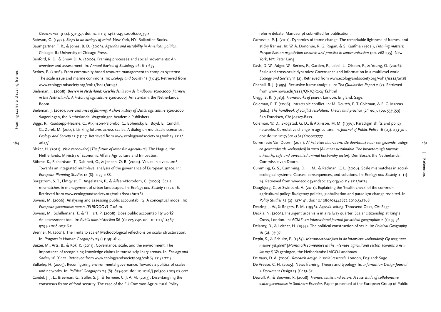*Governance* 19 (4): 531-557. doi: 10.1111/j.1468-0491.2006.00339.x

- Bateson, G. (1972). *Steps to an ecology of mind.* New York, NY: Ballantine Books.
- Baumgartner, F. R., & Jones, B. D. (2009). *Agendas and instability in American politics*. Chicago, IL: University of Chicago Press.
- Benford, R. D., & Snow, D. A. (2000). Framing processes and social movements: An overview and assessment. In: *Annual Review of Sociology* 26: 611-639.
- Berkes, F. (2006). From community-based resource management to complex systems: The scale issue and marine commons. In: *Ecology and Society* 11 (1): 45. Retrieved from www.ecologyandsociety.org/vol11/iss41/art45/
- Bieleman, J. (2008). *Boeren in Nederland: Geschiedenis van de landbouw 1500-2000* [*Farmers in the Netherlands: A history of agriculture 1500-2000*]. Amsterdam, the Netherlands: Boom.
- Bieleman, J. (2010). *Five centuries of farming: A short history of Dutch agriculture 1500-2000*. Wageningen, the Netherlands: Wageningen Academic Publishers.
- Biggs, R., Raudsepp-Hearne, C., Atkinson-Palombo, C., Bohensky, E., Boyd, E., Cundill, G., Zurek, M. (2007). Linking futures across scales: A dialog on multiscale scenarios. *Ecology and Society* 12 (1): 17. Retrieved from www.ecologyandsociety.org/vol12/iss11/ art17/
- - Bleker, H. (2011). *Visie veehouderij* [*The future of intensive agriculture*]. The Hague, the Netherlands: Ministry of Economic Affairs Agriculture and Innovation.
	- Böhme, K., Richardson, T., Dabinett, G., & Jensen, O. B. (2004). Values in a vacuum? Towards an integrated multi-level analysis of the governance of European space. In: *European Planning Studies* 12 (8): 1175-1188.
	- Borgström, S. T., Elmqvist, T., Angelstam, P., & Alfsen-Norodom, C. (2006). Scale mismatches in management of urban landscapes. In: *Ecology and Society* 11 (2): 16. Retrieved from www.ecologyandsociety.org/vol11/iss12/art16/
	- Bovens, M. (2006). Analysing and assessing public accountability: A conceptual model. In: *European governance papers (EUROGOV) C-06-01*.
	- Bovens, M., Schillemans, T., & 'T Hart, P. (2008). Does public accountability work? An assessment tool. In: *Public administration* 86 (1): 225-242. doi: 10.1111/j.1467- 9299.2008.00716.x
	- Brenner, N. (2001). The limits to scale? Methodological reflections on scalar structuration. In: *Progress in Human Geography* 25 (4): 591-614.
	- Buizer, M., Arts, B., & Kok, K. (2011). Governance, scale, and the environment: The importance of recognizing knowledge claims in transdisciplinary arenas. In: *Ecology and Society* 16 (1): 21. Retrieved from www.ecologyandsociety.org/vol16/iss1/art21/
	- Bulkeley, H. (2005). Reconfiguring environmental governance: Towards a politics of scales and networks. In: *Political Geography* 24 (8): 875-902. doi: 10.1016/j.polgeo.2005.07.002
	- Candel, J. J. L., Breeman, G., Stiller, S. J., & Termeer, C. J. A. M. (2013). Disentangling the consensus frame of food security: The case of the EU Common Agricultural Policy

reform debate. Manuscript submitted for publication.

- Carnevale, P. J. (2011). Dynamics of frame change: The remarkable lightness of frames, and sticky frames. In: W. A. Donohue, R. G. Rogan, & S. Kaufman (eds.), *Framing matters: Perspectives on negotiation research and practice in communication* (pp. 268-275). New York, NY: Peter Lang.
- Cash, D. W., Adger, W., Berkes, F., Garden, P., Lebel, L., Olsson, P., & Young, O. (2006). Scale and cross-scale dynamics: Governance and information in a multilevel world. *Ecology and Society* 11 (2). Retrieved from www.ecologyandsociety.org/vol11/iss12/art18
- Chenail, R. J. (1995). Recursive frame analysis. In: *The Qualitative Report* 2 (2). Retrieved from www.nova.edu/ssss/QR/QR2-2/rfa.html

Clegg, S. R. (1989). *Frameworks of power*. London, England: Sage.

- Coleman, P. T. (2006). Intractable conflict. In: M. Deutch, P. T. Coleman, & E. C. Marcus (eds.), *The handbook of conflict resolution. Theory and practice* (2<sup>nd</sup> ed.), (pp. 533-559). San Francisco, CA: Jossey-Bass.
- Coleman, W. D., Skogstad, G. D., & Atkinson, M. M. (1996). Paradigm shifts and policy networks: Cumulative change in agriculture. In: *Journal of Public Policy* 16 (03): 273-301. doi: doi:10.1017/S0143814X00007777
- 184 185 Commissie Van Doorn. (2011). *Al het vlees duurzaam. De doorbraak naar een gezonde, veilige en gewaardeerde veehouderij in 2020* [*All meat sustainable. The breakthrough towards a healthy, safe and apreciated animal husbandry sector*]. Den Bosch, the Netherlands: Commissie van Doorn.
	- Cumming, G. S., Cumming, D. H. M., & Redman, C. L. (2006). Scale mismatches in socialecological systems: Causes, consequences, and solutions. In: *Ecology and Society,* 11 (1): 14. Retrieved from www.ecologyandsociety.org/vol11/iss11/art14
	- Daugbjerg, C., & Swinbank, A. (2011). Explaining the 'health check' of the common agricultural policy: Budgetary politics, globalisation and paradigm change revisited. In: *Policy Studies* 32 (2): 127-141. doi: 10.1080/01442872.2010.541768
	- Dearing, J. W., & Rogers, E. M. (1996). *Agenda-setting*. Thousend Oaks, CA: Sage. Deckla, N. (2003). Insurgent urbanism in a railway quarter: Scalar citizenship at King's
	- Cross, London. In: *ACME: an international journal for critical geographies* 2 (1): 33-56. Delaney, D., & Leitner, H. (1997). The political construction of scale. In: *Political Geography*
	- 16 (2): 93-97.
	- Depla, S., & Schulte, E. (1983). *Mammoetbedrijven in de intensieve veehouderij: Op weg naar nieuwe ijstijden?* [*Mammoth companies in the intensive agricultural sector: Towards a new ice age?*] Wageningen, the Netherlands: IMGO-Landbouw.
	- De Vaus, D. A. (2001). *Research design in social research*. London, England: Sage.
	- De Vreese, C. H. (2005). News framing: Theory and typology. In: *Information Design Journal + Document Design* 13 (1): 51-62.
	- Dewulf, A., & Bouwen, R. (2008). *Frames, scales and actors. A case study of collaborative water governance in Southern Ecuador*. Paper presented at the European Group of Public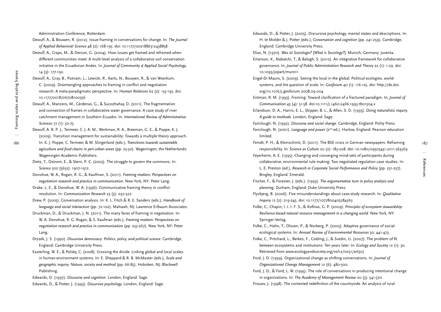Administration Conference, Rotterdam.

- Dewulf, A., & Bouwen, R. (2012). Issue framing in conversations for change. In: *The Journal of Applied Behavioral Science* 48 (2): 168-193. doi: 10.1177/0021886312438858
- Dewulf, A., Craps, M., & Dercon, G. (2004). How issues get framed and reframed when different communities meet: A multi-level analysis of a collaborative soil conservation initiative in the Ecuadorian Andes. In: *Journal of Community & Applied Social Psychology,*  14 (3): 177-192.
- Dewulf, A., Gray, B., Putnam, L., Lewicki, R., Aarts, N., Bouwen, R., & van Woerkum, C. (2009). Disentangling approaches to framing in conflict and negotiation research: A meta-paradigmatic perspective. In: *Human Relations* 62 (2): 155-193. doi: 10.1177/0018726708100356
- Dewulf, A., Mancero, M., Cárdenas, G., & Sucozhañay, D. (2011). The fragmentation and connection of frames in collaborative water governance. A case study of river catchment management in Southern Ecuador. In: *International Review of Administrative Sciences* 77 (1): 50-75.
- 186 187 Feindt, P. H., & Kleinschmit, D. (2011). The BSE crisis in German newspapers: Reframing Dewulf, A. R. P. J., Termeer, C. J. A. M., Werkman, R. A., Breeman, G. E., & Poppe, K. J. (2009). Transition management for sustainability: Towards a multiple theory approach. In: K. J. Poppe, C. Termeer, & M. Slingerland (eds.), *Transitions towards sustainable agriculture and food chains in peri-urban areas* (pp. 25-50). Wageningen, the Netherlands: Wageningen Academic Publishers.
	- Dietz, T., Ostrom, E., & Stern, P. C. (2003). The struggle to govern the commons. In: *Science* 302 (5652): 1907-1912.
	- Donohue, W. A., Rogan, R. G., & Kaufman, S. (2011). *Framing matters: Perspectives on negotiation research and practice in communication*. New York, NY: Peter Lang.
	- Drake, L. E., & Donohue, W. A. (1996). Communicative framing theory in conflict resolution. In: *Communication Research* 23 (3): 297-322.
	- Drew, P. (2005). Conversation analysis. In: K. L. Fitch & R. E. Sanders (eds.), *Handbook of language and social interaction* (pp. 72-102). Mahwah, NJ: Lawrence Erlbaum Associates.
	- Druckman, D., & Druckman, J. N. (2011). The many faces of framing in negotiation. In: W. A. Donohue, R. G. Rogan, & S. Kaufman (eds.), *Framing matters: Perspectives on negotiation research and practice in communication* (pp. 255-267). New York, NY: Peter Lang.
	- Dryzek, J. S. (1990). *Discursive democracy: Politics, policy, and political science*. Cambridge, England: Cambridge University Press.
	- Easterling, W. E., & Polsky, C. (2008). Crossing the divide: Linking global and local scales in human-environment systems. In: E. Sheppard & R. B. McMaster (eds.), *Scale and geographic inquiry: Nature, society and method* (pp. 66-85). Hoboken, NJ: Blackwell Publishing.
	- Edwards, D. (1997). *Discourse and cognition.* London, England: Sage.
	- Edwards, D., & Potter, J. (1993). *Discursive psychology.* London, England: Sage.
- Edwards, D., & Potter, J. (2005). Discursive psychology, mental states and descriptions. In: H. te Molder & J. Potter (eds.), *Conversation and cognition* (pp. 241-259). Cambridge, England: Cambridge University Press.
- Elias, N. (1970). *Was ist Soziologie?* [*What is Sociology?*]. Munich, Germany: Juventa.
- Emerson, K., Nabatchi, T., & Balogh, S. (2012). An integrative framework for collaborative governance. In: *Journal of Public Administration Research and Theory* 22 (1): 1-29. doi: 10.1093/jopart/mur011
- Engel-Di Mauro, S. (2009). Seeing the local in the global: Political ecologies, worldsystems, and the question of scale. In: *Geoforum* 40 (1): 116-125. doi: http://dx.doi. org/10.1016/j.geoforum.2008.09.004
- Entman, R. M. (1993). Framing: Toward clarification of a fractured paradigm. In: *Journal of Communication* 43 (4): 51-58. doi:10.1111/j.1460-2466.1993.tb01304.x
- Erlandson, D. A., Harris, E. L., Skipper, B. L., & Allen, S. D. (1993). *Doing naturalistic inquiry. A guide to methods*. London, England: Sage.
- Fairclough, N. (1992). *Discourse and social change*. Cambridge, England: Polity Press.
- Fairclough, N. (2001). *Language and power* (2nd ed.). Harlow, England: Pearson education limited.
- responsibility. In: *Science as Culture* 20 (2): 183-208. doi: 10.1080/09505431.2011.563569
- Feyerherm, A. E. (1995). Changing and converging mind-sets of participants during collaborative, environmental rule making: Two negotiated regulation case studies. In: L. E. Preston (ed.), *Research in Corporate Social Performance and Policy* (pp. 231-257). Bingley, England: Emerald.
- Fischer, F., & Forester, J. (eds.). (1993). *The argumentative turn in policy analysis and planning*. Durham, England: Duke University Press.
- Flyvbjerg, B. (2006). Five misunderstandings about case-study research. In: *Qualitative Inquiry* 12 (2): 219-245. doi: 10.1177/1077800405284363
- Folke, C., Chapin, I. I. I. F. S., & Kofinas, G. P. (2009). *Principles of ecosystem stewardship: Resilience-based natural resource management in a changing world*. New York, NY: Springer-Verlag.
- Folke, C., Hahn, T., Olssen, P., & Norberg, P. (2005). Adaptive governance of socialecological systems. In: *Annual Review of Environmental Resources* 30: 441-473.
- Folke, C., Pritchard, L., Berkes, F., Colding, J., & Svedin, U. (2007). The problem of fit between ecosystems and institutions: Ten years later. In: *Ecology and Society* 12 (1): 30. Retrieved from www.ecologyandsociety.org/vol12/iss31/art30/
- Ford, J. D. (1999). Organizational change as shifting conversations. In: *Journal of Organizational Change Management* 12 (6): 480-500.
- Ford, J. D., & Ford, L. W. (1995). The role of conversations in producing intentional change in organizations. In: *The Academy of Management Review* 20 (3): 541-570.
- Frouws, J. (1998). The contested redefinition of the countryside. An analysis of rural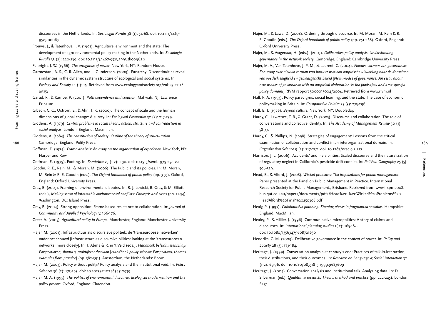discourses in the Netherlands. In: *Sociologia Ruralis* 38 (1): 54-68. doi: 10.1111/1467- 9523.00063

- Frouws, J., & Tatenhove, J. V. (1993). Agriculture, environment and the state: The development of agro-environmental policy-making in the Netherlands. In: *Sociologia Ruralis* 33 (2): 220-239. doi: 10.1111/j.1467-9523.1993.tb00962.x
- Fulbright, J. W. (1966). *The arrogance of power*. New York, NY: Random House.
- Garmestani, A. S., C. R. Allen, and L. Gunderson. (2009). Panarchy: Discontinuities reveal similarities in the dynamic system structure of ecological and social systems. In: *Ecology and Society 14* (1): 15. Retrieved from www.ecologyandsociety.org/vol14/iss11/ art15/
- Garud, R., & Karnoe, P. (2001). *Path dependence and creation*. Mahwah, NJ: Lawrence Erlbaum.
- Gibson, C. C., Ostrom, E., & Ahn, T. K. (2000). The concept of scale and the human dimensions of global change: A survey. In: *Ecological Economics* 32 (2): 217-239.
- Giddens, A. (1979). *Central problems in social theory: action, structure and contradiction in social analysis*. London, England: Macmillan.
- Giddens, A. (1984). *The constitution of society: Outline of the theory of structuration*.
- Cambridge, England: Polity Press.
- Goffman, E. (1974). *Frame analysis: An essay on the organisation of experience*. New York, NY: Harper and Row.
- Goffman, E. (1979). Footing. In: *Semiotica* 25 (1-2): 1-30. doi: 10.1515/semi.1979.25.1-2.1
- Goodin, R. E., Rein, M., & Moran, M. (2006). The Public and its policies. In: M. Moran, M. Rein & R. E. Goodin (eds.), *The Oxford handbook of public policy* (pp. 3-35). Oxford, England: Oxford University Press.
- Gray, B. (2003). Framing of environmental disputes. In: R. J. Lewicki, B. Gray, & M. Elliott (eds.), *Making sense of intractable environmental conflicts: Concepts and cases* (pp. 11-34). Washington, DC: Island Press.
- Gray, B. (2004). Strong opposition: Frame-based resistance to collaboration. In: *Journal of Community and Applied Psychology* 3: 166-176.
- Greer, A. (2005). *Agricultural policy in Europe*. Manchester, England: Manchester University Press.
- Hajer, M. (2001). Infrastructuur als discursieve politiek: de 'transeuropese netwerken' nader beschouwd [Infrastructure as discursive pilitics: looking at the 'transeuropean networks' more closely]. In: T. Abma & R. in 't Veld (eds.), *Handboek beleidswetenschap: Perspectieven, thema's, praktijkvoorbeelden* [*Handbook policy science: Perspectives, themes, examples from practice*] (pp. 382-391). Amsterdam, the Netherlands: Boom.
- Hajer, M. (2003). Policy without polity? Policy analysis and the institutional void. In: *Policy Sciences* 36 (2): 175-195. doi: 10.1023/a:1024834510939
- Hajer, M. A. (1995). *The politics of environmental discourse: Ecological modernization and the policy process*. Oxford, England: Clarendon.
- Hajer, M., & Laws, D. (2008). Ordering through discourse. In: M. Moran, M. Rein & R. E. Goodin (eds.), *The Oxford handbook of public policy* (pp. 251-268). Oxford, England: Oxford University Press.
- Hajer, M., & Wagenaar, H. (eds.). (2003). *Deliberative policy analysis: Understanding governance in the network society*. Cambridge, England: Cambridge University Press.
- Hajer, M. A., Van Tatenhove, J. P. M., & Laurent, C. (2004). *Nieuwe vormen van governance: Een essay over nieuwe vormen van bestuur met een empirische uitwerking naar de domeinen van voedselveiligheid en gebiedsgericht beleid* [*New modes of governance: An essay about new modes of governance with an empirical elaboration to the foodsafety and area specific policy domains*] RIVM rapport 5000013004/2004. Retrieved from www.rivm.nl
- Hall, P. A. (1993). Policy paradigms, social learning, and the state: The case of economic policymaking in Britain. In: *Comparative Politics* 25 (3): 275-296.
- Hall, E. T. (1976). *Beyond culture.* New York, NY: Doubleday.
- Hardy, C., Lawrence, T. B., & Grant, D. (2005). Discourse and collaboration: The role of conversations and collective identity. In: *The Academy of Management Review* 30 (1): 58-77.
- 188 189 examination of collaboration and conflict in an interorganizational domain. In: Hardy, C., & Phillips, N. (1998). Strategies of engagement: Lessons from the critical *Organization Science* 9 (2): 217-230. doi: 10.1287/orsc.9.2.217
	- Harrison, J. L. (2006). 'Accidents' and invisibilities: Scaled discourse and the naturalization of regulatory neglect in California's pesticide drift conflict. In: *Political Geography* 25 (5): 506-529.
	- Head, B., & Alford, J. (2008). *Wicked problems: The implications for public management*. Paper presented at the Panel on Public Management in Practice. International
	- Research Society for Public Management., Brisbane. Retrieved from www.irspm2008. bus.qut.edu.au/papers/documents/pdf2/Head%20-%20Wicked%20Problems%20 HeadAlford%20Final%20250308.pdf
	- Healy, P. (1997). *Collaborative planning: Shaping places in fragmented societies.* Hampshire, England: MacMillan.
	- Healey, P., & Hillier, J. (1996). Communicative micropolitics: A story of claims and discourses. In: *International planning studies* 1( 2): 165-184.
	- doi: 10.1080/13563479608721650
	- Hendriks, C. M. (2009). Deliberative governance in the context of power. In: *Policy and Society* 28 (3): 173-184.
	- Heritage, J. (1999). Conversation analysis at century's end: Practices of talk-in-interaction, their distributions, and their outcomes. In: *Research on Language & Social Interaction* 32 (1-2): 69-76. doi: 10.1080/08351813.1999.9683609
	- Heritage, J. (2004). Conversation analysis and institutional talk. Analyzing data. In: D. Silverman (ed.), *Qualitative research: Theory, method and practice* (pp. 222-245). London: Sage.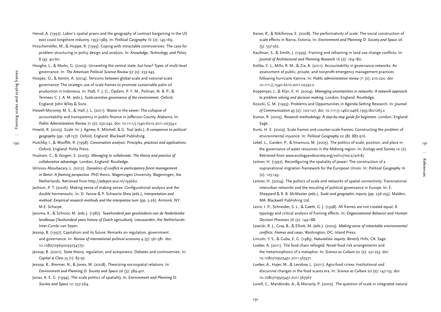- Framing scales and scaling frames | Framing scales and scaling frames $\overline{\phantom{a}}$
- Herod, A. (1997). Labor's spatial praxis and the geography of contract bargaining in the US east coast longshore industry, 1953-1989. In: *Political Geography* 16 (2): 145-169.
- Hisschemöller, M., & Hoppe, R. (1995). Coping with intractable controversies: The case for problem structuring in policy design and analysis. In: *Knowledge, Technology, and Policy*  8 (4): 40-60.
- Hooghe, L., & Marks, G. (2003). Unraveling the central state, but how? Types of multi-level governance. In: *The American Political Science Review* 97 (2): 233-243.
- Hospes, O., & Kentin, A. (2014). Tensions between global-scale and national-scale governance: The strategic use of scale frames to promote sustainable palm oil production in Indonesia. In: Padt, F. J. G., Opdam, P. F. M., Polman, N. B. P., & Termeer, C. J. A. M. (eds.), *Scale-sensitive governance of the environment*. Oxford, England: John Wiley & Sons.
- Howell-Moroney, M. E., & Hall, J. L. (2011). Waste in the sewer: The collapse of accountability and transparency in public finance in Jefferson County, Alabama. In: *Public Administration Review* 71 (2): 232-242. doi: 10.1111/j.1540-6210.2011.02334.x
- Howitt, R. (2003). Scale. In: J. Agnew, K. Mitchell, & G. Toal (eds.), *A companion to political geography* (pp. 138-157). Oxford, England: Blackwell Publishing.
- 190 191 Hutchby, I., & Wooffitt, R. (1998). *Conversation analysis: Principles, practices and applications*. Oxford, England: Polity Press.
	- Huxham, C., & Vangen, S. (2005). *Managing to collaborate. The theory and practice of collaborative advantage*. London, England: Routledge.
	- Idrissou Aboubacary, L. (2012). *Dynamics of conflict in participatory forest management in Benin: A framing perspective.* PhD thesis. Wageningen University, Wageningen, the Netherlands. Retrieved from http://edepot.wur.nl/199662.
	- Jackson, P. T. (2006). Making sense of making sense: Configurational analysis and the double hermeneutic. In: D. Yanow & P. Schwartz-Shea (eds.), *Interpretation and method: Empirical research methods and the interpretive turn* (pp. 5-26). Armonk, NY: M.E. Scharpe.
	- Jansma, K., & Schroor, M. (eds.). (1987). *Tweehonderd jaar geschiedenis van de Nederlandse landbouw* [*Twohunderd years history of Dutch agriculture*]. Leeuwarden, the Netherlands: Inter-Combi van Seyen.
	- Jessop, B. (1997). Capitalism and its future: Remarks on regulation, government and governance. In: *Review of international political economy* 4 (3): 561-581. doi: 10.1080/096922997347751
	- Jessop, B. (2001). State theory, regulation, and autopoiesis: Debates and controversies. In: *Capital & Class* 35 (1): 83-92.
	- Jessop, B., Brenner, N., & Jones, M. (2008). Theorizing sociospatial relations. In: *Environment and Planning D: Society and Space* 26 (3): 389-401.
	- Jonas, A. E. G. (1994). The scale politics of spatiality. In: *Environment and Planning D: Society and Space* 12: 257-264.
- Kaiser, R., & Nikiforova, E. (2008). The performativity of scale: The social construction of scale effects in Narva, Estonia. In: *Environment and Planning D: Society and Space* 26 (3): 537-562.
- Kaufman, S., & Smith, J. (1999). Framing and reframing in land use change conflicts. In: *Journal of Architectural and Planning Research* 16 (2): 164-180.
- Koliba, C. J., Mills, R. M., & Zia, A. (2011). Accountability in governance networks: An assessment of public, private, and nonprofit emergency management practices following hurricane Katrina. In: *Public administration review* 71 (2): 210-220. doi: 10.1111/j.1540-6210.2011.02332.x
- Koppenjan, J., & Klijn, E. H. (2004). *Managing uncertainties in networks: A network approach to problem solving and decision making*. London, England: Routledge.
- Kosicki, G. M. (1993). Problems and Opportunities in Agenda-Setting Research. In: *Journal of Communication* 43 (2): 100-127. doi: 10.1111/j.1460-2466.1993.tb01265.x
- Kumar, R. (2005). *Research methodology: A step-by-step guide for beginners*. London, England: Sage.
- Kurtz, H. E. (2003). Scale frames and counter-scale frames: Constructing the problem of environmental injustice. In: *Political Geography* 22 (8): 887-916.
- Lebel, L., Garden, P., & Imamura, M. (2005). The politics of scale, position, and place in the governance of water resources in the Mekong region. In: *Ecology and Society* 10 (2): Retrieved from www.ecologyandsociety.org/vol10/iss12/art18/
- Leitner, H. (1997). Reconfiguring the spatiality of power: The construction of a supranational migration framework for the European Union. In: *Political Geography* 16 (2): 123-143.
- Leitner, H. (2004). The politics of scale and networks of spatial connectivity: Transnational interurban networks and the rescaling of political governance in Europe. In: E. Sheppard & R. B. McMaster (eds.), *Scale and geographic inquiry* (pp. 236-255). Malden, MA: Blackwell Publishing Ltd.
- Levin, I. P., Schneider, S. L., & Gaeth, G. J. (1998). All frames are not created equal: A typology and critical analysis of framing effects. In: *Organizational Behavior and Human Decision Processes* 76 (2): 149-188.
- Lewicki, R. J., Gray, B., & Elliott, M. (eds.). (2003). *Making sense of intractable environmental conflicts: Frames and cases*. Washington, DC: Island Press.

Lincoln, Y. S., & Guba, E. G. (1985). *Naturalistic inquiry*. Beverly Hills, CA: Sage.

- Loeber, A. (2011). The food chain reforged: Novel food risk arrangements and
- the metamorphosis of a metaphor. In: *Science as Culture* 20 (2): 231-253. doi: 10.1080/09505431.2011.563571
- Loeber, A., Hajer, M., & Levidow, L. (2011). Agro-food crises: Institutional and discursive changes in the food scares era. In: *Science as Culture* 20 (2): 147-155. doi: 10.1080/09505431.2011.563567

| References

References

Lovell, C., Mandondo, A., & Moriarty, P. (2002). The question of scale in integrated natural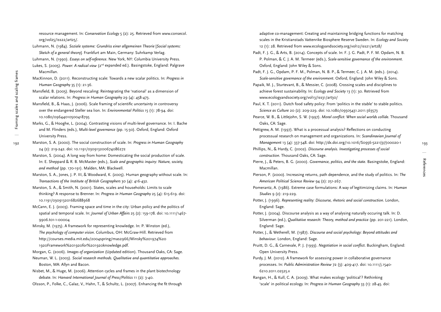resource management. In: *Conservation Ecology* 5 (2): 25. Retrieved from www.consecol. org/vol25/iss22/art25/.

- Luhmann, N. (1984). *Soziale systeme: Grundriss einer allgemeinen Theorie* [*Social systems: Sketch of a general theory*]*.* Frankfurt am Main, Germany: Suhrkamp Verlag.
- Luhmann, N. (1990). *Essays on self-reference*. New York, NY: Columbia University Press.
- Lukes, S. (2005). *Power: A radical view* (2nd expanded ed.). Basingstoke, England: Palgrave Macmillan.
- MacKinnon, D. (2011). Reconstructing scale: Towards a new scalar politics. In: *Progress in Human Geography* 35 (1): 21-36.
- Mansfield, B. (2005). Beyond rescaling: Reintegrating the 'national' as a dimension of scalar relations. In: *Progress in Human Geography* 29 (4): 458-473.
- Mansfield, B., & Haas, J. (2006). Scale framing of scientific uncertainty in controversy over the endangered Steller sea lion. In: *Environmental Politics* 15 (1): 78-94. doi: 10.1080/09644010500418795
- Marks, G., & Hooghe, L. (2004). Contrasting visions of multi-level governance. In: I. Bache and M. Flinders (eds.), *Multi-level governance* (pp. 15-30). Oxford, England: Oxford University Press.
- Marston, S. A. (2000). The social construction of scale. In: *Progress in Human Geography*  192 193 24 (2): 219-242. doi: 10.1191/030913200674086272
	- Marston, S. (2004). A long way from home: Domesticating the social production of scale. In: E. Sheppard & R. B. McMaster (eds.), *Scale and geographic inquiry: Nature, society, and method* (pp. 170-191). Malden, MA: Blackwell.
	- Marston, S. A., Jones, J. P. III, & Woodward, K. (2005). Human geography without scale. In: *Transactions of the Institute of British Geographers* 30 (4): 416-432.
	- Marston, S. A., & Smith, N. (2001). States, scales and households: Limits to scale thinking? A response to Brenner. In: *Progress in Human Geography* 25 (4): 615-619. doi: 10.1191/030913201682688968
	- McCann, E. J. (2003). Framing space and time in the city: Urban policy and the politics of spatial and temporal scale. In: *Journal of Urban Affairs* 25 (2): 159-178. doi: 10.1111/1467- 9906.t01-1-00004
	- Minsky, M. (1975). A framework for representing knowledge. In: P. Winston (ed.), *The psychology of computer vision*. Columbus, OH: McGraw-Hill. Retrieved from http://courses.media.mit.edu/2004spring/mas2966/Minsky%201974%20 1920Framework%201920for%201920knowledge.pdf.
	- Morgan, G. (2006). *Images of organization* (Updated edition). Thousand Oaks, CA: Sage.
	- Neuman, W. L. (2003). *Social research methods. Qualitative and quantitative approaches.* Boston, MA: Allyn and Bacon.
	- Nisbet, M., & Huge, M. (2006). Attention cycles and frames in the plant biotechnology debate. In: *Harvard International Journal of Press/Politics* 11 (2): 3-40.
	- Olsson, P., Folke, C., Galaz, V., Hahn, T., & Schultz, L. (2007). Enhancing the fit through

adaptive co-management: Creating and maintaining bridging functions for matching scales in the Kristianstads Vattenrike Biosphere Reserve Sweden. In: *Ecology and Society*  12 (1): 28. Retrieved from www.ecologyandsociety.org/vol12/iss21/art28/

- Padt, F. J. G., & Arts, B. (2014). Concepts of scale. In: F. J. G. Padt, P. F. M. Opdam, N. B. P. Polman, & C. J. A. M. Termeer (eds.), *Scale-sensitive governance of the environment*. Oxford, England: John Wiley & Sons.
- Padt, F. J. G., Opdam, P. F. M., Polman, N. B. P., & Termeer, C. J. A. M. (eds.). (2014). *Scale-sensitive governance of the environment*. Oxford, England: John Wiley & Sons.
- Papaik, M. J., Sturtevant, B., & Messier, C. (2008). Crossing scales and disciplines to achieve forest sustainability. In: *Ecology and Society* 13 (1): 30. Retrieved from www.ecologyandsociety.org/vol13/iss31/art30/
- Paul, K. T. (2011). Dutch food safety policy: From 'politics in the stable' to stable politics. *Science as Culture* 20 (2): 209-229. doi: 10.1080/09505431.2011.563573
- Pearce, W. B., & Littlejohn, S. W. (1997). *Moral conflict: When social worlds collide.* Thousand Oaks, CA: Sage.
- Pettigrew, A. M. (1997). What is a processual analysis? Reflections on conducting processual research on management and organizations. In: *Scandinavian Journal of Management* 13 (4): 337-348. doi: http://dx.doi.org/10.1016/S0956-5221(97)00020-1
- Phillips, N., & Hardy, C. (2002). *Discourse analysis. Investigating processes of social construction.* Thousand Oaks, CA: Sage.
- Pierre, J., & Peters, B. G. (2000). *Governance, politics, and the state*. Basingstoke, England: Macmillan.
- 
- Pierson, P. (2000). Increasing returns, path dependence, and the study of politics. In: *The American Political Science Review* 94 (2): 251-267.
- Pomerantz, A. (1986). Extreme case formulations: A way of legitimizing claims. In: *Human Studies* 9 (2): 219-229.
- Potter, J. (1996). *Representing reality: Discourse, rhetoric and social construction.* London, England: Sage.
- Potter, J. (2004). Discourse analysis as a way of analysing naturally occuring talk. In: D. Silverman (ed.), *Qualitative research: Theory, method and practice* (pp. 201-221). London, England: Sage.
- Potter, J., & Wetherell, M. (1987). *Discourse and social psychology: Beyond attitudes and behaviour*. London, England: Sage.
- Pruitt, D. G., & Carnevale, P. J. (1993). *Negotiation in social conflict*. Buckingham, England: Open University Press.
- Purdy, J. M. (2012). A framework for assessing power in collaborative governance processes. In: *Public Administration Review* 72 (3): 409-417. doi: 10.1111/j.1540- 6210.2011.02525.x
- Rangan, H., & Kull, C. A. (2009). What makes ecology 'political'? Rethinking 'scale' in political ecology. In: *Progress in Human Geography* 33 (1): 28-45. doi: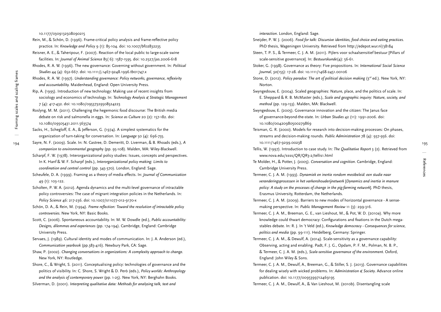10.1177/0309132508090215

- Rein, M., & Schön, D. (1996). Frame-critical policy analysis and frame-reflective policy practice. In: *Knowledge and Policy* 9 (1): 85-104. doi: 10.1007/bf02832235
- Reisner, A. E., & Taheripour, F. (2007). Reaction of the local public to large-scale swine facilities. In: *Journal of Animal Science* 85( 6): 1587-1595. doi: 10.2527/jas.2006-618 Rhodes, R. A. W. (1996). The new governance: Governing without government. In: *Political*
- *Studies* 44 (4): 652-667. doi: 10.1111/j.1467-9248.1996.tb01747.x
- Rhodes, R. A. W. (1997). *Understanding governance: Policy networks, governance, reflexivity and accountability.* Maidenhead, England: Open University Press.
- Rip, A. (1995). Introduction of new technology: Making use of recent insights from sociology and economics of technology. In: *Technology Analysis & Strategic Management*  7 (4): 417-432. doi: 10.1080/09537329508524223
- Roslyng, M. M. (2011). Challenging the hegemonic food discourse: The British media debate on risk and salmonella in eggs. In: *Science as Culture* 20 (2): 157-182. doi: 10.1080/09505431.2011.563574
- Sacks, H., Schegloff, E. A., & Jefferson, G. (1974). A simplest systematics for the organization of turn-taking for conversation. In: *Language* 50 (4): 696-735.
- Sayre, N. F. (2009). Scale. In: N. Castree, D. Demeritt, D. Liverman, & B. Rhoads (eds.), *A companion to environmental geography* (pp. 95-108). Malden, MA: Wiley-Blackwell.
- Scharpf, F. W. (1978). Interorganizational policy studies: Issues, concepts and perspectives. In K. Hanf & W. F. Scharpf (eds.), *Interorganizational policy making: Limits to coordination and central control* (pp. 345-370). London, England: Sage.
- Scheufele, D. A. (1999). Framing as a theory of media effects. In: *Journal of Communication*  49 (1): 103-122.
- Scholten, P. W. A. (2012). Agenda dynamics and the multi-level governance of intractable policy controversies: The case of migrant integration policies in the Netherlands. In: *Policy Science* 46: 217-236. doi: 10.1007/s11077-012-9170-x
- Schön, D. A., & Rein, M. (1994). *Frame reflection: Toward the resolution of intractable policy controversies*. New York, NY: Basic Books.
- Scott, C. (2006). Spontaneous accountability. In: M. W. Dowdle (ed.), *Public accountability: Designs, dilemmas and experiences* (pp. 174-194). Cambridge, England: Cambridge University Press.
- Servaes, J. (1989). Cultural identity and modes of communication. In: J. A. Anderson (ed.), *Communication yearbook* (pp.383-416). Newbury Park, CA: Sage.
- Shaw, P. (2002). *Changing conversations in organizations: A complexity approach to change.* New York, NY: Routledge.
- Shore, C., & Wright, S. (2011). Conceptualising policy: technologies of governance and the politics of visibility. In: C. Shore, S. Wright & D. Però (eds.), *Policy worlds: Anthropology and the analysis of contemporary power* (pp. 1-25). New York, NY: Berghahn Books.
- Silverman, D. (2001). *Interpreting qualitative data: Methods for analysing talk, text and*

*interaction*. London, England: Sage.

Sneijder, P. W. J. (2006). *Food for talk: Discursive identities, food choice and eating practices.* PhD thesis, Wageningen University. Retrieved from http://edepot.wur.nl/38184

- Steen, T. P. S., & Termeer, C. J. A. M. (2011). Pijlers voor schaalsensitief bestuur [Pillars of scale-sensitive governance]. In: *Bestuurskunde*(4): 56-61.
- Stoker, G. (1998). Governance as theory: Five propositions. In: *International Social Science Journal, 50*(155): 17-28. doi: 10.1111/1468-2451.00106
- Stone, D. (2012). *Policy paradox: The art of political decision making* (3<sup>rd</sup> ed.). New York, NY: Norton.
- Swyngedouw, E. (2004). Scaled geographies: Nature, place, and the politics of scale. In: E. Sheppard & R. B. McMaster (eds.), *Scale and geographic inquiry: Nature, society, and method* (pp. 129-153). Malden, MA: Blackwell.
- Swyngedouw, E. (2005). Governance innovation and the citizen: The Janus face of governance-beyond-the-state. In: *Urban Studies* 42 (11): 1991-2006. doi: 10.1080/00420980500279869
- Teisman, G. R. (2000). Models for research into decision-making processes: On phases, streams and decision-making rounds. *Public Administration* 78 (4): 937-956. doi: 10.1111/1467-9299.00238
- Tellis, W. (1997). Introduction to case study. In: *The Qualitative Report* 3 (2). Retrieved from www.nova.edu/ssss/QR/QR3-2/tellis1.html
- Te Molder, H., & Potter, J. (2005). *Conversation and cognition*. Cambridge, England: Cambridge University Press.
- Termeer, C. J. A. M. (1993). *Dynamiek en inertie rondom mestbeleid: een studie naar veranderingsprocessen in het varkenshouderijnetwerk* [*Dynamics and inertia in manure policy: A study on the processes of change in the pig-farming network*]*.* PhD thesis, Erasmus University, Rotterdam, the Netherlands.
- Termeer, C. J. A. M. (2009). Barriers to new modes of horizontal governance A sensemaking perspective. In: *Public Management Review* 11 (3): 299-316.
- Termeer, C. J. A. M., Breeman, G. E., van Lieshout, M., & Pot, W. D. (2010a). Why more knowledge could thwart democracy: Configurations and fixations in the Dutch megastables debate. In: R. J. In 't Veld (ed.), *Knowledge democracy - Consequences for science, politics and media* (pp. 99-111). Heidelberg, Germany: Springer.
- Termeer, C. J. A. M., & Dewulf, A. (2014). Scale-sensitivity as a governance capability: Observing, acting and enabling. Padt, F. J. G., Opdam, P. F. M., Polman, N. B. P., & Termeer, C. J. A. M. (eds.), *Scale-sensitive governance of the environment*. Oxford, England: John Wiley & Sons.
- Termeer, C. J. A. M., Dewulf, A., Breeman, G., & Stiller, S. J. (2013). Governance capabilities for dealing wisely with wicked problems. In: *Administration & Society*. Advance online publication. doi: 10.1177/0095399712469195
- Termeer, C. J. A. M., Dewulf, A., & Van Lieshout, M. (2010b). Disentangling scale

195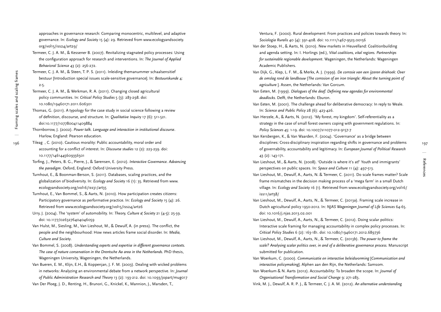196

approaches in governance research: Comparing monocentric, multilevel, and adaptive governance. In: *Ecology and Society* 15 (4): 29. Retrieved from www.ecologyandsociety. org/vol15/iss24/art29/

- Termeer, C. J. A. M., & Kessener B. (2007). Revitalizing stagnated policy processes: Using the configuration approach for research and interventions. In: *The Journal of Applied Behavioral Science* 43 (2): 256-272.
- Termeer, C. J. A. M., & Steen, T. P. S. (2011). Inleiding themanummer schaalsensitief bestuur [Introduction special issues scale-sensitive governance]. In: *Bestuurskunde* 4: 2-5.
- Termeer, C. J. A. M., & Werkman, R. A. (2011). Changing closed agricultural policy communities. In: *Critical Policy Studies*  5 (3): 283-298. doi: 10.1080/19460171.2011.606301
- Thomas, G. (2011). A typology for the case study in social science following a review of definition, discourse, and structure. In: *Qualitative Inquiry* 17 (6): 511-521. doi:10.1177/1077800411409884
- Thornborrow, J. (2002). *Power talk. Language and interaction in institutional discourse*. Harlow, England: Pearson education.
- Tileag, C. (2010). Cautious morality: Public accountability, moral order and accounting for a conflict of interest. In: *Discourse studies* 12 (2): 223-239. doi: 10.1177/1461445609356501
- Torfing, J., Peters, B. G., Pierre, J., & Sørensen, E. (2012). *Interactive Governance. Advancing the paradigm*. Oxford, England: Oxford University Press.
- Turnhout, E., & Boonman-Berson, S. (2011). Databases, scaling practices, and the globalization of biodiversity. In: *Ecology and Society* 16 (1): 35. Retrieved from www. ecologyandsociety.org/vol16/iss31/art35
- Turnhout, E., Van Bommel, S., & Aarts, N. (2010). How participation creates citizens: Participatory governance as performative practice. In: *Ecology and Society* 15 (4): 26. Retrieved from www.ecologyandsociety.org/vol15/iss24/art26
- Urry, J. (2004). The 'system' of automobility. In: *Theory, Culture & Society* 21 (4-5): 25-39. doi: 10.1177/0263276404046059
- Van Hulst, M., Siesling, M., Van Lieshout, M., & Dewulf, A. (in press). The conflict, the people and the neighbourhood: How news articles frame social disorder. In: *Media, Culture and Society*.
- Van Bommel, S. (2008). *Understanding experts and expertise in different governance contexts. The case of nature conservation in the Drentsche Aa area in the Netherlands.* PhD thesis, Wageningen University, Wageningen, the Netherlands.
- Van Bueren, E. M., Klijn, E.H., & Koppenjan, J. F. M. (2003). Dealing with wicked problems in networks: Analyzing an environmental debate from a network perspective. In: *Journal of Public Administration Research and Theory* 13 (2): 193-212. doi: 10.1093/jopart/mug017

Van Der Ploeg, J. D., Renting, H., Brunori, G., Knickel, K., Mannion, J., Marsden, T.,

Ventura, F. (2000). Rural development: From practices and policies towards theory. In: *Sociologia Ruralis* 40 (4): 391-408. doi: 10.1111/1467-9523.00156

- Van der Stoep, H., & Aarts, N. (2010). New markets in Heuvelland: Coalitionbuilding and agenda setting. In: I. Horlings (ed.), *Vital coalitions, vital regions. Partnerships for sustainable regionable development*. Wageningen, the Netherlands: Wageningen Academic Publishers.
- Van Dijk, G., Klep, L. F. M., & Merkx, A. J. (1999). *De corrosie van een ijzeren driehoek: Over de omslag rond de landbouw*  [*The corrosion of an iron triangle: About the turning point of agriculture* ]. Assen, the Netherlands: Van Gorcum.
- Van Eeten, M. (1999). *Dialogues of the deaf: Defining new agendas for environmental deadlocks.* Delft, the Netherlands: Eburon.
- Van Eeten, M. (2001). The challenge ahead for deliberative democracy: In reply to Weale. In: *Science and Public Policy* 28 (6): 423-426.
- Van Herzele, A., & Aarts, N. (2012). 'My forest, my kingdom'. Self-referentiality as a strategy in the case of small forest owners coping with government regulations. In: *Policy Sciences* 45: 1-19. doi: 10.1007/s11077-012-9157-7
- Van Kersbergen, K., & Van Waarden, F. (2004). 'Governance' as a bridge between disciplines: Cross-disciplinary inspiration regarding shifts in governance and problems of governability, accountability and legitimacy. In: *European Journal of Political Research*  43 (2): 143-171.
- Van Lieshout, M., & Aarts, N. (2008). 'Outside is where it's at!' Youth and immigrants' perspectives on public spaces. In: *Space and Culture* 11 (4): 497-513.
- Van Lieshout, M., Dewulf, A., Aarts, N. & Termeer, C. (2011). Do scale frames matter? Scale frame mismatches in the decision making process of a 'mega farm' in a small Dutch village. In: *Ecology and Society* 16 (1). Retrieved from www.ecologyandsociety.org/vol16/ iss11/art38/
- Van Lieshout, M., Dewulf, A., Aarts, N., & Termeer, C. (2013a). Framing scale increase in Dutch agricultural policy 1950-2012. In: *NJAS Wageningen Journal of Life Sciences* 64-65. doi: 10.1016/j.njas.2013.02.001
- Van Lieshout, M., Dewulf, A., Aarts, N., & Termeer, C. (2012). Doing scalar politics: Interactive scale framing for managing accountability in complex policy processes. In: *Critical Policy Studies*  6 (2): 163-181. doi: 10.1080/19460171.2012.689736
- Van Lieshout, M., Dewulf, A., Aarts, N., & Termeer, C. (2013b). *The power to frame the scale? Analysing scalar politics over, in and of a deliberative governance process.* Manuscript submitted for publication.
- Van Woerkum, C. (2000). *Communicatie en interactive beleidsvorming*  [*Communication and interactive policymaking*]. Alphen aan den Rijn, the Netherlands: Samsom.
- Van Woerkum & N. Aarts (2012). Accountability: To broaden the scope. In: *Journal of Organisational Transformation and Social Change* 9: 271-283.

Vink, M. J., Dewulf, A. R. P. J., & Termeer, C. J. A. M. (2012). *An alternative understanding*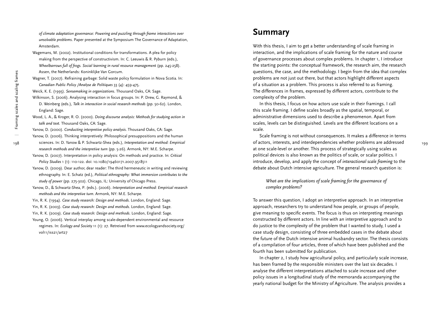*of climate adaptation governance: Powering and puzzling through frame interactions over unsolvable problems*. Paper presented at the Symposium The Governance of Adaptation, Amsterdam.

- Wagemans, M. (2002). Institutional conditions for transformations. A plea for policy making from the perspective of constructivism. In: C. Leeuwis & R. Pyburn (eds.), *Wheelbarrows full of frogs. Social learning in rural resource management* (pp. 245-258). Assen, the Netherlands: Koninklijke Van Gorcum.
- Wagner, T. (2007). Refraining garbage: Solid waste policy formulation in Nova Scotia. In: *Canadian Public Policy /Analyse de Politiques* 33 (4): 459-475.
- Weick, K. E. (1995). *Sensemaking in organizations*. Thousand Oaks, CA: Sage.
- Wilkinson, S. (2006). Analysing interaction in focus groups. In: P. Drew, G. Raymond, & D. Weinberg (eds.), *Talk in interaction in social research methods* (pp. 50-62). London, England: Sage.
- Wood, L. A., & Kroger, R. O. (2000). *Doing discourse analysis: Methods for studying action in talk and text.* Thousand Oaks, CA: Sage.
- Yanow, D. (2000). *Conducting interpretive policy analysis*. Thousand Oaks, CA: Sage.
- 198 199 sciences. In: D. Yanow & P. Schwartz-Shea (eds.), *Interpretation and method: Empirical*  Yanow, D. (2006). Thinking interpretively: Philosophical presuppositions and the human *research methods and the interpretive turn* (pp. 5-26). Armonk, NY: M.E. Scharpe.
	- Yanow, D. (2007). Interpretation in policy analysis: On methods and practice. In: *Critical Policy Studies*  1 (1): 110-122. doi: 10.1080/19460171.2007.9518511
	- Yanow, D. (2009). Dear author, dear reader: The third hermeneutic in writing and reviewing ethnography. In: E. Schatz (ed.), *Political ethnography: What immersion contributes to the study of power* (pp. 275-302). Chicago, IL: University of Chicago Press.
	- Yanow, D., & Schwartz-Shea, P. (eds.). (2006). *Interpretation and method: Empirical research methods and the interpretive turn*. Armonk, NY: M.E. Scharpe.
	- Yin, R. K. (1994). *Case study research: Design and methods*. London, England: Sage.
	- Yin, R. K. (2003). *Case study research: Design and methods*. London, England: Sage.
	- Yin, R. K. (2009). *Case study research: Design and methods*. London, England: Sage.
	- Young, O. (2006). Vertical interplay among scale-dependent environmental and resource
	- regimes. In: *Ecology and Society* 11 (1): 27. Retreived from www.ecologyandsociety.org/ vol11/iss21/art27

## **Summary**

With this thesis, I aim to get a better understanding of scale framing in interaction, and the implications of scale framing for the nature and course of governance processes about complex problems. In chapter 1, I introduce the starting points: the conceptual framework, the research aim, the research questions, the case, and the methodology. I begin from the idea that complex problems are not just out there, but that actors highlight different aspects of a situation as a problem. This process is also referred to as framing. The differences in frames, expressed by different actors, contribute to the complexity of the problem.

In this thesis, I focus on how actors use scale in their framings. I call this scale framing. I define scales broadly as the spatial, temporal, or administrative dimensions used to describe a phenomenon. Apart from scales, levels can be distinguished. Levels are the different locations on a scale.

Scale framing is not without consequences. It makes a difference in terms of actors, interests, and interdependencies whether problems are addressed at one scale-level or another. This process of strategically using scales as political devices is also known as the politics of scale, or scalar politics. I introduce, develop, and apply the concept of *interactional scale framing* to the debate about Dutch intensive agriculture. The general research question is:

*What are the implications of scale framing for the governance of complex problems?*

To answer this question, I adopt an interpretive approach. In an interpretive approach, researchers try to understand how people, or groups of people, give meaning to specific events. The focus is thus on interpreting meanings constructed by different actors. In line with an interpretive approach and to do justice to the complexity of the problem that I wanted to study, I used a case study design, consisting of three embedded cases in the debate about the future of the Dutch intensive animal husbandry sector. The thesis consists of a compilation of four articles, three of which have been published and the fourth has been submitted for publication.

In chapter 2, I study how agricultural policy, and particularly scale increase, has been framed by the responsible ministers over the last six decades. I analyse the different interpretations attached to scale increase and other policy issues in a longitudinal study of the memoranda accompanying the yearly national budget for the Ministry of Agriculture. The analysis provides a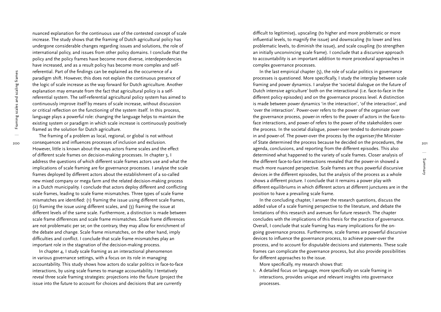nuanced explanation for the continuous use of the contested concept of scale increase. The study shows that the framing of Dutch agricultural policy has undergone considerable changes regarding issues and solutions, the role of international policy, and issues from other policy domains. I conclude that the policy and the policy frames have become more diverse, interdependencies have increased, and as a result policy has become more complex and selfreferential. Part of the findings can be explained as the occurrence of a paradigm shift. However, this does not explain the continuous presence of the logic of scale increase as the way forward for Dutch agriculture. Another explanation may emanate from the fact that agricultural policy is a selfreferential system. The self-referential agricultural policy system has aimed to continuously improve itself by means of scale increase, without discussion or critical reflection on the functioning of the system itself. In this process, language plays a powerful role: changing the language helps to maintain the existing system or paradigm in which scale increase is continuously positively framed as the solution for Dutch agriculture.

The framing of a problem as local, regional, or global is not without consequences and influences processes of inclusion and exclusion. However, little is known about the ways actors frame scales and the effect of different scale frames on decision-making processes. In chapter 3, I address the questions of which different scale frames actors use and what the implications of scale framing are for governance processes. I analyse the scale frames deployed by different actors about the establishment of a so-called new mixed company or mega farm and the related decision-making process in a Dutch municipality. I conclude that actors deploy different and conflicting scale frames, leading to scale frame mismatches. Three types of scale frame mismatches are identified: (1) framing the issue using different scale frames, (2) framing the issue using different scales, and (3) framing the issue at different levels of the same scale. Furthermore, a distinction is made between scale frame differences and scale frame mismatches. Scale frame differences are not problematic per se; on the contrary, they may allow for enrichment of the debate and change. Scale frame mismatches, on the other hand, imply difficulties and conflict. I conclude that scale frame mismatches play an important role in the stagnation of the decision-making process.

In chapter 4, I study scale framing as an interactional phenomenon in various governance settings, with a focus on its role in managing accountability. This study shows how actors do scalar politics in face-to-face interactions, by using scale frames to manage accountability. I tentatively reveal three scale framing strategies: projections into the future (project the issue into the future to account for choices and decisions that are currently

difficult to legitimise), upscaling (to higher and more problematic or more influential levels, to magnify the issue) and downscaling (to lower and less problematic levels, to diminish the issue), and scale coupling (to strengthen an initially unconvincing scale frame). I conclude that a discursive approach to accountability is an important addition to more procedural approaches in complex governance processes.

In the last empirical chapter (5), the role of scalar politics in governance processes is questioned. More specifically, I study the interplay between scale framing and power dynamics. I analyse the 'societal dialogue on the future of Dutch intensive agriculture' both on the interactional (i.e. face-to-face in the different policy episodes) and on the governance process level. A distinction is made between power dynamics 'in the interaction', 'of the interaction', and 'over the interaction'. Power-over refers to the power of the organiser over the governance process, power-in refers to the power of actors in the face-toface interactions, and power-of refers to the power of the stakeholders over the process. In the societal dialogue, power-over tended to dominate powerin and power-of. The power-over the process by the organiser/the Minister of State determined the process because he decided on the procedures, the agenda, conclusions, and reporting from the different episodes. This also determined what happened to the variety of scale frames. Closer analysis of the different face-to-face interactions revealed that the power-in showed a much more nuanced perspective. Scale frames are thus powerful discursive devices *in* the different episodes, but the analysis of the process as a whole shows a different picture. I conclude that it remains a power play with different equilibriums in which different actors at different junctures are in the position to have a prevailing scale frame. Framing and power of the main of the main of the main of the main of the specifical with the specifical with the specifical with the specifical with the specifical with the specifical with the specifical with the specifica

> In the concluding chapter, I answer the research questions, discuss the added value of a scale framing perspective to the literature, and debate the limitations of this research and avenues for future research. The chapter concludes with the implications of this thesis for the practice of governance. Overall, I conclude that scale framing has many implications for the ongoing governance process. Furthermore, scale frames are powerful discursive devices to influence the governance process, to achieve power-over the process, and to account for disputable decisions and statements. These scale frames can complicate the governance process, but also provide possibilities for different approaches to the issue.

More specifically, my research shows that:

1. A detailed focus on language, more specifically on scale framing in interactions, provides unique and relevant insights into governance processes.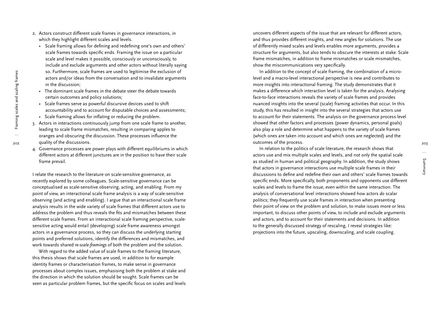- 2. Actors construct different scale frames in governance interactions, in which they highlight different scales and levels.<br>• Scale framing allows for defining and redefining one's own and others'
	- scale frames towards specific ends. Framing the issue on a particular scale and level makes it possible, consciously or unconsciously, to include and exclude arguments and other actors without literally saying so. Furthermore, scale frames are used to legitimise the exclusion of actors and/or ideas from the conversation and to invalidate arguments in the discussion;
	- The dominant scale frames in the debate steer the debate towards certain outcomes and policy solutions;
	- Scale frames serve as powerful discursive devices used to shift accountability and to account for disputable choices and assessments;
	- Scale framing allows for inflating or reducing the problem.
- 3. Actors in interactions continuously jump from one scale frame to another, leading to scale frame mismatches, resulting in comparing apples to oranges and obscuring the discussion. These processes influence the quality of the discussions.
- 4. Governance processes are power plays with different equilibriums in which different actors at different junctures are in the position to have their scale frame prevail.

I relate the research to the literature on scale-sensitive governance, as recently explored by some colleagues. Scale-sensitive governance can be conceptualised as scale-sensitive observing, acting, and enabling. From my point of view, an interactional scale frame analysis is a way of scale-sensitive observing (and acting and enabling). I argue that an interactional scale frame analysis results in the wide variety of scale frames that different actors use to address the problem and thus reveals the fits and mismatches between these different scale frames. From an interactional scale framing perspective, scalesensitive acting would entail (developing) scale frame awareness amongst actors in a governance process, so they can discuss the underlying starting points and preferred solutions, identify the differences and mismatches, and work towards shared *re-scale-framings* of both the problem and the solution.

With regard to the added value of scale frames to the framing literature, this thesis shows that scale frames are used, in addition to for example identity frames or characterisation frames, to make sense in governance processes about complex issues, emphasising both the problem at stake and the direction in which the solution should be sought. Scale frames can be seen as particular problem frames, but the specific focus on scales and levels uncovers different aspects of the issue that are relevant for different actors, and thus provides different insights, and new angles for solutions. The use of differently mixed scales and levels enables more arguments, provides a structure for arguments, but also tends to obscure the interests at stake. Scale frame mismatches, in addition to frame mismatches or scale mismatches, show the miscommunications very specifically.

In addition to the concept of scale framing, the combination of a microlevel and a macro-level interactional perspective is new and contributes to more insights into interactional framing. The study demonstrates that it makes a difference which interaction level is taken for the analysis. Analysing face-to-face interactions reveals the variety of scale frames and provides nuanced insights into the several (scale) framing activities that occur. In this study, this has resulted in insight into the several strategies that actors use to account for their statements. The analysis on the governance process level showed that other factors and processes (power dynamics, personal goals) also play a role and determine what happens to the variety of scale frames (which ones are taken into account and which ones are neglected) and the outcomes of the process.

In relation to the politics of scale literature, the research shows that actors use and mix multiple scales and levels, and not only the spatial scale as studied in human and political geography. In addition, the study shows that actors in governance interactions use multiple scale frames in their discussions to define and redefine their own and others' scale frames towards specific ends. More specifically, both proponents and opponents use different scales and levels to frame the issue, even within the same interaction. The analysis of conversational level interactions showed how actors *do* scalar politics; they frequently use scale frames in interaction when presenting their point of view on the problem and solution, to make issues more or less important, to discuss other points of view, to include and exclude arguments and actors, and to account for their statements and decisions. In addition to the generally discussed strategy of rescaling, I reveal strategies like: projections into the future, upscaling, downscaling, and scale coupling.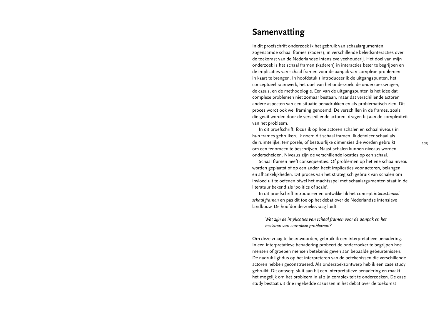### **Samenvatting**

In dit proefschrift onderzoek ik het gebruik van schaalargumenten, zogenaamde schaal frames (kaders), in verschillende beleidsinteracties over de toekomst van de Nederlandse intensieve veehouderij. Het doel van mijn onderzoek is het schaal framen (kaderen) in interacties beter te begrijpen en de implicaties van schaal framen voor de aanpak van complexe problemen in kaart te brengen. In hoofdstuk 1 introduceer ik de uitgangspunten, het conceptueel raamwerk, het doel van het onderzoek, de onderzoeksvragen, de casus, en de methodologie. Een van de uitgangspunten is het idee dat complexe problemen niet zomaar bestaan, maar dat verschillende actoren andere aspecten van een situatie benadrukken en als problematisch zien. Dit proces wordt ook wel framing genoemd. De verschillen in de frames, zoals die geuit worden door de verschillende actoren, dragen bij aan de complexiteit van het probleem.

In dit proefschrift, focus ik op hoe actoren schalen en schaalniveaus in hun frames gebruiken. Ik noem dit schaal framen. Ik definieer schaal als de ruimtelijke, temporele, of bestuurlijke dimensies die worden gebruikt om een fenomeen te beschrijven. Naast schalen kunnen niveaus worden onderscheiden. Niveaus zijn de verschillende locaties op een schaal.

Schaal framen heeft consequenties. Of problemen op het ene schaalniveau worden geplaatst of op een ander, heeft implicaties voor actoren, belangen, en afhankelijkheden. Dit proces van het strategisch gebruik van schalen om invloed uit te oefenen ofwel het machtsspel met schaalargumenten staat in de literatuur bekend als 'politics of scale'.

In dit proefschrift introduceer en ontwikkel ik het concept *interactioneel schaal framen* en pas dit toe op het debat over de Nederlandse intensieve landbouw. De hoofdonderzoeksvraag luidt:

*Wat zijn de implicaties van schaal framen voor de aanpak en het besturen van complexe problemen?*

Om deze vraag te beantwoorden, gebruik ik een interpretatieve benadering. In een interpretatieve benadering probeert de onderzoeker te begrijpen hoe mensen of groepen mensen betekenis geven aan bepaalde gebeurtenissen. De nadruk ligt dus op het interpreteren van de betekenissen die verschillende actoren hebben geconstrueerd. Als onderzoeksontwerp heb ik een case study gebruikt. Dit ontwerp sluit aan bij een interpretatieve benadering en maakt het mogelijk om het probleem in al zijn complexiteit te onderzoeken. De case study bestaat uit drie ingebedde casussen in het debat over de toekomst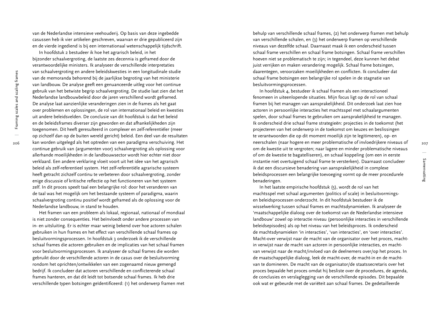van de Nederlandse intensieve veehouderij. Op basis van deze ingebedde casussen heb ik vier artikelen geschreven, waarvan er drie gepubliceerd zijn en de vierde ingediend is bij een internationaal wetenschappelijk tijdschrift.

<sub>206</sub> kan worden uitgelegd als het optreden van een paradigma verschuiving. Het kood heerschalen (naar hogere en meer problematische of invloedrijkere niveaus of koog <sub>207</sub> In hoofdstuk 2 bestudeer ik hoe het agrarisch beleid, in het bijzonder schaalvergroting, de laatste zes decennia is geframed door de verantwoordelijke ministers. Ik analyseer de verschillende interpretaties van schaalvergroting en andere beleidskwesties in een longitudinale studie van de memoranda behorend bij de jaarlijkse begroting van het ministerie van landbouw. De analyse geeft een genuanceerde uitleg voor het continue gebruik van het betwiste begrip schaalvergroting. De studie laat zien dat het Nederlandse landbouwbeleid door de jaren verschillend wordt geframed. De analyse laat aanzienlijke veranderingen zien in de frames als het gaat over problemen en oplossingen, de rol van internationaal beleid en kwesties uit andere beleidsvelden. De conclusie van dit hoofdstuk is dat het beleid en de beleidsframes diverser zijn geworden en dat afhankelijkheden zijn toegenomen. Dit heeft geresulteerd in complexer en zelf-referentiëler (meer op zichzelf dan op de buiten wereld gericht) beleid. Een deel van de resultaten kan worden uitgelegd als het optreden van een paradigma verschuiving. Het continue gebruik van (argumenten voor) schaalvergroting als oplossing voor allerhande moeilijkheden in de landbouwsector wordt hier echter niet door verklaard. Een andere verklaring vloeit voort uit het idee van het agrarisch beleid als zelf-referentieel system. Het zelf-referentiële agrarische systeem heeft getracht zichzelf continu te verbeteren door schaalvergroting, zonder enige discussie of kritische reflectie op het functioneren van het systeem zelf. In dit proces speelt taal een belangrijke rol: door het veranderen van de taal was het mogelijk om het bestaande systeem of paradigma, waarin schaalvergroting continu positief wordt geframed als de oplossing voor de Nederlandse landbouw, in stand te houden.

Het framen van een probleem als lokaal, regionaal, nationaal of mondiaal is niet zonder consequenties. Het beïnvloedt onder andere processen van in- en uitsluiting. Er is echter maar weinig bekend over hoe actoren schalen gebruiken in hun frames en het effect van verschillende schaal frames op besluitvormingsprocessen. In hoofdstuk 3 onderzoek ik de verschillende schaal frames die actoren gebruiken en de implicaties van het schaal framen voor besluitvormingsprocessen. Ik analyseer de schaal frames die worden gebruikt door de verschillende actoren in de casus over de besluitvorming rondom het oprichten/ontwikkelen van een zogenaamd nieuw gemengd bedrijf. Ik concludeer dat actoren verschillende en conflicterende schaal frames hanteren, en dat dit leidt tot botsende schaal frames. Ik heb drie verschillende typen botsingen geïdentificeerd: (1) het onderwerp framen met behulp van verschillende schaal frames, (2) het onderwerp framen met behulp van verschillende schalen, en (3) het onderwerp framen op verschillende niveaus van dezelfde schaal. Daarnaast maak ik een onderscheid tussen schaal frame verschillen en schaal frame botsingen. Schaal frame verschillen hoeven niet se problematisch te zijn; in tegendeel, deze kunnen het debat juist verrijken en maken verandering mogelijk. Schaal frame botsingen, daarentegen, veroorzaken moeilijkheden en conflicten. Ik concludeer dat schaal frame botsingen een belangrijke rol spelen in de stagnatie van besluitvormingsprocessen.

In hoofdstuk 4, bestudeer ik schaal framen als een interactioneel fenomeen in uiteenlopende situaties. Mijn focus ligt op de rol van schaal framen bij het managen van aansprakelijkheid. Dit onderzoek laat zien hoe actoren in persoonlijke interacties het machtsspel met schaalargumenten spelen, door schaal frames te gebruiken om aansprakelijkheid te managen. Ik onderscheid drie schaal frame strategieën: projecties in de toekomst (het projecteren van het onderwerp in de toekomst om keuzes en beslissingen te verantwoorden die op dit moment moeilijk zijn te legitimeren), op- en om de kwestie uit te vergroten; naar lagere en minder problematische niveaus of om de kwestie te bagatelliseren), en schaal koppeling (om een in eerste instantie niet overtuigend schaal frame te versterken). Daarnaast concludeer ik dat een discursieve benadering van aansprakelijkheid in complexe beleidsprocessen een belangrijke toevoeging vormt op de meer procedurele benaderingen.

In het laatste empirische hoofdstuk (5), wordt de rol van het machtsspel met schaal argumenten (politics of scale) in besluitvormingsen beleidsprocessen onderzocht. In dit hoofdstuk bestudeer ik de wisselwerking tussen schaal frames en machtsdynamieken. Ik analyseer de 'maatschappelijke dialoog over de toekomst van de Nederlandse intensieve landbouw' zowel op interactie niveau (persoonlijke interacties in verschillende beleidsepisodes) als op het niveau van het beleidsproces. Ik onderscheid de machtsdynamieken 'in interacties', 'van interacties', en 'over interacties'. Macht-over verwijst naar de macht van de organisator over het proces, machtin verwijst naar de macht van actoren in persoonlijke interacties, en machtvan verwijst naar de macht/invloed van de deelnemers over/op het proces. In de maatschappelijke dialoog, leek de macht-over, de macht-in en de machtvan te domineren. De macht van de organisator/de staatssecretaris over het proces bepaalde het proces omdat hij besliste over de procedures, de agenda, de conclusies en verslaglegging van de verschillende episodes. Dit bepaalde ook wat er gebeurde met de variëteit aan schaal frames. De gedetailleerde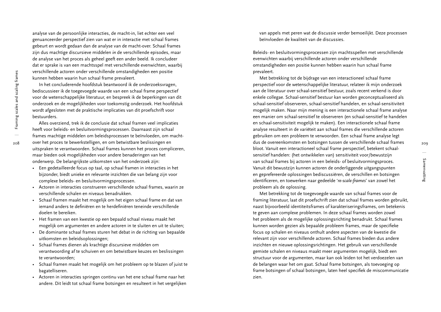analyse van de persoonlijke interacties, de macht-in, liet echter een veel genuanceerder perspectief zien van wat er in interactie met schaal frames gebeurt en wordt gedaan dan de analyse van de macht-over. Schaal frames zijn dus machtige discursieve middelen *in* de verschillende episodes, maar de analyse van het proces als geheel geeft een ander beeld. Ik concludeer dat er sprake is van een machtsspel met verschillende evenwichten, waarbij verschillende actoren onder verschillende omstandigheden een positie kunnen hebben waarin hun schaal frame prevaleert.

In het concluderende hoofdstuk beantwoord ik de onderzoeksvragen, bediscussieer ik de toegevoegde waarde van een schaal frame perspectief voor de wetenschappelijke literatuur, en bespreek ik de beperkingen van dit onderzoek en de mogelijkheden voor toekomstig onderzoek. Het hoofdstuk wordt afgesloten met de praktische implicaties van dit proefschrift voor bestuurders.

<sub>208</sub> over het proces te bewerkstelligen, en om betwistbare beslissingen en waardie en dus de overeenkomsten en botsingen tussen de verschillende schaal frames <sub>209</sub> مورد 2014. In dus de overeenkomsten en botsingen tussen Alles overziend, trek ik de conclusie dat schaal framen veel implicaties heeft voor beleids- en besluitvormingsprocessen. Daarnaast zijn schaal frames machtige middelen om beleidsprocessen te beïnvloeden, om machtover het proces te bewerkstelligen, en om betwistbare beslissingen en uitspraken te verantwoorden. Schaal frames kunnen het proces compliceren, maar bieden ook mogelijkheden voor andere benaderingen van het onderwerp. De belangrijkste uitkomsten van het onderzoek zijn:

- Een gedetailleerde focus op taal, op schaal framen in interacties in het bijzonder, biedt unieke en relevante inzichten die van belang zijn voor complexe beleids- en besluitvormingsprocessen.
- Actoren in interacties construeren verschillende schaal frames, waarin ze verschillende schalen en niveaus benadrukken.
- Schaal framen maakt het mogelijk om het eigen schaal frame en dat van iemand anders te definiëren en te herdefiniëren teneinde verschillende doelen te bereiken.
- Het framen van een kwestie op een bepaald schaal niveau maakt het mogelijk om argumenten en andere actoren in te sluiten en uit te sluiten;
- De dominante schaal frames sturen het debat in de richting van bepaalde uitkomsten en beleidsoplossingen;
- Schaal frames dienen als krachtige discursieve middelen om verantwoording af te schuiven en om betwistbare keuzes en beslissingen te verantwoorden;
- Schaal framen maakt het mogelijk om het probleem op te blazen of juist te bagatelliseren.
- Actoren in interacties springen continu van het ene schaal frame naar het andere. Dit leidt tot schaal frame botsingen en resulteert in het vergelijken

van appels met peren wat de discussie verder bemoeilijkt. Deze processen beïnvloeden de kwaliteit van de discussies.

Beleids- en besluitvormingsprocessen zijn machtsspellen met verschillende evenwichten waarbij verschillende actoren onder verschillende omstandigheden een positie kunnen hebben waarin hun schaal frame prevaleert.

Met betrekking tot de bijdrage van een interactioneel schaal frame perspectief voor de wetenschappelijke literatuur, relateer ik mijn onderzoek aan de literatuur over schaal-sensitief bestuur, zoals recent verkend is door enkele collegae. Schaal-sensitief bestuur kan worden geconceptualiseerd als schaal-sensitief observeren, schaal-sensitief handelen, en schaal-sensitiviteit mogelijk maken. Naar mijn mening is een interactionele schaal frame analyse een manier om schaal-sensitief te observeren (en schaal-sensitief te handelen en schaal-sensitiviteit mogelijk te maken). Een interactionele schaal frame analyse resulteert in de variëteit aan schaal frames die verschillende actoren gebruiken om een probleem te verwoorden. Een schaal frame analyse legt bloot. Vanuit een interactioneel schaal frame perspectief, betekent schaalsensitief handelen: (het ontwikkelen van) sensitiviteit voor/bewustzijn van schaal frames bij actoren in een beleids- of besluitvormingsproces. Vanuit dit bewustzijn kunnen actoren de onderliggende uitgangspunten en geprefereerde oplossingen bediscussiëren, de verschillen en botsingen identificeren, en toewerken naar gedeelde '*re-scale-frames*' van zowel het probleem als de oplossing.

Met betrekking tot de toegevoegde waarde van schaal frames voor de framing literatuur, laat dit proefschrift zien dat schaal frames worden gebruikt, naast bijvoorbeeld identiteitsframes of karakteriseringsframes, om betekenis te geven aan complexe problemen. In deze schaal frames worden zowel het probleem als de mogelijke oplossingsrichting benadrukt. Schaal frames kunnen worden gezien als bepaalde probleem frames, maar de specifieke focus op schalen en niveaus onthult andere aspecten van de kwestie die relevant zijn voor verschillende actoren. Schaal frames bieden dus andere inzichten en nieuwe oplossingsrichtingen. Het gebruik van verschillende gemixte schalen en niveaus maakt meer argumenten mogelijk, biedt een structuur voor de argumenten, maar kan ook leiden tot het verdoezelen van de belangen waar het om gaat. Schaal frame botsingen, als toevoeging op frame botsingen of schaal botsingen, laten heel specifiek de miscommunicatie zien.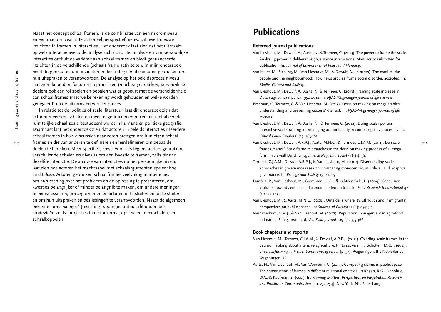Naast het concept schaal framen, is de combinatie van een micro-niveau en een macro-niveau interactioneel perspectief nieuw. Dit levert nieuwe inzichten in framen in interacties. Het onderzoek laat zien dat het uitmaakt op welk interactieniveau de analyse zich richt. Het analyseren van persoonlijke interacties onthult de variëteit aan schaal frames en biedt genuanceerde inzichten in de verschillende (schaal) frame activiteiten. In mijn onderzoek heeft dit geresulteerd in inzichten in de strategieën die actoren gebruiken om hun uitspraken te verantwoorden. De analyse op het beleidsproces niveau laat zien dat andere factoren en processen (machtsdynamieken, persoonlijke doelen) ook een rol spelen en bepalen wat er gebeurt met de verscheidenheid aan schaal frames (met welke rekening wordt gehouden en welke worden genegeerd) en de uitkomsten van het proces.

In relatie tot de 'politics of scale' literatuur, laat dit onderzoek zien dat actoren meerdere schalen en niveaus gebruiken en mixen, en niet alleen de ruimtelijke schaal zoals bestudeerd wordt in humane en politieke geografie. Daarnaast laat het onderzoek zien dat actoren in beleidsinteracties meerdere schaal frames in hun discussies naar voren brengen om hun eigen schaal frames en die van anderen te definiëren en herdefiniëren om bepaalde doelen te bereiken. Meer specifiek, zowel voor- als tegenstanders gebruiken verschillende schalen en niveaus om een kwestie te framen, zelfs binnen dezelfde interactie. De analyse van interacties op het persoonlijke niveau laat zien hoe actoren het machtsspel met schaalargumenten spelen: hoe zij dit *doen*. Actoren gebruiken schaal frames veelvuldig in interacties om hun mening over het probleem en de oplossing te presenteren, om kwesties belangrijker of minder belangrijk te maken, om andere meningen te bediscussiëren, om argumenten en actoren in te sluiten en uit te sluiten, en om hun uitspraken en beslissingen te verantwoorden. Naast de algemeen bekende 'omschalings-' (rescaling) strategie, onthult dit onderzoek strategieën zoals: projecties in de toekomst, opschalen, neerschalen, en schaalkoppelen. Framing pressurent on interstute of the method: Now the state of the relation of the method: Now the state is the control of the method: Now the state is frames in the control of the relation of the method: However and the

# **Publications**

#### **Refereed journal publications**

- Van Lieshout, M., Dewulf, A., Aarts, N. & Termeer, C. (2013). The power to frame the scale. Analysing power in deliberative governance interactions. Manuscript submitted for publication. In: *Journal of Environmental Policy and Planning.*
- Van Hulst, M., Siesling, M., Van Lieshout, M., & Dewulf, A. (in press). The conflict, the people and the neighbourhood: How news articles frame social disorder, accepted *.* In: *Media, Culture and Society.*
- Van Lieshout, M., Dewulf, A., Aarts, N. & Termeer, C. (2013). Framing scale increase in Dutch agricultural policy 1950-2012. In: *NJAS-Wageningen journal of life sciences*.
- Breeman, G. Termeer, C. & Van Lieshout, M. (2013). Decision making on mega stables: understanding and preventing citizens' distrust *.* In: *NJAS-Wageningen journal of life sciences* .
- Van Lieshout, M., Dewulf, A., Aarts, N., & Termeer, C. (2012). Doing scalar politics: interactive scale framing for managing accountability in complex policy processes. In: *Critical Policy Studies* 6 (2): 163-181.
- Van Lieshout, M., Dewulf, A.R.P.J., Aarts, M.N.C., & Termeer, C.J.A.M. (2011). Do scale frames matter? Scale frame mismatches in the decision making process of a 'mega farm' in a small Dutch village. In: *Ecology and Society* 16 (1): 38.
- Termeer, C.J.A.M., Dewulf, A.R.P.J., & Van Lieshout, M. (2010). Disentangling scale approaches in governance research: comparing monocentric, multilevel, and adaptive governance. In: *Ecology and Society* 15 (4): 29.
- Lampila, P., Van Lieshout, M., Gremmen, H.G.J.,& Lahteenmaki, L. (2009). Consumer attitudes towards enhanced flavonoid content in fruit. In: *Food Research International* 42 (1): 122-129.
- Van Lieshout, M., & Aarts, M.N.C. (2008). Outside is where it's at! Youth and immigrants' perspectives on public spaces. In: *Space and Culture* 11 (4): 497-513.
- Van Woerkum, C.M.J., & Van Lieshout, M. (2007). Reputation management in agro-food industries: Safety first. In: *British Food Journal* 109 (5): 355-366.

#### **Book chapters and reports**

- Van Lieshout, M., Termeer, C.J.A.M., & Dewulf, A.R.P.J. (2011). Colliding scale frames in the decision making about intensive agriculture. In: Eijsackers, H., Scholten, M.C.T. (eds.), *Livestock farming with care. Summaries of essays* (p. 37). Wageningen, the Netherlands: Wageningen UR.
- Aarts, N., Van Lieshout, M., Van Woerkum, C. (2011). Competing claims in public space: The construction of frames in different relational contexts. In Rogan, R.G., Donohue, W.A., & Kaufman, S. (eds.). In: *Framing Matters. Perspectives on Negotiation Research and Practice in Communication* (pp. 234-254). New York, NY: Peter Lang.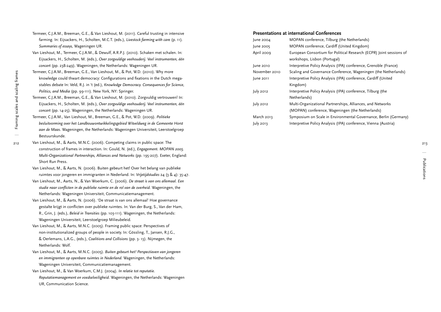- Termeer, C.J.A.M., Breeman, G.E., & Van Lieshout, M. (2011). Careful trusting in intensive farming. In: Eijsackers, H., Scholten, M.C.T. (eds.), *Livestock farming with care* (p. 11)*. Summaries of essays,* Wageningen UR.
- Van Lieshout, M., Termeer, C.J.A.M., & Dewulf, A.R.P.J. (2010). Schaken met schalen. In: Eijsackers, H., Scholten, M. (eds.), *Over zorgvuldige veehouderij. Veel instrumenten, één concert* (pp. 238-249). Wageningen, the Netherlands: Wageningen UR.
- Termeer, C.J.A.M., Breeman, G.E., Van Lieshout, M., & Pot, W.D. (2010). Why more knowledge could thwart democracy: Configurations and fixations in the Dutch megastables debate In: Veld, R.J. in 't (ed.), *Knowledge Democracy. Consequences for Science, Politics, and Media* (pp. 99-111)*.* New York, NY: Springer.
- Termeer, C.J.A.M., Breeman, G.E., & Van Lieshout, M. (2010). Zorgvuldig vertrouwen! In: Eijsackers, H., Scholten, M. (eds.), *Over zorgvuldige veehouderij. Veel instrumenten, één concert* (pp. 14-25)*.* Wageningen, the Netherlands: Wageningen UR.

Framing scales and scaling frames | Framing scales and scaling frames

 $\overline{\phantom{0}}$ 

- Termeer, C.J.A.M., Van Lieshout, M., Breeman, G.E., & Pot, W.D. (2009). *Politieke besluitvorming over het Landbouwontwikkelingsgebied Witveldweg in de Gemeente Horst aan de Maas*. Wageningen, the Netherlands: Wageningen Universiteit, Leerstoelgroep Bestuurskunde.
- $_{212}$  Van Lieshout, M., & Aarts, M.N.C. (2006). Competing claims in public space: The  $_{213}$ construction of frames in interaction. In: Gould, N. (ed.), *Engagement. MOPAN 2005. Multi-Organizational Partnerships, Alliances and Networks* (pp. 195-207)*.* Exeter, England: Short Run Press.
	- Van Lieshout, M., & Aarts, N. (2006). Buiten gebeurt het! Over het belang van publieke ruimtes voor jongeren en immigranten in Nederland. In: *Vrijetijdstudies* 24 (3 & 4): 35-47.
	- Van Lieshout, M., Aarts, N., & Van Woerkum, C. (2006). *De straat is van ons allemaal. Een studie naar conflicten in de publieke ruimte en de rol van de overheid.* Wageningen, the Netherlands: Wageningen Universiteit, Communicatiemanagement.
	- Van Lieshout, M., & Aarts, N. (2006). 'De straat is van ons allemaal' Hoe governance gestalte krijgt in conflicten over publieke ruimtes. In: Van der Burg, S., Van der Ham, R., Grin, J. (eds.), *Beleid in Transities* (pp. 103-111)*.* Wageningen, the Netherlands: Wageningen Universiteit, Leerstoelgroep Milieubeleid*.*
	- Van Lieshout, M., & Aarts, M.N.C. (2005). Framing public space: Perspectives of non-institutionalized groups of people in society. In: Gössling, T., Jansen, R.J.G., & Oerlemans, L.A.G., (eds.), *Coalitions and Collisions* (pp. 3- 13). Nijmegen, the Netherlands: Wolf.
	- Van Lieshout, M., & Aarts, M.N.C. (2005). *Buiten gebeurt het! Perspectieven van jongeren en immigranten op openbare ruimtes in Nederland.* Wageningen, the Netherlands: Wageningen Universiteit, Communicatiemanagement.
	- Van Lieshout, M., & Van Woerkum, C.M.J. (2004). *In relatie tot reputatie. Reputatiemanagement en voedselveiligheid*. Wageningen, the Netherlands: Wageningen UR, Communication Science.

#### **Presentations at international Conferences**

| June 2004     | MOPAN conference, Tilburg (the Netherlands)                         |
|---------------|---------------------------------------------------------------------|
| June 2005     | MOPAN conference, Cardiff (United Kingdom)                          |
| April 2009    | European Consortium for Political Research (ECPR) Joint sessions of |
|               | workshops, Lisbon (Portugal)                                        |
| June 2010     | Interpretive Policy Analysis (IPA) conference, Grenoble (France)    |
| November 2010 | Scaling and Governance Conference, Wageningen (the Netherlands)     |
| June 2011     | Interpretive Policy Analysis (IPA) conference, Cardiff (United      |
|               | Kingdom)                                                            |
| July 2012     | Interpretive Policy Analysis (IPA) conference, Tilburg (the         |
|               | Netherlands)                                                        |
| July 2012     | Multi-Organizational Partnerships, Alliances, and Networks          |
|               | (MOPAN) conference, Wageningen (the Netherlands)                    |
| March 2013    | Symposium on Scale in Environmental Governance, Berlin (Germany)    |
| July $2013$   | Interpretive Policy Analysis (IPA) conference, Vienna (Austria)     |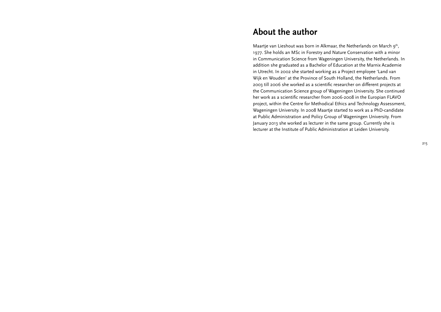## **About the author**

Maartje van Lieshout was born in Alkmaar, the Netherlands on March 9th, 1977. She holds an MSc in Forestry and Nature Conservation with a minor in Communication Science from Wageningen University, the Netherlands. In addition she graduated as a Bachelor of Education at the Marnix Academie in Utrecht. In 2002 she started working as a Project employee 'Land van Wijk en Wouden' at the Province of South Holland, the Netherlands. From 2003 till 2006 she worked as a scientific researcher on different projects at the Communication Science group of Wageningen University. She continued her work as a scientific researcher from 2006-2008 in the Europian FLAVO project, within the Centre for Methodical Ethics and Technology Assessment, Wageningen University. In 2008 Maartje started to work as a PhD-candidate at Public Administration and Policy Group of Wageningen University. From January 2013 she worked as lecturer in the same group. Currently she is lecturer at the Institute of Public Administration at Leiden University.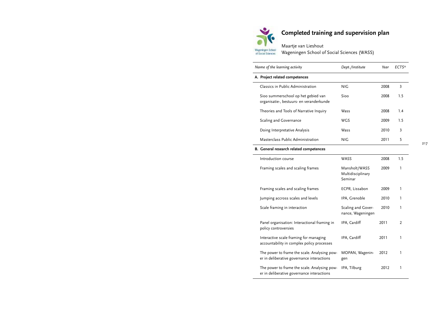

## **Completed training and supervision plan**

Maartje van Lieshout Wageningen School of Social Sciences (WASS)

| Name of the learning activity                                                              | Dept./Institute<br>ECTS*<br>Year              |      |              |
|--------------------------------------------------------------------------------------------|-----------------------------------------------|------|--------------|
| A. Project related competences                                                             |                                               |      |              |
| Classics in Public Administration                                                          | NIG                                           | 2008 | 3            |
| Sioo summerschool op het gebied van<br>organisatie-, bestuurs- en veranderkunde            | Sioo                                          | 2008 | 1.5          |
| Theories and Tools of Narrative Inquiry                                                    | Wass                                          | 2008 | 1.4          |
| Scaling and Governance                                                                     | WGS                                           | 2009 | 1.5          |
| Doing Interpretative Analysis                                                              | Wass                                          | 2010 | 3            |
| Masterclass Public Administration                                                          | <b>NIG</b>                                    | 2011 | 5            |
| B. General research related competences                                                    |                                               |      |              |
| Introduction course                                                                        | WASS                                          | 2008 | 1.5          |
| Framing scales and scaling frames                                                          | Mansholt/WASS<br>Multidisciplinary<br>Seminar | 2009 | 1            |
| Framing scales and scaling frames                                                          | ECPR, Lissabon                                | 2009 | ı            |
| Jumping accross scales and levels                                                          | IPA, Grenoble                                 | 2010 | 1            |
| Scale framing in interaction                                                               | Scaling and Gover-<br>nance, Wageningen       | 2010 | ı            |
| Panel organisation: Interactional framing in<br>policy controversies                       | IPA, Cardiff                                  | 2011 | 2            |
| Interactive scale framing for managing<br>accountability in complex policy processes       | IPA, Cardiff                                  | 2011 | 1            |
| The power to frame the scale. Analysing pow-<br>er in deliberative governance interactions | MOPAN, Wagenin-<br>gen                        | 2012 | 1            |
| The power to frame the scale. Analysing pow-<br>er in deliberative governance interactions | IPA, Tilburg                                  | 2012 | $\mathbf{1}$ |